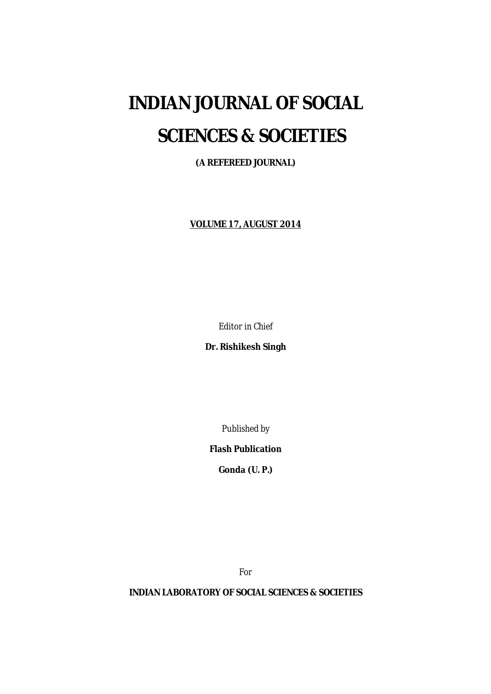# **INDIAN JOURNAL OF SOCIAL SCIENCES & SOCIETIES**

**(A REFEREED JOURNAL)**

**VOLUME 17, AUGUST 2014**

*Editor in Chief*

**Dr. Rishikesh Singh**

*Published by*

**Flash Publication**

**Gonda (U. P.)**

*For*

**INDIAN LABORATORY OF SOCIAL SCIENCES & SOCIETIES**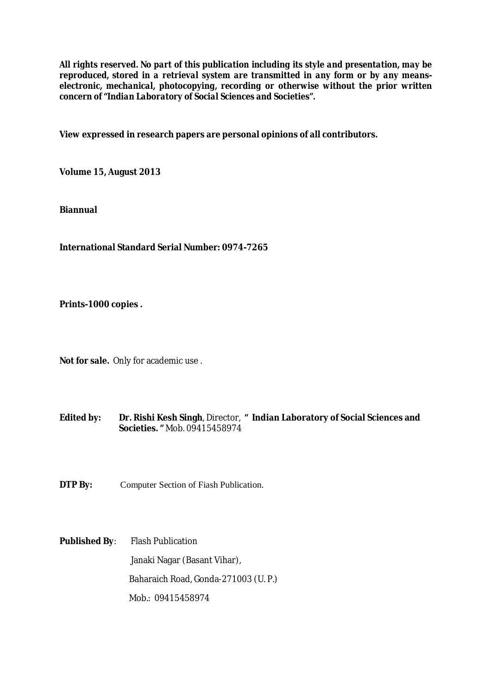*All rights reserved. No part of this publication including its style and presentation, may be reproduced, stored in a retrieval system are transmitted in any form or by any meanselectronic, mechanical, photocopying, recording or otherwise without the prior written concern of "Indian Laboratory of Social Sciences and Societies".*

**View expressed in research papers are personal opinions of all contributors.**

**Volume 15, August 2013**

**Biannual**

**International Standard Serial Number: 0974-7265**

**Prints-1000 copies .**

**Not for sale.** Only for academic use .

**Edited by: Dr. Rishi Kesh Singh**, Director, **" Indian Laboratory of Social Sciences and Societies. "** Mob. 09415458974

**DTP By:** Computer Section of Fiash Publication.

**Published By**: Flash Publication Janaki Nagar (Basant Vihar), Baharaich Road, Gonda-271003 (U. P.) Mob.: 09415458974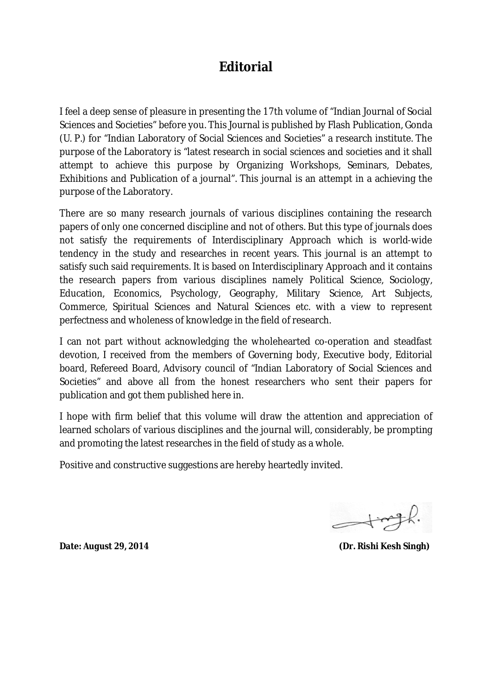### **Editorial**

I feel a deep sense of pleasure in presenting the 17th volume of "Indian Journal of Social Sciences and Societies" before you. This Journal is published by Flash Publication, Gonda (U. P.) for "Indian Laboratory of Social Sciences and Societies" a research institute. The purpose of the Laboratory is "latest research in social sciences and societies and it shall attempt to achieve this purpose by Organizing Workshops, Seminars, Debates, Exhibitions and Publication of a journal". This journal is an attempt in a achieving the purpose of the Laboratory.

There are so many research journals of various disciplines containing the research papers of only one concerned discipline and not of others. But this type of journals does not satisfy the requirements of Interdisciplinary Approach which is world-wide tendency in the study and researches in recent years. This journal is an attempt to satisfy such said requirements. It is based on Interdisciplinary Approach and it contains the research papers from various disciplines namely Political Science, Sociology, Education, Economics, Psychology, Geography, Military Science, Art Subjects, Commerce, Spiritual Sciences and Natural Sciences etc. with a view to represent perfectness and wholeness of knowledge in the field of research.

I can not part without acknowledging the wholehearted co-operation and steadfast devotion, I received from the members of Governing body, Executive body, Editorial board, Refereed Board, Advisory council of "Indian Laboratory of Social Sciences and Societies" and above all from the honest researchers who sent their papers for publication and got them published here in.

I hope with firm belief that this volume will draw the attention and appreciation of learned scholars of various disciplines and the journal will, considerably, be prompting and promoting the latest researches in the field of study as a whole.

Positive and constructive suggestions are hereby heartedly invited.

 $-$ tingh.

**Date:** *August 29, 2014* **(Dr. Rishi Kesh Singh)**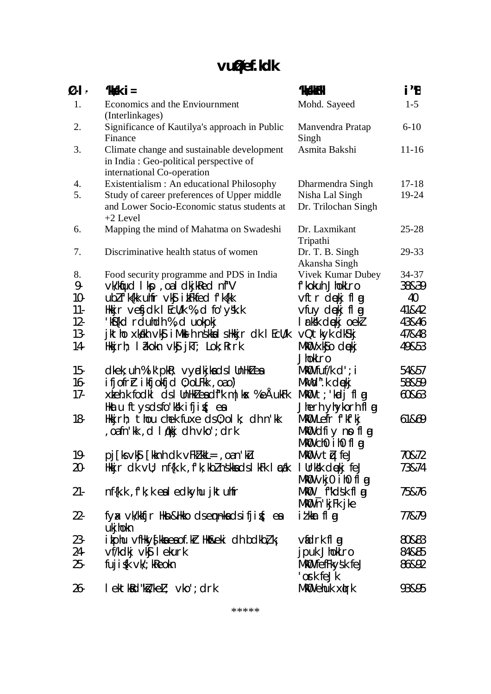# **vu qØef.kdk**

| $\boldsymbol{\emptyset}$ -l - | $'$ kkski $=$                                                                                                      | <b>'kiskkFkhi</b>                | i"B       |
|-------------------------------|--------------------------------------------------------------------------------------------------------------------|----------------------------------|-----------|
| 1.                            | Economics and the Enviournment                                                                                     | Mohd. Sayeed                     | $1 - 5$   |
|                               | (Interlinkages)                                                                                                    |                                  |           |
| 2.                            | Significance of Kautilya's approach in Public                                                                      | Manvendra Pratap                 | $6 - 10$  |
|                               | Finance                                                                                                            | Singh                            |           |
| 3.                            | Climate change and sustainable development<br>in India: Geo-political perspective of<br>international Co-operation | Asmita Bakshi                    | $11 - 16$ |
| 4.                            | Existentialism : An educational Philosophy                                                                         | Dharmendra Singh                 | $17 - 18$ |
| 5.                            | Study of career preferences of Upper middle                                                                        | Nisha Lal Singh                  | 19-24     |
|                               | and Lower Socio-Economic status students at<br>$+2$ Level                                                          | Dr. Trilochan Singh              |           |
| 6.                            | Mapping the mind of Mahatma on Swadeshi                                                                            | Dr. Laxmikant<br>Tripathi        | $25 - 28$ |
| 7.                            | Discriminative health status of women                                                                              | Dr. T. B. Singh<br>Akansha Singh | 29-33     |
| 8.                            | Food security programme and PDS in India                                                                           | Vivek Kumar Dubey                | 34-37     |
| 9-                            | vk/kijud I kp, oa I dkj kled ni "V                                                                                 | f'kokuh JhokLro                  | 38&39     |
| $10-$                         | ublfk{kk uhfr vk\$ ikFkfed fk{kk                                                                                   | vftr dękj flg                    | 40        |
| $11 -$                        | Hkijr vefjdk I Ecll/k %, d fo'y'sk.k                                                                               | vfuy dekj fl g                   | 41&42     |
| $12 -$                        | 'k\${kd rduhdh %,d uokpkj                                                                                          | I rkšk diekjoekl                 | 43&46     |
| $13-$                         | jktho xkákh vký iMkel h nškkal sHkkjr chk I Ecu/k                                                                  | vQtkyk dk\$kj                    | 47&48     |
| 14-                           | Hkkjrh; I $\partial x$ kokn $\vee$ k $\int$ jk $\Gamma$ ; Lok; Rrrk                                                | MkO xk\$o doekj<br>JhokLro       | 49&53     |
| $15 -$                        | $dk$ ek; uh % i k' pk $k$ ; vy $d$ kj ka ds I UnHk $l$ ea                                                          | $Mk\mathbf{0}$ fuf/k $d$ '; i    | 54&57     |
| $16-$                         | $ifj$ of r $\Gamma$ ikfjokfjd $0$ ; oLFkk, oao)                                                                    | MkWd".k dękj                     | 58&59     |
| $17-$                         | xkeh.k fodkl ds I UnHKZ eadf"k m   kx % eAukFk                                                                     | $Mk$ 0 t; kadj flag              | 60&63     |
|                               | Hkatu ftysdsfo'kšk ifjig{; ea                                                                                      | Jherh yhykorh fl g               |           |
| 18-                           | Hkkjrh; thou chek fuxe ds0;olk; dh n'kk                                                                            | MKO Lefr f'kf'kj                 | 61&69     |
|                               | oafn'kk , d l qkkj dh vko'; drk                                                                                    | MkO dfiy no fl g                 |           |
|                               |                                                                                                                    | MkOU chO ihO fl ag               |           |
| 19-                           | pj [ks vk <b>ŝ</b> [kknh dk vFkl kkL=, oan'klu                                                                     | MkOvtµfeJ                        | 70&72     |
| $20-$                         | Hkkjr dk ∨U; nf{k.k , f'k; kbZ nskkads I kFk I æak                                                                 | I Urksk diekj feJ                | 73&74     |
|                               |                                                                                                                    | MkW ∨kj0 ih0 flog                |           |
| $21 -$                        | nf{k.k, f'k; kealedkyhu jktuhfr                                                                                    | MKO __f"kdsk fl g                | 75&76     |
|                               |                                                                                                                    | MkO n'kjFk jke                   |           |
| $22 -$                        | fyax vk/kkfjr Hkn&Hkko dsempkadsifjif(; ea<br>ukjhokn                                                              | i <i>t</i> kkar flog             | 77&79     |
| $23 -$                        | i kphu vfHky{kka ea of .kr Hk&eki dh bdkbł, kj                                                                     | vidrk fl g                       | 80&83     |
| 24-                           | vf/kdkj vk <b>ĵ</b> lekurk                                                                                         | jpuk JhokLro                     | 84&85     |
| $25-$                         | fuji $\{k \vee k\}$ ; k $R$ eokn                                                                                   | MKO fefFkysk feJ                 | 86&92     |
|                               |                                                                                                                    | 'ork feJk                        |           |
| $26 -$                        | lektk&d"k <i>ikeL</i> ; vko';drk                                                                                   | MkO ehuk xirk                    | 93&95     |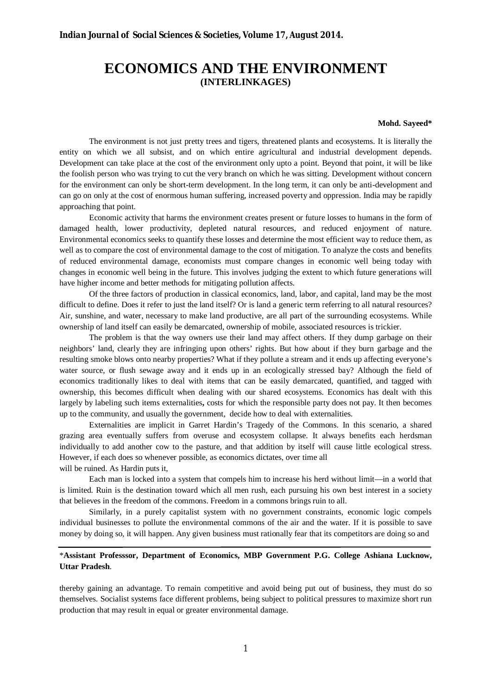### **ECONOMICS AND THE ENVIRONMENT (INTERLINKAGES)**

#### **Mohd. Sayeed\***

The environment is not just pretty trees and tigers, threatened plants and ecosystems. It is literally the entity on which we all subsist, and on which entire agricultural and industrial development depends. Development can take place at the cost of the environment only upto a point. Beyond that point, it will be like the foolish person who was trying to cut the very branch on which he was sitting. Development without concern for the environment can only be short-term development. In the long term, it can only be anti-development and can go on only at the cost of enormous human suffering, increased poverty and oppression. India may be rapidly approaching that point.

Economic activity that harms the environment creates present or future losses to humans in the form of damaged health, lower productivity, depleted natural resources, and reduced enjoyment of nature. Environmental economics seeks to quantify these losses and determine the most efficient way to reduce them, as well as to compare the cost of environmental damage to the cost of mitigation. To analyze the costs and benefits of reduced environmental damage, economists must compare changes in economic well being today with changes in economic well being in the future. This involves judging the extent to which future generations will have higher income and better methods for mitigating pollution affects.

Of the three factors of production in classical economics, land, labor, and capital, land may be the most difficult to define. Does it refer to just the land itself? Or is land a generic term referring to all natural resources? Air, sunshine, and water, necessary to make land productive, are all part of the surrounding ecosystems. While ownership of land itself can easily be demarcated, ownership of mobile, associated resources is trickier.

The problem is that the way owners use their land may affect others. If they dump garbage on their neighbors' land, clearly they are infringing upon others' rights. But how about if they burn garbage and the resulting smoke blows onto nearby properties? What if they pollute a stream and it ends up affecting everyone's water source, or flush sewage away and it ends up in an ecologically stressed bay? Although the field of economics traditionally likes to deal with items that can be easily demarcated, quantified, and tagged with ownership, this becomes difficult when dealing with our shared ecosystems. Economics has dealt with this largely by labeling such items externalities**,** costs for which the responsible party does not pay. It then becomes up to the community, and usually the government, decide how to deal with externalities.

Externalities are implicit in Garret Hardin's Tragedy of the Commons. In this scenario, a shared grazing area eventually suffers from overuse and ecosystem collapse. It always benefits each herdsman individually to add another cow to the pasture, and that addition by itself will cause little ecological stress. However, if each does so whenever possible, as economics dictates, over time all will be ruined. As Hardin puts it,

Each man is locked into a system that compels him to increase his herd without limit—in a world that is limited. Ruin is the destination toward which all men rush, each pursuing his own best interest in a society that believes in the freedom of the commons. Freedom in a commons brings ruin to all.

 Similarly, in a purely capitalist system with no government constraints, economic logic compels individual businesses to pollute the environmental commons of the air and the water. If it is possible to save money by doing so, it will happen. Any given business must rationally fear that its competitors are doing so and

#### \***Assistant Professsor, Department of Economics, MBP Government P.G. College Ashiana Lucknow, Uttar Pradesh**.

thereby gaining an advantage. To remain competitive and avoid being put out of business, they must do so themselves. Socialist systems face different problems, being subject to political pressures to maximize short run production that may result in equal or greater environmental damage.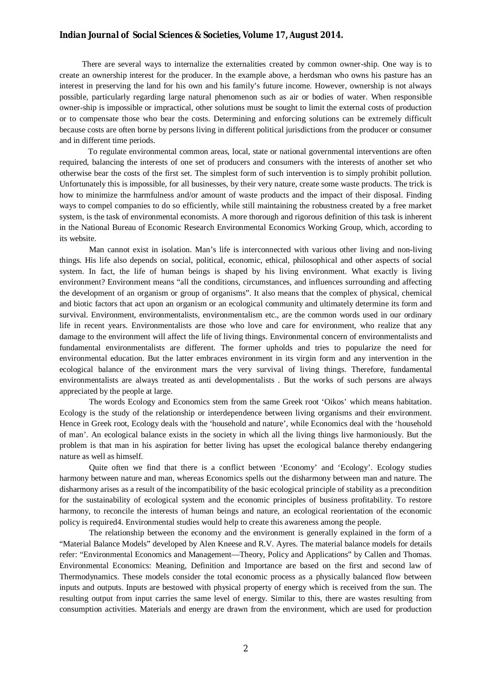There are several ways to internalize the externalities created by common owner-ship. One way is to create an ownership interest for the producer. In the example above, a herdsman who owns his pasture has an interest in preserving the land for his own and his family's future income. However, ownership is not always possible, particularly regarding large natural phenomenon such as air or bodies of water. When responsible owner-ship is impossible or impractical, other solutions must be sought to limit the external costs of production or to compensate those who bear the costs. Determining and enforcing solutions can be extremely difficult because costs are often borne by persons living in different political jurisdictions from the producer or consumer and in different time periods.

 To regulate environmental common areas, local, state or national governmental interventions are often required, balancing the interests of one set of producers and consumers with the interests of another set who otherwise bear the costs of the first set. The simplest form of such intervention is to simply prohibit pollution. Unfortunately this is impossible, for all businesses, by their very nature, create some waste products. The trick is how to minimize the harmfulness and/or amount of waste products and the impact of their disposal. Finding ways to compel companies to do so efficiently, while still maintaining the robustness created by a free market system, is the task of environmental economists. A more thorough and rigorous definition of this task is inherent in the National Bureau of Economic Research Environmental Economics Working Group, which, according to its website.

Man cannot exist in isolation. Man's life is interconnected with various other living and non-living things. His life also depends on social, political, economic, ethical, philosophical and other aspects of social system. In fact, the life of human beings is shaped by his living environment. What exactly is living environment? Environment means "all the conditions, circumstances, and influences surrounding and affecting the development of an organism or group of organisms". It also means that the complex of physical, chemical and biotic factors that act upon an organism or an ecological community and ultimately determine its form and survival. Environment, environmentalists, environmentalism etc., are the common words used in our ordinary life in recent years. Environmentalists are those who love and care for environment, who realize that any damage to the environment will affect the life of living things. Environmental concern of environmentalists and fundamental environmentalists are different. The former upholds and tries to popularize the need for environmental education. But the latter embraces environment in its virgin form and any intervention in the ecological balance of the environment mars the very survival of living things. Therefore, fundamental environmentalists are always treated as anti developmentalists . But the works of such persons are always appreciated by the people at large.

The words Ecology and Economics stem from the same Greek root 'Oikos' which means habitation. Ecology is the study of the relationship or interdependence between living organisms and their environment. Hence in Greek root, Ecology deals with the 'household and nature', while Economics deal with the 'household of man'. An ecological balance exists in the society in which all the living things live harmoniously. But the problem is that man in his aspiration for better living has upset the ecological balance thereby endangering nature as well as himself.

Quite often we find that there is a conflict between 'Economy' and 'Ecology'. Ecology studies harmony between nature and man, whereas Economics spells out the disharmony between man and nature. The disharmony arises as a result of the incompatibility of the basic ecological principle of stability as a precondition for the sustainability of ecological system and the economic principles of business profitability. To restore harmony, to reconcile the interests of human beings and nature, an ecological reorientation of the economic policy is required4. Environmental studies would help to create this awareness among the people.

The relationship between the economy and the environment is generally explained in the form of a "Material Balance Models" developed by Alen Kneese and R.V. Ayres. The material balance models for details refer: "Environmental Economics and Management—Theory, Policy and Applications" by Callen and Thomas. Environmental Economics: Meaning, Definition and Importance are based on the first and second law of Thermodynamics. These models consider the total economic process as a physically balanced flow between inputs and outputs. Inputs are bestowed with physical property of energy which is received from the sun. The resulting output from input carries the same level of energy. Similar to this, there are wastes resulting from consumption activities. Materials and energy are drawn from the environment, which are used for production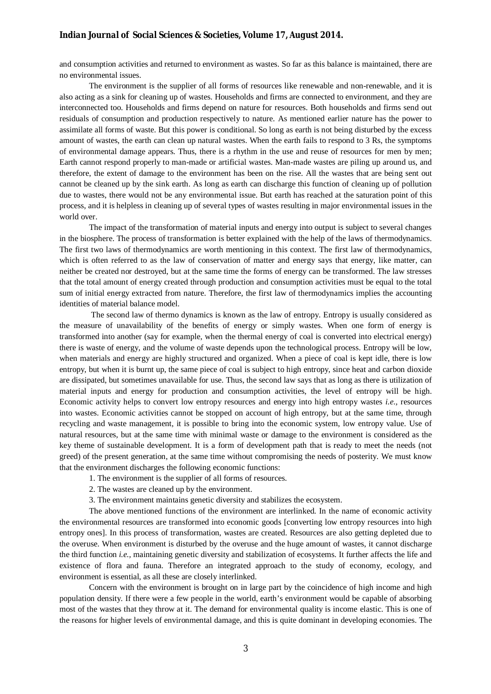and consumption activities and returned to environment as wastes. So far as this balance is maintained, there are no environmental issues.

The environment is the supplier of all forms of resources like renewable and non-renewable, and it is also acting as a sink for cleaning up of wastes. Households and firms are connected to environment, and they are interconnected too. Households and firms depend on nature for resources. Both households and firms send out residuals of consumption and production respectively to nature. As mentioned earlier nature has the power to assimilate all forms of waste. But this power is conditional. So long as earth is not being disturbed by the excess amount of wastes, the earth can clean up natural wastes. When the earth fails to respond to 3 Rs, the symptoms of environmental damage appears. Thus, there is a rhythm in the use and reuse of resources for men by men; Earth cannot respond properly to man-made or artificial wastes. Man-made wastes are piling up around us, and therefore, the extent of damage to the environment has been on the rise. All the wastes that are being sent out cannot be cleaned up by the sink earth. As long as earth can discharge this function of cleaning up of pollution due to wastes, there would not be any environmental issue. But earth has reached at the saturation point of this process, and it is helpless in cleaning up of several types of wastes resulting in major environmental issues in the world over.

The impact of the transformation of material inputs and energy into output is subject to several changes in the biosphere. The process of transformation is better explained with the help of the laws of thermodynamics. The first two laws of thermodynamics are worth mentioning in this context. The first law of thermodynamics, which is often referred to as the law of conservation of matter and energy says that energy, like matter, can neither be created nor destroyed, but at the same time the forms of energy can be transformed. The law stresses that the total amount of energy created through production and consumption activities must be equal to the total sum of initial energy extracted from nature. Therefore, the first law of thermodynamics implies the accounting identities of material balance model.

The second law of thermo dynamics is known as the law of entropy. Entropy is usually considered as the measure of unavailability of the benefits of energy or simply wastes. When one form of energy is transformed into another (say for example, when the thermal energy of coal is converted into electrical energy) there is waste of energy, and the volume of waste depends upon the technological process. Entropy will be low, when materials and energy are highly structured and organized. When a piece of coal is kept idle, there is low entropy, but when it is burnt up, the same piece of coal is subject to high entropy, since heat and carbon dioxide are dissipated, but sometimes unavailable for use. Thus, the second law says that as long as there is utilization of material inputs and energy for production and consumption activities, the level of entropy will be high. Economic activity helps to convert low entropy resources and energy into high entropy wastes *i.e.,* resources into wastes. Economic activities cannot be stopped on account of high entropy, but at the same time, through recycling and waste management, it is possible to bring into the economic system, low entropy value. Use of natural resources, but at the same time with minimal waste or damage to the environment is considered as the key theme of sustainable development. It is a form of development path that is ready to meet the needs (not greed) of the present generation, at the same time without compromising the needs of posterity. We must know that the environment discharges the following economic functions:

- 1. The environment is the supplier of all forms of resources.
- 2. The wastes are cleaned up by the environment.
- 3. The environment maintains genetic diversity and stabilizes the ecosystem.

The above mentioned functions of the environment are interlinked. In the name of economic activity the environmental resources are transformed into economic goods [converting low entropy resources into high entropy ones]. In this process of transformation, wastes are created. Resources are also getting depleted due to the overuse. When environment is disturbed by the overuse and the huge amount of wastes, it cannot discharge the third function *i.e.,* maintaining genetic diversity and stabilization of ecosystems. It further affects the life and existence of flora and fauna. Therefore an integrated approach to the study of economy, ecology, and environment is essential, as all these are closely interlinked.

Concern with the environment is brought on in large part by the coincidence of high income and high population density. If there were a few people in the world, earth's environment would be capable of absorbing most of the wastes that they throw at it. The demand for environmental quality is income elastic. This is one of the reasons for higher levels of environmental damage, and this is quite dominant in developing economies. The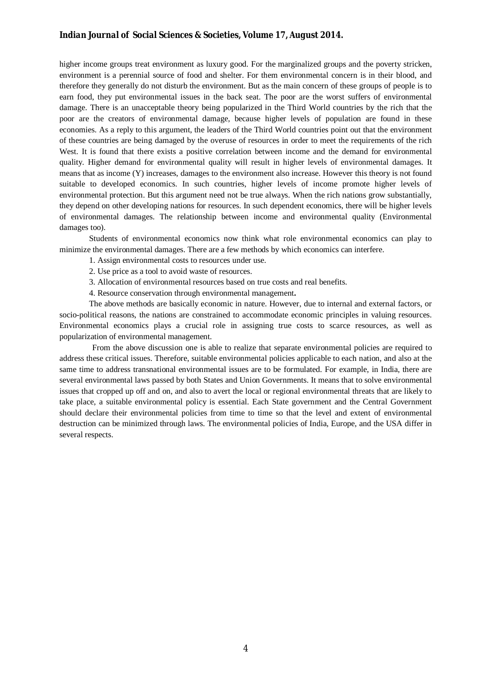higher income groups treat environment as luxury good. For the marginalized groups and the poverty stricken, environment is a perennial source of food and shelter. For them environmental concern is in their blood, and therefore they generally do not disturb the environment. But as the main concern of these groups of people is to earn food, they put environmental issues in the back seat. The poor are the worst suffers of environmental damage. There is an unacceptable theory being popularized in the Third World countries by the rich that the poor are the creators of environmental damage, because higher levels of population are found in these economies. As a reply to this argument, the leaders of the Third World countries point out that the environment of these countries are being damaged by the overuse of resources in order to meet the requirements of the rich West. It is found that there exists a positive correlation between income and the demand for environmental quality. Higher demand for environmental quality will result in higher levels of environmental damages. It means that as income (Y) increases, damages to the environment also increase. However this theory is not found suitable to developed economics. In such countries, higher levels of income promote higher levels of environmental protection. But this argument need not be true always. When the rich nations grow substantially, they depend on other developing nations for resources. In such dependent economics, there will be higher levels of environmental damages. The relationship between income and environmental quality (Environmental damages too).

Students of environmental economics now think what role environmental economics can play to minimize the environmental damages. There are a few methods by which economics can interfere.

- 1. Assign environmental costs to resources under use.
- 2. Use price as a tool to avoid waste of resources.
- 3. Allocation of environmental resources based on true costs and real benefits.
- 4. Resource conservation through environmental management**.**

The above methods are basically economic in nature. However, due to internal and external factors, or socio-political reasons, the nations are constrained to accommodate economic principles in valuing resources. Environmental economics plays a crucial role in assigning true costs to scarce resources, as well as popularization of environmental management.

 From the above discussion one is able to realize that separate environmental policies are required to address these critical issues. Therefore, suitable environmental policies applicable to each nation, and also at the same time to address transnational environmental issues are to be formulated. For example, in India, there are several environmental laws passed by both States and Union Governments. It means that to solve environmental issues that cropped up off and on, and also to avert the local or regional environmental threats that are likely to take place, a suitable environmental policy is essential. Each State government and the Central Government should declare their environmental policies from time to time so that the level and extent of environmental destruction can be minimized through laws. The environmental policies of India, Europe, and the USA differ in several respects.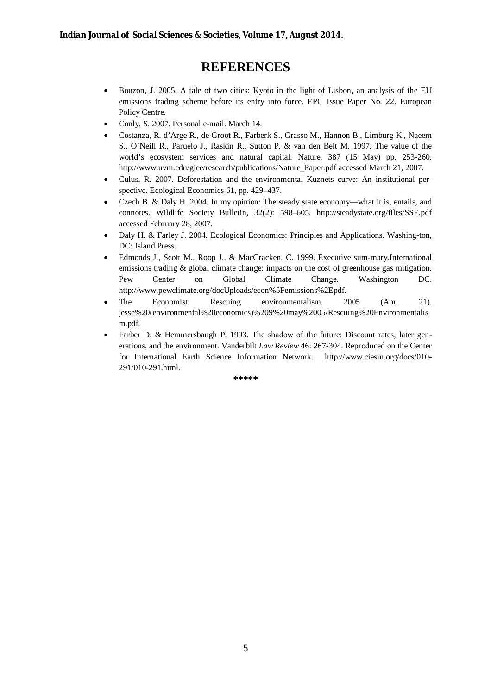### **REFERENCES**

- Bouzon, J. 2005. A tale of two cities: Kyoto in the light of Lisbon, an analysis of the EU emissions trading scheme before its entry into force. EPC Issue Paper No. 22. European Policy Centre.
- Conly, S. 2007. Personal e-mail. March 14.
- Costanza, R. d'Arge R., de Groot R., Farberk S., Grasso M., Hannon B., Limburg K., Naeem S., O'Neill R., Paruelo J., Raskin R., Sutton P. & van den Belt M. 1997. The value of the world's ecosystem services and natural capital. Nature. 387 (15 May) pp. 253-260. http://www.uvm.edu/giee/research/publications/Nature\_Paper.pdf accessed March 21, 2007.
- Culus, R. 2007. Deforestation and the environmental Kuznets curve: An institutional perspective. Ecological Economics 61, pp. 429–437.
- Czech B. & Daly H. 2004. In my opinion: The steady state economy—what it is, entails, and connotes. Wildlife Society Bulletin, 32(2): 598–605. http://steadystate.org/files/SSE.pdf accessed February 28, 2007.
- Daly H. & Farley J. 2004. Ecological Economics: Principles and Applications*.* Washing-ton, DC: Island Press.
- Edmonds J., Scott M., Roop J., & MacCracken, C. 1999. Executive sum-mary.International emissions trading & global climate change: impacts on the cost of greenhouse gas mitigation. Pew Center on Global Climate Change. Washington DC. http://www.pewclimate.org/docUploads/econ%5Femissions%2Epdf.
- The Economist. Rescuing environmentalism. 2005 (Apr. 21). jesse%20(environmental%20economics)%209%20may%2005/Rescuing%20Environmentalis m.pdf.
- Farber D. & Hemmersbaugh P. 1993. The shadow of the future: Discount rates, later generations, and the environment. Vanderbilt *Law Review* 46: 267-304. Reproduced on the Center for International Earth Science Information Network. http://www.ciesin.org/docs/010- 291/010-291.html.

**\*\*\*\*\***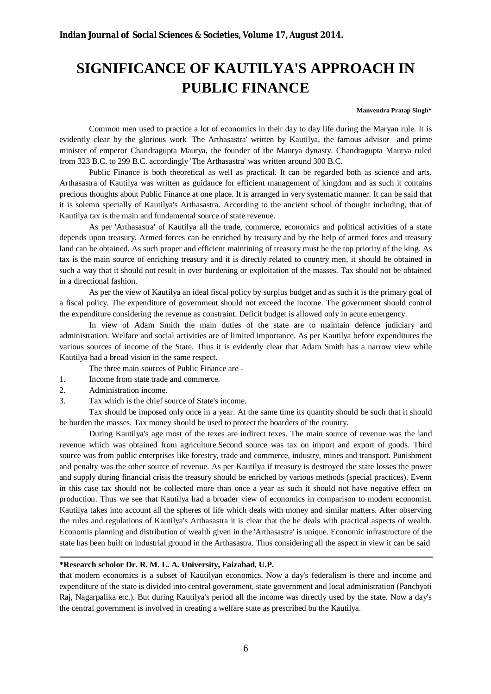# **SIGNIFICANCE OF KAUTILYA'S APPROACH IN PUBLIC FINANCE**

#### **Manvendra Pratap Singh\***

Common men used to practice a lot of economics in their day to day life during the Maryan rule. It is evidently clear by the glorious work 'The Arthasastra' written by Kautilya, the famous advisor and prime minister of emperor Chandragupta Maurya, the founder of the Maurya dynasty. Chandragupta Maurya ruled from 323 B.C. to 299 B.C. accordingly 'The Arthasastra' was written around 300 B.C.

Public Finance is both theoretical as well as practical. It can be regarded both as science and arts. Arthasastra of Kautilya was written as guidance for efficient management of kingdom and as such it contains precious thoughts about Public Finance at one place. It is arranged in very systematic manner. It can be said that it is solemn specially of Kautilya's Arthasastra. According to the ancient school of thought including, that of Kautilya tax is the main and fundamental source of state revenue.

As per 'Arthasastra' of Kautilya all the trade, commerce, economics and political activities of a state depends upon treasury. Armed forces can be enriched by treasury and by the help of armed fores and treasury land can be obtained. As such proper and efficient maintining of treasury must be the top priority of the king. As tax is the main source of enriching treasury and it is directly related to country men, it should be obtained in such a way that it should not result in over burdening or exploitation of the masses. Tax should not be obtained in a directional fashion.

As per the view of Kautilya an ideal fiscal policy by surplus budget and as such it is the primary goal of a fiscal policy. The expenditure of government should not exceed the income. The government should control the expenditure considering the revenue as constraint. Deficit budget is allowed only in acute emergency.

In view of Adam Smith the main duties of the state are to maintain defence judiciary and administration. Welfare and social activities are of limited importance. As per Kautilya before expenditures the various sources of income of the State. Thus it is evidently clear that Adam Smith has a narrow view while Kautilya had a broad vision in the same respect.

The three main sources of Public Finance are -

- 1. Income from state trade and commerce.
- 2. Administration income.
- 3. Tax which is the chief source of State's income.

Tax should be imposed only once in a year. At the same time its quantity should be such that it should be burden the masses. Tax money should be used to protect the boarders of the country.

During Kautilya's age most of the texes are indirect texes. The main source of revenue was the land revenue which was obtained from agriculture.Second source was tax on import and export of goods. Third source was from public enterprises like forestry, trade and commerce, industry, mines and transport. Punishment and penalty was the other source of revenue. As per Kautilya if treasury is destroyed the state losses the power and supply during financial crisis the treasury should be enriched by various methods (special practices). Evenn in this case tax should not be collected more than once a year as such it should not have negative effect on production. Thus we see that Kautilya had a broader view of economics in comparison to modern economist. Kautilya takes into account all the spheres of life which deals with money and similar matters. After observing the rules and regulations of Kautilya's Arthasastra it is clear that the he deals with practical aspects of wealth. Economis planning and distribution of wealth given in the 'Arthasastra' is unique. Economic infrastructure of the state has been built on industrial ground in the Arthasastra. Thus considering all the aspect in view it can be said

#### **\*Research scholor Dr. R. M. L. A. University, Faizabad, U.P.**

that modern economics is a subset of Kautilyan economics. Now a day's federalism is there and income and expenditure of the state is divided into central government, state government and local administration (Panchyati Raj, Nagarpalika etc.). But during Kautilya's period all the income was directly used by the state. Now a day's the central government is involved in creating a welfare state as prescribed bu the Kautilya.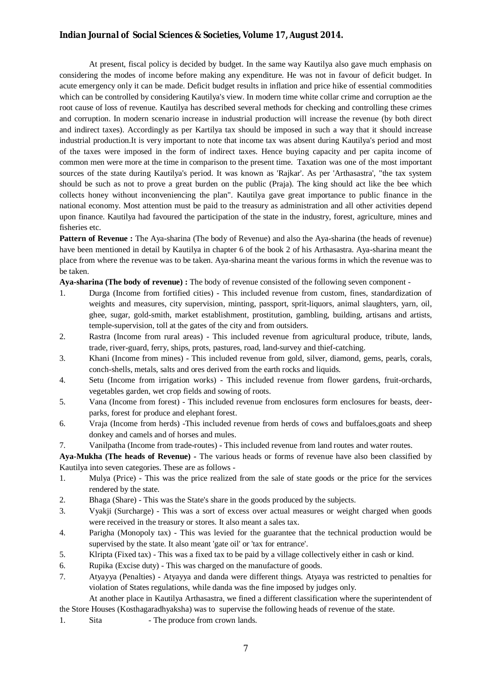At present, fiscal policy is decided by budget. In the same way Kautilya also gave much emphasis on considering the modes of income before making any expenditure. He was not in favour of deficit budget. In acute emergency only it can be made. Deficit budget results in inflation and price hike of essential commodities which can be controlled by considering Kautilya's view. In modern time white collar crime and corruption ae the root cause of loss of revenue. Kautilya has described several methods for checking and controlling these crimes and corruption. In modern scenario increase in industrial production will increase the revenue (by both direct and indirect taxes). Accordingly as per Kartilya tax should be imposed in such a way that it should increase industrial production.It is very important to note that income tax was absent during Kautilya's period and most of the taxes were imposed in the form of indirect taxes. Hence buying capacity and per capita income of common men were more at the time in comparison to the present time. Taxation was one of the most important sources of the state during Kautilya's period. It was known as 'Rajkar'. As per 'Arthasastra', "the tax system should be such as not to prove a great burden on the public (Praja). The king should act like the bee which collects honey without inconveniencing the plan". Kautilya gave great importance to public finance in the national economy. Most attention must be paid to the treasury as administration and all other activities depend upon finance. Kautilya had favoured the participation of the state in the industry, forest, agriculture, mines and fisheries etc.

**Pattern of Revenue :** The Aya-sharina (The body of Revenue) and also the Aya-sharina (the heads of revenue) have been mentioned in detail by Kautilya in chapter 6 of the book 2 of his Arthasastra. Aya-sharina meant the place from where the revenue was to be taken. Aya-sharina meant the various forms in which the revenue was to be taken.

**Aya-sharina (The body of revenue) :** The body of revenue consisted of the following seven component -

- 1. Durga (Income from fortified cities) This included revenue from custom, fines, standardization of weights and measures, city supervision, minting, passport, sprit-liquors, animal slaughters, yarn, oil, ghee, sugar, gold-smith, market establishment, prostitution, gambling, building, artisans and artists, temple-supervision, toll at the gates of the city and from outsiders.
- 2. Rastra (Income from rural areas) This included revenue from agricultural produce, tribute, lands, trade, river-guard, ferry, ships, prots, pastures, road, land-survey and thief-catching.
- 3. Khani (Income from mines) This included revenue from gold, silver, diamond, gems, pearls, corals, conch-shells, metals, salts and ores derived from the earth rocks and liquids.
- 4. Setu (Income from irrigation works) This included revenue from flower gardens, fruit-orchards, vegetables garden, wet crop fields and sowing of roots.
- 5. Vana (Income from forest) This included revenue from enclosures form enclosures for beasts, deerparks, forest for produce and elephant forest.
- 6. Vraja (Income from herds) -This included revenue from herds of cows and buffaloes,goats and sheep donkey and camels and of horses and mules.
- 7. Vanilpatha (Income from trade-routes) This included revenue from land routes and water routes.

**Aya-Mukha (The heads of Revenue) -** The various heads or forms of revenue have also been classified by Kautilya into seven categories. These are as follows -

- 1. Mulya (Price) This was the price realized from the sale of state goods or the price for the services rendered by the state.
- 2. Bhaga (Share) This was the State's share in the goods produced by the subjects.
- 3. Vyakji (Surcharge) This was a sort of excess over actual measures or weight charged when goods were received in the treasury or stores. It also meant a sales tax.
- 4. Parigha (Monopoly tax) This was levied for the guarantee that the technical production would be supervised by the state. It also meant 'gate oil' or 'tax for entrance'.
- 5. Klripta (Fixed tax) This was a fixed tax to be paid by a village collectively either in cash or kind.
- 6. Rupika (Excise duty) This was charged on the manufacture of goods.
- 7. Atyayya (Penalties) Atyayya and danda were different things. Atyaya was restricted to penalties for violation of States regulations, while danda was the fine imposed by judges only.

At another place in Kautilya Arthasastra, we fined a different classification where the superintendent of the Store Houses (Kosthagaradhyaksha) was to supervise the following heads of revenue of the state.

1. Sita - The produce from crown lands.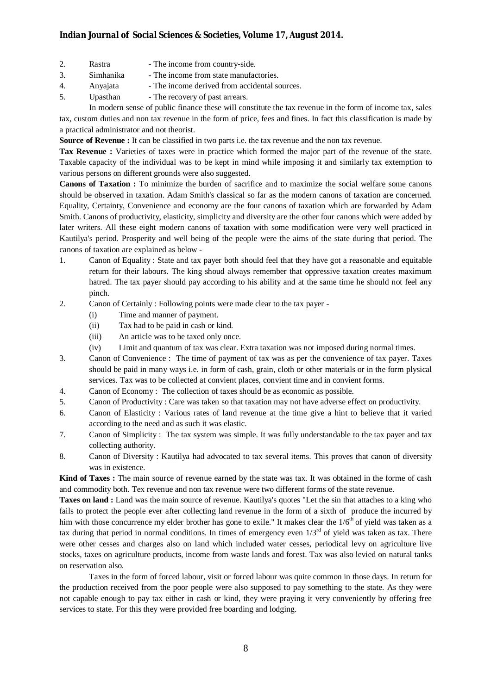- 2. Rastra The income from country-side.
- 3. Simhanika The income from state manufactories.
- 4. Anyajata The income derived from accidental sources.
- 5. Upasthan The recovery of past arrears.

In modern sense of public finance these will constitute the tax revenue in the form of income tax, sales tax, custom duties and non tax revenue in the form of price, fees and fines. In fact this classification is made by a practical administrator and not theorist.

**Source of Revenue :** It can be classified in two parts i.e. the tax revenue and the non tax revenue.

**Tax Revenue :** Varieties of taxes were in practice which formed the major part of the revenue of the state. Taxable capacity of the individual was to be kept in mind while imposing it and similarly tax extemption to various persons on different grounds were also suggested.

**Canons of Taxation :** To minimize the burden of sacrifice and to maximize the social welfare some canons should be observed in taxation. Adam Smith's classical so far as the modern canons of taxation are concerned. Equality, Certainty, Convenience and economy are the four canons of taxation which are forwarded by Adam Smith. Canons of productivity, elasticity, simplicity and diversity are the other four canons which were added by later writers. All these eight modern canons of taxation with some modification were very well practiced in Kautilya's period. Prosperity and well being of the people were the aims of the state during that period. The canons of taxation are explained as below -

- 1. Canon of Equality : State and tax payer both should feel that they have got a reasonable and equitable return for their labours. The king shoud always remember that oppressive taxation creates maximum hatred. The tax payer should pay according to his ability and at the same time he should not feel any pinch.
- 2. Canon of Certainly : Following points were made clear to the tax payer
	- (i) Time and manner of payment.
	- (ii) Tax had to be paid in cash or kind.
	- (iii) An article was to be taxed only once.
	- (iv) Limit and quantum of tax was clear. Extra taxation was not imposed during normal times.
- 3. Canon of Convenience : The time of payment of tax was as per the convenience of tax payer. Taxes should be paid in many ways i.e. in form of cash, grain, cloth or other materials or in the form plysical services. Tax was to be collected at convient places, convient time and in convient forms.
- 4. Canon of Economy : The collection of taxes should be as economic as possible.
- 5. Canon of Productivity : Care was taken so that taxation may not have adverse effect on productivity.
- 6. Canon of Elasticity : Various rates of land revenue at the time give a hint to believe that it varied according to the need and as such it was elastic.
- 7. Canon of Simplicity : The tax system was simple. It was fully understandable to the tax payer and tax collecting authority.
- 8. Canon of Diversity : Kautilya had advocated to tax several items. This proves that canon of diversity was in existence.

**Kind of Taxes :** The main source of revenue earned by the state was tax. It was obtained in the forme of cash and commodity both. Tex revenue and non tax revenue were two different forms of the state revenue.

**Taxes on land :** Land was the main source of revenue. Kautilya's quotes "Let the sin that attaches to a king who fails to protect the people ever after collecting land revenue in the form of a sixth of produce the incurred by him with those concurrence my elder brother has gone to exile." It makes clear the  $1/6<sup>th</sup>$  of yield was taken as a tax during that period in normal conditions. In times of emergency even  $1/3<sup>rd</sup>$  of yield was taken as tax. There were other cesses and charges also on land which included water cesses, periodical levy on agriculture live stocks, taxes on agriculture products, income from waste lands and forest. Tax was also levied on natural tanks on reservation also.

Taxes in the form of forced labour, visit or forced labour was quite common in those days. In return for the production received from the poor people were also supposed to pay something to the state. As they were not capable enough to pay tax either in cash or kind, they were praying it very conveniently by offering free services to state. For this they were provided free boarding and lodging.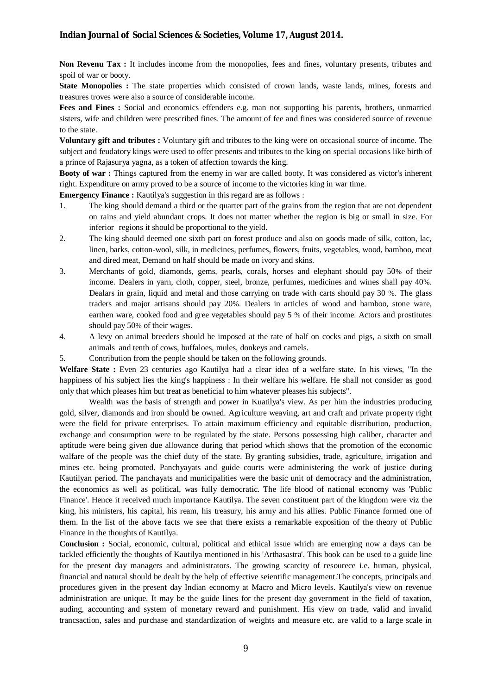**Non Revenu Tax :** It includes income from the monopolies, fees and fines, voluntary presents, tributes and spoil of war or booty.

**State Monopolies :** The state properties which consisted of crown lands, waste lands, mines, forests and treasures troves were also a source of considerable income.

**Fees and Fines :** Social and economics effenders e.g. man not supporting his parents, brothers, unmarried sisters, wife and children were prescribed fines. The amount of fee and fines was considered source of revenue to the state.

**Voluntary gift and tributes :** Voluntary gift and tributes to the king were on occasional source of income. The subject and feudatory kings were used to offer presents and tributes to the king on special occasions like birth of a prince of Rajasurya yagna, as a token of affection towards the king.

**Booty of war :** Things captured from the enemy in war are called booty. It was considered as victor's inherent right. Expenditure on army proved to be a source of income to the victories king in war time.

**Emergency Finance :** Kautilya's suggestion in this regard are as follows :

- 1. The king should demand a third or the quarter part of the grains from the region that are not dependent on rains and yield abundant crops. It does not matter whether the region is big or small in size. For inferior regions it should be proportional to the yield.
- 2. The king should deemed one sixth part on forest produce and also on goods made of silk, cotton, lac, linen, barks, cotton-wool, silk, in medicines, perfumes, flowers, fruits, vegetables, wood, bamboo, meat and dired meat, Demand on half should be made on ivory and skins.
- 3. Merchants of gold, diamonds, gems, pearls, corals, horses and elephant should pay 50% of their income. Dealers in yarn, cloth, copper, steel, bronze, perfumes, medicines and wines shall pay 40%. Dealars in grain, liquid and metal and those carrying on trade with carts should pay 30 %. The glass traders and major artisans should pay 20%. Dealers in articles of wood and bamboo, stone ware, earthen ware, cooked food and gree vegetables should pay 5 % of their income. Actors and prostitutes should pay 50% of their wages.
- 4. A levy on animal breeders should be imposed at the rate of half on cocks and pigs, a sixth on small animals and tenth of cows, buffaloes, mules, donkeys and camels.
- 5. Contribution from the people should be taken on the following grounds.

**Welfare State :** Even 23 centuries ago Kautilya had a clear idea of a welfare state. In his views, "In the happiness of his subject lies the king's happiness : In their welfare his welfare. He shall not consider as good only that which pleases him but treat as beneficial to him whatever pleases his subjects".

Wealth was the basis of strength and power in Kuatilya's view. As per him the industries producing gold, silver, diamonds and iron should be owned. Agriculture weaving, art and craft and private property right were the field for private enterprises. To attain maximum efficiency and equitable distribution, production, exchange and consumption were to be regulated by the state. Persons possessing high caliber, character and aptitude were being given due allowance during that period which shows that the promotion of the economic walfare of the people was the chief duty of the state. By granting subsidies, trade, agriculture, irrigation and mines etc. being promoted. Panchyayats and guide courts were administering the work of justice during Kautilyan period. The panchayats and municipalities were the basic unit of democracy and the administration, the economics as well as political, was fully democratic. The life blood of national economy was 'Public Finance'. Hence it received much importance Kautilya. The seven constituent part of the kingdom were viz the king, his ministers, his capital, his ream, his treasury, his army and his allies. Public Finance formed one of them. In the list of the above facts we see that there exists a remarkable exposition of the theory of Public Finance in the thoughts of Kautilya.

**Conclusion :** Social, economic, cultural, political and ethical issue which are emerging now a days can be tackled efficiently the thoughts of Kautilya mentioned in his 'Arthasastra'. This book can be used to a guide line for the present day managers and administrators. The growing scarcity of resourece i.e. human, physical, financial and natural should be dealt by the help of effective seientific management.The concepts, principals and procedures given in the present day Indian economy at Macro and Micro levels. Kautilya's view on revenue administration are unique. It may be the guide lines for the present day government in the field of taxation, auding, accounting and system of monetary reward and punishment. His view on trade, valid and invalid trancsaction, sales and purchase and standardization of weights and measure etc. are valid to a large scale in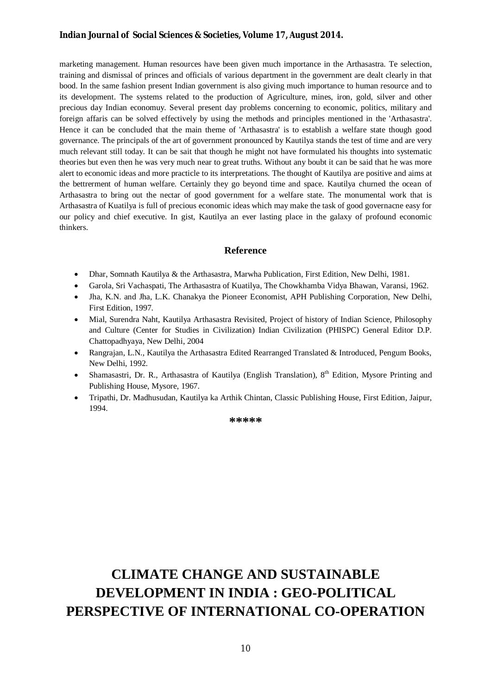marketing management. Human resources have been given much importance in the Arthasastra. Te selection, training and dismissal of princes and officials of various department in the government are dealt clearly in that bood. In the same fashion present Indian government is also giving much importance to human resource and to its development. The systems related to the production of Agriculture, mines, iron, gold, silver and other precious day Indian economuy. Several present day problems concerning to economic, politics, military and foreign affaris can be solved effectively by using the methods and principles mentioned in the 'Arthasastra'. Hence it can be concluded that the main theme of 'Arthasastra' is to establish a welfare state though good governance. The principals of the art of government pronounced by Kautilya stands the test of time and are very much relevant still today. It can be sait that though he might not have formulated his thoughts into systematic theories but even then he was very much near to great truths. Without any boubt it can be said that he was more alert to economic ideas and more practicle to its interpretations. The thought of Kautilya are positive and aims at the bettrerment of human welfare. Certainly they go beyond time and space. Kautilya churned the ocean of Arthasastra to bring out the nectar of good government for a welfare state. The monumental work that is Arthasastra of Kuatilya is full of precious economic ideas which may make the task of good governacne easy for our policy and chief executive. In gist, Kautilya an ever lasting place in the galaxy of profound economic thinkers.

#### **Reference**

- Dhar, Somnath Kautilya & the Arthasastra, Marwha Publication, First Edition, New Delhi, 1981.
- Garola, Sri Vachaspati, The Arthasastra of Kuatilya, The Chowkhamba Vidya Bhawan, Varansi, 1962.
- Jha, K.N. and Jha, L.K. Chanakya the Pioneer Economist, APH Publishing Corporation, New Delhi, First Edition, 1997.
- Mial, Surendra Naht, Kautilya Arthasastra Revisited, Project of history of Indian Science, Philosophy and Culture (Center for Studies in Civilization) Indian Civilization (PHISPC) General Editor D.P. Chattopadhyaya, New Delhi, 2004
- Rangrajan, L.N., Kautilya the Arthasastra Edited Rearranged Translated & Introduced, Pengum Books, New Delhi, 1992.
- Shamasastri, Dr. R., Arthasastra of Kautilya (English Translation), 8<sup>th</sup> Edition, Mysore Printing and Publishing House, Mysore, 1967.
- Tripathi, Dr. Madhusudan, Kautilya ka Arthik Chintan, Classic Publishing House, First Edition, Jaipur, 1994.

**\*\*\*\*\***

# **CLIMATE CHANGE AND SUSTAINABLE DEVELOPMENT IN INDIA : GEO-POLITICAL PERSPECTIVE OF INTERNATIONAL CO-OPERATION**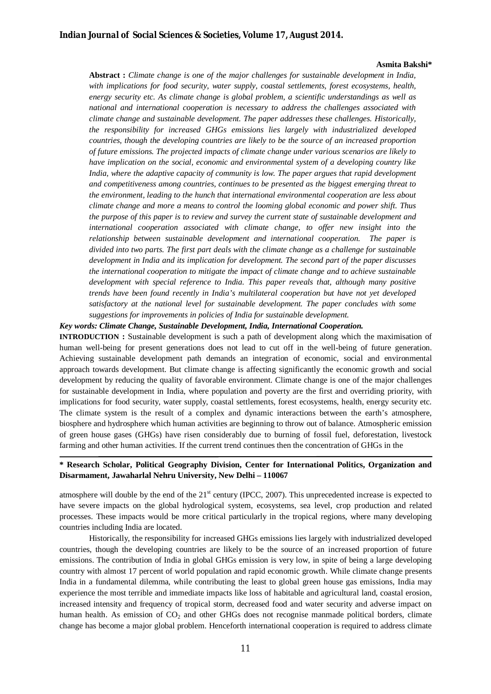#### **Asmita Bakshi\***

**Abstract :** *Climate change is one of the major challenges for sustainable development in India, with implications for food security, water supply, coastal settlements, forest ecosystems, health, energy security etc. As climate change is global problem, a scientific understandings as well as national and international cooperation is necessary to address the challenges associated with climate change and sustainable development. The paper addresses these challenges. Historically, the responsibility for increased GHGs emissions lies largely with industrialized developed countries, though the developing countries are likely to be the source of an increased proportion of future emissions. The projected impacts of climate change under various scenarios are likely to have implication on the social, economic and environmental system of a developing country like India, where the adaptive capacity of community is low. The paper argues that rapid development and competitiveness among countries, continues to be presented as the biggest emerging threat to the environment, leading to the hunch that international environmental cooperation are less about climate change and more a means to control the looming global economic and power shift. Thus the purpose of this paper is to review and survey the current state of sustainable development and international cooperation associated with climate change, to offer new insight into the relationship between sustainable development and international cooperation. The paper is divided into two parts. The first part deals with the climate change as a challenge for sustainable development in India and its implication for development. The second part of the paper discusses the international cooperation to mitigate the impact of climate change and to achieve sustainable development with special reference to India. This paper reveals that, although many positive trends have been found recently in India's multilateral cooperation but have not yet developed satisfactory at the national level for sustainable development. The paper concludes with some suggestions for improvements in policies of India for sustainable development.*

*Key words: Climate Change, Sustainable Development, India, International Cooperation.*

**INTRODUCTION :** Sustainable development is such a path of development along which the maximisation of human well-being for present generations does not lead to cut off in the well-being of future generation. Achieving sustainable development path demands an integration of economic, social and environmental approach towards development. But climate change is affecting significantly the economic growth and social development by reducing the quality of favorable environment. Climate change is one of the major challenges for sustainable development in India, where population and poverty are the first and overriding priority, with implications for food security, water supply, coastal settlements, forest ecosystems, health, energy security etc. The climate system is the result of a complex and dynamic interactions between the earth's atmosphere, biosphere and hydrosphere which human activities are beginning to throw out of balance. Atmospheric emission of green house gases (GHGs) have risen considerably due to burning of fossil fuel, deforestation, livestock farming and other human activities. If the current trend continues then the concentration of GHGs in the

#### **\* Research Scholar, Political Geography Division, Center for International Politics, Organization and Disarmament, Jawaharlal Nehru University, New Delhi – 110067**

atmosphere will double by the end of the  $21<sup>st</sup>$  century (IPCC, 2007). This unprecedented increase is expected to have severe impacts on the global hydrological system, ecosystems, sea level, crop production and related processes. These impacts would be more critical particularly in the tropical regions, where many developing countries including India are located.

Historically, the responsibility for increased GHGs emissions lies largely with industrialized developed countries, though the developing countries are likely to be the source of an increased proportion of future emissions. The contribution of India in global GHGs emission is very low, in spite of being a large developing country with almost 17 percent of world population and rapid economic growth. While climate change presents India in a fundamental dilemma, while contributing the least to global green house gas emissions, India may experience the most terrible and immediate impacts like loss of habitable and agricultural land, coastal erosion, increased intensity and frequency of tropical storm, decreased food and water security and adverse impact on human health. As emission of  $CO<sub>2</sub>$  and other GHGs does not recognise manmade political borders, climate change has become a major global problem. Henceforth international cooperation is required to address climate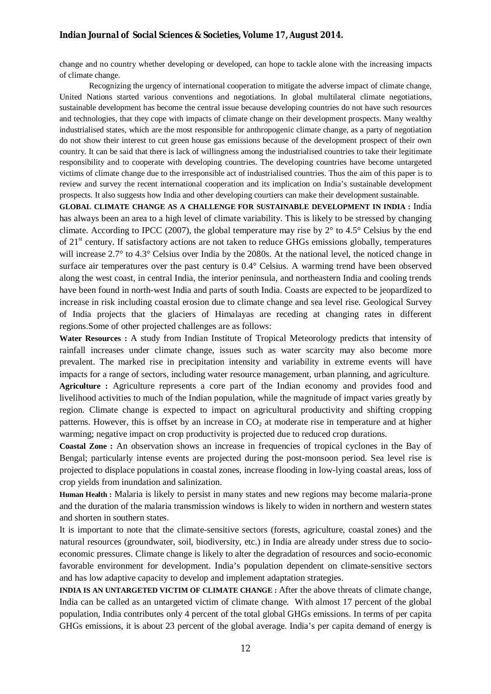change and no country whether developing or developed, can hope to tackle alone with the increasing impacts of climate change.

Recognizing the urgency of international cooperation to mitigate the adverse impact of climate change, United Nations started various conventions and negotiations. In global multilateral climate negotiations, sustainable development has become the central issue because developing countries do not have such resources and technologies, that they cope with impacts of climate change on their development prospects. Many wealthy industrialised states, which are the most responsible for anthropogenic climate change, as a party of negotiation do not show their interest to cut green house gas emissions because of the development prospect of their own country. It can be said that there is lack of willingness among the industrialised countries to take their legitimate responsibility and to cooperate with developing countries. The developing countries have become untargeted victims of climate change due to the irresponsible act of industrialised countries. Thus the aim of this paper is to review and survey the recent international cooperation and its implication on India's sustainable development prospects. It also suggests how India and other developing courtiers can make their development sustainable.

**GLOBAL CLIMATE CHANGE AS A CHALLENGE FOR SUSTAINABLE DEVELOPMENT IN INDIA :** India has always been an area to a high level of climate variability. This is likely to be stressed by changing climate. According to IPCC (2007), the global temperature may rise by  $2^{\circ}$  to 4.5° Celsius by the end of 21st century. If satisfactory actions are not taken to reduce GHGs emissions globally, temperatures will increase 2.7° to 4.3° Celsius over India by the 2080s. At the national level, the noticed change in surface air temperatures over the past century is 0.4° Celsius. A warming trend have been observed along the west coast, in central India, the interior peninsula, and northeastern India and cooling trends have been found in north-west India and parts of south India. Coasts are expected to be jeopardized to increase in risk including coastal erosion due to climate change and sea level rise. Geological Survey of India projects that the glaciers of Himalayas are receding at changing rates in different regions.Some of other projected challenges are as follows:

**Water Resources :** A study from Indian Institute of Tropical Meteorology predicts that intensity of rainfall increases under climate change, issues such as water scarcity may also become more prevalent. The marked rise in precipitation intensity and variability in extreme events will have impacts for a range of sectors, including water resource management, urban planning, and agriculture. **Agriculture :** Agriculture represents a core part of the Indian economy and provides food and livelihood activities to much of the Indian population, while the magnitude of impact varies greatly by region. Climate change is expected to impact on agricultural productivity and shifting cropping patterns. However, this is offset by an increase in  $CO<sub>2</sub>$  at moderate rise in temperature and at higher warming; negative impact on crop productivity is projected due to reduced crop durations.

**Coastal Zone :** An observation shows an increase in frequencies of tropical cyclones in the Bay of Bengal; particularly intense events are projected during the post-monsoon period. Sea level rise is projected to displace populations in coastal zones, increase flooding in low-lying coastal areas, loss of crop yields from inundation and salinization.

**Human Health :** Malaria is likely to persist in many states and new regions may become malaria-prone and the duration of the malaria transmission windows is likely to widen in northern and western states and shorten in southern states.

It is important to note that the climate-sensitive sectors (forests, agriculture, coastal zones) and the natural resources (groundwater, soil, biodiversity, etc.) in India are already under stress due to socioeconomic pressures. Climate change is likely to alter the degradation of resources and socio-economic favorable environment for development. India's population dependent on climate-sensitive sectors and has low adaptive capacity to develop and implement adaptation strategies.

**INDIA IS AN UNTARGETED VICTIM OF CLIMATE CHANGE :** After the above threats of climate change, India can be called as an untargeted victim of climate change. With almost 17 percent of the global population, India contributes only 4 percent of the total global GHGs emissions. In terms of per capita GHGs emissions, it is about 23 percent of the global average. India's per capita demand of energy is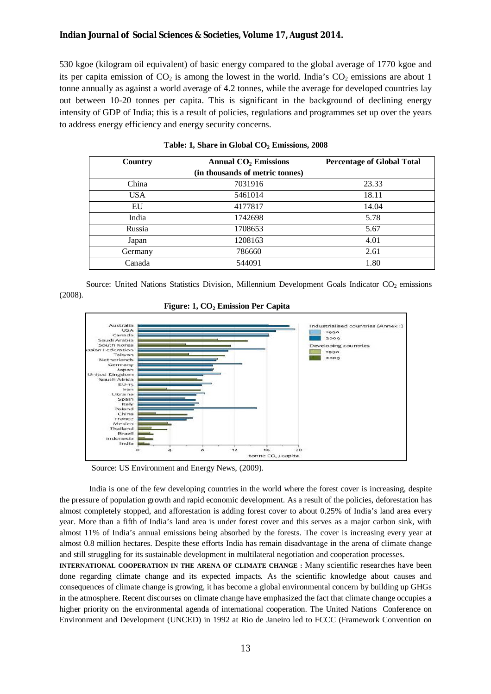530 kgoe (kilogram oil equivalent) of basic energy compared to the global average of 1770 kgoe and its per capita emission of  $CO<sub>2</sub>$  is among the lowest in the world. India's  $CO<sub>2</sub>$  emissions are about 1 tonne annually as against a world average of 4.2 tonnes, while the average for developed countries lay out between 10-20 tonnes per capita. This is significant in the background of declining energy intensity of GDP of India; this is a result of policies, regulations and programmes set up over the years to address energy efficiency and energy security concerns.

| Country    | <b>Annual CO<sub>2</sub></b> Emissions | <b>Percentage of Global Total</b> |  |  |
|------------|----------------------------------------|-----------------------------------|--|--|
|            | (in thousands of metric tonnes)        |                                   |  |  |
| China      | 7031916                                | 23.33                             |  |  |
| <b>USA</b> | 5461014                                | 18.11                             |  |  |
| EU         | 4177817                                | 14.04                             |  |  |
| India      | 1742698                                | 5.78                              |  |  |
| Russia     | 1708653                                | 5.67                              |  |  |
| Japan      | 1208163                                | 4.01                              |  |  |
| Germany    | 786660                                 | 2.61                              |  |  |
| Canada     | 544091                                 | 1.80                              |  |  |

#### **Table: 1, Share in Global CO<sup>2</sup> Emissions, 2008**

Source: United Nations Statistics Division, Millennium Development Goals Indicator  $CO<sub>2</sub>$  emissions (2008).





Source: US Environment and Energy News, (2009).

India is one of the few developing countries in the world where the forest cover is increasing, despite the pressure of population growth and rapid economic development. As a result of the policies, deforestation has almost completely stopped, and afforestation is adding forest cover to about 0.25% of India's land area every year. More than a fifth of India's land area is under forest cover and this serves as a major carbon sink, with almost 11% of India's annual emissions being absorbed by the forests. The cover is increasing every year at almost 0.8 million hectares. Despite these efforts India has remain disadvantage in the arena of climate change and still struggling for its sustainable development in multilateral negotiation and cooperation processes.

**INTERNATIONAL COOPERATION IN THE ARENA OF CLIMATE CHANGE :** Many scientific researches have been done regarding climate change and its expected impacts. As the scientific knowledge about causes and consequences of climate change is growing, it has become a global environmental concern by building up GHGs in the atmosphere. Recent discourses on climate change have emphasized the fact that climate change occupies a higher priority on the environmental agenda of international cooperation. The United Nations Conference on Environment and Development (UNCED) in 1992 at Rio de Janeiro led to FCCC (Framework Convention on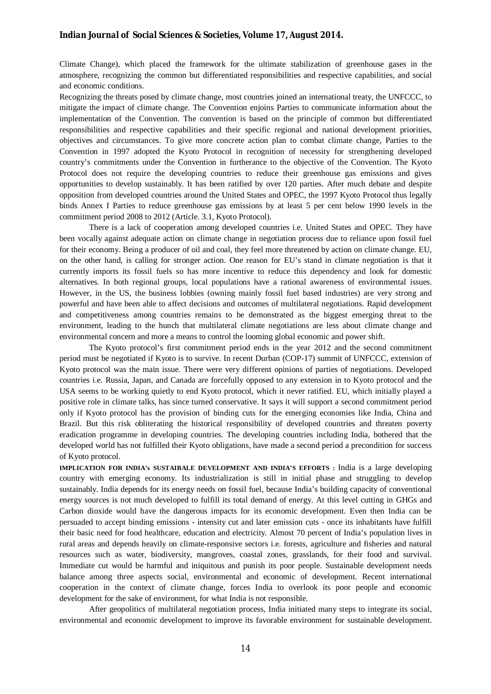Climate Change), which placed the framework for the ultimate stabilization of greenhouse gases in the atmosphere, recognizing the common but differentiated responsibilities and respective capabilities, and social and economic conditions.

Recognizing the threats posed by climate change, most countries joined an international treaty, the UNFCCC, to mitigate the impact of climate change. The Convention enjoins Parties to communicate information about the implementation of the Convention. The convention is based on the principle of common but differentiated responsibilities and respective capabilities and their specific regional and national development priorities, objectives and circumstances. To give more concrete action plan to combat climate change, Parties to the Convention in 1997 adopted the Kyoto Protocol in recognition of necessity for strengthening developed country's commitments under the Convention in furtherance to the objective of the Convention. The Kyoto Protocol does not require the developing countries to reduce their greenhouse gas emissions and gives opportunities to develop sustainably. It has been ratified by over 120 parties. After much debate and despite opposition from developed countries around the United States and OPEC, the 1997 Kyoto Protocol thus legally binds Annex I Parties to reduce greenhouse gas emissions by at least 5 per cent below 1990 levels in the commitment period 2008 to 2012 (Article. 3.1, Kyoto Protocol).

There is a lack of cooperation among developed countries i.e. United States and OPEC. They have been vocally against adequate action on climate change in negotiation process due to reliance upon fossil fuel for their economy. Being a producer of oil and coal, they feel more threatened by action on climate change. EU, on the other hand, is calling for stronger action. One reason for EU's stand in climate negotiation is that it currently imports its fossil fuels so has more incentive to reduce this dependency and look for domestic alternatives. In both regional groups, local populations have a rational awareness of environmental issues. However, in the US, the business lobbies (owning mainly fossil fuel based industries) are very strong and powerful and have been able to affect decisions and outcomes of multilateral negotiations. Rapid development and competitiveness among countries remains to be demonstrated as the biggest emerging threat to the environment, leading to the hunch that multilateral climate negotiations are less about climate change and environmental concern and more a means to control the looming global economic and power shift.

The Kyoto protocol's first commitment period ends in the year 2012 and the second commitment period must be negotiated if Kyoto is to survive. In recent Durban (COP-17) summit of UNFCCC, extension of Kyoto protocol was the main issue. There were very different opinions of parties of negotiations. Developed countries i.e. Russia, Japan, and Canada are forcefully opposed to any extension in to Kyoto protocol and the USA seems to be working quietly to end Kyoto protocol, which it never ratified. EU, which initially played a positive role in climate talks, has since turned conservative. It says it will support a second commitment period only if Kyoto protocol has the provision of binding cuts for the emerging economies like India, China and Brazil. But this risk obliterating the historical responsibility of developed countries and threaten poverty eradication programme in developing countries. The developing countries including India, bothered that the developed world has not fulfilled their Kyoto obligations, have made a second period a precondition for success of Kyoto protocol.

**IMPLICATION FOR INDIA's SUSTAIBALE DEVELOPMENT AND INDIA'S EFFORTS :** India is a large developing country with emerging economy. Its industrialization is still in initial phase and struggling to develop sustainably. India depends for its energy needs on fossil fuel, because India's building capacity of conventional energy sources is not much developed to fulfill its total demand of energy. At this level cutting in GHGs and Carbon dioxide would have the dangerous impacts for its economic development. Even then India can be persuaded to accept binding emissions - intensity cut and later emission cuts - once its inhabitants have fulfill their basic need for food healthcare, education and electricity. Almost 70 percent of India's population lives in rural areas and depends heavily on climate-responsive sectors i.e. forests, agriculture and fisheries and natural resources such as water, biodiversity, mangroves, coastal zones, grasslands, for their food and survival. Immediate cut would be harmful and iniquitous and punish its poor people. Sustainable development needs balance among three aspects social, environmental and economic of development. Recent international cooperation in the context of climate change, forces India to overlook its poor people and economic development for the sake of environment, for what India is not responsible.

After geopolitics of multilateral negotiation process, India initiated many steps to integrate its social, environmental and economic development to improve its favorable environment for sustainable development.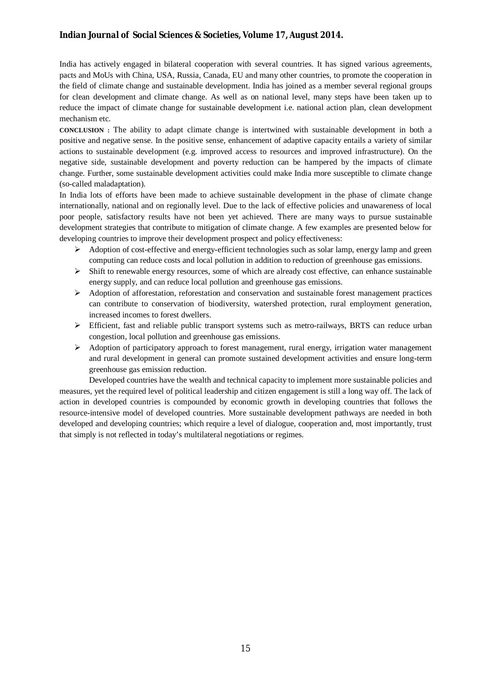India has actively engaged in bilateral cooperation with several countries. It has signed various agreements, pacts and MoUs with China, USA, Russia, Canada, EU and many other countries, to promote the cooperation in the field of climate change and sustainable development. India has joined as a member several regional groups for clean development and climate change. As well as on national level, many steps have been taken up to reduce the impact of climate change for sustainable development i.e. national action plan, clean development mechanism etc.

**CONCLUSION :** The ability to adapt climate change is intertwined with sustainable development in both a positive and negative sense. In the positive sense, enhancement of adaptive capacity entails a variety of similar actions to sustainable development (e.g. improved access to resources and improved infrastructure). On the negative side, sustainable development and poverty reduction can be hampered by the impacts of climate change. Further, some sustainable development activities could make India more susceptible to climate change (so-called maladaptation).

In India lots of efforts have been made to achieve sustainable development in the phase of climate change internationally, national and on regionally level. Due to the lack of effective policies and unawareness of local poor people, satisfactory results have not been yet achieved. There are many ways to pursue sustainable development strategies that contribute to mitigation of climate change. A few examples are presented below for developing countries to improve their development prospect and policy effectiveness:

- $\triangleright$  Adoption of cost-effective and energy-efficient technologies such as solar lamp, energy lamp and green computing can reduce costs and local pollution in addition to reduction of greenhouse gas emissions.
- Shift to renewable energy resources, some of which are already cost effective, can enhance sustainable energy supply, and can reduce local pollution and greenhouse gas emissions.
- $\triangleright$  Adoption of afforestation, reforestation and conservation and sustainable forest management practices can contribute to conservation of biodiversity, watershed protection, rural employment generation, increased incomes to forest dwellers.
- $\triangleright$  Efficient, fast and reliable public transport systems such as metro-railways, BRTS can reduce urban congestion, local pollution and greenhouse gas emissions.
- $\triangleright$  Adoption of participatory approach to forest management, rural energy, irrigation water management and rural development in general can promote sustained development activities and ensure long-term greenhouse gas emission reduction.

Developed countries have the wealth and technical capacity to implement more sustainable policies and measures, yet the required level of political leadership and citizen engagement is still a long way off. The lack of action in developed countries is compounded by economic growth in developing countries that follows the resource-intensive model of developed countries. More sustainable development pathways are needed in both developed and developing countries; which require a level of dialogue, cooperation and, most importantly, trust that simply is not reflected in today's multilateral negotiations or regimes.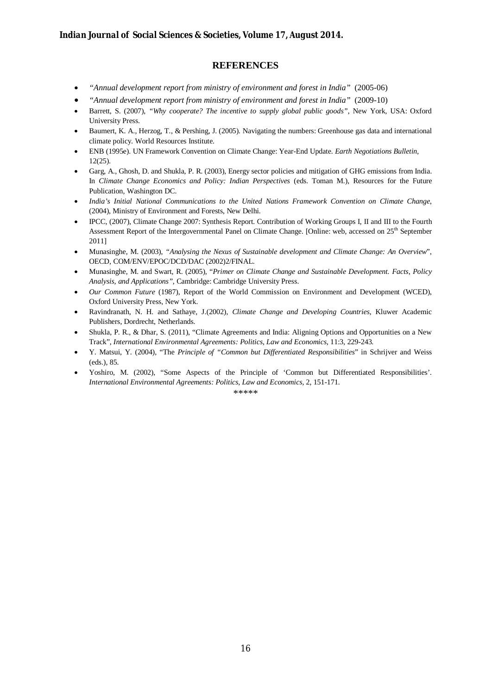#### **REFERENCES**

- *"Annual development report from ministry of environment and forest in India"* (2005-06)
- *"Annual development report from ministry of environment and forest in India"* (2009-10)
- Barrett, S. (2007), *"Why cooperate? The incentive to supply global public goods"*, New York, USA: Oxford University Press.
- Baumert, K. A., Herzog, T., & Pershing, J. (2005). Navigating the numbers: Greenhouse gas data and international climate policy. World Resources Institute.
- ENB (1995e). UN Framework Convention on Climate Change: Year-End Update. *Earth Negotiations Bulletin,* 12(25).
- Garg, A., Ghosh, D. and Shukla, P. R. (2003), Energy sector policies and mitigation of GHG emissions from India. In *Climate Change Economics and Policy: Indian Perspectives* (eds. Toman M.), Resources for the Future Publication, Washington DC.
- *India's Initial National Communications to the United Nations Framework Convention on Climate Change*, (2004), Ministry of Environment and Forests, New Delhi.
- IPCC, (2007), Climate Change 2007: Synthesis Report. Contribution of Working Groups I, II and III to the Fourth Assessment Report of the Intergovernmental Panel on Climate Change. [Online: web, accessed on 25th September 2011]
- Munasinghe, M. (2003), *"Analysing the Nexus of Sustainable development and Climate Change: An Overview*", OECD, COM/ENV/EPOC/DCD/DAC (2002)2/FINAL.
- Munasinghe, M. and Swart, R. (2005), "*Primer on Climate Change and Sustainable Development. Facts, Policy Analysis, and Applications",* Cambridge: Cambridge University Press.
- *Our Common Future* (1987), Report of the World Commission on Environment and Development (WCED), Oxford University Press, New York.
- Ravindranath, N. H. and Sathaye, J.(2002), *Climate Change and Developing Countries*, Kluwer Academic Publishers, Dordrecht, Netherlands.
- Shukla, P. R., & Dhar, S. (2011), "Climate Agreements and India: Aligning Options and Opportunities on a New Track", *International Environmental Agreements: Politics, Law and Economics,* 11:3, 229-243*.*
- Y. Matsui, Y. (2004), "The *Principle of "Common but Differentiated Responsibilities*" in Schrijver and Weiss (eds.), 85.
- Yoshiro, M. (2002), "Some Aspects of the Principle of 'Common but Differentiated Responsibilities'. *International Environmental Agreements: Politics, Law and Economics,* 2, 151-171.

\*\*\*\*\*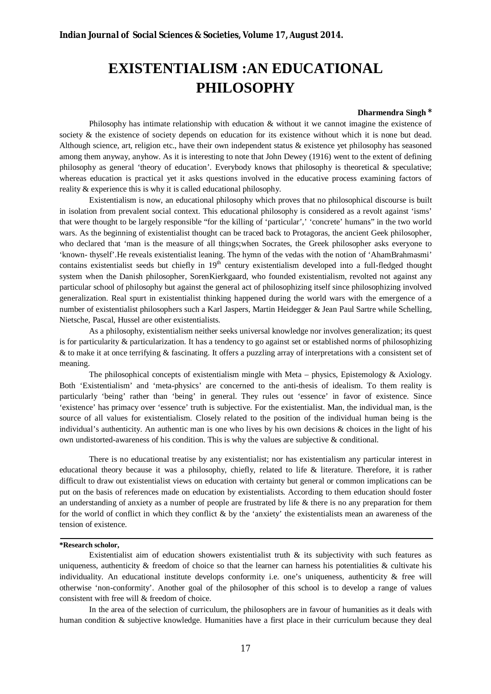### **EXISTENTIALISM :AN EDUCATIONAL PHILOSOPHY**

#### **Dharmendra Singh \***

Philosophy has intimate relationship with education & without it we cannot imagine the existence of society & the existence of society depends on education for its existence without which it is none but dead. Although science, art, religion etc., have their own independent status & existence yet philosophy has seasoned among them anyway, anyhow. As it is interesting to note that John Dewey (1916) went to the extent of defining philosophy as general 'theory of education'. Everybody knows that philosophy is theoretical  $\&$  speculative; whereas education is practical yet it asks questions involved in the educative process examining factors of reality & experience this is why it is called educational philosophy.

Existentialism is now, an educational philosophy which proves that no philosophical discourse is built in isolation from prevalent social context. This educational philosophy is considered as a revolt against 'isms' that were thought to be largely responsible "for the killing of 'particular',' 'concrete' humans" in the two world wars. As the beginning of existentialist thought can be traced back to Protagoras, the ancient Geek philosopher, who declared that 'man is the measure of all things;when Socrates, the Greek philosopher asks everyone to 'known- thyself'.He reveals existentialist leaning. The hymn of the vedas with the notion of 'AhamBrahmasmi' contains existentialist seeds but chiefly in 19<sup>th</sup> century existentialism developed into a full-fledged thought system when the Danish philosopher, SorenKierkgaard, who founded existentialism, revolted not against any particular school of philosophy but against the general act of philosophizing itself since philosophizing involved generalization. Real spurt in existentialist thinking happened during the world wars with the emergence of a number of existentialist philosophers such a Karl Jaspers, Martin Heidegger & Jean Paul Sartre while Schelling, Nietsche, Pascal, Hussel are other existentialists.

As a philosophy, existentialism neither seeks universal knowledge nor involves generalization; its quest is for particularity  $\&$  particularization. It has a tendency to go against set or established norms of philosophizing & to make it at once terrifying & fascinating. It offers a puzzling array of interpretations with a consistent set of meaning.

The philosophical concepts of existentialism mingle with Meta – physics, Epistemology & Axiology. Both 'Existentialism' and 'meta-physics' are concerned to the anti-thesis of idealism. To them reality is particularly 'being' rather than 'being' in general. They rules out 'essence' in favor of existence. Since 'existence' has primacy over 'essence' truth is subjective. For the existentialist. Man, the individual man, is the source of all values for existentialism. Closely related to the position of the individual human being is the individual's authenticity. An authentic man is one who lives by his own decisions & choices in the light of his own undistorted-awareness of his condition. This is why the values are subjective & conditional.

There is no educational treatise by any existentialist; nor has existentialism any particular interest in educational theory because it was a philosophy, chiefly, related to life & literature. Therefore, it is rather difficult to draw out existentialist views on education with certainty but general or common implications can be put on the basis of references made on education by existentialists. According to them education should foster an understanding of anxiety as a number of people are frustrated by life & there is no any preparation for them for the world of conflict in which they conflict & by the 'anxiety' the existentialists mean an awareness of the tension of existence.

#### **\*Research scholor,**

Existentialist aim of education showers existentialist truth  $\&$  its subjectivity with such features as uniqueness, authenticity  $\&$  freedom of choice so that the learner can harness his potentialities  $\&$  cultivate his individuality. An educational institute develops conformity i.e. one's uniqueness, authenticity & free will otherwise 'non-conformity'. Another goal of the philosopher of this school is to develop a range of values consistent with free will & freedom of choice.

In the area of the selection of curriculum, the philosophers are in favour of humanities as it deals with human condition & subjective knowledge. Humanities have a first place in their curriculum because they deal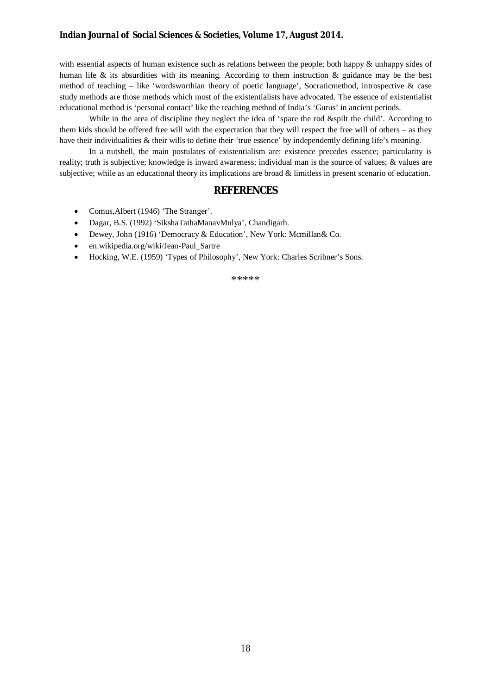with essential aspects of human existence such as relations between the people; both happy & unhappy sides of human life  $\&$  its absurdities with its meaning. According to them instruction  $\&$  guidance may be the best method of teaching – like 'wordsworthian theory of poetic language', Socraticmethod, introspective & case study methods are those methods which most of the existentialists have advocated. The essence of existentialist educational method is 'personal contact' like the teaching method of India's 'Gurus' in ancient periods.

While in the area of discipline they neglect the idea of 'spare the rod &spilt the child'. According to them kids should be offered free will with the expectation that they will respect the free will of others – as they have their individualities & their wills to define their 'true essence' by independently defining life's meaning.

In a nutshell, the main postulates of existentialism are: existence precedes essence; particularity is reality; truth is subjective; knowledge is inward awareness; individual man is the source of values; & values are subjective; while as an educational theory its implications are broad & limitless in present scenario of education.

#### **REFERENCES**

- Comus, Albert (1946) 'The Stranger'.
- Dagar, B.S. (1992) 'SikshaTathaManavMulya', Chandigarh.
- Dewey, John (1916) 'Democracy & Education', New York: Mcmillan& Co.
- en.wikipedia.org/wiki/Jean-Paul\_Sartre
- Hocking, W.E. (1959) 'Types of Philosophy', New York: Charles Scribner's Sons.

\*\*\*\*\*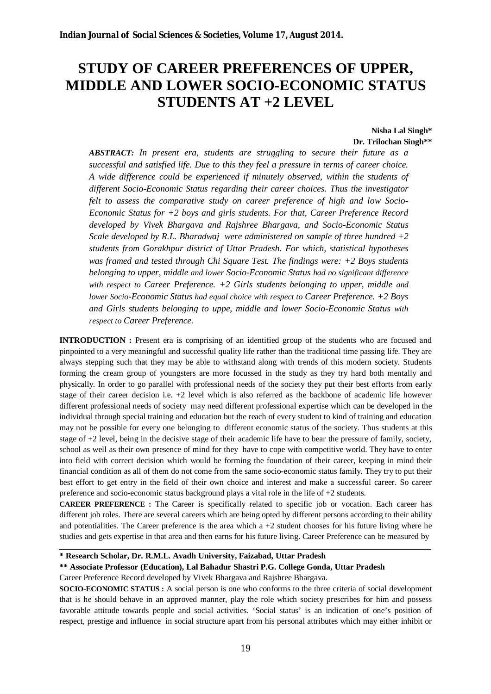### **STUDY OF CAREER PREFERENCES OF UPPER, MIDDLE AND LOWER SOCIO-ECONOMIC STATUS STUDENTS AT +2 LEVEL**

#### **Nisha Lal Singh\* Dr. Trilochan Singh\*\***

*ABSTRACT: In present era, students are struggling to secure their future as a successful and satisfied life. Due to this they feel a pressure in terms of career choice. A wide difference could be experienced if minutely observed, within the students of different Socio-Economic Status regarding their career choices. Thus the investigator felt to assess the comparative study on career preference of high and low Socio-Economic Status for +2 boys and girls students. For that, Career Preference Record developed by Vivek Bhargava and Rajshree Bhargava, and Socio-Economic Status Scale developed by R.L. Bharadwaj were administered on sample of three hundred +2 students from Gorakhpur district of Uttar Pradesh. For which, statistical hypotheses was framed and tested through Chi Square Test. The findings were: +2 Boys students belonging to upper, middle and lower Socio-Economic Status had no significant difference with respect to Career Preference. +2 Girls students belonging to upper, middle and lower Socio-Economic Status had equal choice with respect to Career Preference. +2 Boys and Girls students belonging to uppe, middle and lower Socio-Economic Status with respect to Career Preference.*

**INTRODUCTION** : Present era is comprising of an identified group of the students who are focused and pinpointed to a very meaningful and successful quality life rather than the traditional time passing life. They are always stepping such that they may be able to withstand along with trends of this modern society. Students forming the cream group of youngsters are more focussed in the study as they try hard both mentally and physically. In order to go parallel with professional needs of the society they put their best efforts from early stage of their career decision i.e. +2 level which is also referred as the backbone of academic life however different professional needs of society may need different professional expertise which can be developed in the individual through special training and education but the reach of every student to kind of training and education may not be possible for every one belonging to different economic status of the society. Thus students at this stage of +2 level, being in the decisive stage of their academic life have to bear the pressure of family, society, school as well as their own presence of mind for they have to cope with competitive world. They have to enter into field with correct decision which would be forming the foundation of their career, keeping in mind their financial condition as all of them do not come from the same socio-economic status family. They try to put their best effort to get entry in the field of their own choice and interest and make a successful career. So career preference and socio-economic status background plays a vital role in the life of  $+2$  students.

**CAREER PREFERENCE :** The Career is specifically related to specific job or vocation. Each career has different job roles. There are several careers which are being opted by different persons according to their ability and potentialities. The Career preference is the area which a  $+2$  student chooses for his future living where he studies and gets expertise in that area and then earns for his future living. Career Preference can be measured by

**\* Research Scholar, Dr. R.M.L. Avadh University, Faizabad, Uttar Pradesh** 

#### **\*\* Associate Professor (Education), Lal Bahadur Shastri P.G. College Gonda, Uttar Pradesh**

Career Preference Record developed by Vivek Bhargava and Rajshree Bhargava.

**SOCIO-ECONOMIC STATUS :** A social person is one who conforms to the three criteria of social development that is he should behave in an approved manner, play the role which society prescribes for him and possess favorable attitude towards people and social activities. 'Social status' is an indication of one's position of respect, prestige and influence in social structure apart from his personal attributes which may either inhibit or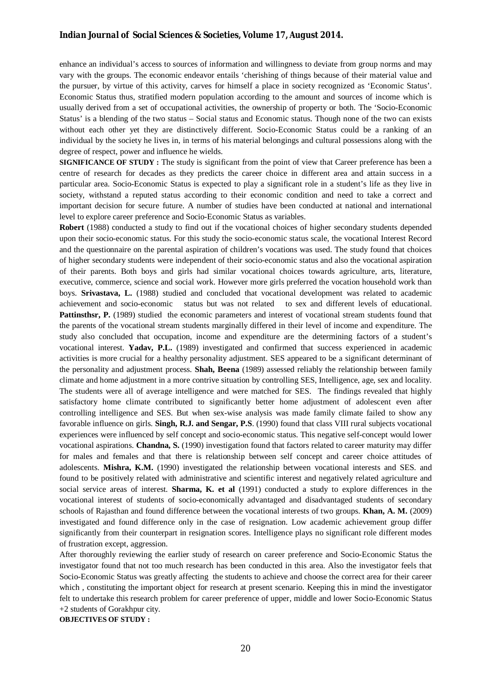enhance an individual's access to sources of information and willingness to deviate from group norms and may vary with the groups. The economic endeavor entails 'cherishing of things because of their material value and the pursuer, by virtue of this activity, carves for himself a place in society recognized as 'Economic Status'. Economic Status thus, stratified modern population according to the amount and sources of income which is usually derived from a set of occupational activities, the ownership of property or both. The 'Socio-Economic Status' is a blending of the two status – Social status and Economic status. Though none of the two can exists without each other yet they are distinctively different. Socio-Economic Status could be a ranking of an individual by the society he lives in, in terms of his material belongings and cultural possessions along with the degree of respect, power and influence he wields.

**SIGNIFICANCE OF STUDY :** The study is significant from the point of view that Career preference has been a centre of research for decades as they predicts the career choice in different area and attain success in a particular area. Socio-Economic Status is expected to play a significant role in a student's life as they live in society, withstand a reputed status according to their economic condition and need to take a correct and important decision for secure future. A number of studies have been conducted at national and international level to explore career preference and Socio-Economic Status as variables.

**Robert** (1988) conducted a study to find out if the vocational choices of higher secondary students depended upon their socio-economic status. For this study the socio-economic status scale, the vocational Interest Record and the questionnaire on the parental aspiration of children's vocations was used. The study found that choices of higher secondary students were independent of their socio-economic status and also the vocational aspiration of their parents. Both boys and girls had similar vocational choices towards agriculture, arts, literature, executive, commerce, science and social work. However more girls preferred the vocation household work than boys. **Srivastava, L.** (1988) studied and concluded that vocational development was related to academic achievement and socio-economic status but was not related to sex and different levels of educational. **Pattinsthsr, P.** (1989) studied the economic parameters and interest of vocational stream students found that the parents of the vocational stream students marginally differed in their level of income and expenditure. The study also concluded that occupation, income and expenditure are the determining factors of a student's vocational interest. **Yadav, P.L.** (1989) investigated and confirmed that success experienced in academic activities is more crucial for a healthy personality adjustment. SES appeared to be a significant determinant of the personality and adjustment process. **Shah, Beena** (1989) assessed reliably the relationship between family climate and home adjustment in a more contrive situation by controlling SES, Intelligence, age, sex and locality. The students were all of average intelligence and were matched for SES. The findings revealed that highly satisfactory home climate contributed to significantly better home adjustment of adolescent even after controlling intelligence and SES. But when sex-wise analysis was made family climate failed to show any favorable influence on girls. **Singh, R.J. and Sengar, P.S**. (1990) found that class VIII rural subjects vocational experiences were influenced by self concept and socio-economic status. This negative self-concept would lower vocational aspirations. **Chandna, S.** (1990) investigation found that factors related to career maturity may differ for males and females and that there is relationship between self concept and career choice attitudes of adolescents. **Mishra, K.M.** (1990) investigated the relationship between vocational interests and SES. and found to be positively related with administrative and scientific interest and negatively related agriculture and social service areas of interest. **Sharma, K. et al** (1991) conducted a study to explore differences in the vocational interest of students of socio-economically advantaged and disadvantaged students of secondary schools of Rajasthan and found difference between the vocational interests of two groups. **Khan, A. M.** (2009) investigated and found difference only in the case of resignation. Low academic achievement group differ significantly from their counterpart in resignation scores. Intelligence plays no significant role different modes of frustration except, aggression.

After thoroughly reviewing the earlier study of research on career preference and Socio-Economic Status the investigator found that not too much research has been conducted in this area. Also the investigator feels that Socio-Economic Status was greatly affecting the students to achieve and choose the correct area for their career which, constituting the important object for research at present scenario. Keeping this in mind the investigator felt to undertake this research problem for career preference of upper, middle and lower Socio-Economic Status +2 students of Gorakhpur city.

**OBJECTIVES OF STUDY :**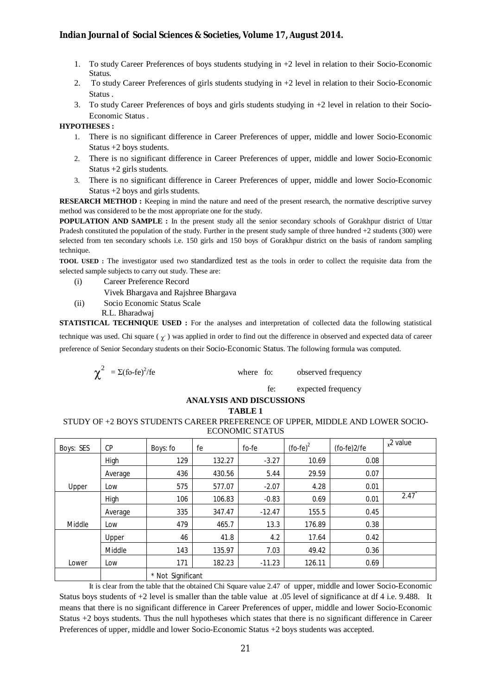- 1. To study Career Preferences of boys students studying in +2 level in relation to their Socio-Economic **Status**.
- 2. To study Career Preferences of girls students studying in +2 level in relation to their Socio-Economic Status .
- 3. To study Career Preferences of boys and girls students studying in +2 level in relation to their Socio-Economic Status .

#### **HYPOTHESES :**

- 1. There is no significant difference in Career Preferences of upper, middle and lower Socio-Economic Status +2 boys students.
- 2. There is no significant difference in Career Preferences of upper, middle and lower Socio-Economic Status +2 girls students.
- 3. There is no significant difference in Career Preferences of upper, middle and lower Socio-Economic Status +2 boys and girls students.

**RESEARCH METHOD :** Keeping in mind the nature and need of the present research, the normative descriptive survey method was considered to be the most appropriate one for the study.

**POPULATION AND SAMPLE :** In the present study all the senior secondary schools of Gorakhpur district of Uttar Pradesh constituted the population of the study. Further in the present study sample of three hundred +2 students (300) were selected from ten secondary schools i.e. 150 girls and 150 boys of Gorakhpur district on the basis of random sampling technique.

**TOOL USED :** The investigator used two standardized test as the tools in order to collect the requisite data from the selected sample subjects to carry out study. These are:

- (i) Career Preference Record
	- Vivek Bhargava and Rajshree Bhargava
- (ii) Socio Economic Status Scale
- R.L. Bharadwaj

**STATISTICAL TECHNIQUE USED :** For the analyses and interpretation of collected data the following statistical

technique was used. Chi square  $(\chi^2)$  was applied in order to find out the difference in observed and expected data of career preference of Senior Secondary students on their Socio-Economic Status. The following formula was computed.

$$
\chi^2 = \Sigma \text{(fo-fe)}^2 \text{/fe}
$$
 where fo: observed frequency

fe: expected frequency

#### **ANALYSIS AND DISCUSSIONS**

**TABLE 1**

#### STUDY OF +2 BOYS STUDENTS CAREER PREFERENCE OF UPPER, MIDDLE AND LOWER SOCIO-ECONOMIC STATUS

| Boys: SES | CP      | Boys: fo          | fe     | fo-fe    | $($ fo-fe $)^2$ | (fo-fe)2/fe | $x^2$ value |
|-----------|---------|-------------------|--------|----------|-----------------|-------------|-------------|
|           | High    | 129               | 132.27 | $-3.27$  | 10.69           | 0.08        |             |
|           | Average | 436               | 430.56 | 5.44     | 29.59           | 0.07        |             |
| Upper     | Low     | 575               | 577.07 | $-2.07$  | 4.28            | 0.01        |             |
|           | High    | 106               | 106.83 | $-0.83$  | 0.69            | 0.01        | 2.47        |
|           | Average | 335               | 347.47 | $-12.47$ | 155.5           | 0.45        |             |
| Middle    | Low     | 479               | 465.7  | 13.3     | 176.89          | 0.38        |             |
|           | Upper   | 46                | 41.8   | 4.2      | 17.64           | 0.42        |             |
|           | Middle  | 143               | 135.97 | 7.03     | 49.42           | 0.36        |             |
| Lower     | Low     | 171               | 182.23 | $-11.23$ | 126.11          | 0.69        |             |
|           |         | * Not Significant |        |          |                 |             |             |

It is clear from the table that the obtained Chi Square value 2.47 of upper, middle and lower Socio-Economic Status boys students of +2 level is smaller than the table value at .05 level of significance at df 4 i.e. 9.488. It means that there is no significant difference in Career Preferences of upper, middle and lower Socio-Economic Status +2 boys students. Thus the null hypotheses which states that there is no significant difference in Career Preferences of upper, middle and lower Socio-Economic Status +2 boys students was accepted.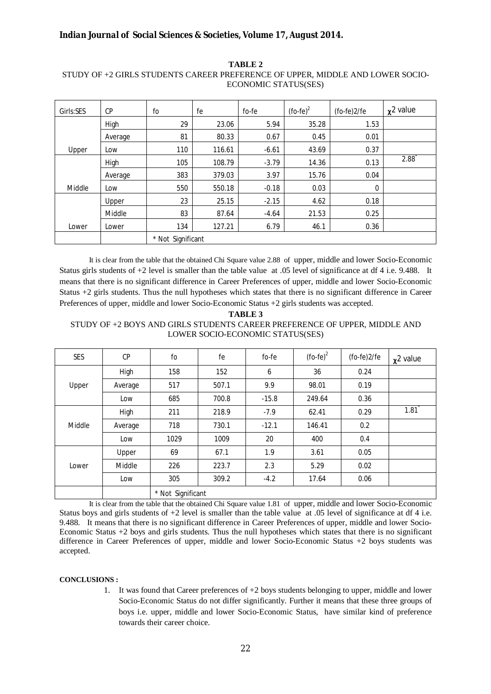| Girls:SES | CP      | fo                | fe     | fo-fe   | $($ fo-fe $)^2$ | (fo-fe)2/fe | $x^2$ value |
|-----------|---------|-------------------|--------|---------|-----------------|-------------|-------------|
|           | High    | 29                | 23.06  | 5.94    | 35.28           | 1.53        |             |
|           | Average | 81                | 80.33  | 0.67    | 0.45            | 0.01        |             |
| Upper     | Low     | 110               | 116.61 | $-6.61$ | 43.69           | 0.37        |             |
|           | High    | 105               | 108.79 | $-3.79$ | 14.36           | 0.13        | 2.88        |
|           | Average | 383               | 379.03 | 3.97    | 15.76           | 0.04        |             |
| Middle    | Low     | 550               | 550.18 | $-0.18$ | 0.03            | 0           |             |
|           | Upper   | 23                | 25.15  | $-2.15$ | 4.62            | 0.18        |             |
|           | Middle  | 83                | 87.64  | $-4.64$ | 21.53           | 0.25        |             |
| Lower     | Lower   | 134               | 127.21 | 6.79    | 46.1            | 0.36        |             |
|           |         | * Not Significant |        |         |                 |             |             |

**TABLE 2** STUDY OF +2 GIRLS STUDENTS CAREER PREFERENCE OF UPPER, MIDDLE AND LOWER SOCIO-ECONOMIC STATUS(SES)

It is clear from the table that the obtained Chi Square value 2.88 of upper, middle and lower Socio-Economic Status girls students of  $+2$  level is smaller than the table value at .05 level of significance at df 4 i.e. 9.488. It means that there is no significant difference in Career Preferences of upper, middle and lower Socio-Economic Status +2 girls students. Thus the null hypotheses which states that there is no significant difference in Career Preferences of upper, middle and lower Socio-Economic Status +2 girls students was accepted.

#### **TABLE 3** STUDY OF +2 BOYS AND GIRLS STUDENTS CAREER PREFERENCE OF UPPER, MIDDLE AND LOWER SOCIO-ECONOMIC STATUS(SES)

| <b>SES</b> | CP      | fo                | fe    | fo-fe   | $($ fo-fe $)^2$ | (fo-fe)2/fe | $x^2$ value |
|------------|---------|-------------------|-------|---------|-----------------|-------------|-------------|
| Upper      | High    | 158               | 152   | 6       | 36              | 0.24        |             |
|            | Average | 517               | 507.1 | 9.9     | 98.01           | 0.19        |             |
|            | Low     | 685               | 700.8 | $-15.8$ | 249.64          | 0.36        |             |
|            | High    | 211               | 218.9 | $-7.9$  | 62.41           | 0.29        | 1.81        |
| Middle     | Average | 718               | 730.1 | $-12.1$ | 146.41          | 0.2         |             |
|            | Low     | 1029              | 1009  | 20      | 400             | 0.4         |             |
|            | Upper   | 69                | 67.1  | 1.9     | 3.61            | 0.05        |             |
| Lower      | Middle  | 226               | 223.7 | 2.3     | 5.29            | 0.02        |             |
|            | Low     | 305               | 309.2 | $-4.2$  | 17.64           | 0.06        |             |
|            |         | * Not Significant |       |         |                 |             |             |

It is clear from the table that the obtained Chi Square value 1.81 of upper, middle and lower Socio-Economic Status boys and girls students of  $+2$  level is smaller than the table value at .05 level of significance at df 4 i.e. 9.488. It means that there is no significant difference in Career Preferences of upper, middle and lower Socio-Economic Status +2 boys and girls students. Thus the null hypotheses which states that there is no significant difference in Career Preferences of upper, middle and lower Socio-Economic Status +2 boys students was accepted.

#### **CONCLUSIONS :**

1. It was found that Career preferences of +2 boys students belonging to upper, middle and lower Socio-Economic Status do not differ significantly. Further it means that these three groups of boys i.e. upper, middle and lower Socio-Economic Status, have similar kind of preference towards their career choice.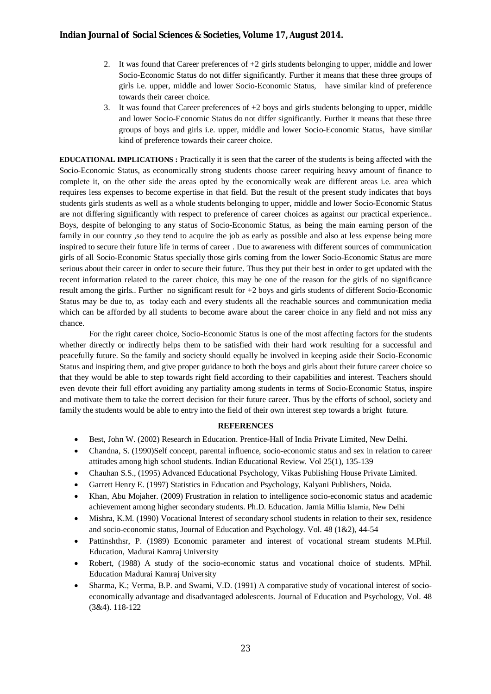- 2. It was found that Career preferences of +2 girls students belonging to upper, middle and lower Socio-Economic Status do not differ significantly. Further it means that these three groups of girls i.e. upper, middle and lower Socio-Economic Status, have similar kind of preference towards their career choice.
- 3. It was found that Career preferences of +2 boys and girls students belonging to upper, middle and lower Socio-Economic Status do not differ significantly. Further it means that these three groups of boys and girls i.e. upper, middle and lower Socio-Economic Status, have similar kind of preference towards their career choice.

**EDUCATIONAL IMPLICATIONS :** Practically it is seen that the career of the students is being affected with the Socio-Economic Status, as economically strong students choose career requiring heavy amount of finance to complete it, on the other side the areas opted by the economically weak are different areas i.e. area which requires less expenses to become expertise in that field. But the result of the present study indicates that boys students girls students as well as a whole students belonging to upper, middle and lower Socio-Economic Status are not differing significantly with respect to preference of career choices as against our practical experience.. Boys, despite of belonging to any status of Socio-Economic Status, as being the main earning person of the family in our country, so they tend to acquire the job as early as possible and also at less expense being more inspired to secure their future life in terms of career . Due to awareness with different sources of communication girls of all Socio-Economic Status specially those girls coming from the lower Socio-Economic Status are more serious about their career in order to secure their future. Thus they put their best in order to get updated with the recent information related to the career choice, this may be one of the reason for the girls of no significance result among the girls.. Further no significant result for +2 boys and girls students of different Socio-Economic Status may be due to, as today each and every students all the reachable sources and communication media which can be afforded by all students to become aware about the career choice in any field and not miss any chance.

For the right career choice, Socio-Economic Status is one of the most affecting factors for the students whether directly or indirectly helps them to be satisfied with their hard work resulting for a successful and peacefully future. So the family and society should equally be involved in keeping aside their Socio-Economic Status and inspiring them, and give proper guidance to both the boys and girls about their future career choice so that they would be able to step towards right field according to their capabilities and interest. Teachers should even devote their full effort avoiding any partiality among students in terms of Socio-Economic Status, inspire and motivate them to take the correct decision for their future career. Thus by the efforts of school, society and family the students would be able to entry into the field of their own interest step towards a bright future.

#### **REFERENCES**

- Best, John W. (2002) Research in Education. Prentice-Hall of India Private Limited, New Delhi.
- Chandna, S. (1990)Self concept, parental influence, socio-economic status and sex in relation to career attitudes among high school students. Indian Educational Review. Vol 25(1), 135-139
- Chauhan S.S., (1995) Advanced Educational Psychology, Vikas Publishing House Private Limited.
- Garrett Henry E. (1997) Statistics in Education and Psychology, Kalyani Publishers, Noida.
- Khan, Abu Mojaher. (2009) Frustration in relation to intelligence socio-economic status and academic achievement among higher secondary students. Ph.D. Education. Jamia Millia Islamia, New Delhi
- Mishra, K.M. (1990) Vocational Interest of secondary school students in relation to their sex, residence and socio-economic status, Journal of Education and Psychology. Vol. 48 (1&2), 44-54
- Pattinshthsr, P. (1989) Economic parameter and interest of vocational stream students M.Phil. Education, Madurai Kamraj University
- Robert, (1988) A study of the socio-economic status and vocational choice of students. MPhil. Education Madurai Kamraj University
- Sharma, K.; Verma, B.P. and Swami, V.D. (1991) A comparative study of vocational interest of socioeconomically advantage and disadvantaged adolescents. Journal of Education and Psychology, Vol. 48 (3&4). 118-122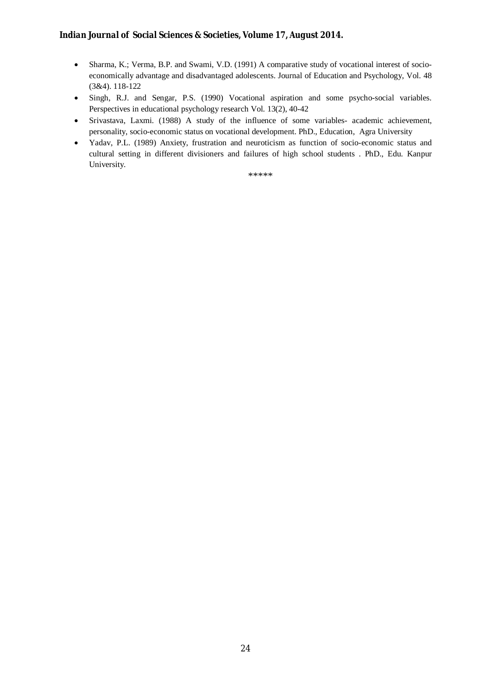- Sharma, K.; Verma, B.P. and Swami, V.D. (1991) A comparative study of vocational interest of socioeconomically advantage and disadvantaged adolescents. Journal of Education and Psychology, Vol. 48 (3&4). 118-122
- Singh, R.J. and Sengar, P.S. (1990) Vocational aspiration and some psycho-social variables. Perspectives in educational psychology research Vol. 13(2), 40-42
- Srivastava, Laxmi. (1988) A study of the influence of some variables- academic achievement, personality, socio-economic status on vocational development. PhD., Education, Agra University
- Yadav, P.L. (1989) Anxiety, frustration and neuroticism as function of socio-economic status and cultural setting in different divisioners and failures of high school students . PhD., Edu. Kanpur University.

\*\*\*\*\*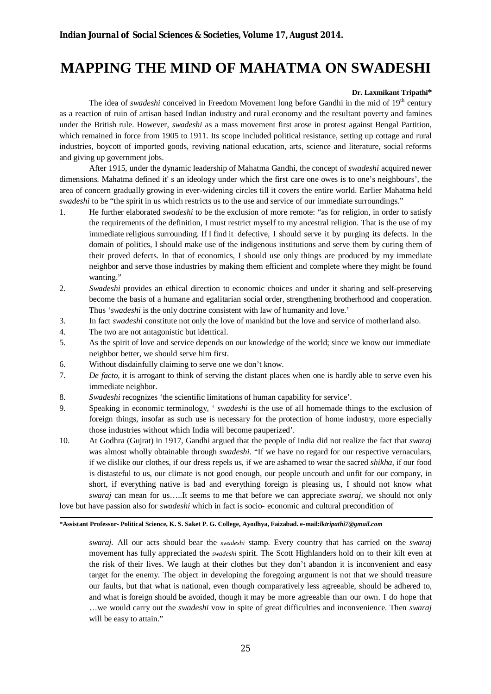### **MAPPING THE MIND OF MAHATMA ON SWADESHI**

#### **Dr. Laxmikant Tripathi\***

The idea of *swadeshi* conceived in Freedom Movement long before Gandhi in the mid of 19<sup>th</sup> century as a reaction of ruin of artisan based Indian industry and rural economy and the resultant poverty and famines under the British rule. However, *swadeshi* as a mass movement first arose in protest against Bengal Partition, which remained in force from 1905 to 1911. Its scope included political resistance, setting up cottage and rural industries, boycott of imported goods, reviving national education, arts, science and literature, social reforms and giving up government jobs.

After 1915, under the dynamic leadership of Mahatma Gandhi, the concept of *swadeshi* acquired newer dimensions. Mahatma defined it' s an ideology under which the first care one owes is to one's neighbours', the area of concern gradually growing in ever-widening circles till it covers the entire world. Earlier Mahatma held *swadeshi* to be "the spirit in us which restricts us to the use and service of our immediate surroundings."

- 1. He further elaborated *swadeshi* to be the exclusion of more remote: "as for religion, in order to satisfy the requirements of the definition, I must restrict myself to my ancestral religion. That is the use of my immediate religious surrounding. If I find it defective, I should serve it by purging its defects. In the domain of politics, I should make use of the indigenous institutions and serve them by curing them of their proved defects. In that of economics, I should use only things are produced by my immediate neighbor and serve those industries by making them efficient and complete where they might be found wanting."
- 2. *Swadeshi* provides an ethical direction to economic choices and under it sharing and self-preserving become the basis of a humane and egalitarian social order, strengthening brotherhood and cooperation. Thus '*swadeshi* is the only doctrine consistent with law of humanity and love.'
- 3. In fact *swadesh*i constitute not only the love of mankind but the love and service of motherland also.
- 4. The two are not antagonistic but identical.
- 5. As the spirit of love and service depends on our knowledge of the world; since we know our immediate neighbor better, we should serve him first.
- 6. Without disdainfully claiming to serve one we don't know.
- 7. *De facto,* it is arrogant to think of serving the distant places when one is hardly able to serve even his immediate neighbor.
- 8. *Swadeshi* recognizes 'the scientific limitations of human capability for service'.
- 9. Speaking in economic terminology, ' *swadeshi* is the use of all homemade things to the exclusion of foreign things, insofar as such use is necessary for the protection of home industry, more especially those industries without which India will become pauperized'.
- 10. At Godhra (Gujrat) in 1917, Gandhi argued that the people of India did not realize the fact that *swaraj* was almost wholly obtainable through *swadeshi*. "If we have no regard for our respective vernaculars, if we dislike our clothes, if our dress repels us, if we are ashamed to wear the sacred *shikha,* if our food is distasteful to us, our climate is not good enough, our people uncouth and unfit for our company, in short, if everything native is bad and everything foreign is pleasing us, I should not know what *swaraj* can mean for us…..It seems to me that before we can appreciate *swaraj*, we should not only love but have passion also for *swadeshi* which in fact is socio- economic and cultural precondition of

**\*Assistant Professor- Political Science, K. S. Saket P. G. College, Ayodhya, Faizabad. e-mail:***lktripathi7@gmail.com*

*swaraj.* All our acts should bear the *swadeshi* stamp*.* Every country that has carried on the *swaraj* movement has fully appreciated the *swadeshi* spirit. The Scott Highlanders hold on to their kilt even at the risk of their lives. We laugh at their clothes but they don't abandon it is inconvenient and easy target for the enemy. The object in developing the foregoing argument is not that we should treasure our faults, but that what is national, even though comparatively less agreeable, should be adhered to, and what is foreign should be avoided, though it may be more agreeable than our own. I do hope that …we would carry out the *swadeshi* vow in spite of great difficulties and inconvenience. Then *swaraj* will be easy to attain."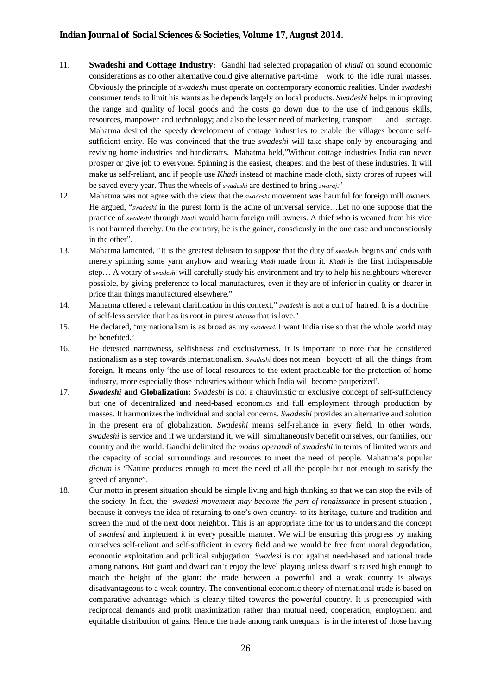- 11. **Swadeshi and Cottage Industry:** Gandhi had selected propagation of *khadi* on sound economic considerations as no other alternative could give alternative part-time work to the idle rural masses. Obviously the principle of *swadeshi* must operate on contemporary economic realities. Under *swadeshi*  consumer tends to limit his wants as he depends largely on local products. *Swadeshi* helps in improving the range and quality of local goods and the costs go down due to the use of indigenous skills, resources, manpower and technology; and also the lesser need of marketing, transport and storage. Mahatma desired the speedy development of cottage industries to enable the villages become selfsufficient entity. He was convinced that the true *swadeshi* will take shape only by encouraging and reviving home industries and handicrafts. Mahatma held,"Without cottage industries India can never prosper or give job to everyone. Spinning is the easiest, cheapest and the best of these industries. It will make us self-reliant, and if people use *Khadi* instead of machine made cloth, sixty crores of rupees will be saved every year. Thus the wheels of *swadeshi* are destined to bring *swaraj*."
- 12. Mahatma was not agree with the view that the *swadeshi* movement was harmful for foreign mill owners. He argued, "*swadeshi* in the purest form is the acme of universal service…Let no one suppose that the practice of *swadeshi* through *khad*i would harm foreign mill owners. A thief who is weaned from his vice is not harmed thereby. On the contrary, he is the gainer, consciously in the one case and unconsciously in the other".
- 13. Mahatma lamented, "It is the greatest delusion to suppose that the duty of *swadeshi* begins and ends with merely spinning some yarn anyhow and wearing *khadi* made from it. *Khadi* is the first indispensable step… A votary of *swadeshi* will carefully study his environment and try to help his neighbours wherever possible, by giving preference to local manufactures, even if they are of inferior in quality or dearer in price than things manufactured elsewhere."
- 14. Mahatma offered a relevant clarification in this context," *swadeshi* is not a cult of hatred. It is a doctrine of self-less service that has its root in purest *ahimsa* that is love."
- 15. He declared, 'my nationalism is as broad as my *swadeshi.* I want India rise so that the whole world may be benefited.'
- 16. He detested narrowness, selfishness and exclusiveness. It is important to note that he considered nationalism as a step towards internationalism. *Swadeshi* does not mean boycott of all the things from foreign. It means only 'the use of local resources to the extent practicable for the protection of home industry, more especially those industries without which India will become pauperized'.
- 17. *Swadeshi* **and Globalization:** *Swadeshi* is not a chauvinistic or exclusive concept of self-sufficiency but one of decentralized and need-based economics and full employment through production by masses. It harmonizes the individual and social concerns. *Swadeshi* provides an alternative and solution in the present era of globalization. *Swadeshi* means self-reliance in every field. In other words, *swadeshi* is service and if we understand it, we will simultaneously benefit ourselves, our families, our country and the world. Gandhi delimited the *modus operandi* of *swadeshi* in terms of limited wants and the capacity of social surroundings and resources to meet the need of people. Mahatma's popular *dictum* is "Nature produces enough to meet the need of all the people but not enough to satisfy the greed of anyone".
- 18. Our motto in present situation should be simple living and high thinking so that we can stop the evils of the society. In fact, the *swadesi movement may become the part of renaissance* in present situation , because it conveys the idea of returning to one's own country- to its heritage, culture and tradition and screen the mud of the next door neighbor. This is an appropriate time for us to understand the concept of *swadesi* and implement it in every possible manner. We will be ensuring this progress by making ourselves self-reliant and self-sufficient in every field and we would be free from moral degradation, economic exploitation and political subjugation. *Swadesi* is not against need-based and rational trade among nations. But giant and dwarf can't enjoy the level playing unless dwarf is raised high enough to match the height of the giant: the trade between a powerful and a weak country is always disadvantageous to a weak country. The conventional economic theory of nternational trade is based on comparative advantage which is clearly tilted towards the powerful country. It is preoccupied with reciprocal demands and profit maximization rather than mutual need, cooperation, employment and equitable distribution of gains. Hence the trade among rank unequals is in the interest of those having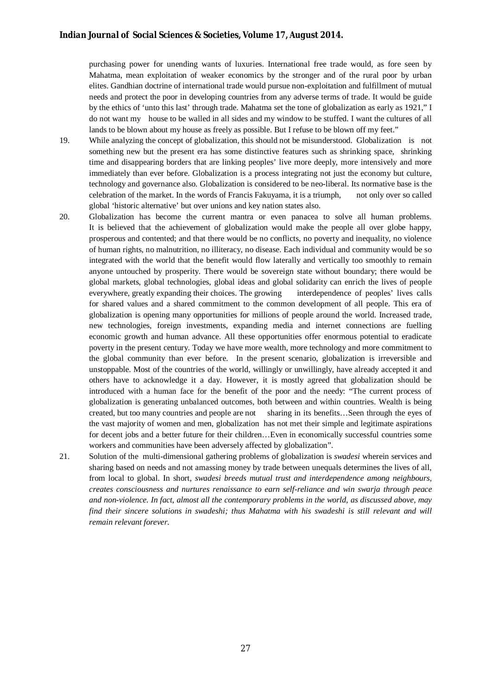purchasing power for unending wants of luxuries. International free trade would, as fore seen by Mahatma, mean exploitation of weaker economics by the stronger and of the rural poor by urban elites. Gandhian doctrine of international trade would pursue non-exploitation and fulfillment of mutual needs and protect the poor in developing countries from any adverse terms of trade. It would be guide by the ethics of 'unto this last' through trade. Mahatma set the tone of globalization as early as 1921," I do not want my house to be walled in all sides and my window to be stuffed. I want the cultures of all lands to be blown about my house as freely as possible. But I refuse to be blown off my feet."

- 19. While analyzing the concept of globalization, this should not be misunderstood. Globalization is not something new but the present era has some distinctive features such as shrinking space, shrinking time and disappearing borders that are linking peoples' live more deeply, more intensively and more immediately than ever before. Globalization is a process integrating not just the economy but culture, technology and governance also. Globalization is considered to be neo-liberal. Its normative base is the celebration of the market. In the words of Francis Fakuyama, it is a triumph, not only over so called global 'historic alternative' but over unions and key nation states also.
- 20. Globalization has become the current mantra or even panacea to solve all human problems. It is believed that the achievement of globalization would make the people all over globe happy, prosperous and contented; and that there would be no conflicts, no poverty and inequality, no violence of human rights, no malnutrition, no illiteracy, no disease. Each individual and community would be so integrated with the world that the benefit would flow laterally and vertically too smoothly to remain anyone untouched by prosperity. There would be sovereign state without boundary; there would be global markets, global technologies, global ideas and global solidarity can enrich the lives of people everywhere, greatly expanding their choices. The growing interdependence of peoples' lives calls for shared values and a shared commitment to the common development of all people. This era of globalization is opening many opportunities for millions of people around the world. Increased trade, new technologies, foreign investments, expanding media and internet connections are fuelling economic growth and human advance. All these opportunities offer enormous potential to eradicate poverty in the present century. Today we have more wealth, more technology and more commitment to the global community than ever before. In the present scenario, globalization is irreversible and unstoppable. Most of the countries of the world, willingly or unwillingly, have already accepted it and others have to acknowledge it a day. However, it is mostly agreed that globalization should be introduced with a human face for the benefit of the poor and the needy: "The current process of globalization is generating unbalanced outcomes, both between and within countries. Wealth is being created, but too many countries and people are not sharing in its benefits…Seen through the eyes of the vast majority of women and men, globalization has not met their simple and legitimate aspirations for decent jobs and a better future for their children…Even in economically successful countries some workers and communities have been adversely affected by globalization".
- 21. Solution of the multi-dimensional gathering problems of globalization is *swadesi* wherein services and sharing based on needs and not amassing money by trade between unequals determines the lives of all, from local to global. In short, *swadesi breeds mutual trust and interdependence among neighbours, creates consciousness and nurtures renaissance to earn self-reliance and win swarja through peace and non-violence. In fact, almost all the contemporary problems in the world, as discussed above, may find their sincere solutions in swadeshi; thus Mahatma with his swadeshi is still relevant and will remain relevant forever.*

27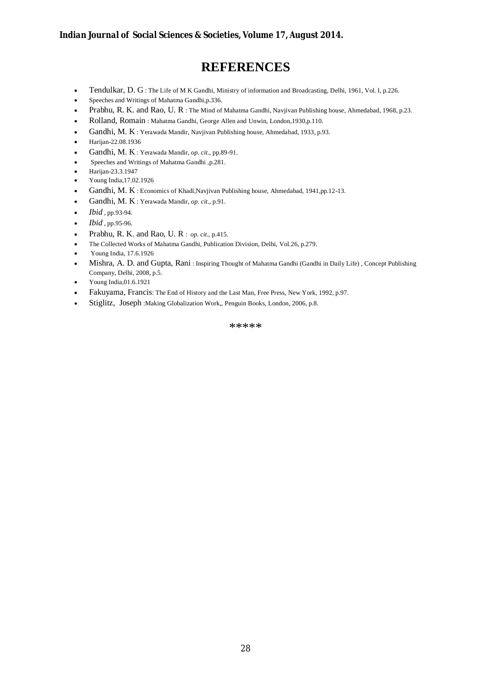### **REFERENCES**

- Tendulkar, D. G : The Life of M K Gandhi, Ministry of information and Broadcasting, Delhi, 1961, Vol. l, p.226.
- Speeches and Writings of Mahatma Gandhi,p.336.
- Prabhu, R. K. and Rao, U. R : The Mind of Mahatma Gandhi, Navjivan Publishing house, Ahmedabad, 1968, p.23.
- Rolland, Romain : Mahatma Gandhi, George Allen and Unwin, London,1930,p.110.
- Gandhi, M. K : Yerawada Mandir, Navjivan Publishing house, Ahmedabad, 1933, p.93.
- Harijan-22.08.1936
- Gandhi, M. K : Yerawada Mandir, *op. cit*., pp.89-91.
- Speeches and Writings of Mahatma Gandhi ,p.281.
- Harijan-23.3.1947
- Young India,17.02.1926
- Gandhi, M. K : Economics of Khadi,Navjivan Publishing house, Ahmedabad, 1941,pp.12-13.
- Gandhi, M. K : Yerawada Mandir, *op. cit*., p.91.
- *Ibid* , pp.93-94.
- *Ibid* , pp.95-96.
- Prabhu, R. K. and Rao, U. R : *op. cit*., p.415.
- The Collected Works of Mahatma Gandhi, Publication Division, Delhi, Vol.26, p.279.
- Young India, 17.6.1926
- Mishra, A. D. and Gupta, Rani : Inspiring Thought of Mahatma Gandhi (Gandhi in Daily Life) , Concept Publishing Company, Delhi, 2008, p.5.
- Young India,01.6.1921
- Fakuyama, Francis: The End of History and the Last Man, Free Press, New York, 1992, p.97.
- Stiglitz, Joseph :Making Globalization Work,, Penguin Books, London, 2006, p.8.

\*\*\*\*\*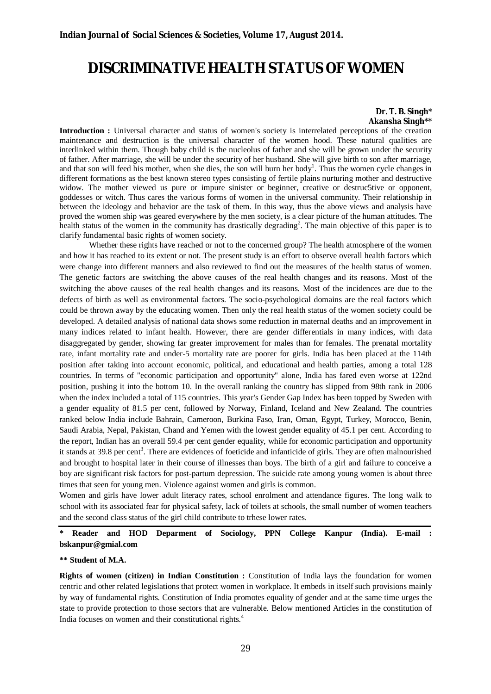### **DISCRIMINATIVE HEALTH STATUS OF WOMEN**

#### **Dr. T. B. Singh\* Akansha Singh\*\***

**Introduction :** Universal character and status of women's society is interrelated perceptions of the creation maintenance and destruction is the universal character of the women hood. These natural qualities are interlinked within them. Though baby child is the nucleolus of father and she will be grown under the security of father. After marriage, she will be under the security of her husband. She will give birth to son after marriage, and that son will feed his mother, when she dies, the son will burn her body<sup>1</sup>. Thus the women cycle changes in different formations as the best known stereo types consisting of fertile plains nurturing mother and destructive widow. The mother viewed us pure or impure sinister or beginner, creative or destruc5tive or opponent, goddesses or witch. Thus cares the various forms of women in the universal community. Their relationship in between the ideology and behavior are the task of them. In this way, thus the above views and analysis have proved the women ship was geared everywhere by the men society, is a clear picture of the human attitudes. The health status of the women in the community has drastically degrading<sup>2</sup>. The main objective of this paper is to clarify fundamental basic rights of women society.

Whether these rights have reached or not to the concerned group? The health atmosphere of the women and how it has reached to its extent or not. The present study is an effort to observe overall health factors which were change into different manners and also reviewed to find out the measures of the health status of women. The genetic factors are switching the above causes of the real health changes and its reasons. Most of the switching the above causes of the real health changes and its reasons. Most of the incidences are due to the defects of birth as well as environmental factors. The socio-psychological domains are the real factors which could be thrown away by the educating women. Then only the real health status of the women society could be developed. A detailed analysis of national data shows some reduction in maternal deaths and an improvement in many indices related to infant health. However, there are gender differentials in many indices, with data disaggregated by gender, showing far greater improvement for males than for females. The prenatal mortality rate, infant mortality rate and under-5 mortality rate are poorer for girls. India has been placed at the 114th position after taking into account economic, political, and educational and health parties, among a total 128 countries. In terms of "economic participation and opportunity" alone, India has fared even worse at 122nd position, pushing it into the bottom 10. In the overall ranking the country has slipped from 98th rank in 2006 when the index included a total of 115 countries. This year's Gender Gap Index has been topped by Sweden with a gender equality of 81.5 per cent, followed by Norway, Finland, Iceland and New Zealand. The countries ranked below India include Bahrain, Cameroon, Burkina Faso, Iran, Oman, Egypt, Turkey, Morocco, Benin, Saudi Arabia, Nepal, Pakistan, Chand and Yemen with the lowest gender equality of 45.1 per cent. According to the report, Indian has an overall 59.4 per cent gender equality, while for economic participation and opportunity it stands at 39.8 per cent<sup>3</sup>. There are evidences of foeticide and infanticide of girls. They are often malnourished and brought to hospital later in their course of illnesses than boys. The birth of a girl and failure to conceive a boy are significant risk factors for post-partum depression. The suicide rate among young women is about three times that seen for young men. Violence against women and girls is common.

Women and girls have lower adult literacy rates, school enrolment and attendance figures. The long walk to school with its associated fear for physical safety, lack of toilets at schools, the small number of women teachers and the second class status of the girl child contribute to trhese lower rates.

**\* Reader and HOD Deparment of Sociology, PPN College Kanpur (India). E-mail : bskanpur@gmial.com**

#### **\*\* Student of M.A.**

**Rights of women (citizen) in Indian Constitution :** Constitution of India lays the foundation for women centric and other related legislations that protect women in workplace. It embeds in itself such provisions mainly by way of fundamental rights. Constitution of India promotes equality of gender and at the same time urges the state to provide protection to those sectors that are vulnerable. Below mentioned Articles in the constitution of India focuses on women and their constitutional rights.<sup>4</sup>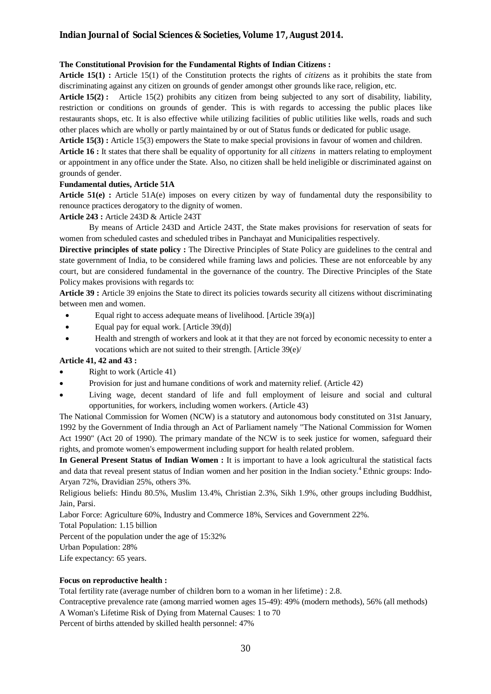#### **The Constitutional Provision for the Fundamental Rights of Indian Citizens :**

**Article 15(1) :** Article 15(1) of the Constitution protects the rights of *citizens* as it prohibits the state from discriminating against any citizen on grounds of gender amongst other grounds like race, religion, etc.

**Article 15(2) :** Article 15(2) prohibits any citizen from being subjected to any sort of disability, liability, restriction or conditions on grounds of gender. This is with regards to accessing the public places like restaurants shops, etc. It is also effective while utilizing facilities of public utilities like wells, roads and such other places which are wholly or partly maintained by or out of Status funds or dedicated for public usage.

**Article 15(3) :** Article 15(3) empowers the State to make special provisions in favour of women and children.

**Article 16 :** It states that there shall be equality of opportunity for all *citizens* in matters relating to employment or appointment in any office under the State. Also, no citizen shall be held ineligible or discriminated against on grounds of gender.

#### **Fundamental duties, Article 51A**

**Article 51(e) :** Article 51A(e) imposes on every citizen by way of fundamental duty the responsibility to renounce practices derogatory to the dignity of women.

#### **Article 243 :** Article 243D & Article 243T

By means of Article 243D and Article 243T, the State makes provisions for reservation of seats for women from scheduled castes and scheduled tribes in Panchayat and Municipalities respectively.

**Directive principles of state policy :** The Directive Principles of State Policy are guidelines to the central and state government of India, to be considered while framing laws and policies. These are not enforceable by any court, but are considered fundamental in the governance of the country. The Directive Principles of the State Policy makes provisions with regards to:

**Article 39 :** Article 39 enjoins the State to direct its policies towards security all citizens without discriminating between men and women.

- Equal right to access adequate means of livelihood. [Article 39(a)]
- Equal pay for equal work. [Article 39(d)]
- Health and strength of workers and look at it that they are not forced by economic necessity to enter a vocations which are not suited to their strength. [Article 39(e)/

#### **Article 41, 42 and 43 :**

- Right to work (Article 41)
- Provision for just and humane conditions of work and maternity relief. (Article 42)
- Living wage, decent standard of life and full employment of leisure and social and cultural opportunities, for workers, including women workers. (Article 43)

The National Commission for Women (NCW) is a statutory and autonomous body constituted on 31st January, 1992 by the Government of India through an Act of Parliament namely "The National Commission for Women Act 1990" (Act 20 of 1990). The primary mandate of the NCW is to seek justice for women, safeguard their rights, and promote women's empowerment including support for health related problem.

**In General Present Status of Indian Women :** It is important to have a look agricultural the statistical facts and data that reveal present status of Indian women and her position in the Indian society.<sup>4</sup> Ethnic groups: Indo-Aryan 72%, Dravidian 25%, others 3%.

Religious beliefs: Hindu 80.5%, Muslim 13.4%, Christian 2.3%, Sikh 1.9%, other groups including Buddhist, Jain, Parsi.

Labor Force: Agriculture 60%, Industry and Commerce 18%, Services and Government 22%.

Total Population: 1.15 billion

Percent of the population under the age of 15:32%

Urban Population: 28%

Life expectancy: 65 years.

#### **Focus on reproductive health :**

Total fertility rate (average number of children born to a woman in her lifetime) : 2.8.

Contraceptive prevalence rate (among married women ages 15-49): 49% (modern methods), 56% (all methods)

A Woman's Lifetime Risk of Dying from Maternal Causes: 1 to 70

Percent of births attended by skilled health personnel: 47%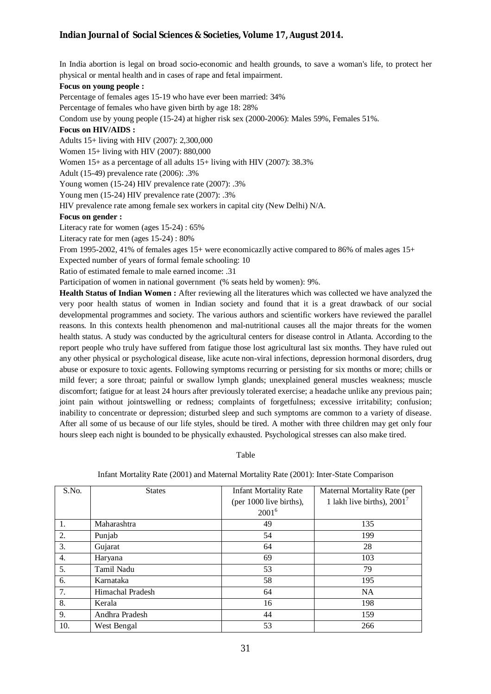In India abortion is legal on broad socio-economic and health grounds, to save a woman's life, to protect her physical or mental health and in cases of rape and fetal impairment.

#### **Focus on young people :**

Percentage of females ages 15-19 who have ever been married: 34%

Percentage of females who have given birth by age 18: 28%

Condom use by young people (15-24) at higher risk sex (2000-2006): Males 59%, Females 51%.

#### **Focus on HIV/AIDS :**

Adults 15+ living with HIV (2007): 2,300,000

Women 15+ living with HIV (2007): 880,000

Women 15+ as a percentage of all adults 15+ living with HIV (2007): 38.3%

Adult (15-49) prevalence rate (2006): .3%

Young women (15-24) HIV prevalence rate (2007): .3%

Young men (15-24) HIV prevalence rate (2007): .3%

HIV prevalence rate among female sex workers in capital city (New Delhi) N/A.

#### **Focus on gender :**

Literacy rate for women (ages 15-24) : 65%

Literacy rate for men (ages 15-24) : 80%

From 1995-2002, 41% of females ages 15+ were economicazlly active compared to 86% of males ages 15+

Expected number of years of formal female schooling: 10

Ratio of estimated female to male earned income: .31

Participation of women in national government (% seats held by women): 9%.

**Health Status of Indian Women :** After reviewing all the literatures which was collected we have analyzed the very poor health status of women in Indian society and found that it is a great drawback of our social developmental programmes and society. The various authors and scientific workers have reviewed the parallel reasons. In this contexts health phenomenon and mal-nutritional causes all the major threats for the women health status. A study was conducted by the agricultural centers for disease control in Atlanta. According to the report people who truly have suffered from fatigue those lost agricultural last six months. They have ruled out any other physical or psychological disease, like acute non-viral infections, depression hormonal disorders, drug abuse or exposure to toxic agents. Following symptoms recurring or persisting for six months or more; chills or mild fever; a sore throat; painful or swallow lymph glands; unexplained general muscles weakness; muscle discomfort; fatigue for at least 24 hours after previously tolerated exercise; a headache unlike any previous pain; joint pain without jointswelling or redness; complaints of forgetfulness; excessive irritability; confusion; inability to concentrate or depression; disturbed sleep and such symptoms are common to a variety of disease. After all some of us because of our life styles, should be tired. A mother with three children may get only four hours sleep each night is bounded to be physically exhausted. Psychological stresses can also make tired.

#### Table

| S.No. | <b>States</b>    | <b>Infant Mortality Rate</b> | Maternal Mortality Rate (per  |  |
|-------|------------------|------------------------------|-------------------------------|--|
|       |                  | (per 1000 live births),      | 1 lakh live births), $2001^7$ |  |
|       |                  | $2001^6$                     |                               |  |
| 1.    | Maharashtra      | 49                           | 135                           |  |
| 2.    | Punjab           | 54                           | 199                           |  |
| 3.    | Gujarat          | 64                           | 28                            |  |
| 4.    | Haryana          | 69                           | 103                           |  |
| 5.    | Tamil Nadu       | 53                           | 79                            |  |
| 6.    | Karnataka        | 58                           | 195                           |  |
| 7.    | Himachal Pradesh | 64                           | <b>NA</b>                     |  |
| 8.    | Kerala           | 16                           | 198                           |  |
| 9.    | Andhra Pradesh   | 44                           | 159                           |  |
| 10.   | West Bengal      | 53                           | 266                           |  |

#### Infant Mortality Rate (2001) and Maternal Mortality Rate (2001): Inter-State Comparison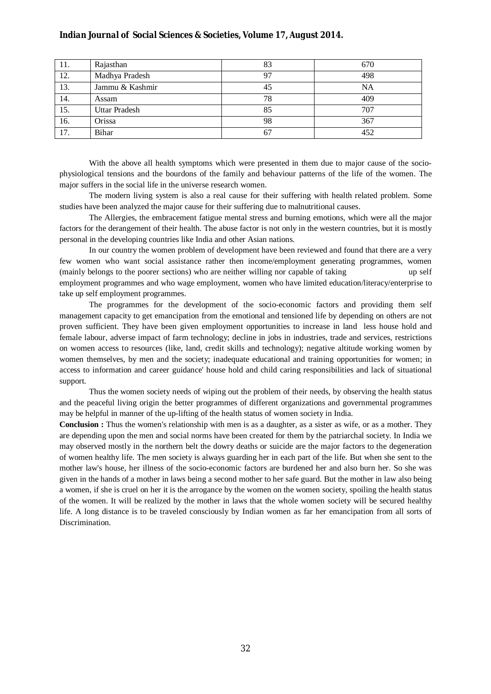| -11. | Rajasthan            | 83 | 670 |
|------|----------------------|----|-----|
| 12.  | Madhya Pradesh       | 97 | 498 |
| 13.  | Jammu & Kashmir      | 45 | NA  |
| 14.  | Assam                | 78 | 409 |
| 15.  | <b>Uttar Pradesh</b> | 85 | 707 |
| 16.  | Orissa               | 98 | 367 |
| 17.  | Bihar                | 67 | 452 |

With the above all health symptoms which were presented in them due to major cause of the sociophysiological tensions and the bourdons of the family and behaviour patterns of the life of the women. The major suffers in the social life in the universe research women.

The modern living system is also a real cause for their suffering with health related problem. Some studies have been analyzed the major cause for their suffering due to malnutritional causes.

The Allergies, the embracement fatigue mental stress and burning emotions, which were all the major factors for the derangement of their health. The abuse factor is not only in the western countries, but it is mostly personal in the developing countries like India and other Asian nations.

In our country the women problem of development have been reviewed and found that there are a very few women who want social assistance rather then income/employment generating programmes, women (mainly belongs to the poorer sections) who are neither willing nor capable of taking up self employment programmes and who wage employment, women who have limited education/literacy/enterprise to take up self employment programmes.

The programmes for the development of the socio-economic factors and providing them self management capacity to get emancipation from the emotional and tensioned life by depending on others are not proven sufficient. They have been given employment opportunities to increase in land less house hold and female labour, adverse impact of farm technology; decline in jobs in industries, trade and services, restrictions on women access to resources (like, land, credit skills and technology); negative altitude working women by women themselves, by men and the society; inadequate educational and training opportunities for women; in access to information and career guidance' house hold and child caring responsibilities and lack of situational support.

Thus the women society needs of wiping out the problem of their needs, by observing the health status and the peaceful living origin the better programmes of different organizations and governmental programmes may be helpful in manner of the up-lifting of the health status of women society in India.

**Conclusion :** Thus the women's relationship with men is as a daughter, as a sister as wife, or as a mother. They are depending upon the men and social norms have been created for them by the patriarchal society. In India we may observed mostly in the northern belt the dowry deaths or suicide are the major factors to the degeneration of women healthy life. The men society is always guarding her in each part of the life. But when she sent to the mother law's house, her illness of the socio-economic factors are burdened her and also burn her. So she was given in the hands of a mother in laws being a second mother to her safe guard. But the mother in law also being a women, if she is cruel on her it is the arrogance by the women on the women society, spoiling the health status of the women. It will be realized by the mother in laws that the whole women society will be secured healthy life. A long distance is to be traveled consciously by Indian women as far her emancipation from all sorts of Discrimination.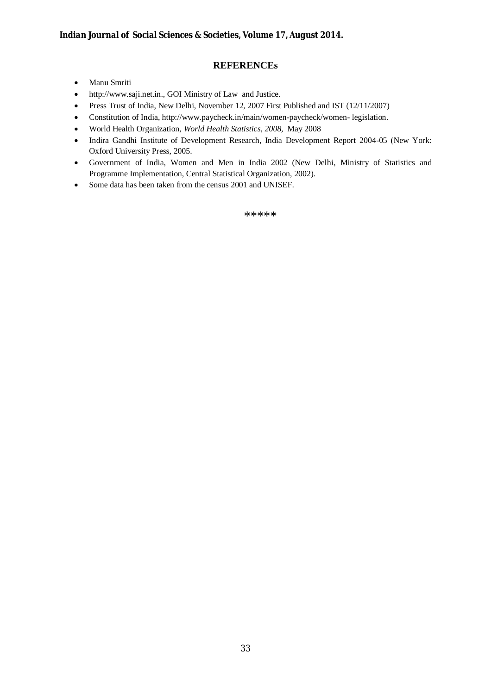### **REFERENCEs**

- Manu Smriti
- http://www.saji.net.in., GOI Ministry of Law and Justice.
- Press Trust of India, New Delhi, November 12, 2007 First Published and IST (12/11/2007)
- Constitution of India, http://www.paycheck.in/main/women-paycheck/women- legislation.
- World Health Organization, *World Health Statistics, 2008,* May 2008
- Indira Gandhi Institute of Development Research, India Development Report 2004-05 (New York: Oxford University Press, 2005.
- Government of India, Women and Men in India 2002 (New Delhi, Ministry of Statistics and Programme Implementation, Central Statistical Organization, 2002).
- Some data has been taken from the census 2001 and UNISEF.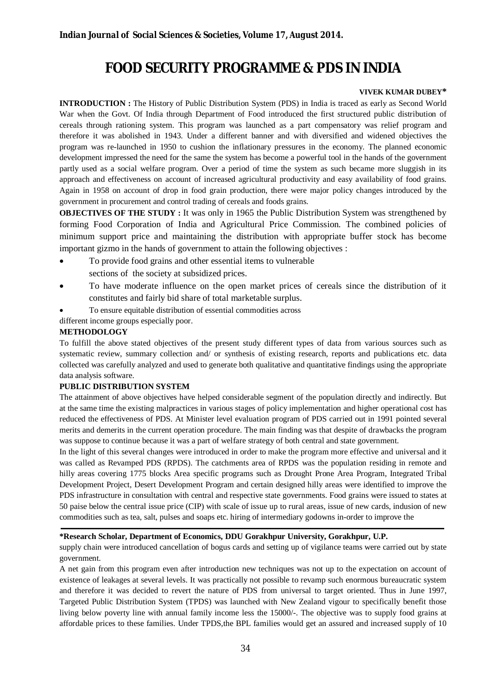# **FOOD SECURITY PROGRAMME & PDS IN INDIA**

#### **VIVEK KUMAR DUBEY\***

**INTRODUCTION :** The History of Public Distribution System (PDS) in India is traced as early as Second World War when the Govt. Of India through Department of Food introduced the first structured public distribution of cereals through rationing system. This program was launched as a part compensatory was relief program and therefore it was abolished in 1943. Under a different banner and with diversified and widened objectives the program was re-launched in 1950 to cushion the inflationary pressures in the economy. The planned economic development impressed the need for the same the system has become a powerful tool in the hands of the government partly used as a social welfare program. Over a period of time the system as such became more sluggish in its approach and effectiveness on account of increased agricultural productivity and easy availability of food grains. Again in 1958 on account of drop in food grain production, there were major policy changes introduced by the government in procurement and control trading of cereals and foods grains.

**OBJECTIVES OF THE STUDY :** It was only in 1965 the Public Distribution System was strengthened by forming Food Corporation of India and Agricultural Price Commission. The combined policies of minimum support price and maintaining the distribution with appropriate buffer stock has become important gizmo in the hands of government to attain the following objectives :

- To provide food grains and other essential items to vulnerable sections of the society at subsidized prices.
- To have moderate influence on the open market prices of cereals since the distribution of it constitutes and fairly bid share of total marketable surplus.
- To ensure equitable distribution of essential commodities across

different income groups especially poor.

#### **METHODOLOGY**

To fulfill the above stated objectives of the present study different types of data from various sources such as systematic review, summary collection and/ or synthesis of existing research, reports and publications etc. data collected was carefully analyzed and used to generate both qualitative and quantitative findings using the appropriate data analysis software.

#### **PUBLIC DISTRIBUTION SYSTEM**

The attainment of above objectives have helped considerable segment of the population directly and indirectly. But at the same time the existing malpractices in various stages of policy implementation and higher operational cost has reduced the effectiveness of PDS. At Minister level evaluation program of PDS carried out in 1991 pointed several merits and demerits in the current operation procedure. The main finding was that despite of drawbacks the program was suppose to continue because it was a part of welfare strategy of both central and state government.

In the light of this several changes were introduced in order to make the program more effective and universal and it was called as Revamped PDS (RPDS). The catchments area of RPDS was the population residing in remote and hilly areas covering 1775 blocks Area specific programs such as Drought Prone Area Program, Integrated Tribal Development Project, Desert Development Program and certain designed hilly areas were identified to improve the PDS infrastructure in consultation with central and respective state governments. Food grains were issued to states at 50 paise below the central issue price (CIP) with scale of issue up to rural areas, issue of new cards, indusion of new commodities such as tea, salt, pulses and soaps etc. hiring of intermediary godowns in-order to improve the

#### **\*Research Scholar, Department of Economics, DDU Gorakhpur University, Gorakhpur, U.P.**

supply chain were introduced cancellation of bogus cards and setting up of vigilance teams were carried out by state government.

A net gain from this program even after introduction new techniques was not up to the expectation on account of existence of leakages at several levels. It was practically not possible to revamp such enormous bureaucratic system and therefore it was decided to revert the nature of PDS from universal to target oriented. Thus in June 1997, Targeted Public Distribution System (TPDS) was launched with New Zealand vigour to specifically benefit those living below poverty line with annual family income less the 15000/-. The objective was to supply food grains at affordable prices to these families. Under TPDS,the BPL families would get an assured and increased supply of 10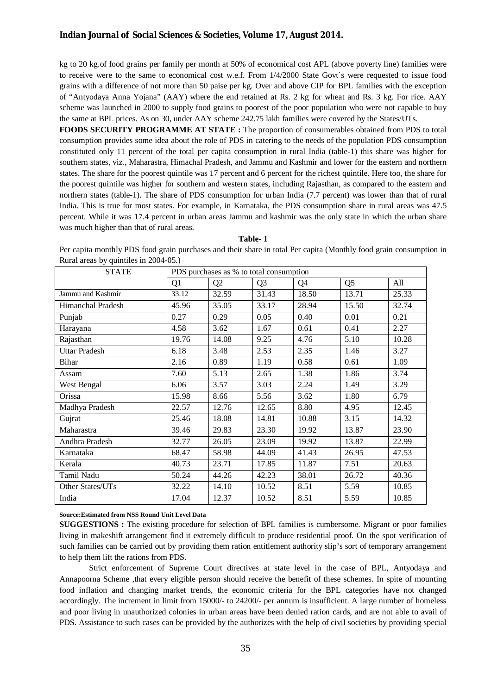#### *Indian Journal of Social Sciences & Societies, Volume 17, August 2014.*

kg to 20 kg.of food grains per family per month at 50% of economical cost APL (above poverty line) families were to receive were to the same to economical cost w.e.f. From 1/4/2000 State Govt`s were requested to issue food grains with a difference of not more than 50 paise per kg. Over and above CIP for BPL families with the exception of "Antyodaya Anna Yojana" (AAY) where the end retained at Rs. 2 kg for wheat and Rs. 3 kg. For rice. AAY scheme was launched in 2000 to supply food grains to poorest of the poor population who were not capable to buy the same at BPL prices. As on 30, under AAY scheme 242.75 lakh families were covered by the States/UTs.

**FOODS SECURITY PROGRAMME AT STATE :** The proportion of consumerables obtained from PDS to total consumption provides some idea about the role of PDS in catering to the needs of the population PDS consumption constituted only 11 percent of the total per capita consumption in rural India (table-1) this share was higher for southern states, viz., Maharastra, Himachal Pradesh, and Jammu and Kashmir and lower for the eastern and northern states. The share for the poorest quintile was 17 percent and 6 percent for the richest quintile. Here too, the share for the poorest quintile was higher for southern and western states, including Rajasthan, as compared to the eastern and northern states (table-1). The share of PDS consumption for urban India (7.7 percent) was lower than that of rural India. This is true for most states. For example, in Karnataka, the PDS consumption share in rural areas was 47.5 percent. While it was 17.4 percent in urban areas Jammu and kashmir was the only state in which the urban share was much higher than that of rural areas.

#### **Table- 1**

Per capita monthly PDS food grain purchases and their share in total Per capita (Monthly food grain consumption in Rural areas by quintiles in 2004-05.)

| <b>STATE</b>         | PDS purchases as % to total consumption |                |                |       |                |       |  |
|----------------------|-----------------------------------------|----------------|----------------|-------|----------------|-------|--|
|                      | Q1                                      | Q <sub>2</sub> | Q <sub>3</sub> | Q4    | Q <sub>5</sub> | All   |  |
| Jammu and Kashmir    | 33.12                                   | 32.59          | 31.43          | 18.50 | 13.71          | 25.33 |  |
| Himanchal Pradesh    | 45.96                                   | 35.05          | 33.17          | 28.94 | 15.50          | 32.74 |  |
| Punjab               | 0.27                                    | 0.29           | 0.05           | 0.40  | 0.01           | 0.21  |  |
| Harayana             | 4.58                                    | 3.62           | 1.67           | 0.61  | 0.41           | 2.27  |  |
| Rajasthan            | 19.76                                   | 14.08          | 9.25           | 4.76  | 5.10           | 10.28 |  |
| <b>Uttar Pradesh</b> | 6.18                                    | 3.48           | 2.53           | 2.35  | 1.46           | 3.27  |  |
| Bihar                | 2.16                                    | 0.89           | 1.19           | 0.58  | 0.61           | 1.09  |  |
| Assam                | 7.60                                    | 5.13           | 2.65           | 1.38  | 1.86           | 3.74  |  |
| West Bengal          | 6.06                                    | 3.57           | 3.03           | 2.24  | 1.49           | 3.29  |  |
| Orissa               | 15.98                                   | 8.66           | 5.56           | 3.62  | 1.80           | 6.79  |  |
| Madhya Pradesh       | 22.57                                   | 12.76          | 12.65          | 8.80  | 4.95           | 12.45 |  |
| Gujrat               | 25.46                                   | 18.08          | 14.81          | 10.88 | 3.15           | 14.32 |  |
| Maharastra           | 39.46                                   | 29.83          | 23.30          | 19.92 | 13.87          | 23.90 |  |
| Andhra Pradesh       | 32.77                                   | 26.05          | 23.09          | 19.92 | 13.87          | 22.99 |  |
| Karnataka            | 68.47                                   | 58.98          | 44.09          | 41.43 | 26.95          | 47.53 |  |
| Kerala               | 40.73                                   | 23.71          | 17.85          | 11.87 | 7.51           | 20.63 |  |
| Tamil Nadu           | 50.24                                   | 44.26          | 42.23          | 38.01 | 26.72          | 40.36 |  |
| Other States/UTs     | 32.22                                   | 14.10          | 10.52          | 8.51  | 5.59           | 10.85 |  |
| India                | 17.04                                   | 12.37          | 10.52          | 8.51  | 5.59           | 10.85 |  |

#### **Source:Estimated from NSS Round Unit Level Data**

**SUGGESTIONS :** The existing procedure for selection of BPL families is cumbersome. Migrant or poor families living in makeshift arrangement find it extremely difficult to produce residential proof. On the spot verification of such families can be carried out by providing them ration entitlement authority slip's sort of temporary arrangement to help them lift the rations from PDS.

Strict enforcement of Supreme Court directives at state level in the case of BPL, Antyodaya and Annapoorna Scheme , that every eligible person should receive the benefit of these schemes. In spite of mounting food inflation and changing market trends, the economic criteria for the BPL categories have not changed accordingly. The increment in limit from 15000/- to 24200/- per annum is insufficient. A large number of homeless and poor living in unauthorized colonies in urban areas have been denied ration cards, and are not able to avail of PDS. Assistance to such cases can be provided by the authorizes with the help of civil societies by providing special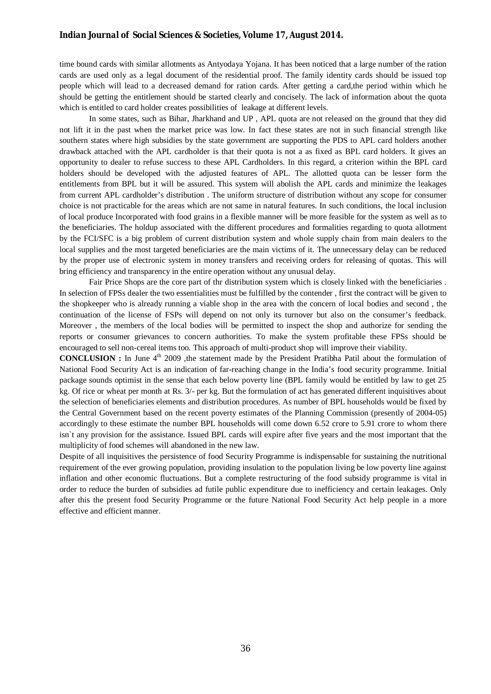#### *Indian Journal of Social Sciences & Societies, Volume 17, August 2014.*

time bound cards with similar allotments as Antyodaya Yojana. It has been noticed that a large number of the ration cards are used only as a legal document of the residential proof. The family identity cards should be issued top people which will lead to a decreased demand for ration cards. After getting a card,the period within which he should be getting the entitlement should be started clearly and concisely. The lack of information about the quota which is entitled to card holder creates possibilities of leakage at different levels.

In some states, such as Bihar, Jharkhand and UP , APL quota are not released on the ground that they did not lift it in the past when the market price was low. In fact these states are not in such financial strength like southern states where high subsidies by the state government are supporting the PDS to APL card holders another drawback attached with the APL cardholder is that their quota is not a as fixed as BPL card holders. It gives an opportunity to dealer to refuse success to these APL Cardholders. In this regard, a criterion within the BPL card holders should be developed with the adjusted features of APL. The allotted quota can be lesser form the entitlements from BPL but it will be assured. This system will abolish the APL cards and minimize the leakages from current APL cardholder's distribution . The uniform structure of distribution without any scope for consumer choice is not practicable for the areas which are not same in natural features. In such conditions, the local inclusion of local produce Incorporated with food grains in a flexible manner will be more feasible for the system as well as to the beneficiaries. The holdup associated with the different procedures and formalities regarding to quota allotment by the FCI/SFC is a big problem of current distribution system and whole supply chain from main dealers to the local supplies and the most targeted beneficiaries are the main victims of it. The unnecessary delay can be reduced by the proper use of electronic system in money transfers and receiving orders for releasing of quotas. This will bring efficiency and transparency in the entire operation without any unusual delay.

Fair Price Shops are the core part of thr distribution system which is closely linked with the beneficiaries . In selection of FPSs dealer the two essentialities must be fulfilled by the contender , first the contract will be given to the shopkeeper who is already running a viable shop in the area with the concern of local bodies and second , the continuation of the license of FSPs will depend on not only its turnover but also on the consumer's feedback. Moreover , the members of the local bodies will be permitted to inspect the shop and authorize for sending the reports or consumer grievances to concern authorities. To make the system profitable these FPSs should be encouraged to sell non-cereal items too. This approach of multi-product shop will improve their viability.

**CONCLUSION :** In June 4<sup>th</sup> 2009 ,the statement made by the President Pratibha Patil about the formulation of National Food Security Act is an indication of far-reaching change in the India's food security programme. Initial package sounds optimist in the sense that each below poverty line (BPL family would be entitled by law to get 25 kg. Of rice or wheat per month at Rs. 3/- per kg. But the formulation of act has generated different inquisitives about the selection of beneficiaries elements and distribution procedures. As number of BPL households would be fixed by the Central Government based on the recent poverty estimates of the Planning Commission (presently of 2004-05) accordingly to these estimate the number BPL households will come down 6.52 crore to 5.91 crore to whom there isn`t any provision for the assistance. Issued BPL cards will expire after five years and the most important that the multiplicity of food schemes will abandoned in the new law.

Despite of all inquisitives the persistence of food Security Programme is indispensable for sustaining the nutritional requirement of the ever growing population, providing insulation to the population living be low poverty line against inflation and other economic fluctuations. But a complete restructuring of the food subsidy programme is vital in order to reduce the burden of subsidies ad futile public expenditure due to inefficiency and certain leakages. Only after this the present food Security Programme or the future National Food Security Act help people in a more effective and efficient manner.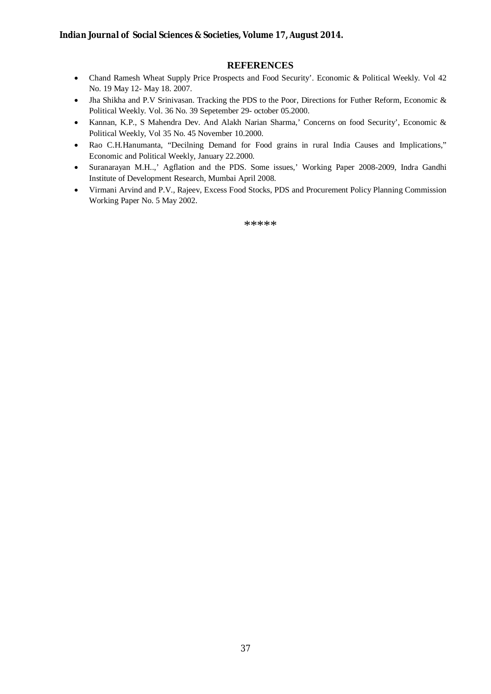#### **REFERENCES**

- Chand Ramesh Wheat Supply Price Prospects and Food Security'. Economic & Political Weekly. Vol 42 No. 19 May 12- May 18. 2007.
- Jha Shikha and P.V Srinivasan. Tracking the PDS to the Poor, Directions for Futher Reform, Economic & Political Weekly. Vol. 36 No. 39 Sepetember 29- october 05.2000.
- Kannan, K.P., S Mahendra Dev. And Alakh Narian Sharma,' Concerns on food Security', Economic & Political Weekly, Vol 35 No. 45 November 10.2000.
- Rao C.H.Hanumanta, "Decilning Demand for Food grains in rural India Causes and Implications," Economic and Political Weekly, January 22.2000.
- Suranarayan M.H..,' Agflation and the PDS. Some issues,' Working Paper 2008-2009, Indra Gandhi Institute of Development Research, Mumbai April 2008.
- Virmani Arvind and P.V., Rajeev, Excess Food Stocks, PDS and Procurement Policy Planning Commission Working Paper No. 5 May 2002.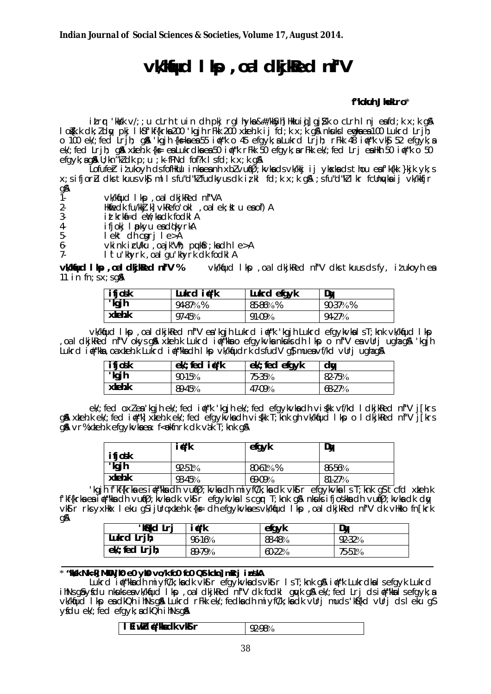# **vkliud I kp**, oal dkj ked ni''V

#### f"kokuh JhokLro\*

itror 'kks'k v/;; u clrh tuin dh pkj rgl hyka & #/kk\$yh] Hkkuioj] gj}k o clrh Inj eafd;k x;k q\$A lokk dk; dy pkj lkst kf{krka 200 kgjh rFkk 200 xkehk ij fd; k x; k g\$ nkuks lemka ea 100 Lukrd Lrjh; o 100 ek/; fed Lrih; q& 'kqih {ks=kaea55 i#"k o 45 efgyk; a Lukrd Lrih; rFkk 48 i#"k vk\$ 52 efgyk; a el/; fed Lrih; q& xkehk {k e ea Lukrdka ea 50 i#"k rFkk 50 efgyk; a rFkk el/; fed Lrj ea Hkh 50 i#"k o 50 efgyk; ag& U; kn"kl dk p; u ; k-fPNd fof?k I s fd; k x; k a&

Lofufer itukoyh dsfofHklu inkaeanh xblvu(Ø;kvkadsvk/kkj ij ykxkadsthou eafk{kk}kjk yk;s x; sifjorl dks tkuus vks mllsfu"d"klfudkyus dkizkl fd; kx; kgn ; sfu"d"kll kr fcllnykaij vk/kkfjr gA

 $\check{1}$ vk/kfud I kp , oa I dkj kRed nf"VA

Home Control of March 2011<br>Home Control of March 2012<br>inthrham Control of March 2012<br>inthrham Control A  $2 -$ 

- $3-$
- ifjokj I pokyu ea dokyrkA  $\overline{4}$
- $5$ lekt dh cgrj le>A

 $v$ ki nk i c $U/ku$ , oa jk"V $\hbar$ ; puk $r$ ; ka dh I e > A  $6-$ 

I tu khyrk, oal gu khyrk dk fodkl A  $7-$ 

vkWud I kp .oal dkiked nf'V % vk/kfud lkp, oa I dkjkRed nf"V dks tkuus ds fy, it ukoyh ea 11 in  $fn;$ s $x;$ sg $\lambda$ 

| <i>ifjosk</i> | Lukrd i#"k | Lukrd efgyk | Dw      |
|---------------|------------|-------------|---------|
| "kgjh         | 94-87%%    | 85-86%%     | 90-37%% |
| xkeh.k        | $97-45%$   | 91-09%      | 94-27%  |

vk/kfud I kp , oa I dkjkRed nf"V ea kgjh Lukrd i #"k 'kgjh Lukrd efgykvka I s T; knk vk/kfud I kp oaldkjkked nf"V okysgå xkehk Lukrd in tike ka efgykvkankuksdh I kp o nf"V eavlirjughagå 'kgjh, Lukrd i#"kka, oa xkeh.k Lukrd i#"kka dh I kp vk/kfudrk dsfudV q\$ muea vf/kd vllri ugha g\$

| <b>ifjosk</b> | $ek$ ; fed $i \# "k$ | $ek$ ; fed efgyk | dy       |
|---------------|----------------------|------------------|----------|
| "kgjh         | 90-15%               | 75-35%           | 82-75%   |
| xkeh.k        | 89-45%               | 47-09%           | $68-27%$ |

el/; fed oxlea'kgjhel/; fed i#"k 'kgjhel/; fed efgykvkadhvi (kk vf/kd I dkjkRed nf"V j[krs g & xteh k el/; fed i #"k| xteh k el/; fed efgyl vadh visk T; knk gh vk/kfud I kp o I dkj kled nf"V j [krs  $q$   $\alpha$  vr% x teh. k efg y k v k e a : f < okfn r k d k v a k  $\overline{I}$  ; k n k  $q$   $\alpha$ 

|                 | i∉"k   | efgyk     | Dy       |
|-----------------|--------|-----------|----------|
| ifjošk<br>"kgjh | 92-51% | $80-61\%$ | 86-56%   |
| $x$ keh. $k$    | 93-45% | $69-09%$  | $81-27%$ |

kgjh fkf{krka es i∉"kka dh vu(Ø; kvka dh miyf(/k; ka dk vksi r efgykvka is T; knk g\$ tcfd xkeh.k' f'kf{krka ea i #"kka dh vu(Ø; kvka dk vks r efgykvka i s cgr T; knk gå nkuks i fjoskka dh vu(Ø; kvka dk dy)<br>vks r rks yxHkx I eku gs i jUrq xteh.k {k= dh efgykvka es vk/kfud I kp , oa I dkj kRed nf"V dk vHkko fn[krk qA

| <b>Kid Lrj</b>      | i d'"k   | efgyk    | Dw        |
|---------------------|----------|----------|-----------|
| Lukrd Lrjh;         | $96-16%$ | 88-48%   | $92-32\%$ |
| $ek$ ; fed $Lrih$ ; | 89-79%   | $60-22%$ | 75-51%    |

#### \* "Not NIEN MNU ji0 e0 yi0 yo/k fo0 fo0 Qt Icin] mRrj in SIA

Lukrd if "kadh miyf(/k; kadk vk3 r efgykvkads vk3 r 1 s T; knk g& if #"k Lukrdkal s efgyk Lukrd<br>ihNs gâyfdu nkuksea vk/kfud I kp , oa I dkjkRed nf"V dk fodkl gwk g& ek/; fed Lrj ds if #"kkal s efgyk; a vkkfud I kp en dkQh i hNs q& Lukrd rFkk ek'; fedkndh mivf(/k; kndk vllri muds 'kš{kd vllri ds l eku qs  $\forall$ **idu** ek'; fed efg $\forall$ k; a dk $\Diamond$ h i hNs g**a** 

| I EiwkZin#"kkadk vkSir<br>92-98% |  |
|----------------------------------|--|
|----------------------------------|--|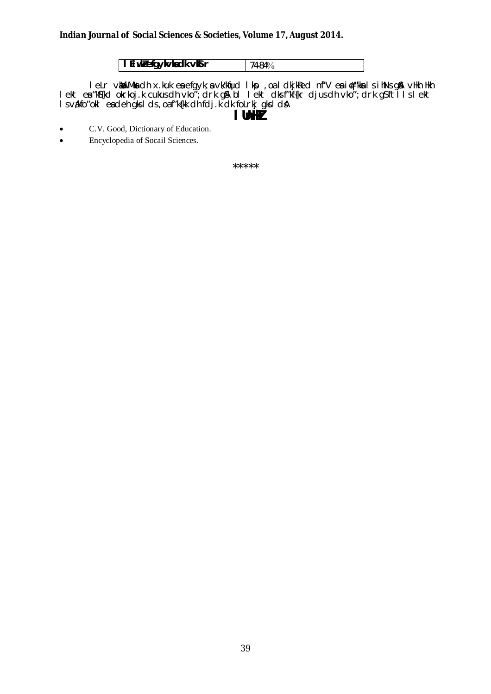| I Liwklefgykvladk vKSr | $174.84\%$ |
|------------------------|------------|

lelr van Bolmanda x.kuk entergyk; a virkinud likp , oa lookjaled ni "V enter in finist gan vikin likh<br>lekt entergik die virkinud virkinud likh in the math virkinud likh in the lett die finist die virkinud virkinu<br>likht die

C.V. Good, Dictionary of Education.  $\bullet$ 

Encyclopedia of Socail Sciences.  $\bullet$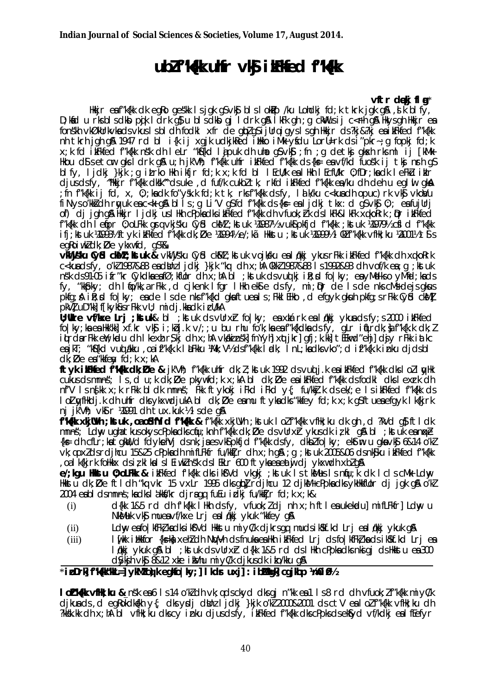# ublink with vk in the dink when

#### vítr deki fla\*

Hkkjr eaf"k{kk dk eqRo qes'kk Isjqk q\$vk\$ blslok#p /ku Lohdkj fd;k tkrk jqk q& ,sik blfy, D;kníci u rksbiscikbo pojk licirk g}u biscikbo gj licirk g\$a i kFk gh;g ckWrusij c<rhīg\$a Hkysgh Hkkjr̃ean fonskh vkØkUrkvkadsvkuslsbldh fodkl xfr de glozg i jUrqiqyslsgh Hkkir ds?kj&?kj eaikFkfed frkfkk nh tkrh jgh g& 1947 rd bl i{k ij xgjk udkjkled ilkko iMk ysdu Lorl=rk dsi"pkr-; a fopkj fd;k x;k fd ikiFkfed f"k{kk nsk dh leLr "khkiKd lajpuk dh uhno g\$vky"; fn ;g detkyi gkokh rksml ij [kMk-Hkou d'Isetcur gksldrk g&u;h jk'Vh; f"k{kk uhfr ikFkfed f"k{kk ds{k je eavf/kd fuosk ij tkj nrh gs blfy, ljdkj }kjk ;q itrko Hkh ikfjr fd;k x;k fd bl lEcU/k ealHkh lEcfU/kr 0;fDr;kadk leFku iklr djusdsfy, "Hkir f"k{kk dkk" dsuke, d fuf/k cukbltk, rkfd ikFkfed f"k{kk en/ku dh deh u eglul gkn fn f"k{kk\_ij fd, x, 0; kadk\_fo"ysk.k\_fd;k\_tk,\_rksf"k{kk\_dsfy,\_lalk/ku\_c<kuadh\_opuc)rk\_vk§\_vkovu; fiNyso'kkidh ruyuk enc<k g\$ blls;g Li'V g\$fd f"k{kk ds{ks= enljdkj tkx:d g\$vk∮0;; enfujUrj of) di jgh gå Hkkir I jdkj us I Hkh cPpkadks i kFkfed f"k{kk dh vfuok; hk ds I kFk&I kFk xqkoRrk; Dr i kFkfed f"k{kk dh I etjpr 0; oLFkk grg vkjsku Cyfd ckMZ; kst uk ¼987½ vukj pkfjd f"k{kk; kst uk ¼979½ cj d f"k{kk ifj; kstuk ¼993½ ftyk ikFkfed f"k{kk dk; Øe ¼994½ e/; kã Hkkstu ; kstuk ¼999½ l QkIf"k{kk vfHk; ku ½001½ t\$ s egkoiwkldk; De ykxwfd, gS%

vidlijsku Cyst ckoll ; ktuk & vkllijsku Cyst ckoll ; ktuk vojksku eal dkij ykus rFkk ikFkfed f"k{kk dh xqkoRrk c<kuadsfy, o'kl 1987&88 eadlini I jdkj }kjk "ka dh x; hA 0k'kl 1987&88 I s 1992&93 dh vof/k ea; q; kstuk nsk ds91.05 if r"kr Cykdka eafØ; kflor dh x; hA bl ; kst uk dsvud kj i R; d fo | ky; ea yMelkso yMig ; kads fy, "kkpky; dh I to/kk, a rFkk, d cjkenk I fgr I Hkh ekst e ds fy, mi; pr de I s de nks cMs dejs gkus pkfg; A in: d fo | ky; ende Isde nks f"k{kd gknftuenens; Fkki EHko, d efgyk gkun pkfg; s r Fkk Cybd ckMl pkVI uD"kk] f[kykGusrFkk vU; midj.kkadk icU/kA

U; Umre vf/kxe Lrj; ktuk& bl ; ktuk ds vUrxr fo | ky; ea xtárk ea l qkkj ykua ds fy; s 2000 i kFkfed folky; ka ea Hkk'kk] xf.kr vkg i; kbj.k v/; ; u bu rhu fo'k; ka ea f"k{kdka ds fy, gLr if(Lrdk; }a f"k{k.k dk; l itrasrfkk en, kodu dh I kexh r\$kj dh x; hA vkakinsk] fnYyh] xotjkr] gfj; k.kk] tĚEkw d″ehj] diy rFkk i atkc eajkT; "k\${kd vuddakku , oajf"k{k.k | aFkku ¼Mk; V½ dsf"k{kk | adk; | nL; kadksvko"; d if"k{k.k inku djdsbl  $dk$ :  $\emptyset$ e ea "kkfeav fd; k x; kA

ftyk iMFKfed f"K(k dk; De & jk'Vh; f"k{k uhfr dk; 1; kstuk 1992 ds vud j.k es ikFkfed f"k{kk dks | ol | wHk cukus ds mnns; Is, d u; k dk; De pkywfd; k x; kA bI dk; De ea i kFkfed f"k{kk ds fodkl dks I exrk dh nf'V Isnfkk x;k rFkk bldk mnns; Fkk ftykokj iFkd iFkd y{; fu/kkj.k dsek/;e IsikFkfed f"k{kk ds lol yfilkdj.k dh ulifr dksykxwdjukA bl dk; Øe en mu ftykndks "kkfey fd;k x;k q\$ftuenefgyk lk{kjrk ni ik'Vh: vkl r 4991 dh tux kuk ½ sde q&

f"Kikk xkjUVh; kstuk, oa ofsulfYid f"kikk & f"kikk xkjUVh; kstuk lolf"kikk vfHk; ku dk qh, d ?kVd q\$ftldk mnns; Ldw ugha thus okys cPpka dks chu; knh frkku dk; De ds vUrxr ykus dk iz kl g & bl; kst uk ea nnse {k = dh cfLr;ka tqkW,d fdyknehVj dsnk;jaesvk\$pkfjd f"k{kk dsfy,dkblfo|ky;ek\$tin u qkavk\$6&14 o'kl vk; goxldsrdjhcu 15&25 cPpkadh mifLFkfr fu/kktjr dh x; h q& ; q; kst uk 2005&06 ds nk\$ku ikFkfed f"k{kk oalk{kjrk folkkx dsizklkalslEiwkZnsk dslEkLr 600 ftykaeaeaty djykxwdh xbZgA

el; kgu Hokstu 0; oLFkk & il:Fkfed fk{kk dks ik\$'Vd vkgki ; kstuk Is tkMus Is ngu; k dk Icls cMk Ldny Hkkstu dk; Øe ftldh "kg vkr 15 vxLr 1995 dks gip] rajhcu 12 djkM+cPpka dks ykHkkfUor dj jgk g\$ o'kl 2004 eabl dsmnns; kadkslåkkf/kr djraga futu i dkj fu/kkfir fd; k x; k&

- d{kk 1&5 rd dh fk{kk lHkh dsfy, vfuok; ldj nh x; h ftleaukekadu] mifLFkfr] Ldwy u  $(i)$ NkMuk vkj muea vf/kxe Lrj ea I gkkj ykuk "kkfey g&
- Ldw eafo | kfFkt kadks i kfVd Hkkstu miyl/k djkrsgq muds i kkf.kd Lrj eal qkkj ykuk gA  $(ii)$
- lufkk i hkkfor {ks=k) xehldh NWVh dsfnukaea Hkh i kFkfed Lrj dsfo|kfFkl ka ds i kSkf.kd Lrj ea  $(iii)$ I dkkj ykuk q& bl ; kstuk dsvUrxr d{kk 1&5 rd ds I Hkh cPpka dks nki qj ds Hkkstu ea 300 dsykjn vkj 8&12 xte i bylhu mi y C/k djkus dk i bo/kku g &

### $*i$  DDrk f"KK"ML= yKMZc $\phi$ k eqkfo | ky; | kdr uxj | : ibMhqk cqjkbp \m0i0\%

I ol''K k vfik; ku & n'sk ea 6 1 s 14 o'kldh vk; qdsckyd dksgj n''kk ea 1 1 s 8 rd dh vfuok; lf''k {kk miyC/k djkuads, degRokdkalkhy{; dksydj dbhz Ijdkj }kjk o'kl 2000&2001 dsctV ealolf"kalk vflkk; ku dh kisk.kk dh x; hA bl vfilk; ku dks cy inku djusds fy, it Fkfed f"k{kk dks cPpks ds ekfyd vf/kdkj eal fEefyr?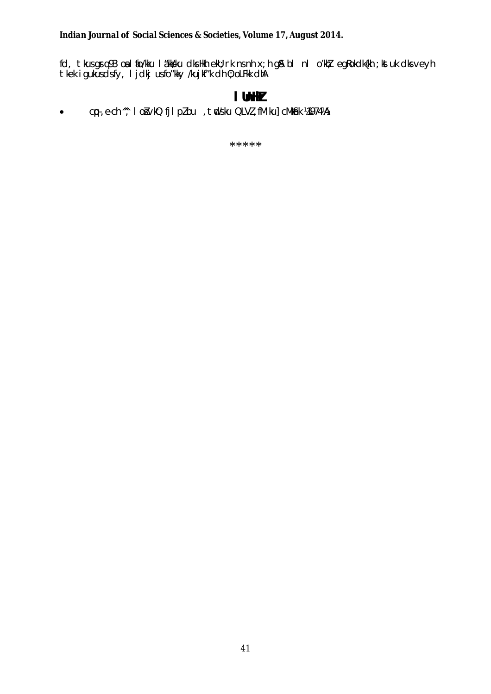fd, tkus grq 93 o $\rm s$  l fio/kku la"kk sku dks Hkh ekU;rk ns nh x;h g SA bl nl o'khž egRokdk{kh ;k stuk dks veyh tkek igukus dsfy, ljdkj usfo"kky /kujkf"k dh 0;oLFkk dhA

### **lUnHkZ**

• cp-, e-ch ^^, lo švkQ fjlpZ bu , tnd s'ku QLVZ, fM'ku] cMkmik ¼1974¼A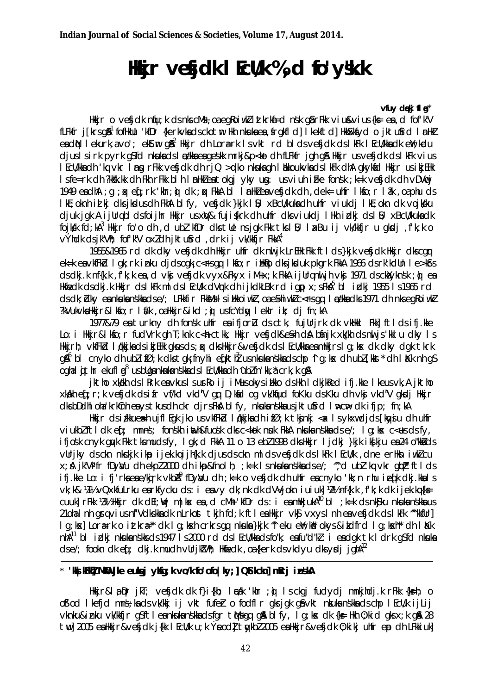# Hikir vetidk I Eclik %, d fo'y's.k

#### vfuv deki f $a^*$

Hikir o vefidk niju; k ds niscMs, oa egkoi wiki ittkrkij ed nsk gjar Fikk vi u svi us{kse ea, d fof'k"V fLFkfr j[krsg&<sup>1</sup> fofHkUu 'kfDr {kerkvkadsckotm Hkh nkukaea, frgkfld] I kekftd] HkkSkfyd o jktufrd I mHkZ ea dN I ekurk, a vo'; ekstm g&<sup>2</sup> Hkkjr dh Lora=rk I s vkt rd bl ds vefjdk ds I kFk I EcU/kka dk enY; kadu djuslsirk pyrk g\$fd nkukadslækka eageskk mrkj&p<kodhfLFkfr jgh g& Hkkjr usvefjdk dslkFk vius I EcU/kkadh 'kq vkr I ng rFkk vefjdk dh rjQ >gko nkukagh I likkoukvkads I kFk dhA gkykad Hkkjr us i kjEHk Is fe=rk dh ?kkkk.kk dh Fkh rFkk blh InnHkleatokgj yky ug: us viuh i Fke fonsk ; k=k vefjdk dh vDVncj 1949 eaclhA ; q ; px eq ; rk 'khr; q) clk ; qx FkkA bl I mHkZ eaveficlk clh , dek= uhfr I kfo; r I ak , oa phu cls I kE; oknh id kj dks jksdus dh FkhA bl fy, vefjdk }kjk I B; xBcU/kuka dh uhfr viukdj I kE; okn dk vojk/ku djuk jak A ijUrqbl dsfoijhr Hkir us xW& fuji{krk dh uhfr dks viukdj IHkh idkj ds IB; xBcU/kuka dk fojksk fd;kA<sup>3</sup> Hkkjr fo'o dh,d ubl'kfDr dks tUe nsjgk Fkk tks I B; I akBu ij vk/kkfjr u gksdj,f'k;k o výhdk dsjk"Vh; fof'k"V oxldh jktufrd, drk ij vk/kkfjr FkkA<sup>4</sup>

1955&1965 rd dk dky vefjdk dh Hkir ultr dk nil jk LrEHk Fkk ft I ds }kjk vefjdk Hkir dkscar ek=k envkfFkd lgk; rk inku djdsogk; c<Fsgq lkfo; r ilkflo dksjkduk pkgrk FkkA 1966 dsrk'kdUn le>kfrs ds dkj.k nf{k.k , f'k; k ea , d vkj vefjdk vyx&Fkyx iM+x; k FkkA i jUrq nul jh vkj 1971 ds cklyknsk; d ea Hidredk ds dkj. k Hikir ds I kFk milds I Ecli/k dVrk dh i jkdkLBk rd i ap x; s FkA<sup>5</sup> bl i dkj 1955 i s 1965 rd ds dk; blky ea nkuka nškka ds e/; LFkkfir FkkMs I silkkoi wkl, oa e\$hi wkl c< rs qq I cakka dks 1971 dh nks eqRoi wkl ?kVukvkaHkkjr&lkfo;rlf/k,oaHkkjr&ikd;pusfcYdwleklrik; djfn;kA

1977&79 ea turkny dh fonsk uhfr ea ifjorl ds ctk, fujurirk dk vkhkl Fkk] ftlds ifj.kke Lo: i Hkir&l kfo; r fudVrk gh T; knk c<h ctkk, Hkir vefjdk&e\$h dA bfinjk xk/kh ds nuljs kklu dky I s Hkkjrh; vkfFkd I økkjkadsikjEHk gkusds; ax dksHkkjr&vefjdk dsIEcU/kka ea mHkjrsIg; kx dk dky dgk tkrk  $q\$ {A}^6 bl cnyko dh ublif $\varnothing$ ; k dkstgk; fnyhi efkt $\vec{l}$  usnkukanskkadschp  $\gamma$ g; kx dh ublfkkt\* dh l Kk nh qS ogha I githr ekufl gi<sup>8</sup>us bliga nkuka nškka ds I Ecli/kka dh ^ubl fn'kk, å crk; k gi8

jktho xkikh ds I Rrk eavkus I surRo ij i Musokys i ilko ds Hkh I dkjkRed ifj.kke I keusvk, A jktho xkikh eq: r; k vefjdk dsifr vf/kd vkd"V qq D; kid oq vk/kijud foKku ds Kku dh vkj vkd"V qkdj Hkjr dks bDdhl oha 'krkinh eays tkus dh ckr djrs Fka bl fy, nkukanskka us jk tufind lwcw dk ifjp; fn; kA

Hkkjr dsi/kkuea⊨h ujfl Eqk jko us∨kfFkid Iqkkjka dhifØ;k tkjnkj <a< Isykxwdjds [knyju dhuhfr viukblftldkef; mnns; fonskh inth&fuosk dksc<kok nuk FkkA nkuka nskka dse/; lg;kx c<es dsfv, ifjosk cnyk quyk Fkk tksmudsfy, I gk; d FkkA 11 o 13 ebl 1998 dksHkkjr I jdkj }kjk ikskju ea 24 o"kkads vurjky ds ckn nkckjk ikp i jek.kq i jh{k.k djus ds ckn ml ds vefjdk ds lkFk l EcWk, dne erHkn i wkl cu x; & jk"Vifr fDyNu dh ekpl 2000 dh ikip&fnolh; ; k=k I s nkuka nskka ds e/; ", d ubl 'kq vkr qipi' ft I ds ifj.kke Lo: i fj'rkaeae/kirk vkbA<sup>9</sup> fDya/u dh ;k=k o vefjdk dh uhfr eacnyko 'kk;n rhu iefk dkj.kkal s Vk; k& 141% vQxkfuLrku enrkfycku ds: i envy dk; nk dk dVVjokn i u i uk] 12% nf{k.k, f'k; k dk i jek.kq{k= cuuld rFlok 181/2 Hilkir dik dEl: Wim liss en d cMh 'kfDr ds : i en miliki uka<sup>10</sup> bl : k=k ds nkojku nkuka nsikka us 21 ohal nh gravius nf"Vdkskka dk nLrkost tkjh fd; k ftlea Hkkjr vks vxys I nh ea vesjdk ds I kFk "kfulr] Iq; kas] Lora=rk o ittkra=" dk Iq; kash crkrs qq nkula }kjk "leku enl; kn" okys & itdfrd Iq; kash" dh IK-k nhA<sup>11</sup> bl idki nkukanskksds 1947 Is 2000 rd ds I Ecl/kkads fo"k; ea fu"d"kl: i ea dok tk I drk of fd nkuka  $ds e$ ; fookn dk eq; dkj.k mudh vllrjk $W$ h; Hkinedk, oa{kerk dsvkdyu dksydj jgh $A^{12}$ 

### \* 'We Will Mikill jike eulogj yklóg; k vo/k fo'ofo | ky; | QSt kckn | mRrj in skA

Hkkjr&lapr jkT; vefjdk dk f}i{kh; lækk 'khr ; o} Isckgj fudydj mnkjhdj.k rFkk {ks=h; o of od I kefid mns; ka ds vk/kkj ij vkt fufer o fodfl r gks jgk ga vkt nkuka nskka ds chp I EcU/k ij Lij vknku&inku vk/kkfjr q\$ftleankukanskkadsfqr tMsqq q& blfy, lq;kx dk {k= Hkh 0;kid qks x;k q& 28 twl 2005 ealthkir&vefick i{kk I EcU/k u; k Yeodl tykbl 2005 ealthkir&vefick 0; kiki uhfr ep ch LFkkiuk]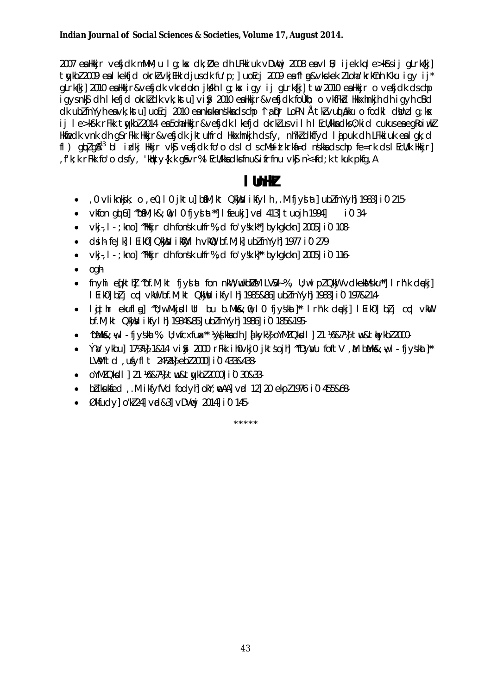2007 ealtkir vefjdk mMM; u I g; kx dk; Øe dh LFkkiuk vDVvcj 2008 eavl B; ijek.kqle>k\$sij gLrk{kj] tykbl 2009 eal kekfjd okrkl vkjEHk djusdk fu'p;] uoEcj 2009 ea fl g&vkckek 21oha krkCnh Kku igy ij\* gLrk{kj] 2010 ealkkjr&vefjdk vkradokn jkkh lg;kx igy ij gLrk{kj] tw 2010 ealkkjr o vefjdk dschp igysnk\$ dh I kefjd okrkZdk vk; kstu] vi\$y 2010 ealkkjr&ve\$jdk foÙkh; o vkfFkd lkkxhnkjh dh igyh cBd dk ublínYyh ea vk; kstu]uoEcj 2010 ea nkuka nškka ds chp 1 a pr LoPN Å tkl vud akku o fodkl dbhz I q; kx ij le>k\$k rFkk tykbZ 2014 ea 5oha Hkkjr&ve\$jdk lkefjd okrkZ us vilh lEcU/kka dks 0; kid cukus ea egRoiwkZ Hkfiedk vnk dh gSrFkk Hkkjr&vefjdk jktuhfrd Hkkxhnkjh dsfy, nh?kldkffyd Ljpuk dh LFkkjuk en Lgk;d fl)  $q\phi$ z $q\alpha^{13}$  blighti Hikir vk $\beta$  ve $\beta$ jdk fo'o dslclscMstitcknia dnokka dscho fe = nk dslEcU/k Hikirl fk; k rFkk fo'o dsfy, 'kak y{k.k g ivr%l Ecll/kka dks fnu&ifrfnu vkj n<+fd; k tkuk pkfg, A

## l lhH*i*

- 0 vliknkjk; o ,e0,10 jktu] bíM; kt QkWu ikfylh, M fjyslat] ublfnYyh] 1983] i0 215
- vkfon qui bil "bami; k&;  $\hat{u}$ , I 0 fivs at "I feukil vad 4131 tuojh 1994]  $10.34$
- vkj., I · ; kno] "Hkkjr clh fonsk ultfr%, d fo'ysk.k" bykgkckn] 2005] i0 108
- Clsin fejk] I Eiko] QkWku ikWkyl h vkWQ bf.M; k] ubZfnYyh] 1977 i0 279
- vkj., I · ; kno] "Hkkjr clh fonsk ultfr%, d fo'y\" bykqkckn] 2005] i0 116
- oah  $\bullet$
- fnyhi e [kth] "bf.M; kt fjyslat fon nkW; wkbI/sM LVS/4%, U; wlp? QkW vdkeksUsku\*] Irh'k dekj]  $\bullet$ I EikO] bì j cod vkW bf.M; kt QkWsu ikfyl h] 1985&86] ublfnYyh] 1988] i0 197&214-
- Igithr ekuflog] ~"U;w MkjsdlUt bu b.Mk&;0,10 fjyskat]\*\* Irh'k clopkj] IEikO] błj cod vkWu bf.M; kt QkWsu ikfyl h| 1984&85| ublfnYyh| 1986| i0 185&195-
- ^bMk&: w.l fivskat%, U:wfcxfux\*\* ¼vskkadh Jakvk½ oYMZQkdl 1 21 ¼&7½ tw&thvkbZ2000-
- ÝW vkbu] 17¼4 1&14 vi& 2000 rFkk ihOvkjO jktsojh "fDvWu foftV ,M bMk&;w,I · fivskat]\*\* LVVftd.ufvflt 24/21 ebl2000 i0 433&438-
- OYMZ Qksdl | 21 %&7% tw&twkbZ 2000 i0 30&33
- bidkuksed, Mikryfvd fodyhjoky; meAAj vrd 12j 20 ekpl 1976 i 0 455&68
- Økfudyl o''kl 241 vd&31 vDVvi 20141 i 0 145  $\bullet$

ste ste ste ste ste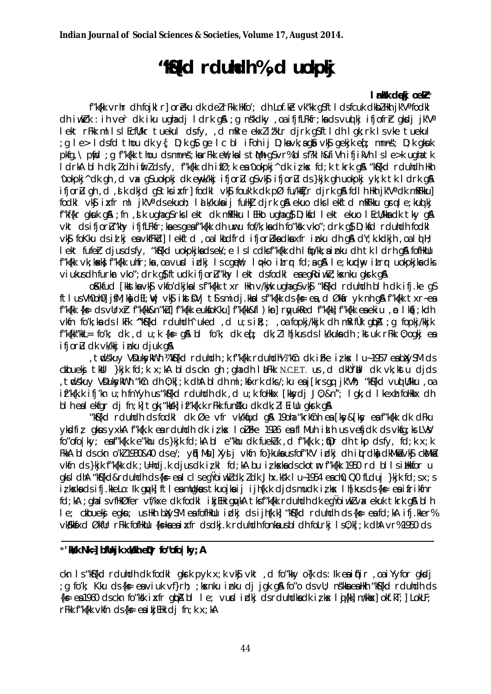# "Kollect r dundh %, d uokpkj

#### I rkk dekj oek!\*

f"k{kk vrhr dh foik| r] oreku dk del rFkk Hkfo'; dh Lof.ke vk"kk asft| dsfcuk dkbl|kh ik'Vafodk| dh iwkirk : ih ver dk iku ughadj ldrk gå ; g nskdky , oa ifjfLFkfr; kads vuolkj ifjofrir gkodj jk'V' lekt rFkk milsiEcfl/kr tuekul dsfy, d mRre ekxlitkLr djrk q\$ftldh Iqk; rk Isvke tuekul g le> ldsfd thou dk y{; D;k q\$ qe lc bl iFoh ij D;kavk;aq\$ vk\$ qekjk eq[; mnns"; D;k qkuk; pkfg, \pfid; qf"k{kk thou dsmnns; karFkk eW; kalstMh qSvr%blsf?klh&fiVh ifjikVh Isle>k ughatk I drkA blh dk; I dh i firl dsfy, f"k{kk dh ifØ; k ea 'uokpkj ^ dk iz kx fd; k tkrk g& "k\${kd rduhdh Hkh 'uokpki' dk gh, d vx gSuokpki dk enyk/kki ifjorla gSvk\$ ifjorla ds}kik gh uokpki yk;k tk I drk g\$ ifjorlu gh, d, jk dkjd g\$tksixfr| fodkl vk\$ fouk'k dk pØ fu/kktjr djrk g\$ fdlh Hkh jk'V' dk mRFkku] fodki vký ixfr milik'Vadsekuoh; ialk/kuka ij fullki djrk g& ekuo dkslekftd mRFkku grale; kuojkj f"kf{kr gkuk g&; fn, dk ughag\$rkslekt dk mRFkku lEHko ughag\$D; kfd lekt ekuo lEcU/kkadk tky g& vkt dsifjorlu"khy ifjflFkfr; ka es gea f"k{kk dh uwru fof/k; ka dh fo"ksk vko"; drk q\$ D; ksd rduhdh fodkl vký fokku dsilki envkfFkd] lekftd, oalkadfrd ifjorlkadkaxfr inku dh q& dY; k. kdkjh, oald H; lekt fufer djusdsfy, "kSfkd uokpkjkadsek'; e Islcdksf"kfkk dh I to/kk; ainku dh tk I drh q& fofikulu f"k{kk vk; kakk} f"k{kk uhfr; ka , oa vusd icki ls cgewi; lo>ko itror fd; a g& le; kunday itror uokpkjka dks viukus dh furkr vko"; drk q} ftudk ifjorlu"khy lekt dsfodkl eaeqRoiwkl; kxnku qkrk q&

okkfud [kkstkavks] vkfo'dkjkalsf"k{kk txr Hkh v/kjk ughagsvksj "ks{kd rduhdh blh dk ifj.ke gs ftlus VhOohOl ifM; kadEl; wj vkg ikstDVj tjsmidj.kkalsf"k{kk ds{ks=ea, dØkar yk nh q& f"k{kk txr~ea f"k{kk {ks= ds vUrx}r f"k{kk&n"k}] f"k{kk eukfoKku] f"k{kk&fl ) kr] rgyukRed f"k{kk] f"k{kk eaekiu, p | ka[; kdh vkfn fo'k; ka ds I kFk "kh\${kd rduhdh" uked , d u; s i k; ; , oa fopkj/kkjk dh mkifuk qbA ; q fopkj/kkjk f"k{kk"kkL= fo'k; dk , d u; k {k= q& bl fo'k; dk eq[; dk; llh[kus ds lk/kuka dh ; kstuk rFkk 0; oqkj ea ifjorl dk vk/kkj inku djuk q&

tudskuy VDukyklith Wk5{kd rduhdh;k f"k{kk rduhdh!» "kCn dk iFke izkx I u~1957 eablyySM ds ckbuekj tkill }kjk fd;k x;kA bldsckn qh;qhadh lktFkk N.C.E.T. us,d dkllYbl dk vk;kstu djds tudskuy VDukyklith "kîn dh 0; k[; k dhA bi dh mi; kixrk dks/; ku ea j[krs qq jk'Vh; "ki{kd vuq Wkku, oa, if"k{k.k ifj'kn u; h fnYyh us "k\${kd rduhdh dk , d u; k follkkx [kkydj J0; &n"; I gk; d I kexh follkkx dh bl h eal ekfar di fn; ki tak; "kkski if"kfk.k rFkk funstku dk dk; ll Eillu akrk an

"k&fkd rduhdh ds fodkl dk Øe vfr vk/kqud q& 19oha "krkcnh ea [ky&[ky ea f"kfkk dk dFku vksdfiz akus vxkA f"kfk.k en rduhdh dk izkx I oli Fke 1926 en fl Muh in h us vefidk ds vkfa; ks LVM fo"ofolky; enf"kfk.k e"khu ds}kjk fd;kA bl e"khu dk fuekkk, d f"kfk.k; tDr dh tkp dsfy, fd;k x;k FikiA bi ds ckn o'k2 1930&40 ds e/; ytil Msu] Xysi j vkfn fo}kuka us fof"k'V i dkj dh i turdka dkMka vksj ckMka vkfn ds }kik f"k{kk dk ; U=hdj.k djusdk izkl fd;kA bu izkxkadsckotm f"k{kk 1950 rd blls i Hkkfor u aks I dhA "Kaskd&rduhdh ds{k= ealclseqYoiwkZdk; Zdk Jhx.ksk I u~1954 each0, Q0 fLduj }kik fd; sx; s iz kskadsifj.kkeLo: Ik quyk] ftleamUqkus tkuojkaij ijh{k.k djdsmudkizks Ih[kusds{k= eaifrikfnr fd:kA : ahalsvfHkØfer vf/kxe dk fodkl i ki EHk anvkA tksf"kfkk rduhdh dk ea'YojwkZvx ekuk tkrk a& bl h I e; ckbuekj egkn; us Hkh bldySM ea fofHkUu idki ds ijhfk.k] "kofkd rduhdh ds {k= ea fd;kA ifj.kker% vkSkkSxd ØkfUr rFkk fofHkUu {k=kaeaixfr dsdkj.k rduhdh fonkausbl dh foLrkj ls0;k[;k dhA vr%1950 ds

### \*'kkk Nk=] bfllnjk xkkh elir fo"ofo | ky; A

ckn Is "k&fkd rduhdh dk fodkl gkrk pyk x; k vk\$ vkt, d fo"kky o{k ds: lk eaitfir, oaiYyfor gkdj ; g fo'k; Kku ds{k = eaviuk vf}rh; ; kxnku inku dj jgk g\$ fo"o dsvU; ns"kka ealkh "k§{kd rduhdh ds  $\{k = 0$  1960 ds ckn fo "ksk in fr quba bl le; vurd in this ds redundled to the luish m/kkm old.kT; LokLF;  $rFkk f''kfkk vkfn dsfk = eaikiElk dijm:k x: kA$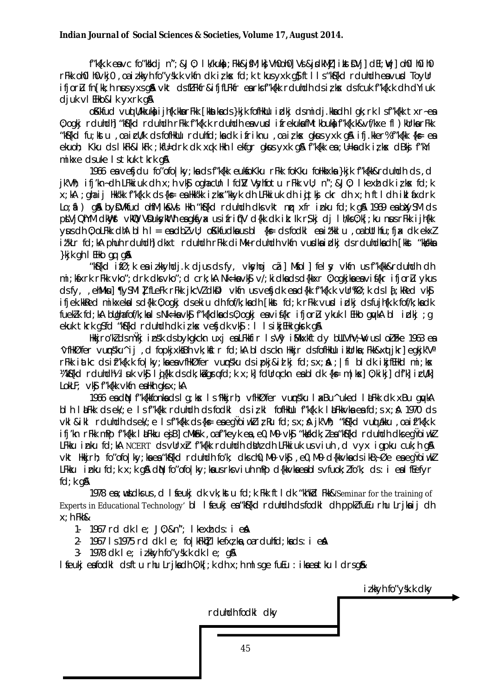f"k{k.k eavc fo"kkdj n"; &J0; I k/kuka; Fkk&j\$M; k} VhOohO] Vsi&jsdkMā] i kst\$Vj] dEl; Wj] ohOl hOihO rFkk oh01 h0vkj0, oa izkkyh fo"ysk.k vkfn dk izkx fd;k tkus yxk g}ft11s "k\${kd rduhdh eavud ToyUr ifjord fn [kk; h nus yxs q& vkt ds fLFkfr&ifjfLFkfr earks f"k{kk rduhdh ds iz kx ds fcuk f"k{k.k dh dYiuk djuk vl EHko&l k yxrk g&

oKkfud vud Wkkuka i jh{k.kka rFkk [kkatkads}kjk fofHkUu i¤kj dsmidj.kkadh I qk; rk I sf"k{kk txr~ea 0; ogkj rduhdh] "k&fkd rduhdh rFkk f"k{k.k rduhdh ea vurd ifrekuka fMtkbuka f"k{k.k&vf/kxe fl) kUrka rFkk "k&fkd fu; kstu , oa icWk ds fofHkUu rduhfd; ka dk ifriknu , oa iz kx gkus yxk g& ifj. kker% f"k{kk {k= ea ekuoh; Kku ds I kFk&I kFk; kfU=drk dk xqk Hkh I ekfgr gkus yxk g& f"k{kk ea ; U=ka dk i z kx dBkj f"kYi mikxe dsuke Istkuk tkrk g&

1966 ea vefjdu fo"ofo|ky; ka ds f"k{kk eukfoKku rFkk foKku foHkkxka}kjk f"k{kk&rduhdh ds, d jk'Vh; ifj'kn~dh LFkkiuk dh x;h vk\$ oghacUn Ifd]V Vsyhfotu rFkk vU; n";&J0; Ikexh dk izksx fd;k x;kA ;qhaij HkYkk f"k{k.k ds{kş eaHkYkk izkx"kkyk dh LFkkiuk dh idtkj ckr dh x;h ftldh iklaxdrk Lo; ii ) gå by DV tfud olif M; k& Vi Hkh "k&{kd rduhdh dks vkt nir xfr inku fd; k gå 1969 e a b Xy SM ds ptVjQhYM dkWyst vkWQ VDuksykWth eagkSyx usifrif(V d{kk dk ik: lk r\$kj dj lh/ks0;k[; ku nrus rFkk ijh{kk  $\forall$ us dh 0; ol Fiki dh Ablh I = ea db Z $\lor$ U; o Kifudka us bl {k = ds fodkl ea i "kilu , oa buthfu; fixi dk ekxl it'kLr fd; kA phuh rduhdh] dkxt rduhdh rFkk diMk rduhdh vkfn vuslka idkj ds rduhdka dh [kkst "kkkka }kjk gh I EHko gq g&

"Kiskid ifø; k ea izkkyhdj.k djus ds fy, vksyhoj cã| Misol| felsy vkin us f"k{kk&rduhdh dh mi; kfxrk rFkk vko"; drk dks vko"; d crk; kA Nk=ka vkf v/; kidka ds d{kkxr 0; ogkjka ea vif{kr ifjorlu ykus dsfy, ehMkul ¶ySMII fLeFk rFkk jkcVI dkDI vkfn usvefjdk end{kk f"k{k.k vUr%Ø;k dsli.kked vk\$ ifiek.kkRed mikxekalsd{kk 0:ogki dsekiu dh fof/k:kadh [kkst fd:k rFkk vusd irlki dsfuih{k.k fof/k:kadk fuekk fd; kA bughafof/k; kals Nk=kavk\$ f"k{kdkads0; ogkjeavi\${kr ifjorlu ykuk lEHko gwkA bl idkj; g ekuk tkrk gSfd "kS{kd rduhdh dk izkx vesjdk vk\$ : I IsikjEHk gkrk g&

Hkjro'k dsm<sup>y</sup>kj insk dsbykgkckn uxj ealFkkfir IsV'y iMkxkftdy bullVhV;W usloiFke 1963 ea "VflikØfer vunsku" i , d fopkixksBh vk: kstr fd: kA bl ds ckn likkir ds fofliklu i kurka: Fkk&xatikrl eakik'Va rFkk iatkc dsif"k{k.k fo|ky;kaeavfHkØfer vunnsku dsipkj&idkj fd;sx; $\hat{A}$ ; |fi bldk ikjfEHkd mi;kx Wilfelick redunching I suk visit I gilk ds dk; ki grafd; k x; ki felling ckn ea bi dk {k = m | k x | 0; ki ki | df'ki i cu/ki  $LokLF: Vk\mathbf{S}$  f"k{kk vkfn ealkh aks x; kA

1966 ea din f"k{kkfonka ds I g; kx I s 'Hkkjrh; vfHkØfer vuns'ku I akBu^ uked I alFkk dk xBu gnykA bl h l LaFkk ds ek/; e l s f"k{kk rduhdh ds fodkl ds iz kl fofHkUu f"k{k.k l aFkkvka ea fd; s x; A 1970 ds vkl & ikl rduhdh dsek/: e Isf"k{kk ds{k= eaeqYoiwkZizRu fd:sx: A ik'Vh: "k\${kd vuotakku .oaif"k{k.k ifj'kn rFkk mPp f"k{kk låFkku egiB] cMk6hk ,oaf"keyk ea,e0,M0 vkg "kkgkdk;lea"kg{kd rduhdh dkseqYoiwkl LFkku inku fd;kA NCERT dsvUrxh f"k{kk rduhdh dbhz dh LFkkiuk usviuh,d vyx igpku cuk;h q& vkt Hkirh; fo"ofo|ky;kaea"kf{kd rduhdh fo'k; dks ch0, M0 vkfj, e0, M0 d{kkvkads ikB;Øe eaeqYoiwkZ LFkku inku fd; k  $x$ ; k q\$ diN fo"ofo|ky; ka us rks viuh mPp d{kkvka eabls vfuok; lfo'k; ds: i ealfEefyr  $fd; k g$ 

1978 ea ; widks us, d I feukj dk vk; ktu fd; k Fkk ftl dk "kh'kd Fkk&'Seminar for the training of Experts in Educational Technology' bl I feukj ea "kf{kd rduhdh ds fodkl dh ppk fuEu rhu Lrjkaij dh  $x$ ; h Fkh&

1. 1967 rd dk le: J0: &n": I kexh ds: i eA

2. 1967 Is 1975 rd dk I e; fo | kFkh] I kefxz ka, oarduhfd; kads: i e a

3 1978 dk le; izkkyh fo "ysk.k dk le; g&

I feukjeafodki dsftu rhu Lrjkadh 0; k[; k dh x; h misge fuEu : ikaeatku I drsg&

izkkyh fo"ysk.k dky

rduhdh fodkl dky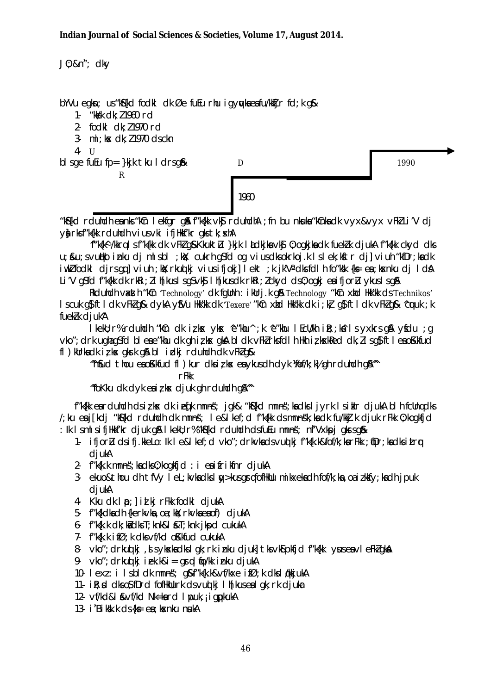J0; &n"; dky

bYVu egkn; us "kS{kd fodkl dk Øe fuEu rhu igywkaeafu/kkTjr fd; k g&

1- "kkkk dk: 11960 rd

2- fodkl dk: 11970 rd

3- mi; kx dk; 11970 ds ckn

 $4 - 11$ 

bl sge fu $\mu$  fp= } kjk tku I drsg&

 $\mathsf{R}$ 

D

1990

1960

"Kishid rduhdh eanks "kin I ekfar a film" kikk vkj rduhdha : fn bu nkuka "kinka dk vyx&vyx vFki Li'V di Va rksf"k{kk rduhdh vius vki ifiHkkf'kr aks tk; xhA

"f"k{k^ /kkrq | s f"k{kk dk vFkl q&Kkuktlı }kjk | kdkjka vk\$ 0; ogkjka dk fueklk djukA f"k{kk ckyd dks u: &u: svullko inku di ml sbl : kk: cukrh asfd og viusdksokrkoj.k I sl ek: kstr dil viuh "kfDr: kadk iwkZfodkl djrsqq]viuh ;kX; rkuqlkj viusifjokj]lekt ;k jk'V'dksfdlh fo"ksk {ks=ea; ksknku dj IdA Li'V q\$fd f"k{kk dk rkRi; Ilh[kuslsq\$vk\$ lh[kusdk rkRi; Ickyd ds0; oqkj eaifjorLu ykuslsq\$\

Rkduhdh vasth "kin 'Technology' dk fglinh : iklirj.k gå Technology "kin xtid Hk'kk ds Technikos" I scuk quite of the dk vFk2 q& dykA yu Hkk'kk dk 'Texere' "kin xtd Hkk'kk dk i; kz quite ldk vFk2 q& 'cuuk; k fuekk djuk<sup>A</sup>

I kekU; r% rduhdh "kûn dkizks yks 'e"khu'; k 'e"khu I EcU/kh i R;; kâ I s yxkrs q& yfdu; q vko"; drk ughagsfd bleae"khu dk gh iz kx gka bldk vFkZrksfdlh Hkh iz kxkRed dk; Zlsg\$ftleao Kkfud fl) kurkadkirks gkrk gå blidkjrduhdh dk vFkZg&

"nfud thou eaoKkfud fl ) kur dks i z kx ea ykus dh dyk Viof/k; k) gh rduhdh gA"

 $rF$ 

"fokku dk dyk e $i$  i z kx djuk gh rduhdh g $\mathbb{A}^n$ 

f"k{kk earduhdh dsizkx dk ieq[k mnns; jqk& "k\${kd mnns; kadksljyrk Isiklr djukA blh fcUngdks /; ku ea j[kdj "k\${kd rduhdh dk mnns"; le&l kef; d f"k{kk ds mnns"k; ka dk fu/kkj.k djuk rFkk 0; kogkfjd : Ik IsmlsifiHkf'kr djuk gå I kekU; r%"kf{kd rduhdh dsfuEu mnns; nf'Vxkpj gkrsg&

- 1- ifjorlu dsifj.kkeLo: lk I e&I kef; d vko"; drkvkadsvud kj f"k{k.k&fof/k; karFkk; fDr; kadksitrr diukA
- 2 f"k{k.k mnns; kadks0; kogkfid: i eaifrikfnr djukA
- 3- ekuo& thou dh tfVy I eL; kvka dks I w>kus grqfofHkUu mikxeka dh fof/k; ka, oa izkkfy; ka dh jpuk diukA
- 4. Kku dk | p: | id ki rFkk fodkl diukA
- 5 f"k{kdkadh {kerkvka, oa; kkl; rkvkaeaof) djukA
- $6 f''k\{k.k \, dk\}$  ka dks T; knk&l &T; knk j kpd cukukA
- 7- f"k{k.k ifØ; k dks vf/kd oKkfud cukukA
- 8- vko"; drkuoj ki, si sykska dksigk; rkinku djuki tksvkspkfjd f"k{kk yuseavieFkZgka
- 9.  $vko''$ ; drkud ki iek.k&i = qrql to/kk inku djukA
- 10 lexi: ilsbldkmnns; g&f"kfk.k&vf/kxe ifØ;kdksløkkjukA
- 11- il: x d dks o\$fDrd fofHkUurk ds vuot kj Ih [kus ea I qk; rk djuka
- 12- vf/kd&l &vf/kd Nk=kard I puk, j i gpkukA
- 13- i 'Biksk.k ds {k = ea ; k x n k u n u k A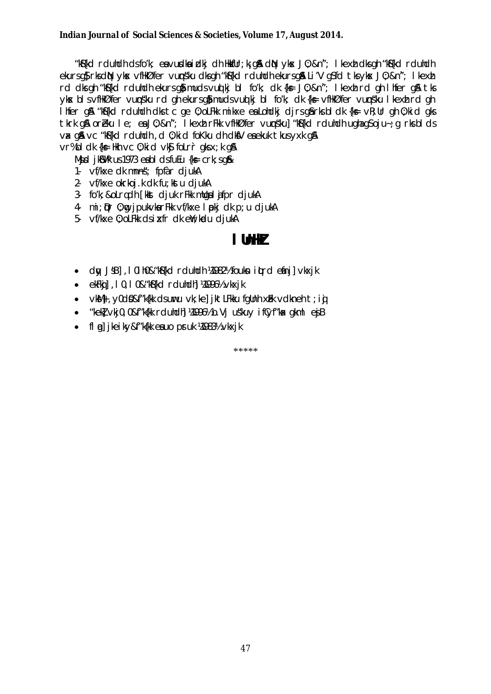"Köfkd rduhdh dsfo'k; ea vurdka i dkj dh Hkrfur; kj qå din ykx J0; &n"; I kexti dks qh "köfkd rduhdh" ekursg}rksdN ykx vflkØfer vunsku dksgh "kf{kd rduhdh ekursg& Li'V gSfd tksykx J0; &n"; I kexh rd dks gh "kS{kd rduhdh ekurs g} muds vud kj bl fo'k; dk {k = J0; &n"; I kext rd gh I hfer g & tks yks blsvflkØfer vunsku rd ghekursgimudsvudki bl fok; dk {k= vflkØfer vunsku lkexh rd gh I hfer gå "kä{kd rduhdh dks tc ge 0; oLFkk mikxe ea Lohdkj djrs gårks bl dk {k= vR; Ur gh 0; kid gks tkrk gå oreku le; en J0; &n"; I kext rFkk vflkØfer vungsku] "k§kd rdutch ughagsoju-; g rksblds vax gå vc "kå{kd rduhdh, d 0; kid foKku dh dkåV eaekuk tkus yxk gå  $vr\%$ bl dk {k = Hkh vc 0; ki d vk $\$$  fol r c qks x; k q&

 $M$ **jd**  $i$ k $N$ k us 1973 eabl ds fu $E$ u  $\{k_F$  crk; sq $k$ 

- 1- vf/kxe dk mnns; fpfàr djukA
- 2- vf/kxe okrkoj.k dk fu kstu djukA
- 3 fo'k; &oLrgch [kkst cljuk rFkk mllgal afpr cljukA
- 4 mij pr 0; mg jpukvkarFkk vf/kxe I pkj dk p; u djukA
- 5 vf/kxe 0; oLFkk dsixfr dk eW; kudu djukA

### I thin

- dw JsB1, 10ih0&"kS{kd rduhdh ¼982½ foukn iturd etinil vkxik
- ekFkij, 10, 10& "k\$fkd rduhdh] ¼1996½ vkxjk
- vkM}, y0d0&f"k{kk ds uuru vk; ke] jktLFkku fqUnh xhk vdkneh t; iqi
- "keki vki0.0&f"kfkk rduhdhi 149961/2 b.Vi uskuv if vf"ka akml ej B
- fl al jkeiky&f"k{kk eauo pruk ¼983½ vkxjk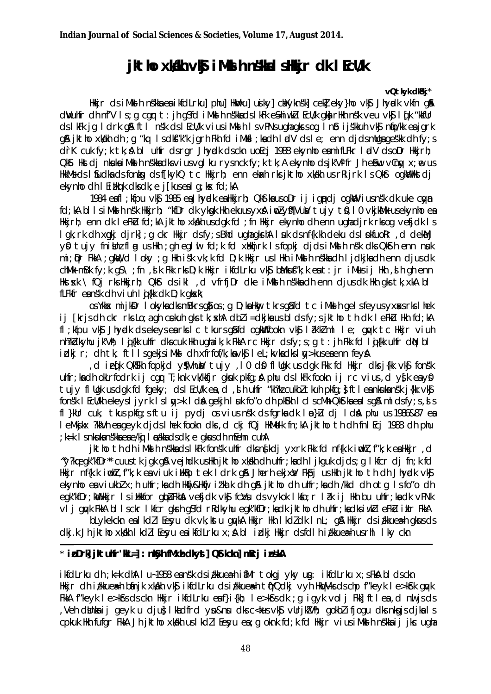# jktho xkakh vk\$ iMksh n skka I shkkjr dk I EcU/k

#### vQtkyk dKki\*

Hkkjr ds i Miki h nskka ea i kfdLrku] phu] HkWku] usiky] chXyknsk] cek] eky}ho vk\$ Jhyndk vkfn q& dwuhfr dh nf'V Is; q cqr t: jh qSfd iMks h nskkads I kFk eshiwki I EcU/k qkarHkh nsk veu vks I qfk "kkfur ds lkFk jg ldrk g& ftl nsk ds lEcU/k vius iMks h Is vPNs ughagkrs og Info i jskkuh vk\$ nfo/kk eajgrk g& jktho xkikh dh ; g "kq Isdki"k"k jgrh Fkh fd iMkil ; kadh ladV dsle; enn djdsmllga qeskk dh fv; s drK cuk fy; k tk; A bl ultfr ds rgr Jhyndk ds ckn uoEcj 1988 ekynho eamifLFkr ladV ds oDr Hkkirh; Qkst Hkstdj nkuka i Mksl h nškka dks vius vgl ku rysnck fy; k tk; A ekynhodsjk'Vifr Jh esem vlngy x; ne us HkkMs ds I Sudka ds fonks, ds f[kykQ tc Hkkjrh; enn ekak rks jktho xkakh us rRijrk Is QkSt ogkal Hkstdj ekvnhodh I Eitherk dks dk: e i Ekus ea I a: kx fd: kA

1984 eafl ; kfpu vkj 1985 ea Jhyndk ealkkjrh; QkttkausoDr ij ignpdj ogkwlviusnsk dkuke cayn fd; kA bl I s i Mks h nsk Hkkjrh; "kfDr dk ykgk Hkh ekuus yxsh i wzlyff|Vub/tujy t0, 10 vkjkb/lk usekynho ea Hikirh: enn dk lefku fd:kA iktho xkikh usdak fd :fn Hikir ekynho dh enn uahadirk rksog vefidk Is l gk; rk dh xqkj djrk]; g ckr Hkir dsfy; s Bhd ughagkrhA l suk ds nf{k.kh deku ds l pkfuoRr, d dekaMj yû tujy fnimarflag ushkh ; gh eglul fd; k fd xakhjrk Isfopkj djds iMkalh nsk dks QkSth enn nuak mi: Dr FkkA : qkW, d I oky : q Hkh isk vk: k fd D: k Hkkir us I Hkh i MkH h nskka dh I i dkika dh enn dius dk chMk mBk fy;k qS\;fn,dk Fkk rks D;k Hkkjr ikfdLrku vk\$ bMkusf"k;k eat:jr iMesij Hkh,dh qh enn Hkstsk \ fQj rks Hkkjrh; Qkst ds ikl ,d vfrfjDr dke iMksl h ns kka dh enn djus dk Hkh qks tk, xkA bl fLF $k$ fr eansk dh viuh lig $\{kk$  dk D; k g $kx$ 

os Ykkax mijkDr I okyka dks mBkrsg $\tilde{g}$  os ; g D; ka Hkay tkrsg $\tilde{g}$ fd tc i Mkel h gelsfeyus yxaks rks I hek ij [krjs dh ckr rks Lo; a gh cekuh gks tk; skh dbl i=dkjka us bl ds fy; s jktho th dk leFklu Hkh fd; kA fl; kfpu vkj Jhypdk dsekeysearks ic tkurs gåfd ogkillfookn vkj låkklml le; guyk tc Hkkjr viuh nh?kdkyhu jk'Vh; lig{kk uhfr dkscuk Hkh ughaik;k FkkA rc Hkkjr dsfy;s;g t: jh Fkk fd lig{kk uhfr diN bl idkj r; dh tk; ftllsgekjsiMkd dh xfrfof/k;kavk\$ leL;kvkadkslw>kuseaenn feyA

d ie (k QkSkh fopkjd ys(Vhuw) tujy , I 0 d\$ fl Ugk usdgk Fkk fd Hkkjr dksj{kk vk\$ fonsk, uhfr; ka dh okLrfodrk ij cqr T; knk vk/kkfjr qkuk pkfq; A phu ds I kFk fookn ij rc vius, d ystk eayo tujy fl Ugk usdgk fd fgeky; ds I EcU/k ea, d, s h uhfr "kh?k cukbl tkuh pkfg; } ft l ea nkuka ns'k j{kk vk\$ fonsk I Ecli/kh ekeysliy rk I slay>k I da gekin I uk foro dh pkokh I cl scMh Qkstka ealsg & ml dsfy; s, s s fl }kur cuk, tkus pkfq; s ftu ij pydj os vius nsk ds fqrka dk l m }Lu dj I dah phu us 1986&87 ea I eMkjkx ?kkVh eageyk djds I hek fookn dks, d ckj fQj HkMelk fn; kA jktho th dh fn I Ecj 1988 dh phu  $;$  k=k 1 s nkuka nskka ea e/ki 1  $\varepsilon$ dkka ds dk $;$  e gkus dh m $\varepsilon$ ehn cuhA

jktho th dh i Mks h nskka ds I kFk fonsk uhfr dks nskdj yxrk Fkk fd nf{k.k i mbll, f"k; k ea Hkkjr, d "y?kqeqk"kfDr" cuustkiqkq&vejhdkusHkhjkthoxkklkhdhuhfr;kadhljkqukdjds;qlkfcrdjfn;kfd Hkkjr nf{k.k indhi, f"k;k eaviuk iHkBotek Idrk g& Jherh ekjxk/ Fk\$pj ushkh jkthoth dh Jhyndk vk\$ ekynho ea viukbl x; h uhfr; ka dh Hkij&Hkij itka k dh g& jktho dh uhfr; ka dh /kkd dh otg Isfo"o dh eqk"kfDr; kWHkkjr IsiHkkfor qbåFkhaA vefjdk vk\$ fcVu ds vykok Ikfo; r I åk ij Hkh bu uhfr; ka dk vPNk vij quyk FkkA bilsckr lkfcr gkrh g\$fd rRdkyhu egk"kfDr;kadk jktho dh uhfr;kadksiwkIeFkU ikir FkkA

blykekckn ealkdilleyu dk vk; kstu quykA Hkkjr Hkh I kdidk I nl; q& Hkkjr ds i i kkuea-h qkus ds dkj.k Jh jktho xkklkh I kdl I Eeyu ea ikfdLrku x; & bl i dkj Hkkjr dsfdl h i /kkuea=h usrhl I ky ckn

### \* ipDrk jktuhfr'kL=]: nkyh fMxh dkyst] Q\$tkckn] mRrj inskA

ikfdLrku dh ; k=k dhA I u~1958 eansk dsi/kkuea=h iaMr tokgj yky un: ikfdLrku x; sFkA bldsckn Hkkjr dh i/kkuea=h bánjk xkklh vk\$j ikfdLrku ds i/kkuea=h tfYQdkj vyh HkWVksdschp f"keyk le>k\$rk qwk FikiA f"keyk le>kîsdsckn Hikir ikfdLrku eaf}i{kh; le>kîsdk ; q i qyk volj Fiki| ftlea,d nuljsds Veh düntaij geyk u dju} Ikadfrd yu&nu dksc<kusvk\$ vUrjkWh; gokblifjogu dksnkgjsdjkals, cpkuk Hkh fufgr FkkA Jh jktho xkkkh uslkdll Eesyu ea; g oknk fd; k fd Hkkjr vius iMklh nskka ij jkc ugha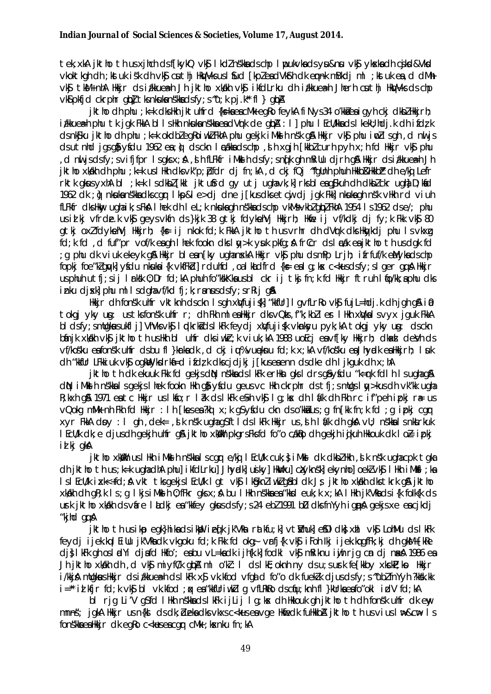tek, xkA jktho th us xjhch ds f[kykQ vk\$ | kdZ nskka ds chp | pukvka ds yu&nu vk\$ ykska dh cjkd&Vkd vkoktkgh dh ; kstuk isk dh vk\$ cuthj HkVVks us I \$ud [kpleadVk\$th dk emak mBkdj ml ; kstuk ea, d dMh vký tkM+nhA Hkir ds i/kkuea-h Jh jktho xkkh vký ikfdLrku dh i/kkuea-h Jherh cuthj HkWVks ds chp vkSipkfjd ckrphr qbl tks nkuka nškka dsfy; s "u; k pj.k" fl } qbA

jktho dh phu ; k=k dksHkh jktuhfrd {ks=kaeacMk eqRo feykA fiNys34 o'kkaeaiqyh ckj dkbZHkkjrh; itkuea-h phu tk jgk FkkA bllsHkh nkuka nškka ea dVrk de gbA : I] phu I EcWkka ds I kekU; hdj.k dh ifdz k dsnk\$ku jktho dh phu ;k=k okdblegRoiwklFkhA phu gekjk iMksh nsk g& Hkkjr vk\$ phu iwllsgh, d nwljs dsutnhd jąsąj ysdu 1962 es; j dsckn I cakks dschp, si h xgjh [kkb] curh pyh x; h fd Hkkjr vkj phu d nuljsdsfy;svifjfpr Isqksx;A ,slhfLFkfr iMkshdsfy;snqfk qhmRiUu djrhq&Hkkjrdsi/kkuea⊨hJh, jktho xkikh dh phu ; k=k us I Hkh dks vk"p; bfdr dj fn; kA, d ckj fQj "fgllnh phuh Hkkb&HkkbI" dh e/kij Lefr rktk gkus yxhAbI; k=k Isdkbl[kkl jktufrd gyutjughavk; k]rksbleag\$kuhdh dkblckrughaD; kad 1962 dk ; o} nkuka nskka dks cgr I kp&l e>dj dne j[kus dks etcj dj jgk Fkk] nkuka gh nsk vHkh rd viuh fLFkfr dks Hkny ughaik; s FkAI hek dh I eL; k nkuka gh n s kka ds chp vkMs vkbZ gipZ FkhA 1954 I s 1962 ds e/; phu usidlki vfrdelk vk\$ qeysvkfn ds}kjk 38 qtkj fdykehVj Hkkjrh; Hkfe ij vf/kdkj dj fy;k Fkk vk\$ 80 gtkj oxlfdykehVj Hkkjrh; {k= ij nkok fd;k FkkA jktho th usvrhr dh dVrk dks Hkykdj phu Isvkxg fd; k fd , d fuf"pr vof/k eagh I hek fookn dks I w > k yuk pkfg; & frCcr ds I cak eajktho th us dgk fd g phu dk viuk ekeyk qå Hkkjr blean[ky uqhanska Hkkjr vkå phu dsmPp Lrjh; ifrfuf/k eMykadschp; fopkj foe"klayk| yfdu nkukai{k vkfFkd| rdulfd , oal kludfrd {k= eal q; kx c<kusdsfy; sl ger gg A Hkir usphuh utfj;sij I rksk 0; Dr fd;kA phuh fo"kskKkausbl ckr ij tkj fn;k fd Hkkjr ftruh I fjo/kk;aphu dks inku dixkl phu ml Isdaha vf/kd fi; k; ranusdsfy; srRij q&

Hkkir dh fonsk uhfr yktknh dsckn Isah xWfuiisk "kkfUrl LayfLrRo yks fuil=hdi.k dh jah q& j@ tokgj yky ug: us tksfonsk ulfr r; clh Fkh ml ealkkir clks vQks, f"k; kbl l er I Hkh xWka I s v v x j quk FkkA bi dsfy; smilgkus ukfi j] VhVks vk\$ i pdkrkš dsikFk feydj xWfuji{k vkmksyu pyk; kA tokgj yky ug: dsckn binjk xkikh vkj iktho th uslkh bi uhfr dksiwkr;k viuk;kA 1988 uoEci envf[ky lkkjrh; dkad devh ds vf/kosku eafonsk uhfr dsbu fl }krkadk ,d ckj i u%vueknu fd;k x;kA vf/kosku eaJhyrdk eaHkijrh; I suk dh "kkfUr LFkkiuk vk\$ ogkWyksdrk\$=d ifdzk dkscjdjkj j[kusesenn dsdke dh I jkguk dh x; hA

iktho th dk ekuuk Fik fd gekisdin nskkads likFk erillin gis I drs af yfdu "k=rk fdlh I sughag a dN iMkd h nskkalsgekjslhek fookn Hkh gå yfdu geusvc Hkh ckrphr dstfj; smllgsl w>kusdh vk"kk ugha R; kxh g\$ 1971 eatc Hkkjr us I kfo; r I ak ds I kFk e\$h vk\$ I g; kx dh I á/k dh Fkh rc if"peh i pkj ræ us vQokg mMk nh Fkh fd Hkkjr: Ih [kesea?kd x; k q\$yfdu ckn dso'kkalus; g fn[kk fn; k fd; g ipkj cgr xvr FkkA dpv : I ah , dek= , d k nsk uahaasftlds lkFk Hkkir us , d h I pk dh akA vU; nskka I s nkkrkuk I EcU/k dk; e djusdh gekjh uhfr q& jktho xkWkh pkgrsFksfd fo"o cakigo dh gekjh igkuh Hkkouk dk I o} i pkj id kj gkA

jktho xkWkh uslHkh iMksh nskkalscar e/knj lEcU/k cuk; } iMksh ck ckbzHkh , shk nsk ugha cpk tgka dh jktho th us; k=k ughadhA phu] ikfdLrku] Jhyndk] usky] HkWku] căyknsk] ekynho] oeklvk\$ I Hkh iMk\$I ; ka IslEcU/k ixk<+fd; A vkt tksgekjslEcU/k Igt vk\$ I k§knliwklg\$bldk Js jktho xkakh dkstkrk g& jktho xkdkh dh qR; k Is; q IkjsiMkd h O; fFkr qksx; A bu IHkh nskka ea "kkd euk; k x; kA IHkh jk'Vka dsi{k folk{k ds urk jktho xkkh ds vire lidkje a "kkfey gkus ds fy; s 24 eb 21991 b D dks fn Yyh i gpå gekjs xe en cjkdj "kjhd qq  $\AA$ 

iktho th usiko egk}hikadsikWb iedk ik′Vka ratkfu∶kl ∨t∦hukl e\$Dldkk xhl ∨k\$ LohMu dslkFk feydi ijek.kql Eillu jk'Vkadk vkgoku fd;k Fkk fd okg; vrfj{k vk\$ iFoh lkj ijek.kqqfFk;kj dh qkM+ [kRe dişlik çık ghasi diyi dişid Hkfo'; eşbu vL=kadk ijk kik fodki vk şmikiknu iyih riq cın di naka 1986 eş Jh jktho xkakh dh , d vk\$ miyf(/k qbA ml o'kl: I ds IkE; oknh ny ds u; s ushk fe [kkby xkckP; kp Hkkjr i/kkiA mllakus Hkkir ds i/kkuea-h ds I kFk x\$ vk.kfod vfad d foro dk fuekk dius ds fv: s "ubl fn Yvh ?kksk.kk i="id kfjr fd;k vk\$ bl vk.kfod ;qx ea"kkfUriwkllg vfLRkRo dscqu;knh fl}kUrkaeafo"okl idV fd;kA

bl rig Li'V g\$fd lHkh n\$kkadslkFk iiLii lg:kx dh Hkkouk ah iktho th dh fon\$k uhfr dk env mnns; joka Hkir us n{kl ds dk; bleka dks vkxs c<kus ea voe Hkiedk fullkkba jktho th us vius I lle & cll I s fons kka ea Hkkjr dk eg ko c<kus ea cg r cMk ; kxnku fn; kA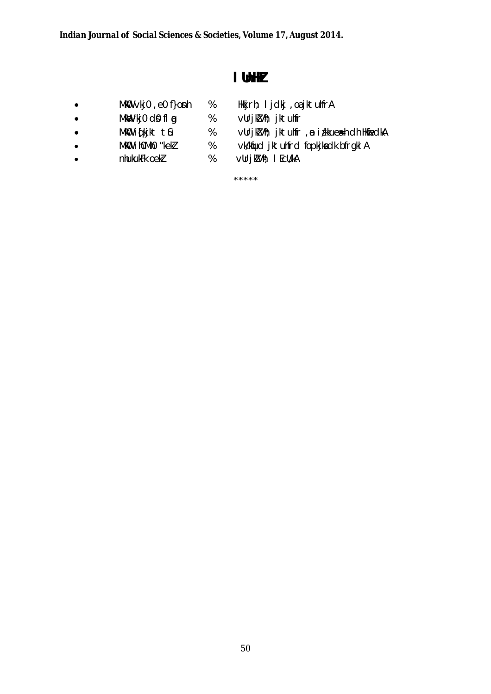$\%$ 

 $\%$ 

 $\%$ 

 $%$ 

 $\%$ 

# I UnHZ

- Mk0 vkj0, e0 f}onh  $\bullet$
- MkW∨kj0 d0 fl g  $\bullet$
- MkO iqkjkt tû  $\bullet$
- MkO i homho "kekz  $\bullet$
- nhukukFk oekZ  $\bullet$
- Hkkjrh; I jdkj , oa jktuhfrA vUrjKVh; jktuhfr vUrjkVh; jktuhfr , ø i/kkuea=h dh HkfiedkA vk/kfud jktuhfrd fopkjkadk bfrgkl A
- vUrjkVh; I EcU/kA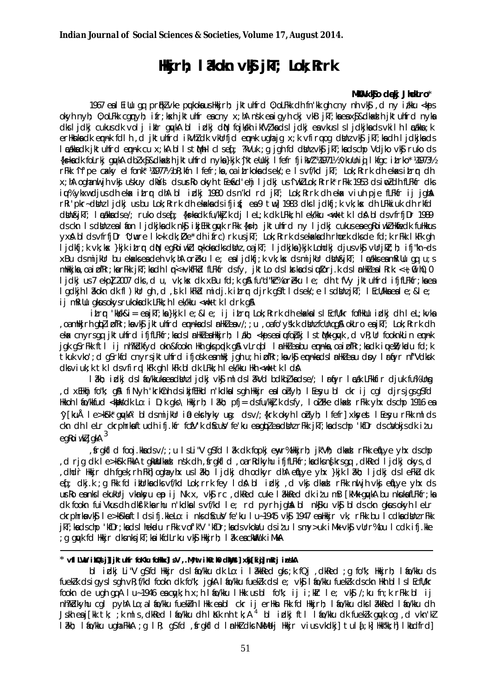# **Hkirh; I åkokn vkg jkT; Lok; Rrrk**

#### **MkW0 xkSjo d qekj JhokLro**\*

1967 eal Eillu ga, pr fikz vke pukoka us Hkkjrh; jktuhfrd 0;oLFkk dh fn'kk gh cny nh vk\$, d ny iz/kku < kps okyh nyh; 0;oLFkk cgnyh; ifr;kskh jktuhfr escny x;hA nsk esigyh ckj vkB jkT;ksesx\$&dkad hiktuhfrd nyks dks lidki cukus dk voli ikir guvkA bl izkli duN fojkskh ikfV zika ds lidki ea vkus ls lidkika ds vkilh laca/kka ;k erHknka dk ennk fdlh, d jktuhfrd ikVhZ dk vkUrfid ennk ugha jg x;k vfir q og dbuz vkSj jkT;k a dh ljdkjk ad s laca/kka dk jktuhfrd emnk cu x;kA blls tM+h cls eq[; ?kVuk ;g jgh fd dbUnz vkSj jkT;ka ds chp Vdjko vkSj ruko ds {k=ka dk foLrkj gyvkA dbZ x\$&dkaxd h jktuhfrd nyka }kjk ^jkteUukj lfefr fjik VZ ¼971½ ^vkuUniqi lkfgc iLrko\* ¼1973½ rFkk ^if'pe caxky elfonk\* ¼1977½ bR;kfn lfefr;ka ,oa i $L$ rkoka ds ek/;e ls vf/kd jkT; Lok;Rrrk dh ekaxs i $L$ r $\mathbf{r}$  dh x;hA oghanuljh vkg us'kuy dka's ds urro okyh tEeusd'ehj ljdkj us "iw.kZ Lok;Rrrk" rFkk 1953 ds iwoZ dh fLFkfr dks iu% ykxw djus dh eka itrr dhA bl izdkj 1980 ds n'kd rd jkT; Lok;Rrrk dh eka viuh pje fLFkfr ij jghaA rRi'pkr~ dimulidkjus bu Lok; Rrrk dh ekaka ds ifji $f$ ; ea 9 tw] 1983 dks ljdkfj;k vk;k s dh LFkkiuk dh rkfd dbin &jkT; lacakka ds e/; ruko ds eq[; {ks=ka dk fu/kk].k dj leL;k dk LFkk;h lek/kku <w:k tk lda\$ blds vfrfjDr 1989 ds ckn Is d blnz e al fion ljdkjk a dk nk\$j i kjEHk guyk rFkk {k s=h; jktuhfrd ny ljdkj cukus e a egRoiw kZ Hk fuedk fuHkkus yx& blds vfrfjDr 'U;wure lk>k dk;Øe\* dh ifrc)rk us jkT; Lok; Rrrk ds ekada dh rhork dks de fd;k rFkk lkFk gh ljdkfj;k vk;kx }kjk i£rr diN egRoiwkZ lo>koka dk sdimz ,oa jkT; ljdkjka }kjk Lohdkj djus vk\$j vUrjkT;h; ifj"kn~ds  $x$ Bu ds mijkUr bu ekaxks esideh vk;hA orZeku le; esiljdkfj;k vk;k sx ds mijkUr dbkh&jkT; lacakks esimRiUu gq, u; s mHkkjka,oa i pfRr;ka rFkk jkT;ka dh lqn `<+ vkfFk`d fLFkfr ds fy, jktLo ds lkrka ds i ulforj.k ds lanHkZ ea lRrk:<+;@ih0,0 ljdkj us 7 ekp] 2007 dks ,d u, vk;k s dk xBu fd;k g& fu"d"kZ% or Eku le; dh tfVy jktuhfrd ifjfLFkfr;kses lgdkjh lâkokn dk fl)kUr gh ,d ,slk lkFkZd midj.k i±rr djrk gSftlds ek/;e ls dshnz jkT; lEcU/kka ea le;≤ ij mRiUu akus okys rukoka dk LFkk;h lek/kku < wek tk ldrk a&

itrr 'kk k&i= e sikT;ka }kik le;≤ ii itrr Lok;Rrrk dh ekaxka Is lEcfU/kr fofHkUu izdki dh leL;kvka , oa mHkirh gbZ i DfRr;k svkSj iktuhfrd emnk sds linHkZ esv/;;u ,oa fo'y sk.k dinz fcUn qgA okLro e sjkT; Lok;Rrrk dh ek cnyrs gq, jktuhfrd ifjfLFkfr;kads InHkZ ea Hkkjrh; lakh; <kps ea iufobki ls thM+ gu/k ,d vR;Ur fooknkLin ennk jgk gSrFkk ftl ij nh?kZkfyd okn&fookn Hkh gks ppdk g& vLrgbl lanHkZ eabu ennka,oaipfRr;ka dk iuuenY;kadu fd;k tkuk vko';d gS rkfd cnyrs jktuhfrd ifjosk e smiki jgh u;h i pfRr;k vkSj em aksds linHkZ e su dpy larfyr nf"Vdksk dks viuk;k tk lds vfir q lkFk gh lkFk bldk LFkk;h lek/kku Hkh < wk tk ldA

lâkh; idkj ds láo/kkuka ea dbhz ljdkj vk\$j mlds lâkVd bdkbz, ka ds e/; lar fyr lacak LFkkfir djuk fu%lUnsg ,d xEHkhj fo"k; g\$A1 fiNyh 'krkCnh ds ikjfEHkd n'kdkals gh Hkkjr ealohyh; lEesyu bl ckr ij cgl djrsjgs gSfd Hkkoh I to/kkfud <kaps dk Lo: i D;k gks \ Hkkjrh; 18kh; pfj= ds fu/kkJ.k ds fy, I oJ Fke dkaxdl rFkk yhx ds chp 1916 en ^y[kuÅ le>kSrk\* gqvkA² blds mijkUr ia0 ek srhyky usg: ds v/;{krk okyh loZnyh; lfefr] xk syest lEe syu rFkk mlds ckn dh leLr ckrphrka ftudh ifj.kfr fcfV'k d\$cu}V fe'ku ea gbZ ea dBnz rFkk jkT;ka ds chp 'kfDr ds c}Vokjs dk izu  $eg$ Roiw $\ell$ ziqk $A$   $^3$ 

,sfrgkfld fooj.kk sa ds v/;;u ls Li"V gS fd la?k dk fopkj e wyr% Hkkjrh; jk"Vªh; dkaxzsl rFkk e qfLye yhx ds chp ,d rjg dk le>kSrk FkkA tgkWadkaxJ nsk dh , frgkfld ,oa rRdkyhu ifjfLFkfr;ka dks ns[krs gq ,dkRed ljdkj okys,d ,dhd`r Hkkjr dh fgek;rh Fkh] ogh a yhx u s la?kh; ljdkj dh odkyr dhA eqfLye yhx }kjk la?kh; ljdkj ds leFkZu dk e i; dkj.k ; g Fkk fd ikulrka dks vf/kd Lok;rrk fey I da bl i dki , d vk i dkad rFkk nuljh vk i e til ye yhx ds urko e snks lekukUrj vk nkyu ep ij Nk x, vk\$rc ,dkRed cuke lakkRed dk izu mB [kMk gwkA bu nksuk sfLFkfr;k sa dk fookn fuiVkus dh dk s'k'k srhu n'kdks Is vf/kd Ie; rd pyrh jghaA bl nk\$ku vk\$ blds ckn gkaus okyh leLr ckrphrksvk\$ le>kSrksftlds ifj.kkeLo: i nks dScuV fe'ku lu~ 1945 vk\$ 1947 eshkkjr vk, rFkk bu lcdks dsUnz rFkk jkT;ka ds chp 'kfDr;ka ds lhek adu rFkk vof'k"V 'kfDr;ka ds vkoaVu ds izu ls my>uk iM+k vk\$j vUrr% bu lcdk ifj.kke  $\cdot$ g gwk fd Hkkjr dks nks jkT;ka ikfdLrku vk $\mathbf S$  Hkkjrh; l $\mathbf 2$ k ea ckW uk iMHA

#### \* **vflLV asV izksQ slj]] jktuhfr foKku foHkkx]ls.V ,.Mª;wt ih0th0 dkWay st] xksj[kiqj] mRrj izn s'kA**

bl idkj Li"V g\$fd Hkkjr ds I tio/kku dk Lo: i låkkRed gks; k fQj, dkRed; g fo"k; Hkkjrh; I tio/kku ds fuekZk ds igys I sah vR; f/kd fookn dk fo"k; jakA I fo/kku fuekZk ds le; vkSj l fo/kku fuekZk ds ckn Hkh blls lEcfU/kr fookn de ugh gqA lu~1946 eacyyk;h x;h lafo/kku lHkk us bl fo"k; ij i;kIr le; vk\$ /;ku fn;k rFkk bl ij nh?kZdkyhu cal pyhA Lo;a lafo/kku fuekE=h lHkk esa bl ckr ij erHkn Fkk fd Hkkirh; lafo/kku dks la/kkRed lafo/kku dh Jskh e $a$  j[kk tk; ;k mls, dkRed lafo/kku dh laKk nh tk;A<sup>4</sup> bl izlkj ftl lafo/kku dk fuekZk gayk og ,d vkn'kZ lakh; lao/kku ugha FkkA ;g lR; gS fd , sfrgkfld lanHkZ dks NkMelj Hkkjr vius vkdkj] tula[;k] Hkk"kk;h] lkaLdfrd]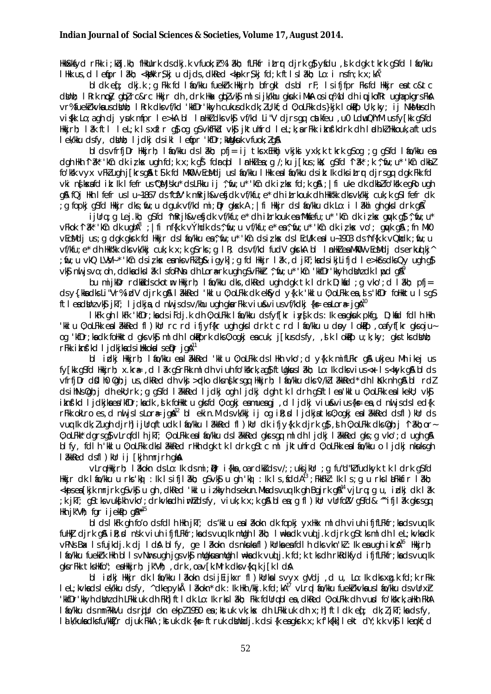HkkSkkfyd rFkk i; kbj.kh; fHkUurk ds dkj.k vfuok; r% låkh; fLFkfr itror djrk g\$yfdu ,slk dgk tkrk gSfd lilo/kku IHkkus, d Iefipr I ?kh; <khokr\$kju djds, dkRed <khokr\$kj fd; k ftI sI ?kh; Lo: i nsfn; k x; kA<sup>5</sup>

bldkef; dkj.k; q Fkk fd lio/kku fuekirk Hkkjrh; bfrgkl dsbl rF; lsifjfpr Fksfd Hkkjr entc&tc dight; I knk ngày gibà ro&ro Hikir dh , drk Hiax gibà visi mìsi jivithu giauk i MHA osi u% bì dhi uujkofkr ugha pkgrs FisA vr%fuekirkvkausdiinh; I Rrk dksvf/kd 'kkfDr'kkyh cukusdk dk; ZU; kf; d 0; oLFkk ds}kjk I okip U; k; ky; ij NkMusdh visik Lo; a qh di yuk mfpr le>kA bl InHkZ dks vk\$ vf/kd Li"V djrs gq catkfeu, u0 LdwQhYM us fy[kk g\$fd Hikirh: 18k ft1 let:k lsxflr as og asvkfFkd vks iktulfrd let:k:arFkk ikns'kdrk dl ladl.k/Hkkouk.aftuds I ek/kku dsfy, dilini: I jdkj dsikl I etipr 'kfDr; killgkuk vfuok; lg&

blds vfrfjDr Hkirh; I to/kku ds lækh; pfj= ij tks xEHkhj vkjki yxk;k tkrk q\$oq; q q\$fd lto/kku en dah Hkh 1 3k\* 'kûn dik iz kes uah fd:k x:k a \$fdrubl InnHkZea:a /:ku ilkus:kx: a \$fd 1 3k\* :k ^ fu:u\* 'kûn dkbZ fo'kk vyx vFklugh j[krsg&t\$k fd MkD vEcMdjuslfo/kku lHkk ealfo/kku dsik: Ik dksitrrdjrsgq dgk Fkk fd vki ngkxafd ik: Ik I fefr us "QMjsku" ds LFkku ij ", fiu; u" 'kCn dk iz kx fd; k q&; | fi uke dk dkblfo'kSk eqRo ugh aß fQi Hkh I fefr us I u~1867 ds 'fcfV'k mRrih&vefidk vf/kfu: e\* dh iLrkouk dh Hk"kk dks vk/kki cuk: k a\$l fefr dk g fopki g\$fd Hkir dks; fu; u dguk vf/kd mi; Dr gkxk A; | fi Hkir ds I fo/kku dk Lo: i I 2khi gh gks I drk g\$7

ijUrq;q Lej.kh; q\$fd ^mRrjh&ve\$jdk vf/kfu;e\* dh itrkouk ea^Mkfefu;u\* 'kîn dk i¿kx quyk q\$ ^,fiu;u\* vFkok "I ak" 'kûn dk ughA"; | fi nf{k.k vÝhdk ds^, fiu; u vf/kfu; e\* ea^, fiu; u\* 'kûn dk iz ks< vo'; guyk g\$ ; fn MkO vEcMdjus; g dgk gkrk fd Hkir ds I fo/kku ea^, fu; u\* 'kCn ds iz kx ds I EcU/k ealu-1903 ds 'nf{k.k vQhdk; fu; u vf/kfu:e\* dh Hkk"kk dksvk/kki cuk:k x:k q\$rks:a IR: dsvf/kd fudV akrkA bl InHkZeaMkMO vEcMdi dserkuolki^ ; fiu; u vkQ LVV4\*'kîn dsizkx eanksvFkZq&iqyk]; q fd Hkir I ak, d jkT; kadsikjLifjd I e>kfrsdksQy ugh qf vk\$ nii jsvo; oh , ddka dks | åk | sfoPNn dh Lorærk ugh g\$vFkkir ^; fiu; u\* 'kCn 'kkfDr'kkyh dbinz dk | jpd g&

bu mijkDr rdkidsckotm Hkirh; I to/kku dk, dkRed ugh dgk tk I drk D;ktd; g vko';d I akh; pfj= ds y{.kkadks Li"Vr% idV djrk g& I akked 'kkl u 0; oLFkk dk ektyd y{k.k 'kkl u 0; oLFkk ea, ds 'kfDr foHkktu IsgS ftleadthyvkt jkT; ljdkja,d nu jsdsv/khu ugh gkarFkk viustviusvf/kdkj {k= eaLor = jgs<sup>10</sup>

I kFk gh I kFk 'kfDr; ka ds i Fdj.k dh 0; oLFkk I áo/kku ds fyffkr i yfk ds : lk ea gkuk pkfg, D; kád fdl h Hkh 'kklu 0; oLFkk eal akkRed fl) kur rc rd ifjyf{kr ugh gksldrk tc rd l fo/kku u dpy lokPp, oafyf[kr gksoju~ og 'kfDr; kadk follkktd gksvk\$mldh I okPprk dks0; ogkjeacuk, j[kusdsfy, ,slk I okPpu; k; ky; gkstksdiJnh; rFkk iknfkd I idkikadsikkokal selar iga<sup>11</sup>

bl idki Hkirh; I to/kku et l akked 'kklu 0; oLFkk ds l Hkh vko'; d y{k.k mifLFkr q& ukjeu Mh i kej us fv[kk q\$fd Hkkirh: x.kr⊕, d | &k q\$rFkk m| dh viuh fo'kkhrk,ag\$ftllgkus|&kh: Lo: lk dksvius<x | s<k+vk q\$blds vfrfjDr dûl h0 ûqh; j us, dkRed dh vkj >plko dks n§krsgg Hkkjrh; lio/kku dks V/kl akkRed\* dh liKk nh q&bl rdl dsihNsûgh; j dh ekU; rk ; g g\$fd lâkkRed ljdkj ogh ljdkj dgh tk ldrh g\$ftlea'kklu û; oLFkk ealkekU; vk\$ iknfkd Ijdkjkaea'kfDr;kadk ,slk foHktu gksfd 0;ogkjeamueagj ,d Ijdkj viu£vius{k≡ ea,d nuljsdsled{k rFkk okLro es, d nu islsLora jqa<sup>12</sup> bl ekin. M dsvk/kkj ij og ilt; d ljdkjatks0; ogkj eal akked dsfl) kur ds vug Ik dk; Z ugh djrh] ijUrgftudk I fo/kku I akked fl ) kUr dk ifjy{k.k djrk q}, s h 0; oLFkk dks Qqh; j ~1 akh; or 0: oLFM\* darsas vLrufdlh ikT; 0: oLFM: eal fo/Mku dsl aMRed glasgu ml dhljdkj laMRed gls; g vko'; d ugh gla blfy, fdlh kill u 0; oLFkk dks i akked rikh dgk tk i drk gstc ml jktuhfrd 0; oLFkk en i to/kku o i jdkj nkuksgh lakked dsfl)kur i i [kih mrirh aka

vLrg Hkirh; I åkokn ds Lo: Ik ds mi; Dr i {kka , oa rdks ds v/; ; uks jkUr ; g fu"d"k! fudkyk tk I drk q\$fd Hkkjr dk Iáo/kku u rks'kò) : lk IsifjIâkh; q\$∨k\$ u qh 'kò) : lk Is,\$ddA<sup>ī3</sup>;FkkFk $\bar{l}$ : lk Is;q u rksIaLFkkfir Iâkh; kpsea [kik mrirk q\$vk\$u qh ,dkRed 'kklu izkkyh dsekun.Mkadsvuq lk qh Bgirk q&<sup>14</sup> viLrq;q u, idki dk l ak : k jkT; q\$tksvukshkh vko'; chrkvkach imhzclsfy, viuk; k x; k q&blea; q fl)kUr vUrfozV q\$fcl& ^^ ifjlæk qkrsqq Hkh jk"Vh; fgr ijekPp q&\*15

bl ds I kFk gh fo'o ds fd I h Hkh jkT; ds 'kkI u ea I akokn dk fopkj yxHkx ml dh viuh ifjfLFkfr; ka ds vuq Ik fullWidirkg&iR; dnsk viuhifjfLFkfr; kads vuq lk mUgh lakh; I⊯kadk vuq j.k dirkgStksmldh leL; kvkadk vPNs Bax Isfujkdj.k dj IdA blfy, ge I akokn ds nkuka fl ) kUrka ea fdIh dks vkn'k : Ik ea ugh ikra<sup>16</sup> Hkkirh: I fo/kku fuekirk Hkh bi is vNursugh jgsvk\$ mulgkuamulgh i #kadk vud j.k fd;k tksdh rkRdkfyd ifjfLFkfr;kadsvug lk aksrFkk tksHkfo"; eaHkkjrh; jk"Vh; drk oav[k.Mrk dksv{kq.k j[k ddA

bl idki Hkir dk lio/kku likokn dsijEijkxr fl dkurkalsvyx qVdj, d u, Lo: Ik dks xg.k fd; k rFkk I el; kvkads I ek/kku dsfy, ^dkepykÅ I akokn\* dk : lk Hkh /kkj k fd; kA<sup>17</sup> vlrq I ao/kku fuekrkvka us I ao/kku dsvUrxr "kkfDr"kkyh dünz dh LFkkiuk dh Fkh] ftl dk Lo: Ik rks | akh; Fkk fdUrq bl ea , dkRed 0; oLFkk dh vurd fo'kskrk, a Hkh FkhA I fo/kku ds mn?kkVu ds rijur ckn ekpl 1950 en; kstuk vk; kx dh LFkkiuk dh x; h] ftl dk ef; dk; ljkT; kn ds fy, Id K/kuka dksfu/kktjr djuk FkkA; kstuk dk {ks=ftruk dbhhdj.k dsi{k eagkrk x; k f'k{kk] I ekt dY; k.k vk\$I kemkf; d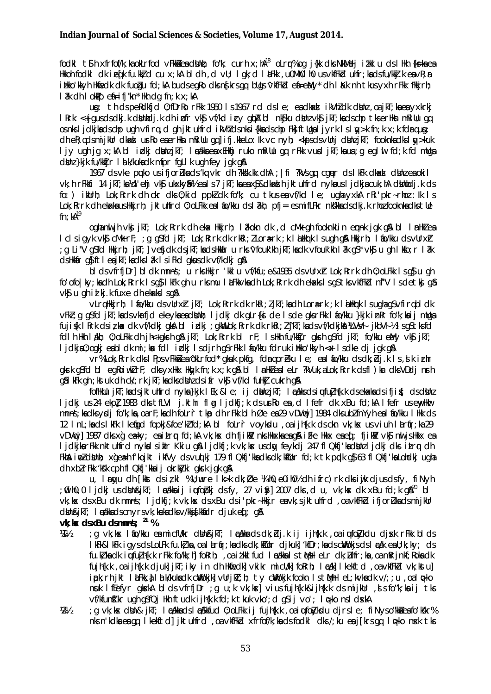fockl tih xfrfof/k; ka okLrfod vFkkå ea dbinh; fo"k; curh x; hA<sup>18</sup> oLrq% og j{kk dks NkMelj itkklu ds lHkh {ks=ka ea Hkkoh fodki dk ieq[k fu.kk]d cu x;kA bidh,d vlj; i gk;d i LEkk,u0Mh0ih0 usvkfFkbl uhfr;kadsfu/kk].keavR;r itikko'kkyh Hkiedk dk fuogu fd;kA budsegko dks nstkrs gg bligs 'vkfFkd ei=eMy' dh I Kk nh tkus yxh rFkk 'Hkkjrh; 

ug: th ds peRdkfjd 0; fDrRo rFkk 1950 Is 1967 rd ds I e; ea dkad ikVhl dk dbhn , oa jkT; ka ea vxkrki I Rrk: <+jqusdsdkj.k dbinhdj.k dh i pfr vkg vf/kd i cy qba bl nkgku dbinzvkg jkT;kadschp tkserHkn mRillu qq osnki idkihadscho ugh vfira, d gh iktuhird i Whidsnki (khadscho Fhiftligal i vrk Islav>k fn:k x:k fdraug: dh eR; udsmijkur dkad urko enerika mkiuu qujifi.kkeLo: k vc nyh; <kpsdsvuhj dkhzjkT; fooknkadkslav>kuk ljy ugh jg x;kA bl idkj dilnzjkT; I adka ea xEHkhj ruko mRillu gq rFkk vusd jkT;ka ua;g egl ul fd;k fd mllga dinz }kik fu/kktir I at k/kuka dk mfpr fall k uah fev jak a &

1967 ds vke puko us ifjorulla ds 'kg vkr dh ?kksk.kk dhA ; | fi ?kVs qg cquer ds I kFk dkadal dblnz ea okil vk; h rFkkfi 14 jkT; ka kd'ehj vk\$ ukxkyMk eals7 jkT; ka ea x\$&dkad h jktuhfrd nyka usljdkja cuk; hA dbhhdj.k ds fo: ) illurh: Lok: Rrrk dh ckr dks 0: kid ppk dk fo"k: cu tkus en vf/kd le: uah vxkA rRi'pkr-rhoz: lk ls Lok; Rrrk dh ekaka ushkkirh; jktuhfrd 0; oLFkk eal fo/kku dsl akh; pfj = esmifLFkr nkskka dsdkj.k rhozfooknka dkstlle  $\ln$ :  $kA^{19}$ 

oghanuljh vkj jkT; Lok; Rrrk dh eka Hkkjrh; låkokn dk , d cMk gh fooknkLin emnk jgk gå bl lin Hklea I ci sigyk vk\$ cMk rF; ; g q\$fd jkT; Lok; Rrrk dk rkRi; ZLorærk ; k lätkurk i sugh g& Hkkjrh; låo/kku dsvUrxh; : a Li"VaSfd Hkkirh: ikT:]vefidk dsikT:kadsHkkár u rks^vfouk'kh ikT:kadk vfouk'kh lâk aS\*vk\$ u ah lkfo:r lâk ds Hkkår q\$ftleajkT; kadks låk I siFkd gkus dk vf/kdkj q&

blds vfrfi Drl bldk mnns; u rks Hkir 'kklu vf/kfu; e& 1935 ds vllrxr Lok; Rrrk dh 0; oLFkk Is as u ah fo'ofo|ky; ka dh Lok; Rrrk Isq\$ I kFk qh u rksmu I aFkkvka dh Lok; Rrrk dh ekaks Isq\$ tksvkfFkd nf"V Isdetkj q\$ vkg u gh id kj. k fuxe dh ekaks I sg &

vLrgHkkjrh; I &o/kku dsvUrxh jkT; Lok; Rrrk dk rkRi; ZjkT; kadh Lora=rk; k laHkrk I sugha qSvfirgbldk vFW; g gSfd jkT; kads vkrfjd ekeykaeadNnh; ljdkj dk gLr{kj de Isde gksrFkk láo/kku }kjk inRr fo"k; kaij mUga fuji\$k I Rrk dsizkak dk vf/kdkj gksh blicki ; gkwlLok; Rrrk dk rkRi; Z^jkT; kadsvf/kdkjkå XLVV4 jkbV4½ IsgStksfd foll h Hkh I dkh; 0; oLFkk clh jh<+gksth q& jkT; Lok; Rrrk bl rF; I s Hkh fu/kktjr gksth q\$fd jkT; fo/kku eMy vk\$ jkT; lidkia0: oaki eabl dk mi: kak fdl idki lsdirh aSrFkk lio/kku fdruk illkko'kkvh <x lsdke di jak ala

vr% Lok; Rrrk dks I Pps vFkkå ea 'okLrfod' gkuk pkfg, fdra oreku I e; ea I ao/kku ds dk; bij. k I s . s k irhr gkrk g\$fd bl egRoiwklrF; dksyxHkx Hkyk fn;k x;k g& bl InHklealeLr ?kVuk,aLok;Rrrk dsfl)kr dksVDdj nrh qâi kFk qh; kstuk dh ck/; rk jkT; kadks dilnz ds i fr vk\$ vf/kd fullkij cukrh q&

fofikulu jkT; kads jktuhfrd nyka}kjk lEk; ≤ ij dUnzjkT; lækksdsiutu]h{k.k dsekakadsifji{; dsdUnz ljdkj us 24 ekpl 1983 dks tfLVI jkthr flng ljdkfj; k ds urko en , d lfefr dk xBu fd; kA lfefr us envHkr mnns; kacks voli fo"k; ka, oarf; kach folrr tkp ch rFkk bl h Øe ea29 vDVmtil 1984 cks ubl fnYvh eal fo/kku l Hkk cls 12 InL; ka ds I kFk I ketigd fopkj&foe'kI fd; kA bI foLrr voykdu, oa i jhfk.k ds ckn vk; kx us viuh I artir; ka 29 ∨DVncj] 1987 cNs xg eæky; earitrur fcl;kA ∨k;kx chhfjikM nksHkkxkaeag& ifke Hkkx eaed; fjikM ∨k\$ nuljsHkkx ea I jdkjkarFkk nktuhfrd nykalsiklr Kkiu q& I jdkfj;k vk;kx usdy feykdj 247 fl Qkfj'kadbhil jdkj dks itrr dh Fina in distribution of the final financial control of the control of the studies of the financial financial controller in the controller in the controller in the controller in the controller in the controller in the contr clh xblrFkk 'ksk cph fl Qkfj'kka i j okrkiyki gksrk jak g\$

u. I ravu dh l'kist ds iz kl % U; wre I k>k dk; Øe ¼ h0, e0 i h0½ dh i frc) rk dks i wik di us ds fv, fi N vh :00ih0.0 lidki usdUn&ikT: ladkkaiji iuufobki dsfy. 27 vi&l 2007 dks.d u. vk;kx dk xBu fd;k q\$ $^{20}$  bl vk; kx ds xBu dk mnns; ljdkfj; k vk; kx ds xBu ds i'pkr-Hkkjr ea vk; sjktuhfrd, oa vkfFkd ifjorLka ds mijkllr din&jkT; l calka ds cnyrs vk; keka dks v/kkj skladr djuk es ; g&

vk; kx ds xBu dsmnns;  $^{21}$  %

- : g vk; kx l fo/kku ea micfl/kr dbh&ikT; l nzakka ds dk; bij.k ij ijh{k.k ,oa iutfolykdu djxk rFkk blds 24 1/2 I KFK&I KFK i gysds LoLFk fu. kč ka , oa I arfr; kadksdk; kčUor djkuk] 'kfDr; kadsdVokjsds I æák eaU; k; ky; ds fu.k, ka dk i ufujh{k.k rFkk fo/kk; h] foRrh; , oa i tkkl fud l cákka l s tMs l eLr dk; Lihfr; ka, oa mRrinkf; Roka dk fuihfk.k , oa i ihfk.k cliukl ikT; iky in clh Hkheckl vkikr micl/kl forrh; I adkl I kekftcl , oa vkfFkcl vk; kstul ipk; rh jkt l aFkk, al a k/kuka dk cWokjk] vUrjkT; h; ty cWokjk fookn IstMh l eL; kvka dk v/; ; u , oa l p-ko nuk Iffefyr gloskA blds vfrfjDr ; g u; k vk; los] vius fujh{k.k&ijh{k.k ds mijkUr , d s fo"k; ka ij tks vf/kfunl'kr ugh q\$fQj Hkh ftudk ijh{k.k fd;k tkuk vko';d q\$ij vo'; l p=ko nsl dxkA
- : a vk:kx dNn& ikT: In://kkadsln/Skkfud 0:oLFkk ii fuihfk.k .oainufo7vksdu dirsle: fiNvso"kkaeafo'k"kr%  $W_2$ nks n'kdka ea qq lkekftd] jktuhfrd, oa vkfFkd xfrfof/k; ka ds fodkl dks /; ku ea j[krs qq lopko nxk tks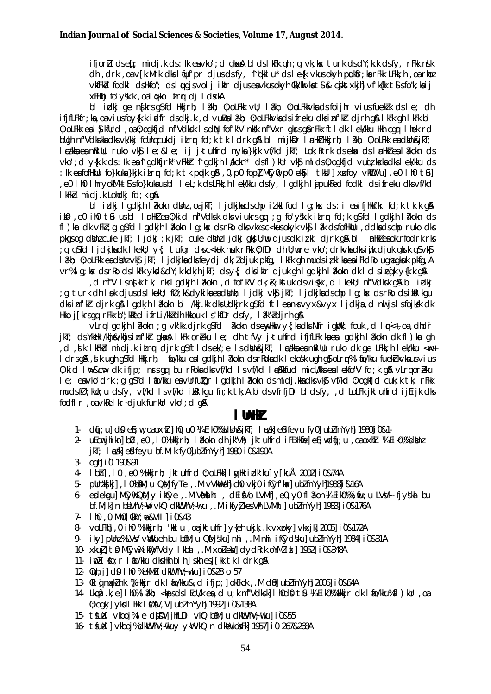ifjorLu dseq[; midj.k ds: lk eavko'; d gkaka bl dsl kFk gh ; g vk; kak turk dsdY; k.k dsfy, rFkk nsk dh, drk, oa v[k.Mrk dks liquf'pr djus ds fy, 'liqkkl u\* ds le{k vkus okyh puk\$r; ka rFkk LFkk; h, oa rhoz vkfFkd fodkl dsHkfo"; dsluuqjsvolj iklr djuseavkusokyh Ckk/kkvkat\$ & cjkstxkjh]vf'k{kk t\$sfo"k;kaij XEHkhj fo'y'sk.k, oal oko itro di I dxkA

bl idkj ge ng krs g\$fd Hkkjrh; lakh; 0; oLFkk vU; lakh; 0; oLFkkvka ds foijhr vius fueklk ds le; dh ififLFkfr; ka, oaviusfoy{k, k idfr dsdkj, k , d vulBalakh; 0; oLFkkvkadsifreku dksinf'kr djrh q&lkFk qhlkFk bl 0: OLFK eal Dikfurd . Oa 0: Oakfid nf"Valsk Is din fof'k"V nkk nf"Vxr akrs af rFkk ftl dk I ek/kku Hkh car I hek rd bugh nf"Vdkskkadksvk/kkj fdungcukdjitrr fd;k tkldrk gå bl mijkDr InHklHkkjrh; låkh; 0; oLFkk eadkin&jkT; I cákka ea mRillu ruko vk\$ I e; & I e; ij jktuhfrd nyka }kjk vf/kd jkT; Lok; Rrrk ds eka< ds I mHkZ ea I âkokn ds vko'; d y{k.k ds: lk ea^l gdkfjrk\* vFkkir ^l gdkjh I dkokn\* dsfl ) kUr vk\$ ml ds0; ogkfjd vuqiz kaka dksI ek/kku ds : Ik eafofikulu fo}kuka}kjk itry fd;k tk pydk qå,0,p0 fopl MCy0,p0 eksjl tkull xufoy vkWLVul,e0 lh0 til , e0 I h0 I hryokM+ t\$ sfo}kuka usbl I eL; k ds LFkk; h I ek/kku dsfy, I gdkjh I ajpukRed fodkl ds i freku dksvf/kd I kFkd midi.k Lohdki fd; k a&

bi iziki ladkih lakokn dikinz oa iki: Lidkika dscho iziki fud la kx ds: i ea ifilikit"kr fd: k tkrk a k iko , e0 ih0 to usbl InnHk2 en 0; kid nf"Vdksk dks viukrsgq; g fo'y'sk.k itrop fd; k g sfd Igdkjh lakokn ds fl) kr dk vFkl; g g\$fd I gdkjh I ikokn I g; kx ds rko dks vkxs c<kus okyk vk\$ I ik ds fofHkllu, ddka ds chp ruko dks pkgs og dbinz cuke jkT; ljdkj; kjkT; cuke dbinz ljdkj gk; lju djus dk izkl djrk g& bl I milkZea okLrfodrk rks a grid Lidkika dk Lkekli: v{: tufar dksc<kok nsuk rFkk 0:fDr dh ll:wre vko':drkvka dksjwk djuk akrk gSvk\$ I akh; 0; oLFkk ea dbhz vk\$ jkT; I jdkjka dks feydj dk; Z djuk pkfq, I kFk qh muds iz kI ka ea i FkdRo ugha gkuk pkfq, A vr%lg; kx dsrko dslkFk ykd&dY; k.kdkjh jkT; dsy{; dksiklr djuk gh I gdkjh I akokn dk I clsieqTk y{k.k g&

d nf"V Isn{kk tk; rkslgdkjh låkokn, d fof'k"V dk; &; kstuk dsvi{kk, d lkeku; nf"Vdksk g&bl idkj, ; g turk dh I pk djus ds I kekli; fØ; k&dyki ka ea dilinh; I jdkj vk\$jkT; I jdkjka ds chp I g; kx ds rRo ds i kRI kgu dksinfkk dirk q\$ladkih l?kokn bl /kkj.kk dkslkdkirk q\$fd ftleanksvyx&vyx lidkia,d nu islsfojkk dk Hkko j[krsgg rFkk b"; kited ifrLi/kkzdh Hkkouk Is'kfDr dsfy, lak"kzdjrhgja

vLrq I gdkjh I ?kokn; g vk'kk djrk g\$fd I ?kokn dsewyHwr y{; kadks Nfr i gitbk, fcuk, d I mi<+, oa, dhdir jkT; ds YkkHk /khj&/khjs inf'kh gkak IkFk orbku Ie; dh tfVy jktuhfrd ifjfLFk;kaealgdkjh Iakokn dk fl)km gh .<br>A d dk lkFkbd midik itrr dirk asftldsek/:e Isdbhn&ikT: Incakka eamRiUu ruko dk ae LFkk:h lek/kku <wr+ Idrsg& J k ugh gSfd Hkkirh: I fo/kku eal gdkih I ækokn dsrRokadk I ekošk ugh g}oLrr% I fo/kku fuekirkvkausvius 0: kid I n⊳&cn> dk ifip: nrs an bu rRoka dks vf/kd I s vf/kd I p Skkfud micl/kka ea I ekfo"V fd: k q& vLrn oreku le; ea vko'drk; q q\$fd l fo/kku ea vUrfuigr l gdkjh l akokn dsmidj.kka dksvk\$ vf/kd 0; ogkfjd cuk; k tk, rFkk mudsfØ; klo; u dsfy, vf/kd I svf/kd ikkl kgu fn; k tk; A bl dsvfrfjDr bl dsfy, , d LoLFk jktuhfrd ijEijk dks fodfl r .oavkRelkr-diuk furkUr vko': d a&

### l lhH*i*

- 1. díj; u] dΩ e}; w, oa oxh] ]ih0, u0 ¼ Eik0% dlh&jkT; I cak] e£dfeyu fy0] ubZfnYyh] 1980]i0&1-
- 2. uEcmihikn] bD ,eO ,I 0%Hkkjrh; I 2kokn dh jk"Vh; jktuhfrd i FBHkke]eF;wdfj;u ,oaoxhl ¼ Eik0%dVnz jkT; I cak est fe yu bf.M; k fy0 ubl fn Y y h 1980 i 0&190A
- 3- oahl i 0 190&91
- 4. Ibh], IO, eO %Hkirh; jktuhfrd 0; oLFkk] I wHk idk'ku] y[kuÅ 2002] iO&74A
- pUntls[kj], I O%bml; u QMjfyTe, M vVkWeh] cho vkjo ifCyf'kx] ublfnYyh1988]i&16A  $5 -$
- edekgu] MCy% QMjy ikCye, M VMaht, dEifVo LVMh , e0, y0 fl 2koh % EikO%; fu; u LVVI fjyska bu  $6$ bf.M; k] n biVhV; W vkQ dkWVhV; wku, M ikfyl kes Vh LVMht] ublfnYyh] 1983] i0&176A
- 
- 8- volFM], 0 ih0 %Hkkjrh; 'kkl u , oajktuhfr] y{eh ukjk; k vxpky] vkxjk] 2005] i0&172A
- 9. ikyl punz%LVV vWkueh bu bM; u QMjskul nhi , M nhi ifCydskul ubzfnYyhl 1984l i0&31A
- 10. xku]] to MCyw%ikWyfVdy Ikba , M xoleW dydRrk oYMZia | 1952 i 0&348A
- 11. in 1 kfo; r I ko/kku dks Hkh bl h Jskh esj [kk tk l drk q&
- 12- Och: il d\$ I h0 % ekMZu dk\VhV; vkul i0&28 o 57
- 13. CKI LI DOKKI DKI % HKKIr dk I LOOKKU& d ifin: I okFkok . M dD ub/fnYvhl 2006 i 0&64A
- 14. Lkcã.k; e] I h0% I akh; <kpsds I EcU/k ea, d u; k nf"Vdksk] I h0d0 tû ¼ Eik0% Hkkjr dk I fo/kku%fl ) kUr ,oa 0; ogkj] ykoll Hkk I ØfV, V] ubl fnYyh] 1992] i 0&138A
- 15. tśułl vkboj%le dipvijhfLDI vkQ bmm; u dkwVhV; wku i 0&55
- 16- tśuil | vkboj% dkillVhV; tkuy ykllvkQ n dkiLuoj Fk| 1957| i0 267&268A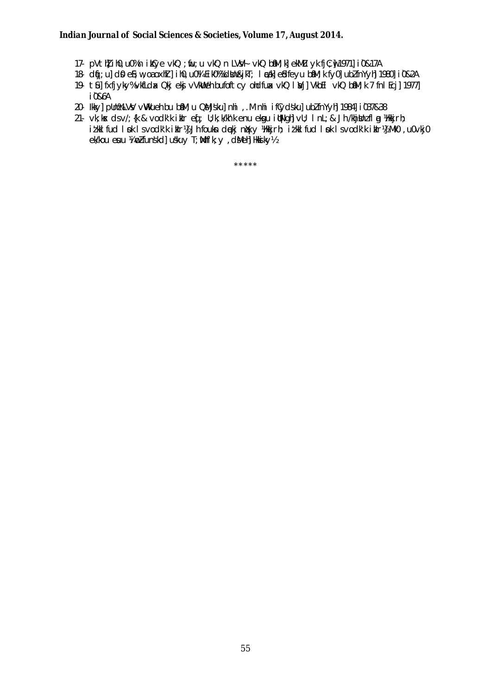#### Indian Journal of Social Sciences & Societies, Volume 17, August 2014.

- 17. pVtN ih0,u0%n ikCye vkQ ; fiu;u vkQ n LVV4 vkQ biM; k] ekMLu yk fjC; jv 1971] i0&17A
- 18- díj; u] dí0 ef; w, oa oxhil] i h0, u0¼ Ei k0‰ dibn&jkT; l cák] efdfeyu bínM; k fy0] ublfnYyh] 1980] i 0&2A
- 19- tůl fxfjyky% vkfLdx Qkj ekj vVkWeh bufoftcy ohdfux vkQ I Vj] VkbEl vkQ bmn; k 7 fnl Ecj] 1977] i0&6A
- 20- Ikky] pUn%LVV vWkueh bu bM; u QMjsku] nhi , M nhi ifCydsku] ublfnYyh] 1984] i037&38
- 21. vk; kx dsv/; {k & vodk'k iklr eq ; u; k; k/kh'k enu ekgu itjNgh] vl; InL; & Jh /khjthat l a /klkkjrh; itkilfud I pk I svodk'k ikir) Jh foukn deki nkky ) kkirh; itkilfud I pk I svodk'k ikir) { Mk0, u0vkj0  $e$ Wkou esuu ¼ putunskol uskuv T; Mhf'k; v dMehl Hkkiky½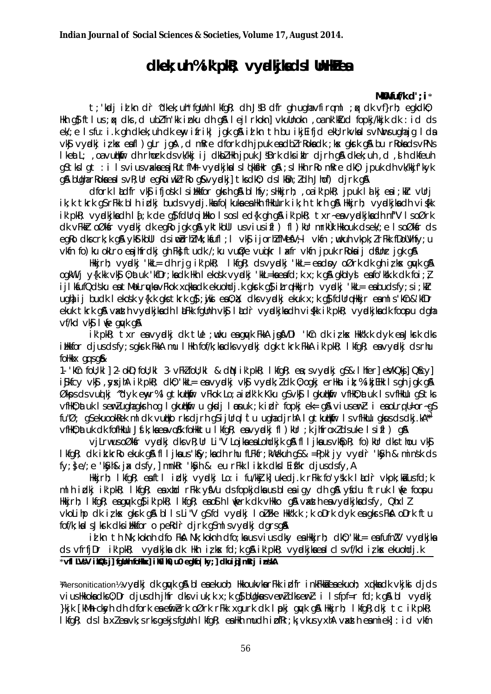# dkek; uh % ik' pk?; vydkj kads I UnHZ ea

#### MKU fuf/k  $d':i*$

t; 'keli id kn dir 'dkek; uh' fallnh | kfak; dh JSB dfr ah uaha vfiram | ; k dk vf}rh; eakdk0; Hkh q\$ftlus; qx dks, d ublfn'kk inku dh q&lejlrkokn] vkuUnokn, oa nk'kIud fopkj/kkjk dk: id ds ek/; e Isfu: i.k qh dkek; uh dk eny ifrik| jqk q& id kn th bu ikjEifjd ekU; rkvkalsvNursuqhajq Ida vký vydki izkx eafl) glr jgå, d mRre dfork dh jpuk eadbir Rokadk ; kx gkrk gå bu r Rokads v PNs I keat L; , oa vudkiir dh rhork ds vk/kkj i j dkbZ Hkh jpuk JSBrk dks i klr djrh q& dkek; uh , d , sh dkfeuh q\$tkslqt:ilsviusvadaeajRutfMrvyddkjkalsl¢kkfHkrq&;slHkhrRomRredk0; jpuk dhvk/kkjfkyk g\$ bUgharRokaealsvR;UregRoiwk/rRog\$vvgdki]tksdk0; dslk0n;/dhJhof) djrkg\$

dfork lådfr vkj ifjosk lsinkkfor gkrh gå blify; slikkjrh; , oa ik' pkR; j puk låkj eai; klr vurj ik; k tkrk q\$rFkk blh idki budsvyrdi.kkafo|kuka ea Hkh fHkUurk ik; h tkrh q& Hkkirh; vyrdkika dh viśkk ik'pkR; vyndkikadh l{;k de q}fdUrqiHkko Isosled{k qh q& ik'pkR; txr-eavyndkikadh nf"V IsoØrk dk vFkkir oØksir vyddkj dk egilo jgk g& yktkbul usviusifl) fl) kur mrkuk Hkkouk dsek/; e IsoØksir ds egko dkscrk; k g& ykstkbul dsimobrhlMk; ksfufl; l vksjijorhlfMesV; l vksfn; wkuh vkpk; l rFkk fDoUVhfy; u vkin fo) ku okLro enjhirdki gh Fk; ftudk /; ku vuØe vujkr lafr vkin jpuk rRoknij di Unr jgk ga

Hkirh; vyndki 'kkL= dh rjg ik'pkR; IkfgR; dsvyndki 'kkL= eadpy oØrk dk gh izkx guyk g& ogkWij y{k.kk vk\$0;atuk 'kfDr;kadk Hkh I ekošk vyadkj 'kkL=kaeafd;k x;k g&gkblys eafo'kšk.k dk foi;} ijlkfufQdsku en tMolruw vFkok xakkadk ekuohdj.k gkrk af itrahkkirh; vyndkj 'kkl= en budsfy;si;klr ught ij budk I ekošk y{k.k gks tkrk g}; juki ea 0; x; dks vyndkj ekuk x; k g}fdUrq Hkkjr ea m I s'kCn&'kfDr ekuk tkrk gå vasth vyrdkjkadh litekk fgunh vkg litelir vyrdkjkadh viskk ik' pkR; vyrdkjkadk foopu dgha vf/kd vk**s** I we awk a &

ik'pkR; txr eavydki dk tle ;wku eagyk FkkA jg\$VDI 'kCn dk izkx Hkk"k.k dyk eaJksrk dks illkfor djusdsfy; sgkrk FkkA mu I Hkh fof/k; kadksvyndkj dgk tkrk FkkA ik' pkR; I kfgR; eavyndkj dsrhu follkkx ansa&

1. KCn foll; kl | 2. okD; foll; kl 3. vFkZ foll; kl & dN ik' pkR; lkfqR; ea; svyndkj qS& lhfer eVkQkj QScy | işkicy vkş , yxjhA ik'pkR; dkO; kkL= eavyndkj vkş vyndk; I dk O; oqkj erHkn ik; % ikjEHk I s qh j qk q& Økps ds vud ki "dyk envr% I atkutklir vFkok Lo; a i dk'k Kku qS vkg I gkutklir vfHk0; at uk I s vfHkllu gS tks vfHkO; at uk I semZ ugha gksh og I gkuthkin u gksdj I psnuk; k i dr fopkj ek= g& viusemZ: i ea oLrq U=or~gS fu"Ø; q\$ekuookRek mldk vutiko rksdirh q\$ijUrqltu uqhadirhA lqtkutikiir Isvfikllu qkusdsdki.kA\*<sup>1</sup> vfHkO; at uk dk fofHkUu Jf.k; ka ea volk foHkktu I kfqR; ea vyadkj fl ) kUr ; k jhfroxlds uke I s ifl ) q&

vilmus oØkfr vydki dks vR; Ur Li"V Lojka ea Lohdkjk gå fl I jka us vkfipR; fo) kur dks thou vkf I kfgR; dk ik.krRo ekuk g& fl I jkaus 'kfsy; kadh rhu fLFkfr; kWekuh g\$& =PpkI jy vyndir 'kSyh & minsk ds fv: de/: e 'Koh& ix dsfv. I mnkRr 'Koh & eu rFkk I ik. k dks I Eifkr diusdsfv. A

Hkkjrh; IkfqR; eaftl idkj vydkj Lo: i fu/kkj.k] ukedj.k rFkk fo'ysk.k Ikdr vkpk;ka usfd;k mlh idki ik'pkk; Ikfqk; en xhd rFkk yfVu dsfopkjdkn usblen igy dh qn yfdu ftruk lue foopu Hikirh: I kfaR; enanck as ik' pkR; I kfaR; enos h I wierk ak vHkko as vasthen vyndkiknals fv, Qhx I Z vkolihp dk izkx gkrk g& bllsli"V g\$fd vydkj loiFke Hkk"k.k ;k oDrk dyk eagkrsFk& oDrk ftu fof/k; kal s Jkrk dks i Hkkfor o pekdr djrk q\$ml svyrdkj dgrsq&

id kn th Nk; koknh dfo FkA Nk; koknh dfo; ka us vius dky ea Hkkjrh; dk0; 'kkl= ea fufnZV vyndkjka ds vfrfjDr ik'pkR; vyndkjka dk Hkh izks fd;k gå ik'pkR; vyndkjka eal clsvf/kd izks ekuohdj.k \*vfl LVsV ikQd j] fgUnh folkkx] il0il0, u0 egko | ky; ] clkuig] mRrj inskA

Versonitication » V vidki dk guyk gå bl en ekuph: Hkkoukykn r Fkk i dfr i nk Fkki en ekuph: xukkn dk ykj kj dids vius Hkkoka dks 0; Dr djus dh jhfr dks viuk; k x; k g\$ bUgkus verl dks erl : i Isfpf=r fd; k g\$ bl vydkj }kik [kMh ckyh dh dfork ea efirerk oØrk rFkk xgurk dk lookj gayk g& Hkkjrh; lkfgR;dkj tc ik'pkR; I kfgR; ds I a xl ea vk; s rks gekjs fgUnh I kfqR; ea Hkh mudh i pfRr; ki vkus yxhA vaxath ea miekl : i d vkfn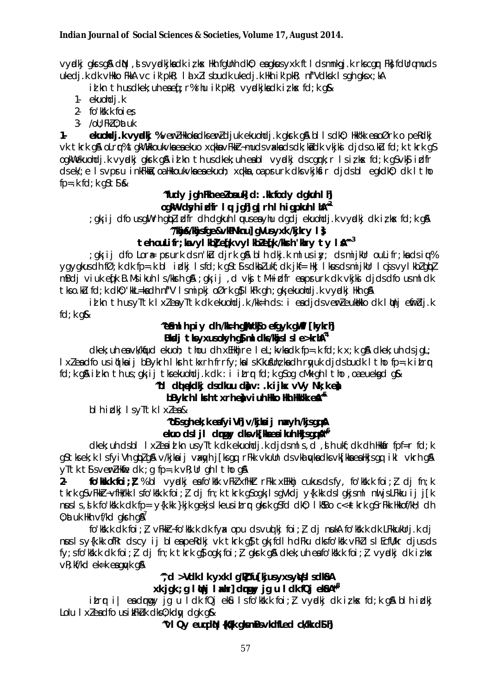vydki glasgå din, i svydkjladk i k s likh fallnh dili; englasyxk ft i dsmnkaj. k riscar Fili follramuds ukedj.k dk vHkko FkkA vc ik'pkR; Id xZI sbudk ukedj.k Hkh ik'pkR; nf"Vdksk I sgh gksx;kA

id kn th us dkek; uh eae [; r% rhu ik' pkR; vydkjka dk iz kx fd; k q&

- 1- ekuohdi.k
- 2 fo'kk.k foies
- $3 7$ oU: FkZ 0: at uk

eluoldi.kvydki %verl Hkoladkserl djuk ekuoldi.kgkrkg & bl Isdk0; Hkk"k eaoØrk o perdki  $1$ vk tkrk gå olrr% takWHkkoukvka ea ekuo xakka vFkkr-muds vakka ds dk; ka dk vkjka djdso.ku fd; k tkrk g\$ ogkWekuohdj.k vydki gkrk gå id kn th usdkek; uh eabl vydki dscgrk; r lsi; kx fd; k g\$vk\$ idfr ds ek/; e Is vpru inkFkka, oa Hkkoukvka ea ekuoh; xqkka, oa prurk dks vkjksir djds bl egkdk0; dk I tho  $fp = k fd; k gSts$ 

### "fudy jgh Fin eelonuk d: . Ik fody dgluh I h ogkWvdsyhidfr lu jgh girh Ihigpkuh Ih M<sup>22</sup>

gkij dfousqWrhqblidfr dh dgkuh lwuseayhu dgdjekuohdjk vyndkj dkilk ns fd;k q&;

# "Whi&/khisfae&vkPNknul aVusyxk /kjkry I}

teh oulifr; kvyl kol efk vyl kolefk /ksh 'kry ty lå<sup>n 3</sup> ; gk; ij dfo Lor $\ast$  prurk dsn'kū djrk g& blh dkj.k mlusiy; dsmijkUr ouLifr; kadsi $\psi$ % ygygkus dh fØ; k dk fp=.k bl idkj lsfd; k q\$t\$ s dkbl ukf; dk jkf= Hkj lkus dsmijkUr lcjsvylkbl qbl mBdj viuk efk B.Msikuh Is/kkrh g& ; gk; ij , d vkj tM+idfr eaprurk dk vkjkj djdsdfo usmldk

tkso.kū fd; k dk0; 'kkL=kadh nf"V Ismipkj oØrk q\$ I kFk qh; qk; ekuohdj.k vyndkj Hkh q\$ id kn th us yītk I xlea yītk dk ekuohdi.k /kk=h ds : i ea dids verleukkko dk I uhj efirdi.k

 $fd; k$  g&

### ^e\$ml h piy dh /k=h q\xk\$o efqyk q\fil [kykrh] Bladj tls y xusokyh q $\delta$  ml dls/khis  $\delta$  s l e >krh $\Lambda^{\alpha}$

 $\alpha$  dkek; uh en vk/kfjud ekuoh; thou dh xEHkhjre let; kvkn dk fp=.k fd; k x; k qn dkek; uh ds jqt; I xleadfo usiqikaij bBykrh I krh tkxrh frrfy; kals KkusUn; kadh ryuk djds budk I tho fp=.k itry fd; k g& id kn th us; gk; ij tks ekuohdj. k dk : i itrr fd; k gSog cMk gh I tho , oa euekgd g&

### "bi diekdki dsdkuu dav: kiikx vVv Nk:kea

### bBykrh I krh txrh eh viuh Hko Hh Hk'k eå<sup>n6</sup>

blhidkj IsyTtk Ixlea&

# "os sah ek: k eafvi VH v/kilai i mxvh /kisaa A

### ekuo dsl ji drugy dksvk[kaeaikuh Hojsgg  $\mathbb{A}^{\ast\ast}$

dkek; uh dsbl I xleaid kn usyTtk dk ekuohdj.k djdsmls, d, ih ukf; dk dh Hkkar fpf=r fd; k g\$tksek;k IsfyiVh qbzq\$\v/kjkaij vaxgyh j[ksgq rFkk vkuUn dsvkalgyka dksvkj[kkaeaHkjsgq ikl vkrh q\$\ vītk ti sverlikie dk ; q fp=.k vk; Ur gh I tho g&

fo'K k k foi;  $\zeta$  % bl vycki en fo'K k v F k x filk r F k x E Hkhj cukus ds fy, fo'K k k foi;  $\zeta$  dj fn; k  $2$ tkrk gSvFkkt-vfHk/kk Isfo'ksk.k foi; difn; k tkrk gSogk; IsgVkdi y{k.kk dsIgkjsml nuljsLFkku ij j[k nusls, the folkstake dk fp= y{k.kk }kjk gekjslkeusitre gkrk g\$fd dk0; lksBo c<+tkrk g\$rFkk Hkkof/kH; dh 0; at uk Hkh  $\vee$ f/kd gkrh g $\mathbb{A}$ '

fo'KK.k dk foi:  $l$  vFkkr-fo'KK.k dk fyx opu dsvudki foi:  $l$  di nuka fo'KK.k dk LFkkukUrj.k di nus Isy{k.kk ofRr dscy ij bleapeRdkj vk tkrk q\$ tqk; fdlh dFku dksfo'kkk vFkllslEcfll/kr djusds fy; s fo'k''s k dk foi;  $l$  dj fn; k tkrk q\$ oqk; foi;  $l$  gkrk g\$ dkek; uh ea fo'k''s k foi;  $l$  vyadkj dk i $l$  k $x$  $\nabla R$ ; kf/kd ek=k eagu/k g&

# "d >Vdk I k vxk I a'll fulkius vxs vVs I sdl&A

### xk jgk ; g lithj l xhr] druy jq u l dk fQj ekname

itror i | eadorogy jq u Idk fQj ek&u Isfo'kk".k foi: } vyndkj dk izkx fd; k q&blh idkj Lolu I xleadfo us it Fikluk dks 0; kdw dak a&

"vi Qy eugdù {kû/k glsmBsvkdfLed ck/k d\$ h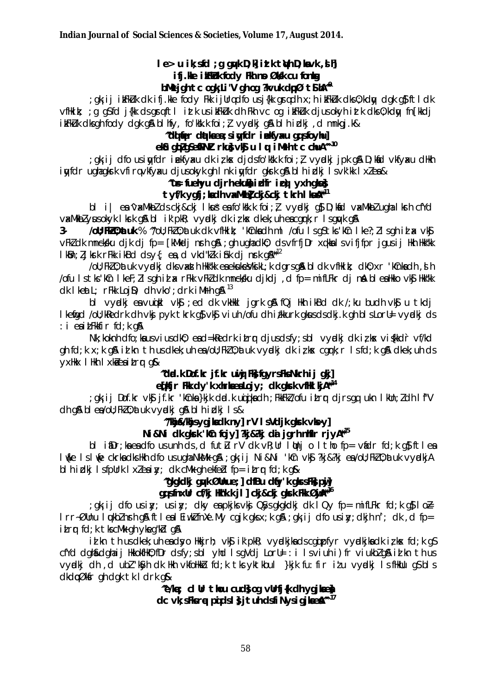### le> u ik; sfd ; q qwk D; k i it k twh D; kavk, sh

### ifj. We it Fikluk fody Fln no Øldk cu fontag

### bMk jgh tc ogk Li'V gh og ?kvuk dpØ tS $M^{\infty}$

gk; ij ik:Fkikuk dk ifj.kke fody Fkk ijUrqdfo usj{kk grqdh x; h ik:Fkikuk dks0; kdny dgk g}ftldk; vfilkik; ; q q\$fd j{lk ds qrqftl itk us ikFkLuk dh Fkh vc oq ikFkLuk djusokyh itk dks 0; kdyy fn [kkdj ikFkLuk dksgh fody dgk g& bl hfy, fo'kkk foi;  $l$  vyrdkj g& bl h idkj, d mnkgj.k&

### "di ter datiees; sin fdr i elfy xu qui sfo yhul

### eka gbzgSefPNI rkus vkg u I w iMrh tc chuA<sup>m 10</sup>

gkij dfo usinyfdriekfyaku dkirka djdsfo'kkk.k foi; } vyndkij pk g& D; knid vkfyaku dHkh; inyfdr ughagkrk vfirqvkfyxu djusokyk gh Ink inyfdr gkrk gå blh idkj Isvk'kk Ixlea&

# "us fuehyu djrh ekuka idir ici) yxh gku}

## tyf/k ygfi; kadh vxMkbl ckj&ckj tkrh I kua<sup>\*11</sup>

 $bI$  i ea 'vaxMkbZ cls ckj&ckj lkušea fo'kkk.k foi;  $l$  vyudkj q\$ D; kand vaxMkbZ ugha lkurh cfYcl va:MkbZyusokyk Ikrkg&bI ik'pkR; vyadkj dk izkx dkek; uh eacgrk; r Isguykg&

JoU; FWLO; at uk % "YoU; FWLO; at uk clk vfilkik; 'kCnka clh ml /ofu ls qS tks 'kCn lke?; Ils qh id ax vkSj  $3$ vFkldk mnekklu djk dj fp= [kMkdj nrh q& ; qh uqhadkl); ds vfrfjDr xqkkals vifjfpr jqus ij Hkh Hkk"kk I kon; I Jkrk rFkk ikBd dsy{; ea, d vkd"klk i shk dj nrk q &\*\*12

/oll; Fk10; at uk vyadkj dksvasth Hkk"kk ea ekukesVksikL; k dgrs q& bl dk vfHkik; dk0; xr 'kCnkadh, sl h /ofu Istks'kin I kef; llsghid ax rFkk vFkldk mneksku djkdj, d fp= mifLFkr dj nak blealkko vkj Hkk"kk  $dk$  I keat L;  $rF$ kk Loj D;  $dh$  vko'; drk i M $rh$  q  $a^{13}$ 

bi vydki en vuiti vki ; ed dk vkikki jark an fQj ikh ikBd dk /; ku budh vki u tkdj I kenigd /oll; kRedrk dh vkj pyk tkrk g} vkj viuh /ofu dh i/kkurk gkus ds dkj.k gh bl s Lorl= vyrdkj ds  $: i$  eaitFkkfirfd; k q&

Nk; koknh dfo; ka usviusdk0; ead=kRedrk itrr djusdsfy; sbl vydkj dk iz kx viskkdr vf/kd ah fd; k x; k a& id kn th us dkek; uh ea/oU; Fkl 0; at uk vvadki dk iz kx cark; r Is fd; k a& dkek; uh ds yxHkx IHkh I xkaeaitrr q&

## "døl.k Dof.kr jf.kr uwi Fk; fayrsFks Nkrh i j gkil

# efkjr Flk dy'k xhrlaealojy; dk glack vflki kjA\*<sup>14</sup>

gk; ij Dof.kr vk\$j jf.kr 'kCnka}kjk dad.k uqigikadh ; FkkFkZ/ofu itrqr djrsgq ukn IkUn;Zdh If"V; ch q& bl ea/ou; Fk20; at uk vyadkj q& bl h i ckj l s &

### "Whis Waikedk nvl rV I svdik akk vlovl

### Ni&Ni dk gkrk 'kûn fojy] ?kj&?kj da jgrh nhfir rjyA<sup>\*\*15</sup>

bl inDr; ka ea dfo us unh ds, d futu rV dk vR; Ur I Unj o I tho fp= vidr fd; k q; ft lea luke Isluje ckrkadkshkh dfo usugha NkMk g& ; gk; ij Ni&Ni 'kCn vk\$ ?kj&?kj ea/oU; FkZ 0; atuk vyndkjA blhidkj IsfpUrk Ixleaiy; dk cMk qhekfeblfp=itrr fd; k q&

### "akakdki qwk Ølhue;] dfBu dfy'k gkrsFk}pji] gg sfnxur cf/kj Hktk.k jl] ckj&ckj gkrk Fkk ØijA\*<sup>16</sup>

; gk; ij dfo usily; usily; dky entpkjks vknj QSysqkgkdkj dk IQy fp= mifLFkr fd;k g\$ Io $\ge$ Irr~ØUnu luukblnshig& ftlealEiwklfnXe.My cgjk gksx;k g&;gk;ij dfo usiny;dkjhn'; dk,d fp= itrr fd; k tks cMk gh ykeg"kd g&

id kn th us dkek; uh endsvollkkjrh; vk\$ ik'pkR; vyndkjka ds cgqipfyr vyndkjka dk iz kx fd;k gS cfYd dgh&dghaij HkkokfHkO; fDr dsfy; sbl yhd IsgVdj LorU= : i Isviuh i) fr viukblg& id kn th us vycki dh d ubl Kyh dk Hkh vkfoHkkb fd;k tks yktkbul }kjk fu: fir iłu vycki IsfHklu q\$ bls dkdpØkfr gh dgk tk I drk g&

> "e/ke; cl ur thou cuds og vurfj{k dh ygjkee} dc vk: sFlsre pids I s it und sfi Nysiqilaed<sup>\*\* 17</sup>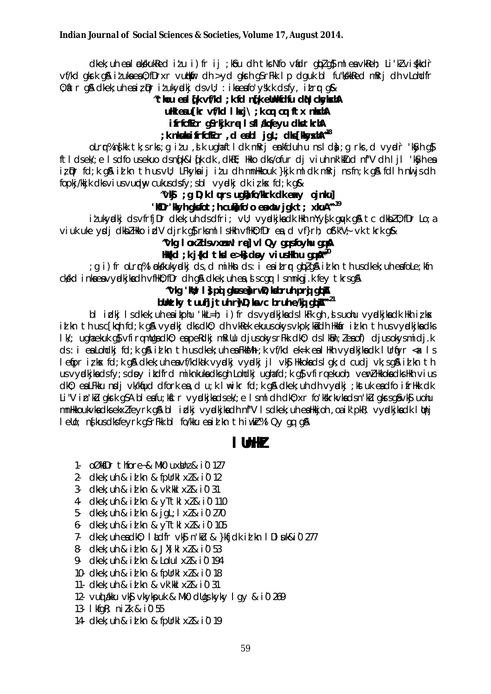dkek; uh eal ckkkukked itu i) fr ij ; kou dh tk Nfo vadr gblgo mlea vkkeh; Li'klviskkdr vf/kd gkrk g& itukaea0; fDrxr vutkmlir dh >yd gkrh g\$rFkk Ip dguk bl fu"kdkkRed mRrj dh vLohdfr 0; itr g& dkek; uh eaiz Dr iz ukydki ds vU; : ika eafo'y sk.k ds fy, itrr g&

### "thou eal (ik vf/kd; k fd n(ik elhkfdfu di) ckyksth

ulk eau [kr  $vf$ kd lkxj $\setminus$ ;k cm cm ftx nkxhA

ifrfcfEcr qSrkjk re I sfl #qfeyu dkstkrhA

# ; k nkula i frfcffcr, d eabl jgL; dk [kkyxh]<sup>48</sup>

olrr%nfkk tk;srks;gitu,dk ughaftldk mRrjenkfduh unslda;grks,d vyndr 'kSyh q\$ ftldsek/je Isdfousekuodsn(k&l(kdk,dkkEj Hkkodks/ofur djviuhnk'kIudnf"V dhljl 'kSyhea iz pr fd; k g& id kn th us vU; LFkykaij idu dh mnHkkouk }kjk ml dk mRrj ns fn; k g& fdlh nu js dh fopkj/kkjk dksviusvundny cukusdsfy; sbl vyndkj dkiz k $x$  fd; k q $x$ 

### $\sqrt{\mathbf{G}}$  ; g D; k I uurs ught fo/kkrk dk ext o jnkul

### 'WDr'Wyh glsfot; h culo fo'o eaxut jgk t; xkuA<sup>n 19</sup>

itukyndki ds vfrfj Dr dkek; uh ds dfri; vU; vyndkjka dk Hkh mYysik guyk g&t c dkbl 0; fDr Lo; a viuk uke yodi dkbl/Hkko idV dirk q\$rksmllsHkh vfHk0; fDr ea, d vf}rh; of'k"V; vk tkrk q&

### "vkg loxldsvxnw! rel vl Qy qgsfoyhu qg &

### He(kd; k j {kd t ksl e > k} do y vius Hkh u qq  $\mathbb{A}^{n\geq 0}$

g i)fr oLrr%lækkukyælkjds,dmiHknds:ieaitrrgblg&idknthusdkek;uheafoLe;kfn; ckkd inkaeavyckikadh vfilk0; fDr dh q& dkek; uh ea, si scqr Ismnkqj.k fey tkrsq&

# "vkg 'kit; I } pi gkuse) rwD; kabruh pri gbA

## blhtky tuul jtuh rwD; lavc bruh e/ki abA<sup>n 21</sup>

bl in the light of the state of the state of the state of the state of the state of the state of the state of the state of the state of the state of the state of the state of the state of the state of the state of the sta id kn th us c[kch fd; k g& vyckj dks dk0; dh vkRek ekuus okys vkpk; kid dh Hkkir id kn th us vycklijka dks I M; ugha ekuk g\$vfirqmllgadk0; eapeRdkj mRillu djusokysrFkk dk0; dsIk0n; Zeaof) djusokysmidj.k ds: i ea Lohdkj fd; k q& id kn th us dkek; uh ea FkkMh; k vf/kd ek=k ea I Hkh vyckijka dk I Urfiyr < x I s letipriziks fd; k gå dkek; uh en vf/kdkak vyndkj vyndkj jl vkj Hkkoka dsl gk; d cudj vk; sgå i al kn th us vvadkika ds fv; s dovidadfrd miknkuka dks gh Lohdki ugha fd; k g\$vfirgekuoh; verl Hkkoka dks Hkh vius dk0: eaLFkku ndj vk/kfud dfork ea, d u; k I \ik f d; k q& dkek; uh dh vydkj ; kst uk eadfo i frHkk dk Li"V in'ku gkrk gSA bleafu; kstr vydkjkadsek/; e Ismldh dk0; xr fo'kkrkvkadsn'ku gkrsgåvks uohu mnikkoukvkadksekxlfeyrk gå bi idkj vydkjkadh nf"V isdkek; uh ealkkjoh, oa ik'pkR; vydkjkadk litnj lello; ns kus dks feyrk g\$rFkk bl fo/kku eaid kn thiwkr%l Qy qq q&

### I UnHZ

- 1. oØksDr thfore-& MkO uxstnz & i0 127
- 2.  $d$ kek; uh & id kn & follrkl  $x \lambda$  & i0 12
- $3$  clkek; uh & id kn &  $vk'$  kkl  $x \&$  i0 31
- 4 clkek: uh & id kn & vTtkl xl & i0 110
- 5- clkek; uh & id kn & jqL; | xl & i0 270
- 6 clkek; uh & id kn & yTtkl xl & i0 105
- 7- dkek; uh ea dk0; ladfr vk\$ n'ku & }kfjdk id kn l Dl suk&i0 277
- 8- clkek; uh & id kn & JX) kl xl & i0 53
- 9- clkek; uh & id kn & Lolul xl & i0 194
- 10- dkek: uh & id kn & follrkl xl & i0 18
- 11- dkek; uh & id kn & vk'kkl xl & i0 31
- 12. vud alkku vký vkykpuk & Mk0 dllgskyky I gy & i0 269
- 13- I kfaR: nilk & i0 55
- 14 clkek; uh & id kn & fpUrkl xl & i0 19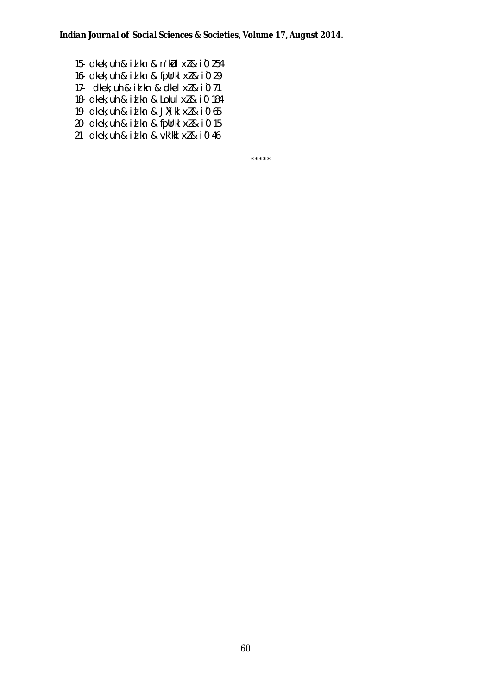15- dkek; uh & id kn & n'k $U1$  x $l$  & i0 254 16- dkek; uh & id kn & fpUrkl  $x \& 10$  29 17- dkek; uh & i $\frac{1}{2}$ kn & dkel x $2$  & i0 71 18- dkek; uh & id kn & Lolul  $x \& 10$  184 19- dkek; uh & id kn & JX) kl  $x \& 10\,65$ 20- dkek; uh & id kn & fpUrkl  $x \& 10$  15 21- dkek; uh & id kn &  $vk'$ kkl  $x \&$  i0 46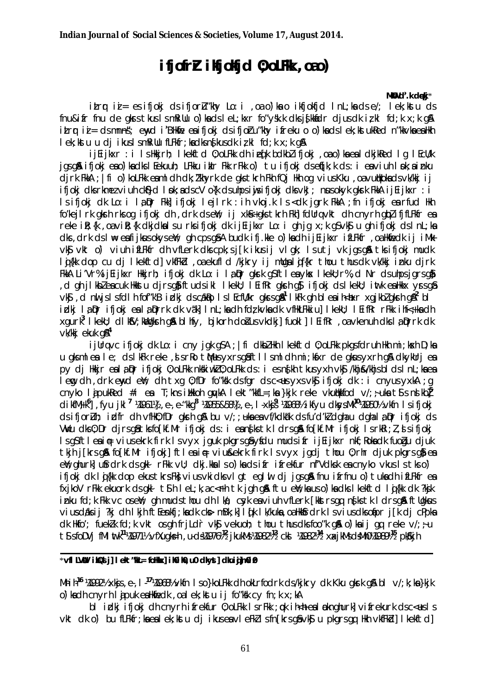# ifjofr*r* ikjokjd 0; oLFk, oao)

#### MKW d'.k deki\*

itrr ii = esifjokj dsifjorlu"khy Lo: i , oa o') ka o ikfjokfjd Inl; ka dse/; lek; kstu ds fnu&ifr fnu de gkrstkuslsmRillu o')kadslet; kxr fo"ysk.k dksjskkadr djus dk izkl fd; k x; k g& itrr ii = dsmnns; enyd i BHkie ea ifjokj dsifjoru "khy ifreku o o') kads lek; kstukRed n "kkvka ea Hkh lek; kstu u di ikus I smRillu fLFkfr; kadks ns kus dk iz kl fd; k x; k q\$

ijEijkxr : i IsHkijrh; Ikekftd 0;oLFkk dh ieqfk bdkblifjokj ,oao`)kaealdkjkRed Iq IEcU/k jgsg& ifjokj eao)kadksl Eekuuh; LFkku iklr Fkk rFkk o') tu ifjokj dsen[k;k ds:i eaviuh lok;ainku dirk FkkA ; | fi o ) kolfkk eaml dh dk; /'khyrk de qks tkrh Fkh fQj Hkh og vius Kku , oa vudkoka ds vk/kkj i j ifjokj dks rkmez viuh ck\$}d I nk; ads cV o{k ds uhps iwjs ifjokj dks vkJ; nus okyk gkrk FkkA ij Eijkxr : i Is ifjokj dk Lo: i lapr Fkk] ifjokj lejlrk : ih vkoj.k Is < dk jgrk FkkA ; fn ifjokj earfud Hkh fo'keil rk gkrh rks og ifjokj dh, drk ds en'; ij xks+gks tkrh Fkhl fdUrq vkt dh cnyrh glpl ifjfLFkfr en reke ilk; {k , oa vik; {k dkjdkalsu rksifjokj dk ij Eijkxr Lo: i qh jq x; k q\$ vk\$ u qh ifjokj ds l nL; ka dks, drk ds I \ eafijkus okys eW; qh cps q\$A budk ifj.kke o') ka dh ij Eijkxr ifLFkfr, oa Hkfedk ij iMk vký vkt o) viuh ifLFkfr dh vfLerk dks cpk; s j [k ikus ij vl qk; l s u t j vk j qs q& tks ifj okj mudk lig{kk dop cu dj lkekftd]vkfFkd, oa ekufld /kjkry ij mUqaligf{kr thou thus dk vk/kkj inku djrk FKKA Li'Vr% i jEi jkxr Hkkirh; ifjokj dk Lo: i la pr gkrk gSftlea ykx I kekU; r%, d Nr ds uhps jgrsg} d gh ilkbleacuk Hkkstu dirs gåftuds ikl lkekU; lEifRr gkrh gå ifjokj ds lkekU; intk ea Hkkx yrs gå, vk\$, d nul js IsfdIh fof"k'B irdkj dscakko IslEcfl/kr gkrsg&<sup>1</sup> IkFk gh blea ih<hexr xgjkblgkrh g&<sup>2</sup> bl idkj la Dr ifjokj ea la Drrk dk väk] I nL; ka dh fdz kvka dk vfHkLFkkiu] I kekU; I EifRr rFkk i hf<+ ka dh xqurk<sup>3</sup> I kekU; dlkSV; kWaksh q&blhfy, bjkorh došus vkdkj] fuokl] I Eifkr, oa vkenuh dks la prrk dk  $vk/ki$  ekuk q $\mathbb{A}^4$ 

ijUrqvc ifjokj dk Lo: i cny jqk q\$A ; |fi dkbZHkh Ikekftd 0;oLFkk pkqsfdruh Hkh mi;kxh D;ka u glsmleale; dslkFk reke, dsrRo tMusyxrsg&ftllsmldhmi; kfxr de glausyxrhg& dkykUrjea py di Hkkir ealaDr ifjoki 0; oLFkk nkskiwk20; oLFkk ds: i es nskh tkus yxh vks /khj&/khjsbldslnL; ka ea lemg dh , drk enyd en'; dh txg 0; fDr fo"ksk ds fgr ds c<us yxs vksj ifjokj dk : i cnyus yxkA ; g cn vko lia pukked #i ea T; kns illkkoh guvka lekt "kkfl=; ka }kik reke vkullkkfod v/;  $\div$  uka ts s ns kbl<sup>5</sup> dikfM<sub>t</sub>k<sup>6</sup>], fyu jkl<sup>7</sup> ¼961½, e, e "kkq<sup>8</sup> ¼955&58½, e, I xkj<sup>8</sup> ¼968½ ikfyu dkysMk<sup>10</sup>¼950½ vkfn I sifjokj ds ifjorluh; idfr dh vfilk0; fDr gkrh g& bu v/; ; uka ea vf/kdkak ds fu'd'kl dgha u dgha la pr ifjokj ds VWu dks0; Dr djrs q& tks fo [kf. Mr ifjokj ds: i eans[ks tk I drs q& fo [kf. Mr ifjokj I s rkRi; *l*, s ifjokj Is q\$ftleain vius ekrk firk Is vyx jquk pkgrs qa yfdu muds ifr ij Eijkxr nkf; Roka dk fuogu djuk tkih ilkrs qå folkf.Mr ifjokje ftlea in viussekrk firk Isvyx jadi thou 0; rhr djuk pkars qå ea ell': ghurki ufindri: ds giki r Fiki vil: dki kia i s o di ka ds i fr i frekfur nf'V dksk en cn vko vkus i s tks o d ifjokj dk li{kk dop ekus tkrs Fk}vius vkidks vlgt eglil dj jgsg& fnu ifrfnu o) tuka dh ifLFkfr ea fxjkoV rFkk ekuork ds gkl t\$h lel;k,ac<Fh tk jgh g& ftu eW;kauso)kadks lkekftd lij{kk dk ?kjk inku fd; k Fkk vc oseW; ah muds thou dh I kd; cwk ea viuh vfLerk Tkkstrs an nsks tk I drs an ftllakus vius daksij?kj dh I kjh ft Eenkfj; ka dk ck> mBk; k] I qk I k/kuka, oa Hkkfrdrk I svius dks ofapr j [k dj cPpka dk Hkfo'; fuekk fd; k vkt os gh frildr vkj vekuoh; thou thus dks foo"k gå o) ka ij gq reke v/;  $\div$  u t S sfoDVi fMI wtk<sup>11</sup>/4971/2 vfXuqksh, u-ds/4976<sup>1/2</sup> jkukMs/4982<sup>1/2</sup> ckJ /4982<sup>1/4</sup> xxjkMsdsMh0/49891<sup>15</sup> pk3kjh

#### \*víl LVW ikQs il lekt"W\_= foHkxl il0il0.u0 dkvsl dkuidlm0i0

Mhih<sup>16</sup> ¼1992½ xkjs, e., I<sup>17</sup>¼1968½ vkfn Iso`}koLFkk dhokLrfodrk ds/kjkry dk Kku gkrk g&bl v/; k; ka}kjk o') kadh cnyrh I apuk ealkhedk, oal ek; kstu ij fo"ksk cy fn; k x; kA

bl idki ifjoki dh cnyrh ifrekfur 0; oLFkk IsrFkk; ok ih<heal oknohurk] vifrekurk dsc<usls vkt dko) bu fLFkfr; ka ea lek; kstu di ikus ea vleFklsfn [krs qâ vkâ u pkgrs qa Hkh vkfFkd] lkekftd]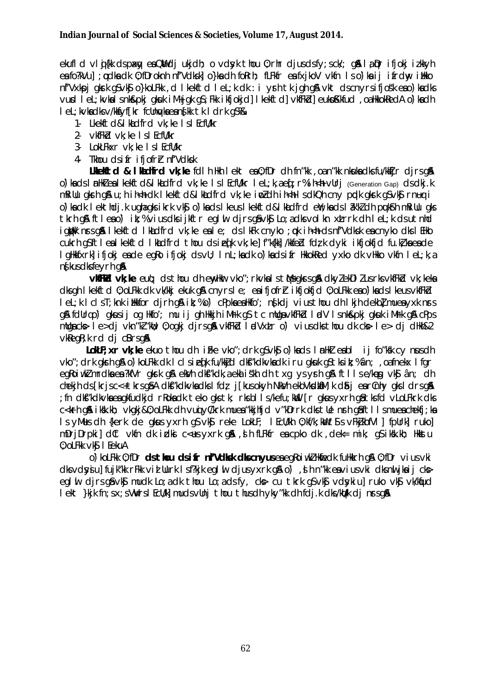ekufld vlij{kk dspaky enQWdjukjdh; o vdyk thou 0; rhr djusdsfy; sck/; q& la Dr ifjokj izkkyh ea fo?kVu] ; odka dk 0; fDroknh nf'Vdksk] o}ka dh foRrh; fLFkfr ea fxjkoV vkfn 1so)ka ij ifrdw ilkko nf'Vxkpj gkrk g\$vk\$jo}koLFkk, d lkekftd lel;k dk : i yrh tk jgh g&vkt dscnyrsifjos'k eao)kadks vurd let; kvkalsnk&pkj gkuk iM+jgk g\$; Fkk ikfjokjd] lkekftd] vkfFkd] eukpKkfud, oa HkkokRedA o`) ka dh I eL; kvkadksv/kksfyffkr fcllnykaeanstkk tk I drk gS%&

- 1. Likelatd&I koldfrd vk: ke I s I Ecfll/kr
- 2 vkfFkd vk; ke I s I EcfU/kr
- 3- LokLFkxr vk; ke I s I EcfU/kr
- 4 Thou dsifr ifjofrh nf'Vdksk

Likelitd & I kadird vk; ke fdlh Hkh I ekt ea 0; fDr dh fn "kk , oa n "kk nkuka dks fu/kkijr djrs qå o) la ds I nHkl ea I kelft d&I kadfrd vk; ke I s I Ecfl/kr I eL; k, a eq; r% i h<h vUrj (Generation Gap) ds dkj. k millu girh gi u; h i h<h di l kelftd&l khdfrd vk; ke i pi dh i h<h I s dkQh cny prdk girk gsvkj rnug i o) ka dk lekthdj.k ugha gksikrk vk\$o) ka dslkeuslkekftd&lkadfrd en/; ka dslâk'kldh puk\$h mRiUu gks tkrh gå ftleao) ik; % vius dksijkftr eglul djrs gå vk $\frac{1}{2}$  Lo; adks volkn xtrrk dhlet; k ds utnhd igible nrs gå I kelftd I kludfrd vk; ke en I e; ds I kFk cnyko ; ok i h<h ds nf'Vdksk en cnyko dks I EHko cukrh q\$ftlealkekftd lkadfrd thou dsiefk vk;ke]f"k{kk]/kkfedd fdzk dyki ikfjokfjd fu.kzkaeade I gHkkfxrk] ifjokj eade egko ifjokj dsvU; I nL; kadk o') kads ifr HkkokRed yxko dk vHkko vkfn I eL; k, a nf kus dks feyrh q&

vkFkd vk; ke euq; ds thou dh enyther vko"; rkvka I s th/s gkrs gå dkyl ekDI lus rks vkfFkd vk; keka dksgh I kelftd 0; oLFkk dk vk/kkj ekuk g& cnyrsle; eaifjofrh i kfjolfjd 0; oLFkk eao) kadsl keus vkfFkd let klclsT; knk i Hkkfor dirh gå ik; %o') cPpkaeaHkfo'; nskdi viusthou dh lkjh dekbl mueayxk nrs g& fdUrgo) gkusij og Hkfo'; mu ij gh Hkkjh iMrk g\$tc mUgavkfFkd lødV Isnk&pkj gkuk iMrk g& cPps mulgacks lesdi vkn"k"/whi; 0; ogki dirsg& vkfFkd ladVxtro) viusdks thou dk cks lesdi dHkh&2 vkRegR; k rd di cBrsg&

LokeF; xr vk; ke ekuo thou dh i Fke vko"; drk q\$ vk\$ o') kads I nHkl eabl ij fo"ksk cy nus dh vko"; drk gkrh g& o) kolfkk dk I clsiefk fu/kkjd dkf"kdkvkadk i ru gkuk g\$tksik; %ân; , oafnekx I fgr egkoiwklmrdkaea?kfVr gkrk gå ekVh dkf"kdk, a eki iskh dh txg ysyrh gå ftllse/keg vkj ân; dh chekih ds [krisc<+tkrsq&A dkts"kdkykadks | fdz i [kusokyh Nktyh ekbykoltaM; k d&i earCnhy qks | drsq& ; fn dkf"kdkvka ea gkfudkjd rRoka dk teko gks tk; rks bl ls/kefu; kWl [r gkus yxrh gå tks fd vLoLFkrk dks c<krh gå ikk.kh; vkgkj&0; oLFkk dh vudyC/krk muea "kkjhfjd v"kDrrk dks tUe nrh gåftllsmuea chekfj; ka Is y Musch {kerk de gkus y x rh g svk \$preke LokLF; I Ecl/kh 0; kf/k; kW t \$ps v FkjkbfVI | fpllrk | ruko | mDrjDrpki] dCt vkfn dk idki c<us yxrk q&, dh fLFkfr ea cpko dk, dek= mik; qS iksk.kh; Hkkstu 0; oLFkk vk\$ I EekuA

0) kolfkk 0: fDr **ds thou ds ifr nf'Vdlsk dls cnvus** ea eakoi wk/Hkfiedk fullkkrh a \$ 0: fDr vius vki dksvdsyju] fujk"kk rFkk vid Uurk Isf?kjk eglul djusyxrk g\$ o'), dh n"kk eaviusvki dksnuljkaij cks eglui djrsgåvkå mudk Lo; a dk thou Lo; a ds fy, ck> cu tkrk g\$vkå vdsykiu] ruko vkå vk/kaud lekt }kjk fn; sx; sVWrsIEcU/k] mudsvUnj thou thusdh yky"kk dh fdj.k dks/kt/k dj nrsq&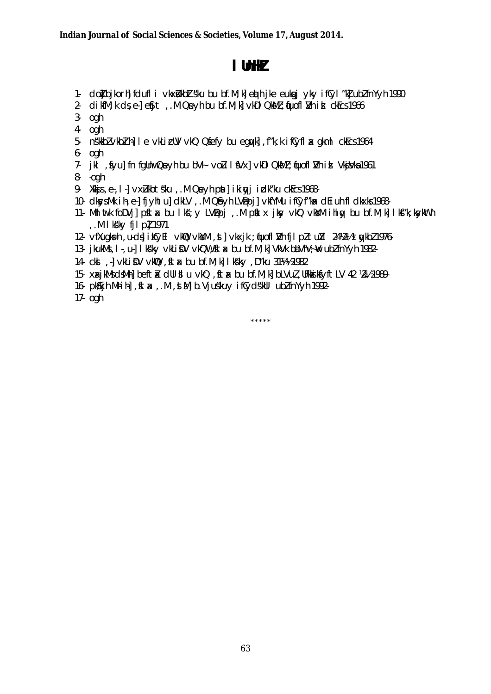# **lUnHkZ**

- 1- dot bjkorh] fdufli vkxilkbZt s"ku bu bf.M;k] ed hjke euksgj yky ifCyl"k] ubZ fnYyh 1990
- 2. dikfM; k ds, e- $\sqrt{e}$  e Sit, M Qevh bu bf.M; k] vkDI QkMZ; fuofl  $\sqrt{V}$ h isl ckEcs 1966
- 3- ogh
- 4- ogh
- 5- n s'kkbZ vkbZih-Le vkLicUV vkQ Q sfefy bu egruk] , f"k; k ifCyfl ax gkml ckEcs 1964
- 6- ogh
- 7- jkl , fyu] fn fgUnw Qeyh bu bV+ voLu I fVx] vkDI QkMZ ; fjuofl I/h id Vkj sVka 1961
- 8- -ogh
- 9- Xkkjs, e., I ] vxLukbt s'ku, . M Qeyh pat] ikiqyj izdk "ku ckEcs 1968-
- 10- dkys.Mk ih, e-] fjyhtu] dkLV, .M Q&yh LVBpj] vkfYMu ifCyf"kax dEiuh fldkxks 1968-
- 11- Mhlwtk foDVj] pstax bu lks: y LVBpj ,.M patx jky vkQ vk sy ihiqy bu bf.M;k] lks"k;k sykWth , .M I k k y fj I pl 1971
- 12- vfXugks=h ,u-dsjikCyEl vk\Q vkYM ,st] vkxjk ;qfuoflIVh fjlpZ tu Yl 24¼2½ tqykbZ 1976-
- 13- jkukMs, I-, u-] lksky vkLiDV vkQW, ftax bu bf.M;k] VkVk baVhV;w ubZ fnYyh 1982-
- 14- ck sl ,-] vkLiDV vkD , stx bu bf.M;k] Ik s"ky , D"ku 31¼1% 1982
- 15- xaxjkMs dsMh] beftik dUl silu vkQ, sta bu bf.M;k] bLVul, UFk is ksyftLV 42 ½2½ 1989-
- 16- pk Kih Mhih , ft x , M , st M b. Viu skuv if Cvd skul ubz fn Y vh 1992-
- 17- ogh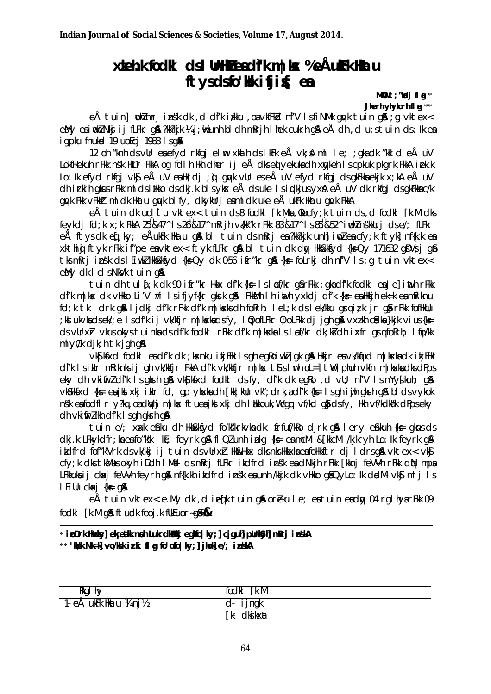# xkeh.k fodki dsilhnik eadfk m kx %eÅukFk hktu ftysdsfo'Kk ifjig; ea

MKO  $t$ ; "kadj flat" Jierh viviorh fl a \*\*

eÅ tuin] indimri insk dk, d dfk i/kku, oavkfFkd nfV IsfiNMk quyk tuin q& ; q vktex< eMy eaimble Nkjij fLFkr q& ?kk?kjk ¼ j; ke unh bl dh mRrjh I hek cukrh q& eÅ dh , d u; s tuin ds: lk ea igpku fnukod 19 uoEci 1988 Isg&

12 oh "knh ds vUr en efyd rkfgj elm xkath ds lkFk eÅ vk; & ml le; ; gka dk "kkld eÅ uV Lokfilkekuh rFkk nsk likDr FkkA og fdl h likh dher i j eÅ dksed yekukadh xaykeh Iscpkuk pkgrk FkkA i ek.k Lo: Ik efyd rkfaj vkj eÅ uV eallk; dj ; ù awk vUr eseÅ uV efyd rkfaj dsakFkkaekjk x; kA eÅ uV dh irkih gkus rFkk mlds ilkko ds dkj.k bls ykx eÅ ds uke Is indkjus yxxA eÅ uV dk rkfgj ds gkFkka c/k guyk Fkk vFkkir midk Hkatu guyk bify, dkykurj esimidk uke eÅ ukFk Hkatu guyk FkkA

eÅ tuin dk uol tu vktex< tuin ds8 fodkl [k.Mka Kacfv:k tuin ds d fodkl [k.M dks] feykdi fd;k x;k FkkA 25<sup>0</sup>&47^ Is26<sup>0</sup>&17^ mRrjh vákk"k rFkk 83<sup>0</sup>&17^ Is85<sup>0</sup>&52^ iwhZnskkUrj dse/; fLFkr eÅ ftys dk eqf; ky; eÅukFk Hkatu q& bl tuin ds mRrj ea ?kk?kjk unh] in dea cfy; k ftyk] nf{k.k ea xkthig ftyk rFkk if"pe eavktex< ftyk fLFkr g& bl tuin dk day Hkkkkfyd {k=Qy 171632 gDVs j g& tks mRri insk ds I Eiwk HkkSkkfyd {k=Qy dk 0-56 ifr"kr g& {k= foLrkj dh nf'V Is g tuin vktex< eMy dk I clsNkVk tuin g&

tuin dh tuld:k dk 90 ifr"kr Hkkx df'k {k = 1 sl xf/kr q& rFkk ; qka df'k fodkl ea Je] inth rFkk df'k m | kx dk vHkko Li'V #i Isifjyf{kr qkrk q& FkkkMh I h inth yxkdj df'k {k= ea Hkkjh ek=k ea mRiknu fd; k tk l drk gå ljdkj df'k rFkk df'k m|koks dh forrh; lel; k ds lek/kku grajiz kljr gårFkk fofikulu ; kstukvkadsek/; e Isdf'k ij vk/kfjr m|kskadsfy, IQ; ofLFkr 0; oLFkk dj jgh g& vxzkh c£dka}kjk vius{ks= ds vulrxh vkus okys tuinka ds df'k fodkl rFkk df'k m|kskals læf/kr dk; kidh ixfr graforh; lao/kk  $mi\vee c/k$  dik; h tk jgh g $a$ 

vkS|kfxd fodkl eadf'k dk ; kxnku ikjEHk Isgh egRoiwkZjgk g& Hkkjr eavk/kfud m|kxkadk ikjEHk df'k Isiklr mRiknksij gh vk/kkfjr FkkA df'k vk/kkfjr m|kx t\$slrh oL=] tW] phuh vkfn m|kxkadksdPps eky dh vkifirl df'k Isgkrh gå vks kfxd fodkl dsfy, df'k dk egko, d vll; nf'V IsmYy{kuh; gå vk§kkixd {k = en jkstxkj ikir fd, qq ykskndh [kk|kllu vk"; drk, a dfk {k = l s qh i ujh qkrh qnA blds vykok nsk exfodfl r y?kq, oadWhi m|kx ftuexjkstxkj dh I kkouk, Wcgr vf/kd qi dsfy, Hkh vf/kdkak dPpseky dh vkifrzHkh df'k I sgh gkrh g&

tuin e/; xack efiku dh Hkkfskkfyd fo'ks'krkvka dk ifrfuf/kko djrk q& lery efikuh {k= qkus ds dkj.k LFkykdfr; ka ea fo"ksk I kE; feyrk gå fl Ql unh i pkg {k= ea mcM- & [kkcM- /kjkryh Lo: lk feyrk gå itdfrd fof"k'Vrk dsvk/kkj ij tuin dsvllrxh Hk&Hkkx dksnksHkkxkaeafoHkkftr dj Idrsg& vktex< vk\$ cfy; k dks tkMusokyh i Ddh I Mel ds mRrj fLFkr i kdfrd i nsk ea dNkjh rFkk [kknj feVVh rFkk dN mpa LFkkukaij ckaxj feVVh feyrh gå nf{k.kh ikdfrd insk ea unh /kkjk dk vHkko gå QyLo: lk dadM-vk\$ mlj ls I Eillu ckaki {k = q&

eÅ tuin vktex< e.My dk, die fk tuin q& orekule; eatuin eady 04 rql hyarFkk 09 fockl  $[k.M q\$  ftuck fooj k flk Euor $-q\$ 

\* ipDrk Haxky] ek eakk noh LukrdHaRkj egKjo | ky; | ciguh| pUnkSyh| mRrj inskA \*\* 'kkk Nk=k] vo/kk irki fl g fo'ofo|ky;] jhok] e/; inskA

| Rkg1 hy               | $\lceil k.M \rceil$<br>fodkl   |
|-----------------------|--------------------------------|
| 1 eÅ ukFk Hkatu ¼ nj½ | ijngk<br>d-<br>dki kxat<br>[k- |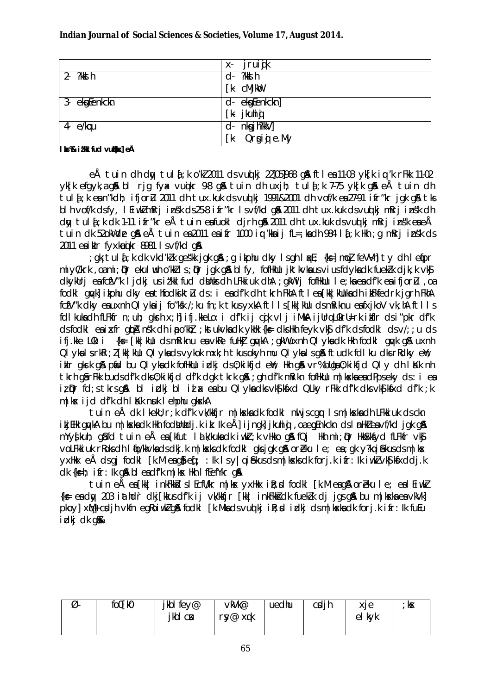|                      | jruijk<br>Х-      |
|----------------------|-------------------|
| ?kks h<br>$2 -$      | ?kks h<br>d-      |
|                      | [k-<br>cMjkoo     |
| $3 -$<br>ekgEenkckn  | ekgEenkckn]<br>d- |
|                      | j kuhi g<br>[k    |
| 4- e/kocu            | nkgjh?kkV]<br>d-  |
| <del>.</del><br>---- | Orgij e.My<br>[k- |

#### **lbs % i** that fud vulled eÅ

eÅ tuin dh dny tulą;k o'k 2011 ds vuq kj 22]05]968 g& ftlea 11-03 yk[k iq 'k rFkk 11-02  $v$ k[k efgyk,a g & bl rig fyx vu o kr 9-8 g & tuin dh uxjh; tula[;k 7-75 yk[k g & eÅ tuin dh tula;k e sn"kdh; ifjor $\mu$  2011 dh tux.kuk ds vuq ki 1991&2001 dh vof/k esa 27-91 ifr"kr jak gA tks blh vof/k dsfy, lEiwk mRrj insk ds 25-8 ifr"kr ls vf/kd g a 2011 dh tux.kuk d s vu q kj mRrj insk dh dy tul  $i$ ;k dk 1-11 ifr"kr eÅ tuin estuokl djrh ga  $2011$  dh tux.kuk ds vuot kj mRrj in sk eseÅ tuin dk 52okW de g $\AA$  e $\AA$  tuin esa 2011 esifr 1000 iq 'kksij fL=;ksdh 984 la[;k Hkh ;g mRrj ins"k ds  $2011$  ea ikir fyxkau kr 8981 l s vf/kd ga

;gk; tuli;k dk vkd'klk ges"kk jgk g $\alpha$ ;g ikphu dky lsgh liqxE; {ks=] mo $\tilde{I}$  feVYh] ty dh lefipr miyC/krk ,oami; Dr ekulwuh o'kkZ ls; Dr jgk g & blfy, fofHkUu jktkvka us vius fdyka dk fuekZk dik;k vk\$ dkykUrj ea fcfV"k ljdkj us iz'kklfud dbnks dh LFkkiuk dhA ;gkW ij fofHkUu le;ka ea df'k ea ifjor Lu ,oa fodkl gwkl ikphu dky es thfodkikt I ds : i es d f'k dh tkrh FkhA ftles [kk|kUuk sa dh ikFkfedrk jarh FkhA fcfV"k dky esuxnh Qlyksij fo"ksk /;ku fn;k tkus yxkA ftlls [kk|kUu d s mRiknu esfxjkoV vk;hA ftlls fdl kuka dh fLFkfr n;uh; gkrh x;h] ifj.kkeLo: i df'k ij cqjk vlj iMkA ijUrq L0krU=rk ikfIr ds i"pkr df'k ds fodkl en in the quand n sk dh inpo'kh z; k stukvk a dk ykhk {k s= dk hkh feyk vk\$ d f'k ds fodkl ds v/;;u ds ifj.kke LOk: i {ks=  $\lceil k \kappa \rceil$ kulu ds mRiknu esa vkRe fuHk $\bar{a}$  g qvkA ; gkW uxnh Qlyks dk Hkh fodkl gavk g & uxnh QI yka Is rkRi; Z [kk|kUu QI yka ds vykok mxk; h tkus okyh mu QI yka Is gå ftudk fdlku dks rRdky enli; ikir gk $s$ k g $\beta$  piid bu QI yka dk fofHkuu izlkj ds 0;kikfjd eiY; Hkh g $\beta$  vr% buga 0;kikfjd QI y dh likk nh tkrh gârFkk buds di'k dks 0;kikijd di'k dgk tkrk g & ;gh di'k mRikn fofHkUu m|k ska eadPps eky ds : i ea  $i$ ;  $\rho$ r fd;s tkrs g $\alpha$  bl izlkj bl i $i$  a e shu Qlyk sdk vk $\beta$ k stxd QLky rFkk d f'k dks vk $\beta$ k stxd d f'k ;k  $m$ |k $x$  ijd d $f'$ k dh l $k$ k n suk lehphu gk $x$ kA

tuin eÅ dk lkekU;r;k df'k vk/kkfjr m|k ska dk fodkl nuljs cgr ls m|k ska dh LFkkiuk ds ckn ikjEHk gwkA bu m|kskadk Hkh fodbunhdj.k ik: Ik eÅ] ijngk] jkuhiqi ,oa egenkckn ds lanHk ea vf/kd jgk g& mYys[kuh; g as fd tuin eÅ ea [kfut lalk/kuka dk iwkir;k vHkko g & fQj Hkh mi;@r HkkSxksfyd fLFkfr vk\$j voLFkkiuk rRoks dh I to/kkvka ds dkj.k m|ksxks dk fodkl gks jgk ga\$or Eku le; ea ;gk y?kq i Sekus ds m|k sx yxHkx eÅ ds gj fodkl [k.M e $\mathfrak{g}$ ] e $\mathfrak{f}$ ; :Ik ls y|q i $\mathfrak{g}$ kus ds m|k sk s dk forj.k ifr:Ik iw.k vk S|k fxddj.k  $dk$  { $k=h$ ; ifr: Ik g& bleadf'k m|k sx Hkh lfEefYkr g&

tuin eÅ ea [kk| inkFkkstslEcfU/kr m|kx yxHkx ist;sd fodkl [k.M eag& or Eku le; ealEiwkZ  $\{k = 0$  ea dy 203 iathd `r dkj $[kkus$  df'k ij vk/kkfjr  $\lceil kk \rceil$  inkFkksI dk fuekZk dj jgs g & bu m|kska ea vkVk] pkoy] x $M$ + csdjh vkfn egRoiwk g& fodkl [k.Mka ds vu qkj i R;sd izdkj ds m |k ska dk forj.k ifr:Ik fuEu idki dk a**%** 

| Ø. | fo0[k0 | jkbl fey@ | vkVk@      | uedhu | cdih | xie       | kЖ |
|----|--------|-----------|------------|-------|------|-----------|----|
|    |        | jkbl cu   | ry@<br>xqk |       |      | kvk<br>el |    |
|    |        |           |            |       |      |           |    |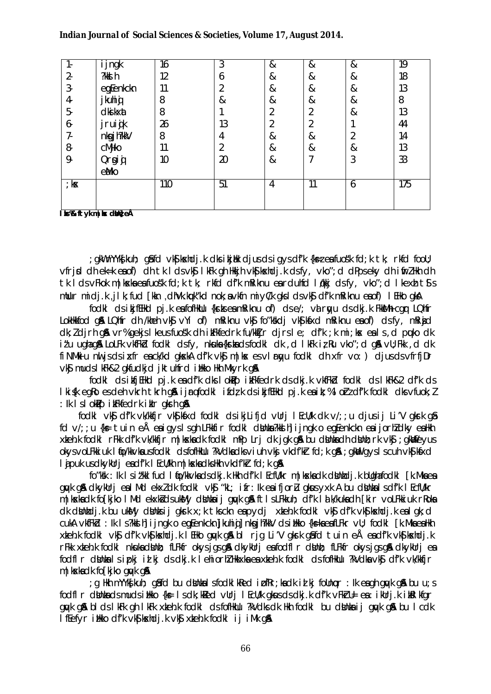#### Indian Journal of Social Sciences & Societies, Volume 17, August 2014.

|                  | ijngk     | 16  | 3  | & | &  | & | $\overline{19}$ |
|------------------|-----------|-----|----|---|----|---|-----------------|
| $2 -$            | ?kks h    | 12  | 6  | & | &  | & | 18              |
| 3                | egEenkckn | 11  |    | & | &  | & | 13              |
| 4                | jkuhig    | 8   | &  | & | &  | & | 8               |
| 5-               | dki kxat  | 8   |    | า | ി  | & | 13              |
| 6                | jruijk    | 26  | 13 |   | ി  |   | 44              |
| 7-               | nkgjh?kkV | 8   | 4  | & | &  |   | 14              |
| 8                | cMjko     | 11  | ำ  | & | &  | & | 13              |
| 9.               | Orgij     | 10  | 20 | & |    | 3 | 33              |
|                  | eMko      |     |    |   |    |   |                 |
| $\frac{1}{2}$ kx |           | 110 | 51 | 4 | 11 | 6 | 175             |
|                  |           |     |    |   |    |   |                 |
|                  |           |     |    |   |    |   |                 |

Ibs% ftykm | kx dkin}eÅ

git my that is not the case of the case of the clips to the case of the control of the case of the control to t vfrid dhek=keaof) dhtkldsvkij lkFkqhHkkjhvkijkshdjkdsfy, vko"; d dPpseky dhifrZHkhdh tk I ds vFkok m | kska ea fuos'k fd; k tk; rkfd df'k mRiknu ea rdulfd I dkij ds fy, vko"; d I kexh t is mllur midj.k, jlk; fud [kkn, dhVk.kuk"kd nok; a vkfn miy(/k qksldsvk\$ df'k mRiknu eaof) I EHko qkA

fock! cls i kifflikc! pj.k eafofliklu {krkseamRiknu of} cls e/; val rayu cls clkj.k FkkMh cggr LQhfr LokHkkfod gå LQhfr dh /kheh vkg v i of) m Riknu vkg fo "kskdi vkg kas a m Riknu eg of) ds fy, m Rigid dk; I djrh qå vr% gekjs I keusfuosk dhi kFkfedrk fu/kkTjr djrs I e; df'k; k mi; kx eals, d puko dk it'u uahada LoLFk vkfFkd fodkl dsfy, nkuka{krkadsfodkl dk, d lkFk iz Ru vko"; d g& vll; Fkk, d dk fi NMkiu nul is ds i x fr ea ck/kd gkxkA df'k vk\$ m | kx es vl r w u fodkl dh x fr vo: ) djus ds vfrfj Dr vk\$ muds I kFk&2 gkfudkjd jktuhfrd illkko Hkh Mkyrk g&

fodkl ds i tfj EHkd pj.k eadf'k dks I ok Pp i tFkfedrk ds dkj.k v kfFkd fodkl ds I kFk&2 df'k ds I kisk egko es dehvkrht krhgå i jrgfodkligt k ds i kj f. Hkd pj. k en i k; % l orz df'k fodkl dks vfuok; l : Ik I s I okpo i kFkfedrk i klr akrh a &

fodki vký df'k vk/kkfjr vký kíxd fodki dsikjLifjd vllrj I Ecl/k dk v/;; u djusij Li'V gkrk q& fd  $v/$ ; ;u {k $\epsilon$  tuin eÅ eaigyslsgh LFkkfir fodkl dkhda?kkd hi ijngk o equenkckn eaijorhldky eaHkh xteh.k fodki rFkk df'k vk/kkfjr m|kskadk fodki mPp Lrj dk jgk gå bu dtintadh dtint; rk vkj; gkilfeyus okysvoLFkkiuk I fjo/kkvkausfodkI dsfofHkUu ?kVdkadksviuh vkj vkdf'kir fd; k g&; gklligysl scuh vkS| kfxd I j puk us dkyklr j eadf'k I Ecl/kh m | kxka dks Hkh vkdf'kr fd; k q&

fo"kk : Ik I s i t'kkl fud I fjo/kkvkadsdkj.k Hkh df'k I EcfU/kr m | kxkadk dbhbdj.k bllghafodkl [k.Mkaea guyk gå dkykulri en IMd ekxldk fodkl vkg "kL; ifr: lk en ifjorlu gkus yxk A bu dighte I s df'k I Ecflu'kr m | kskadk fo[kjko | Md ekxkidsukMy dihhaij quyk q& ft|sLFkkuh; df'k | a k/kukadh [kir voLFkkiuk rRoka dk dilnindj.k bu ukMy dilninsi j qkrk x; k tksckn enpydj xiteh.k fodkl vkj df'k vkj kashdj.k enl qk; d cukA vkfFkd : lk I s?kkd h] i jngk o eg[enkckn]jkuhig] nkgjh?kkV dsihkko {k=kaeafLFkr vU; fodk| [k.MkaeaHkh xkehk fodki vk\$ df'k vk\$|kxhdjk lEHko gyvk g&bl rjg Li'V gkrk g&fd tuin eÅ exedf'k vk\$|kxhdjk r Fkk xteh.k fodkl nkuka dönn; fLFkfr okysigs gå dkykurj eafodfl r dönn; fLFkfr okysigs gå dkykurj ea fodfl r dünkalsipki id ki ds dkj.k lehiorh? Hkkxka ea xkeh.k fodkl ds fofHkUu ?kVdka vk\$ df'k vk/kkfjr m | kska dk fo [kjko quyk q&

g Hkh mYYkfkuh; gåfd bu dönkalsfodkliked i pfRr;kadk i dikj follnopr : Ik eagh guyk gå bu u;s; fodfl r dinka ds muds i likko {k= 1 s dk; kited vUrj I EcU/k gkus ds dkj.k df'k vFkirU= ea : i kUrj.k i kitel kfgr guyk gå bids ik Fk gh ik Fk x teh k fodki ds foffkulu ?k V dks dk Hkh fodki bu d binka i j guyk gå bu i c dk I fefyr itkko df'k vks kandj. k vks xteh. k fodkl i j i Mk q&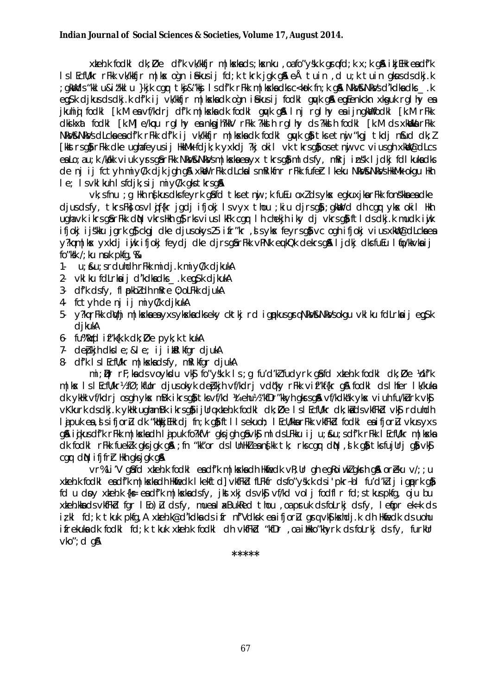xkeh.k fodki dk; Øe df'k vk/kkfjr m|kxkads; kxnku , oafo"ysk.k gryfd; k x; k gå ikjEHk eadf'k IslEcfU/kr rFkk vk/kkfjr m|kx ogn i£ekusij fd;k tkrk jgk g\$l eÅ tuin ,d u;k tuin gkwsdsdkj.k gkWdds"kki u&it"kki u }kjk cgr tkj&"kkj isdf'k rFkk m|kskadksc<kok fn;k g& NkV&NkVsd'kdkadks .k; eg§k djkusdsdkjk df'k ij vk'kkfjr m|kskadk ogn i£kusij fodkl gyk gå eg Eenkckn xkguk rglhy ea jkuhig fodki [k.M ea vf/kdrj df'k m|kska dk fodki quyk q& Inj rqlhy ea ijngkWfodki [k.M rFkk clkikxat fock! [k.M] e/kqtu rql hy ea nkqjh?kkV rFkk ?kkih rql hy cls ?kkih fock! [k.M cls xkbbka rFkk NKV&NKVsdLckaeadfk rFkk dfk ij vk/kkfjr m|kskadk fodkl gwk go tksetnu "kgj tkdj noud dk; l [kkstrsqi]rFkk dke uqhafeyusij HkkMk fdjk;k yxkdj ?kj okil vk tkrsqi]osetnij vc viusqh xkllj@dLcs ea Lo; a u; k /kakk viuk yrs gâr Fkk NkV&NkVs m | kxka ea yx tkrs gâml ds fy, mRrj insk ljdkj fdl kuka dks de nj ij fctyh miyC/k djk jgh g& xkW rFkk dLckalsmRikfnr rFkk fufer Ikeku NkV&NkVsHkkMk okgu Hkh le; Is vkl kuh Isfdjk; sij miyC/k gks tkrsg&

vk; s fnu ; g Hkh ng kus dks feyrk gå fd tks e tnij; k fuEu oxlds yks egkuxjka rFkk fonskka eadke djusdsfy, tkrsFk\$ osvlijf{kr jgdj ifjokj Isvyx thou ;kiu djrsg\$ ;gkWrd dh cgr ykx okil Hkh ugha vk ikrs går Fkk din vkrs Hkh gårks vius IkFk cgr Ih chekjh iky dj vkrs gåft Ids dkj.k mudk i vik ifjokj ijskku jark af ckaj dke djusokys 25 ifr"kr, jsykx feyrsaf vc ogh ifjokj vius xklil@dlckaea y?kgm|kx yxkdj iwjk ifjokj feydj dke djrsgårFkk vPNk eukQk dekrsgå ljdkj dksfuEu lfjo/kkvkaij fo" $k$ kk /; ku nuk p $k$ fq,  $%$ 

- u; &u; srduhdh rFkk midj.k miy(/k djkukA  $1 -$
- 2. vkl ku fdLrkaij d'kdkadks .k egysk djkukA
- 3- df'k dsfy, fl pkbldh mRre 0; oLFkk djukA
- 4 fctyh de ni ij miyC/k djkukA
- 5- v?karFkk dWhimlkskaeavxsvkskadksekv cktkird japkusaraNkV&NkVsokauvklkufdLrkaijea\$k dikukA
- 6- fu%Wd if"k{k.k dk; De pyk; k tkukA
- 7- debkih dksle: & le: ii ikkl kfar diukA
- 8 df'k IslEcfU/kr m|kskadsfy, mRI kfgr djukA

mi ; Dr rF; ka ds voykdu vk\$ fo"ysk.k Is; g fu'd'k fudyrk q\$fd xteh.k fodkl dk; Øe Ydf'k mlkx IslEcfl/kr½fØ:kfllor diusokyk debkih vf/kdri vdøky rFkk vif"kf{kr a& fodkl dslhfer Ik/kuka dk ykłk vf/kdrj osgh ykx mBk ikrsg} tksvf/kd ¼tehu½ "kfDr"kkyh gkrsg& vf/kdkak ykx viuh fu/kurk vk\$ v Kkurk ds dkj. k yklik ugham Bk i krsgå i jurg xteh. k fodkl dk; Øe Isl Ecflu'kr dk; kåds v kfFkd vkå rduhdh lajouk en disifioru dk "kakkiEHk di fn; k gå ftllsekuoh; l EcU/kka rFkk vkfFkd fodkl en ifioru vkus vxs q& igkusdf'k rFkk m|kskadh lajpuk fo?kfVr qksjqh q&vk\$ mldsLFkku ij u; &u; sdf'k rFkk lEcfU/kr m|kska ck fock! rFkk fuek!k gksjgk g&; fn "kk"or cls!UnHk!ean{kk tk; rkscgr clp\, sk g} tksfujUrj g} vk\$ car dN ififrh Hkh aksjak an

vr%Li'V gåfd xkeh.k fodkl eadf'k m|kxkadh Hkfiedk vR;Ur gh egRoiwkZgksh gå oreku v/; ;u xkeh.k fodkl eadf'k m | kxkadh Hkfiedk | kekftd] vkfFkd fLFkfr dsfo"ysk.k dsi'pkr-bl fu'd'klij igprk g} fd u dny xiteh.k {k= eadfk m|kxkadsfy, jktxkj dsvkj vf/kd volj fodfl r fd; stkuspkfq, oju bu xteh.kka ds vkfFkd fgr I Eo) Lu ds fy, mueal axBukRed thou, oa pruk ds folrkj ds fy, I efpr ek=k ds izkl fd;k tkuk pkfg,A xkeh.k@d'kdkadsifr nf'Vdksk ea ifjorl gravkSkehdj.k dh Hkfedk ds uohu ifrekuka dk fodkl fd; k tkuk xteh.k fodkl dh vkfFkd "kfDr, oa itkko"khyrk ds folrkj ds fy, furkur  $vko$ "; d q $\lambda$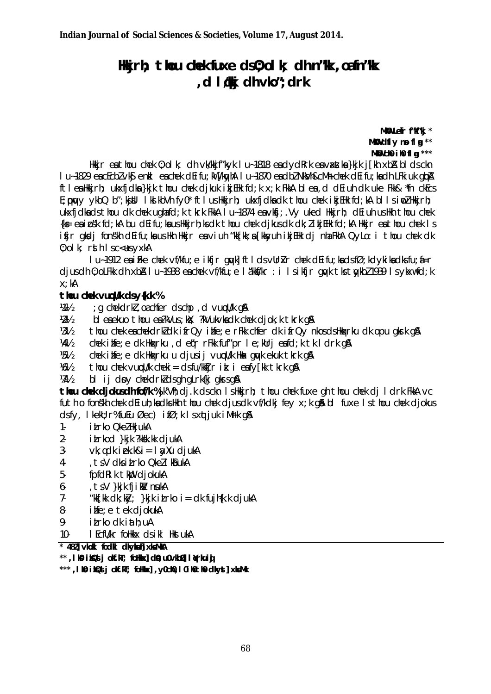# Hikirh; thou chek fuxe ds0; olk; dh n"k, oafn"k d Idiki dh vko": drk

MKU Lefr f"Kf"kj \* MKU dfiy no fl a \*\* MKO  $\mathsf{ch}$  if  $\mathsf{fl}$  a \*\*\*

Hkir ea thou chek 0; ol k; dh vk/kkjf"kyk I u~1818 ea dydRrk ea vaxstka }kjk j[kh xbA bl ds ckn I u-1829 en cEcbl vkg enkl en chek dEifu; kW [kg/hA I u-1870 en dbl NkVh&cMh chek dEifu; kn dh LFki uk qibA ftlealkkirh; ukxfidka}kik thou chek dikuk ikiElk fd;k x;k FkkA blea,d dEiuh dk uke Fkk& \*fn ckEcs E; puy ykbQ b"; kjUl IkJkbVh fyO\* ftIusHkkjrh; ukxfjdkadk thou chek ikjEHk fd; kA bIIsinoZHkkjrh; ukxfidkads thou dk chek ughafd; k tkrk FkkA I u~1874 eavkfi; Vy uked Hkkirh; dEiuh usHkh thou chek {k = eainsk fd; kA bu dEifu; ka us Hkkjrh; ks dk thou chek djkus dk dk; likjEHk fd; kA Hkkjr eathou chek Is ifir gkdi fonskh dEifu;ka ushkh Hkkjr ea viuh "kk[kk;a [kksyuh ikjEHk dj nha FkhA QyLo: i thou chek dk 0; olk; rsth Isc<us yxkA

I u-1912 ea i fke chek vf/kfu; e i kfir gwkl ft I ds vUrkr chek dEi fu; ka ds fØ; kd y ki ka dks fu; a=r djus dh 0; olfkk dh xbA I u~1938 ea chek vf/kfu; e I akkf/kr : i I sikfjr quyk tks tuykbl 1939 I sykxwfd; k  $x: kA$ 

### thou chek vucll/k ds y{k.k %

; g chekdrkl, oachfer dschp, d vuculk g& **狐** 

 $W_2$ bleaekuo thou ea?kVus; kx; ?kVukvkadk chek djok; k tkrk q&

 $1/31/2$ thou chek eachekdrkldk ifrQy ihfe; e rFkk chfer dk ifrQy nkosds Hkakrku dk opu gkrk g&

1/41/2 chek ihfe; e dk Hkaxrku, d egr rFkk fuf"pr l e; kUrj eafd; k tk l drk q&

 $1/5!/2$ chek ilife; e dk Hkakrku u djusij vuodl/k Hkak govk ekuk tkrk g&

1/61/2 thou chek vucull cheki = dsfulktir it: i eafy[kk tkrk q&

 $W\$ bl ij dov chekdrkldsgh gLrk{kj gkrsg&

thou chek djokusdh fof/k %jk'Vh; dj.k dsckn IsHkkjrh; thou chek fuxe gh thou chek dj I drk FkkA vc futh o fonskh chek deiuh; kadkshkh thou chek djusdk vf/kdkj fey x; k gå bl fuxe Is thou chek djokus dsfy, I kekU; r%fuEu Øec) ifØ; k I sxqtjuk i Mrk q&

- i Lrko Qkel HkjukA  $1 -$
- $2$ itrkod }kik ?kksk.kk diukA
- $3$  $vk: qdk$  iek.k&i =  $l$  ay Xu djukA
- $4-$ , ts V dks i Lrko Qkel I kå ukA
- $5$ fpfdRIk tkb diokukA
- $6$ tsV }kik fiikV nukA
- $7 -$ "kk[kk dk; k $x$ ; }kjk i $L$ rko i = dk fujh $(k. k$  djukA
- $8$ ime: e tek diokukA
- $9$ itrko dk iath; uA
- $10-$ I EcfU/kr follkkx ds ikl llkst ukA

\* 482] vloki fodki dkykułj xksMkA

\*\*, I KG i KQS j oKf.kT; foHkx] cl9, u0vkbD] I Nrkuiq

\*\*\*, I KO i KQd j okf.kT; foHkx], y0ch0, I OihOthO clkyst] xksMk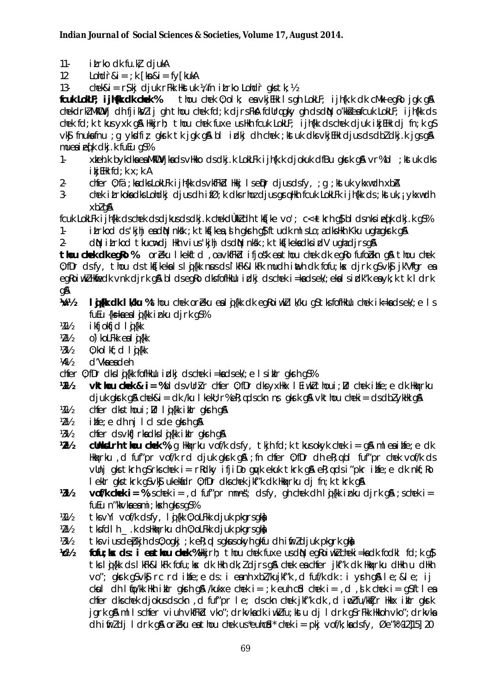- $11$ itrko dk fu.kł djukA
- $12$  $Lohdir&i = ; k [kn&i = fy[kukA$
- $13$ chek&i = r\$kj cljuk rFkk Hkstuk ¼ fn iLrko Lohdr qks tk; ½

thou chek 0; olk; ea vkjEHk Is gh LokLF; ijh{k.k dk cMk egRo jgk g& fcuk LokLF; i jh(k dk chek % chekdrklMkDVj dh fjikWlij gh thou chek fd;k djrsFkA fdUrqgky gh dsdN o'kkJeafcuk LokLF; ijh{kk ds chek fd; k tkus yxk q& Hkkjrh; thou chek fuxe us Hkh fcuk LokLF; ijh{kk ds chek djuk ikjEHk dj fn; k q\$ vk§ fnukafnu ; q ykdfiz gkrk tk jgk g& bl idkj dh chek ; kstuk dks vkjEHk djus ds dbl dkj.k jgs g& muesiefk dkj.k fuEu qS%

- xteh.k bykdka ea MkDV jka ds vHkko ds dkj.k LokLFk i jh {k.k djokuk dfBu qkrk q& vr%bl ; kst uk dks  $1$  $ikj$  EHk  $fd$ ;  $k$   $\times$ ;  $k$  A
- $2$ chfer 0; fä; kadks LokLFk i jh{kk ds vkfFkd Hkkj I seiQr djusdsfy, ; q ; kst uk ykxwdh xbA
- $3$ chek itrkoka dks Lohdki djus dhifØ; k dks rhoz djus gra Hkh fcuk LokLFk ijhfkk ds; kst uk, ; ykxw dh xbl q&

fcuk LokLFk ijh{kk dschek dsdjkusdsdkj.k chekdÙkkZdh tks[ke vo'; c<+tkrh q\$ bldsnksieq[k dkj.k q\$% itrkod ds 'kjhj eadN nksk ; k tks[kea, s h gkrh q} ftudk ml s Lo; adks Hkh Kku ughagkrk q&  $1 -$ 

dN itrkod tkucrdi Hkh vius'kihi dsdN nkk; k tks[kekadksidV ughadjrsgA  $\mathfrak{L}$ 

thou chek dk egRo % or bku I kekftd, oa vkfFkd ifjosk ea thou chek dk egRo fufobkn g& thou chek 0; fDr dsfy, thou ds tks[kekalsloj{kk nousds]kFk&lkFk mudh inth dk fofu; kx djrk q\$vk\$ jk'Vfqr ea egkoiwkillifiedk vnk djrk gå bidsegko dksfofilklu idkj dschek i=kadsek/; ekal sidk"k ea yk; k tk i drk an

- $1/1/2$ I jak dk I Whu % thou chek or eku ea I jak dk eq Roi wk I Wku qs tks fofilku chek i k=ka ds ek/; e I s fuEu {k = k a e a l a {k k i n k u d i r k q S %
- 焔½ ikfjokfjd l**i**{kk
- $1/2$ o') koLFkk eal d{kk
- $1/3/2$  $0$ ; kol kf; d l  $j$ {kk
- 1/41/2 d'Vka ea deh
- chfer 0; fDr dks I gi {kk fofHkUu i dkj ds chek i =ka ds ek/; e I s i klr gkrh g\$%
- **vkthou chek & i = %bl ds vUrkr cher 0: fDr dk vxHkx | Ei wkl thoui : Dr chek i blie: e dk Hkarku**  $1/11/2$  $djuk gkrk gR$  chek $&i = dk$  /ku I kekli;  $r$ %e $R$ ;  $qds$ ckn ns gkrk g $R$  vkthou cheki = ds dbl yklik g $R$
- 211 chfer dks thoui; Dr I g{kk iklr gkrh g&
- $1/2$ infe; e dh nj I cl sde qkrh q&
- 1/31/2 chfer ds vkfJrkadks I g {kk i klr gkrh g &
- $2\%$ **clhistrh thou chek** %; q Highericu vof/k dsfy, thin fd; k thus only the i = q& ml eaihfe; e dk Hight and fut "pr vof/k rd djuk gist gå; fn chfer 0; fDr dh eR; q bl fut "pr chek vof/k ds vünj gks tkrh g\$rkschek i= rRdky ifjiDo gwk ekuk tkrk g&eR;qdsi"pkr ilife;e dk nkf;Ro I ekir gistirk gsviğ ukeldidr 0; fDr dischek jiki"k dik Hiqkrku dj fn; k tikrk q&
- $1/3$ **vof/k chek i = %**; schek i = d fuf"pr mnns"; dsfy, gh chek dh l  $\mathbf{i}$ {kk inku djrk g\$ ; schek i = fuEu n"kkvkaeami; kskh gkrs gS%
- tksvYi vof/k dsfy, lij{kk 0; oLFkk djuk pkgrsgka 焔½
- $W_2V_2$ tksfdlh .k dsHkaxrku dh 0; oLFkk djuk pkarsakh
- $1/31/2$ tks vius de blinds 0; ogkj; ke R; q I s gkus ok y hg kfu dhi fir I djuk pkgrk gka
- 尬 fofu;  $\alpha$  ds: i eathou chek %Hkirh; thou chek fuxe us dN eqkoivkl cheki=ka dk fodkl fd; k q} tks lij {kk ds likFk&likFk fofu;kx dki Hkh dk; *l* djrs q& chek ea chfer jkf"k dki Hkaxrku dHkh u dHkh vo"; gkrk g\$vk\$ rc rd ihfe;e ds: i eanh xbl/kujkf"k, d fuf/k dk: i yrh g& le; & le; ij ckul dh lio/kk Hkh ikir qkrh q& /kukxe chek i= ;k euh cid chek i= ,d ,d k chek i= q\$ftlea chfer dks chek diokus ds ckn, d fuf"pr le: ds ckn chek ikf"k dk, d inpl fu/kktir Hkkx iklr akrk jark gå millschfer viuh vkfFkd vko"; drkvkadk i ukifu; kstu dj I drk g\$rFkk Hkkoh vko"; drkvka  $\frac{1}{2}$  chi if  $\frac{1}{2}$  chi if  $\frac{1}{2}$  chi if  $\frac{1}{2}$  chi if  $\frac{1}{2}$  chi if  $\frac{1}{2}$  chi if  $\frac{1}{2}$  chi if  $\frac{1}{2}$  chi if  $\frac{1}{2}$  chi if  $\frac{1}{2}$  chi if  $\frac{1}{2}$  chi if  $\frac{1}{2}$  chi if  $\frac{1}{2}$  chi if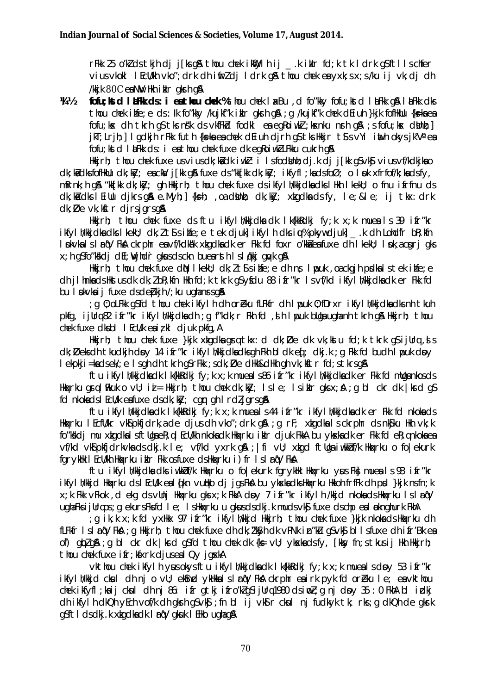rFkk 25 o'klds tkjh dj j[ksq\$ thou chek ikhlylh ij kiklr fd;k tk ldrk q\$ftllschfer vius vkokl l EcU/kh vko"; drk dh ifirl dj l drk gå thou chek ea yxk; s x; s /ku ij vk; dj dh /kkjk 80C ea NW Hkh iklr gksh g&

 $1/1$ fofu; ktd l aFkk ds: i eathou chek % thou chek l a Bu, d fo"kky fofu; ktd l aFkk q & l aFkk dks thou chek ilife: e ds : lk fo"kky /kuikf"k iklr gkrh g& : g /kuikf"k chek dEiuh }kik fofHkllu {k=kaea fofu; kx dh tkrh q\$ tks n\$k ds vkfFkd fodkl ea eqRoiwkl; kxnku nrh q\$ ; s fofu; kx dthh; ] jkT; Lrjh; | I gdkjh rFkk futh {ks=kaea chek dEiuh djrh g\$tks Hkkjr t\$s vYi inth okys jk'Vaea fofu; ktd l LFkk ds: i ea thou chek fuxe dk eg Roiwk LFkku cukrh g &

Hkkjrh; thou chek fuxe usviusdk;kidk iwk2: i Isfodbhh;dj.k dj j[kk qSvk\$ viusvf/kdkjkao dk; kid dks fofHkllu dk; kily; eackal j[kk q& fuxe ds "kk[kk dk; kily; ikfyfl; kads foØ; o l pk xfrfof/k; kads fy, mRrnk; h g& "kk[kk dk; kky; gh Hkkjrh; thou chek fuxe ds ikfyl h/kkjdkadks | Hkh | kekU; o fnu ifrfnu ds dk;kaidks I Eillu dikrs ga e.Myh;]{ksh; ,oa dihht; dk;kky; xkgdka ds fy, le;≤ ij tkx:drk  $dk; D$ e v $k$ ; kitr djrsjgrsg &

Hkirh; thou chek fuxe ds ftu ikfyllvkkjdka dk lk{kkRdkj fy;k x;k mueals 39 ifr"kr ikfyllvkkjdkadkslkekU; dk; It'Ssilnfe; etek djuklikfyllndksiu% pkywdjukl. kdh Lohdfr bR; kfn I pkvka I s I r qV FkA ckrphr ea vf/kdkak xkgdka dk er Fkk fd foxr o'kka ea fuxe dh I keku; I pk, a cgrj gks x; h q\$fo"kkkdj dEl; Wjhdr gkusdsckn buearsth Islakkj guyk g&

Hkirh; thou chek fuxe dN I kekU; dk;  $l$  tS silfe; e dh ns I pouk, oa ckgih podka I s tek ilife; e dh ji hnka ds Hkstus dk dk; *l* bR; kfn Hkh fd; k tkrk g\$yfdu 88 ifr"kr Is vf/kd ikfyl h/kkjdka dk er Fkk fd bu I pkvkaij fuxe dsdebkih /; ku ughanrsg &

g 0; oLFkk q\$fd thou chek ikfylh dh oreku fLFkfr dh I puk 0; fDrxr ikfylh/kkjdkadksnh tkuh; pkfg, ijUrq82 ifr"kr ikfylh/kkjdkadh; g f"kdk; r Fkh fd, sh I puk bUga ughanh tkrh g& Hkkjrh; thou chek fuxe dksbl I EcU/k e $i$  i  $j$  kl djuk pkfq, A

Hkirh; thou chek fuxe }kjk xkgdka gratkx: d dk; Øe dk vk; ktu fd; k tkrk gsijllra, s dk; Øeks dh tkudkjh døy 14 ifr"kr ikfyl h/kkjdkadks gh Fkh bl dk ef; dkj.k; g Fkk fd budh I puk døy I ekpkji=kadsek/; e I sgh dh tkrh g\$rFkk ; sdk; Øe dHkh&dHkh gh vk; k\$tr fd; stkrsg&

ftu ikfyl h/kkjdkadk lk{kkRdkj fy;k x;k mueals86 ifr"kr ikfyl h/kkjdkadk er Fkk fd mllgankosds Hkaxrku gralihkuk o vU; i $i$  = Hkkjrh; thou chek dk;kky; Isle; Isikir qksx;A ;q bl ckr dk |krd qS fd nkokads I EcU/k eafuxe ds dk; ky; cgr gh I rdljgrsg &

ftu ikfyl h/kkjdkadk lk{kkRdkj fy;k x;k mueals44 ifr"kr ikfyl h/kkjdkadk er Fkk fd nkokads Hkaxrku I Ecfl/kr vksipkfjdrk, a de djus dh vko"; drk q&; q rF; xkgdka I s ckrphr ds nksjku Hkh vk; k fo"kkdj mu xkgdkalsftUgaeR; qlEcU/kh nkokadk Hkakrku iklr djuk FkkA bu ykskadk er Fkk fd eR; qnkokaea vf/kd vkGpkfjdrkvkadsdkj.kle; vf/kd yxrk q&; |fi vll; xkgd ftllga i wkkbf/k Hkaxrku o fo | ekurk farykk I Ecu/kh Hkakrku ikir Fkk osfuxe dshkakrku i fr Islrav Fka

ftu ikfylh/kkjdka dks iwkkbf/k Hkakrku o folekurk fgrykhk Hkakrku ysus Fkt mueals 93 ifr"kr ikfyl h/kkjd Hkaxrku ds I EcU/k en I gkn vudko dj jas Fka bu ykskndks Hkaxrku Hkkoh frfFk dh prd }kjk nsfn; k x; k Fkk vFkok, d ekg ds vUnj Hkaxrku gks x; k FkkA dov 7 i fr "kr i kfyl h /kkjd nkoka ds Hkaxrku Isl rav ugha Fils i julingos; q ekurs Fils fol I e; I shliqk rku u gikus ds dkj. k muds vk\$ fuxe ds chp eal obknighurk FildA

g ikk xk fd yxHkx 97 ifr"kr ikfyl h/kkjd Hkirh; thou chek fuxe }kjk nkokadsHkaxrku dh fLFkfr IslarqV FkA; g Hkkjrh; thou chek fuxe dh dk; "kSyh dk vPNk in"ku qSvk\$ bllsfuxe dh ifr'Bk ea of) abla& ; a bl ckr dk | krd asfd thou chek dk {k= vU; ykxkadsfy, [kky fn; stkusij Hkh Hkkjrh; thou chek fuxe ifr; kfxrk djuseal Qy jaxkA

vkthou chek ikfylh ysus okysftu ikfylh/kkjdkadk lk{kkRdkj fy;k x;k muealsdsy 53 ifr"kr ikfyllvkkjd ckul dh nj o vU; ekfind ykHkkalslan(V FkA ckrphr eairk pyk fd oreku le; eavkthou chek ikfyfl;kaij ckul dh nj 86: ifr qtkj ifro'klgSijUrq1980 dsiwl;q nj doy 35 : 0 FkhA bl idkj dhilifylh dilQh yEch vof/k dh gish gSvk\$; fn bl ij vk\$r ckul nj fudkyk tk; rks; g dkQh de gisrk g\$ftldsdkj.kxkgdkadklrqVgkuklEHkoughag&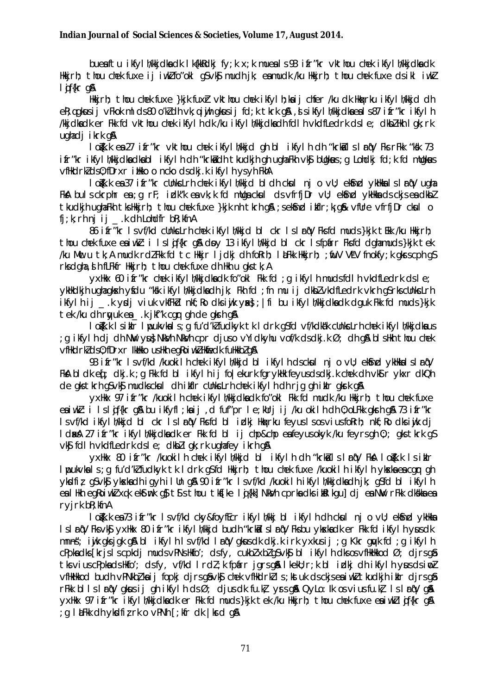bue aftu ikfylh/kkjdka dk lk{kkRdkj fy;k x;k mue als 93 ifr"kr vkthou chek ikfylh/kkjdka dk Hkkjrh; thou chek fuxe ij iwk $l$  fo"okl g $S \vee k\$  mudh jk; e $\bm{s}$  mudk /ku Hkkjrh; thou chek fuxe ds ikl iwk $l$ l jf{kr g&

Hkkjrh; thou chek fuxe }kjk fuxh vkthou chek ikfylh;kaij chfer /ku dk Hkqxrku ikfylh/kkjd dh e R;qqk $us$ ij vFkok mlds 80 o'k Z dh vk;q iyih qk $us$ ij fd;k tkrk qSA ,sls ikfylh/kkjdka e a ls 87 i fr"kr ikfylh /kkjdka dk er Fkk fd vkthou chek ikfylh dk /ku ikfylh/kkjdka dh fdlh vkdfLedrk ds le; dkbZ Hkh lgk;rk ugha di ikrk g&

lo $\bar{k}$ k.k e $\bar{s}$  27 ifr"kr vkthou chek ikfylh/kkjd gh bl ikfylh dh "krk $\bar{s}$ ls larqV Fks rFkk "ksk 73 ifr"kr ikfylh/kkjdka dka bl ikfylh dh "krk a dh tkudkjh gh ugha Fkh vk\$ bUgkaus; q Lohdkj fd;k fd mUgkaus vfHkdrk 2 ds 0; fDrxr i Hkko o ncko ds dkj.k i kfylh ys yh FkhA

lo $\zeta$ k.k e sa 37 ifr"kr cUnkscLrh chek ikfylh/kkjd bldh cksul nj o vU; ekSnd ykHkkslslar qV ugha FkA buls ckrphr ea; g rF; idk"k ea vk; k fd mUga ck ul ds vfrfjDr vU; ekSnd ykHkka ds ckjs ea dkbl tkudkjh ugha Fkh tks Hkkjrh; thou chek fuxe }kjk nh tkrh g \$3;s ek Snd itfIr;k; g \$& vfUre vfrfjDr cksul o  $f$ j;k; rh nj ij .k dh Lohd $f$ r bR;kfnA

86 if r"kr ls vf/kd cUnkscLrh chek ikfylh/kkjd bl ckr ls lrnW Fks fd muds }kjk tEkk /ku Hkkjrh; thou chek fuxe estiwk : i lsliffkr g & doy 13 ikfylh/kkjd bl ckr ls fpafrr Fks fd dgha muds }kjk tek /ku Mwc u tk;A mudk rdZ Fkk fd tc Hkkjr I jdkj dh foRrh; laLFkk Hkkjrh; ;fiuV VLV fnokfy;k gkrs cph g S rks dgha, slh fLFkfr Hkkjrh; thou chek fuxe dh Hkh u gks tk; A

yxHkx 60 ifr"kr chek ikfylh/kkjdka dk fo"okl Fkk fd ;g ikfylh muds fdlh vkdfLedrk ds le; ykhkdkjh ugha gk skh ysfdu "k ski ikfylh/kkjdka dh jk; Fkh fd; fn mu ij dkbZ vkdfLedrk vkrh gS rks cUnk slrh ikfylh ij .k y $\chi$ i viuk vkfFk $d$  nkf;Ro dk siwik yske; |fi bu ikfylh/kkjdka dk dguk Fkk fd muds }kjk tek /ku dh rqyuk e sa \_\_\_.k jkf"k cgqr gh de gksrh g\$A

lojk.k I sikIr lypukvkals;g fu'd'k fudkyk tk ldrk g S fd vf/kdka"k cUnksLrh chek ikfylh/kkjdka u s ; g ikfylh di dh NW yu sNk yh Nk svh cpr djus o vYidkyhu vof/k d s dkj.k Ø; dh g & bls Hkh thou chek vfHkdrk ds 0; fDrxr Ik Hkko us Hkh eg Roiwk Hkfiedk fuHkkb z g S

93 i fr"kr ls vf/kd /kuokilh chek ikfylh/kkjd bl ikfylh ds ckul nj o vU; ek Snd ykHkkalslar (V Fka bldk e q[; dkj.k ; g Fkk fd bl ikfylh ij fo|ekurk fgrykHk feyus ds dkj.k chek dh vkg r ykxr dkQh de gks tkrh gS vk Smudk s ck sul dh i kfIr cUnks Lrh chek i kfylh dh rig gh i kIr gksrk g S

yxHkx 97 ifr"kr /kuokilh chek ikfylh/kkjdka dk fo"okl Fkk fd mudk /ku Hkkjrh; thou chek fuxe e siwk z i ls l gif{kr g & bu ikfyfl;k sij ,d fuf"pr le;kUrj ij /ku okilh dh 0;oLFkk gk sh g & 73 ifr"kr ls vf/kd ikfylh/kkjd bl ckr ls larqV Fks fd bl izlkj Hkaxrku feyus ls os vius foRrh; nkf;Ro dks iwjk dj ld skå 27 if r"kr ikfylh/kkjdka dk er Fkk fd bl ij chp&chp e a feyus okyk /ku feyrs gh 0;; gks tkrk g S  $v$ k $\mathfrak s$  fdlh vkdfLedrk dsle; dkb $\mathfrak z$ lgk;rk ugha fey ikrh g $\mathfrak s$ 

yxHkx 80 ifr"kr /kuokilh chek ikfylh/kkjd bl ikfylh dh "krkils larqV FkA logk.k ls iklr lpukvka s;g fu'd'kZ fudkyk tk ldrk gS fd Hkkjrh; thou chek fuxe /kuokilh ikfylh ykska ea cgr gh yksdfiz; g S vk Sj yk ska dhig yhillun g & 90 ifr"kr ls vf/kd /kuokilh ikfylh/kkjdka dhik; g S fd bl ikfylh ea IHkh egRoiwk xqk ekstmk gs ts s thou tk sfke lig {kk] Nk vh cprka dk sidalkgu] dj ea NW rFkk dk skka ea ryjrk bR;kfnA

lojk.k e sa 73 i fr"kr ls vf/kd cky&foyfEcr i kfylh/kkj bl i kfylh dh ck sul nj o vU; ek Snd ykHkka ls lar qV Fks vk Sj yxHkx 80 i fr"kr ikfylh/kkjd budh "krkalls lar qV Fks bu yk ska dk er Fkk fd ikfylh ysus dk mn n s"; iwjk gks jgk g\$A bl ikfylh ls vf/kd larqV gk us dk dkj.k irk yxkus ij ;g Kkr gayk fd ;g ikfylh cPpka dks [krjs ls cpkdj muds vPNs Hkfo'; ds fy, cukbZ xbZ g S vk \$j bl ikfylh dks os vfHkHkkod Ø; djrs g \$ tk vius cPpka ds Hkfo'; ds fy, vf/kd lrdl;k fpafrr jgrs g & lkekU;r;k bl izlkj dh ikfylh yaus ds iwo Z vfHkHkod budh vPNkbZ ka ij fopki dirs g SvkSj chek vfHkdrkZ ls ;k stuk ds ckis e a iw.k tkudkih iklr dirs g Sa rFkk blls lar qV gk us ij gh ikfylh ds Ø; djus dk fu.k zyr s g & QyLo: Ik os vius fu.k  $l$  ls lar qV g & yxHkx 97 ifr"kr ikfylh/kkjdka dk er Fkk fd muds }kjk tek /ku Hkkjrh; thou chek fuxe ea iwkll qif{kr q&  $:$  a l LeFkk dh yksdfiz rk o vPNh [; kfr dk |krd g &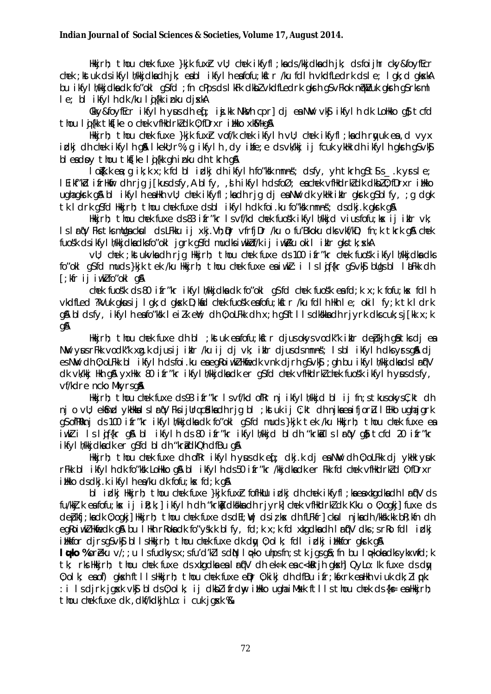Hikirh; thou chek fuxe }kik fuxh vil; chek ikfyfl;kads/kkjdkadh jk; dsfoijhr cky&foyfEcr chek ; kstuk ds ikfyl h/kkjdkadh jk; eabl ikfylh eafofu; kstr /ku fdlh vkdfLedrk ds le; lgk; d gkskA bu ikfyl h/kkjdkadk forokl g\$fd; fn cPpsdslkFk dkblvkdfLedrk gkrh g\$vFkok n@kVuk gkrh g\$rksml le; bi ikfylhdk /ku loj{kk inku djxkA

Ckky&foyffcr ikfylh yus dhef; ij.kk NkVh cpr] djea NW vk\$ ikfylh dk Lolkko q\$tcfd thou li{kk tk\$[ke o chek vfHkdrk]dk 0; fDrxr iHkko xk\$/l+q\$

Hikirh; thou chek fuxe }kik fuxh vof/k chek ikfylh vU; chek ikfyfl;kadh rwuk ea,d vyx idkj dh chek ikfylh qå lkeku; r%; q ikfylh, dy ihfe; e ds vk/kkj ij fcuk ykłk dh ikfylh qkrh q\$ vk\$ bleadoy thou that list on inku dh that q&

lo{kkea;gik;kx;kfdblick|jdhikfylhfo"kkmnns; dsfy,yhtkrhgStSs\_kyrsle; I Eikfrich i frihmir dhrjq j[kusdsfy, A blfy, , Shikfylh dsfoØ; eachek vfilkdrk]dk dkbl0; fDrxr i tikko ughagkirk gå blikfylh eallkh vü; chek ikfyfl; kadh rjg djea Niv dk yklk iklr gkirk g\$blfy, ; g dgk tk I drk q\$fd Hkkjrh; thou chek fuxe dsbl ikfylh dk foi ku fo"kk mnns"; dsdkj.k qkrk q&

Hkirh; thou chek fuxe ds83 ifr"kr Isvf/kd chek fuosk ikfyllykid viusfofu; kx ij iklr vk; Is I ro V Fks tks mulga ckull ds LFkku ij xkj. Vh; Dr vfrfj Dr /ku o fu'Bkoku dks vkf/kD; fn; k tkrk gå chek fuosk dsikfylh/kkjdkadksfo"okl jgrk q\$fd mudksiwkkof/k ij iwk/ku okil iklr qkstk; xkA

vU; chek ; kstukvka dh rjq Hkkjrh; thou chek fuxe ds 100 ifr"kr chek fuos'k ikfyl h/kkjdka dks fo"okl q\$fd muds}kjk tek /ku Hkkjrh; thou chek fuxe eaiwkl: i Islaf{kr q\$vk\$ bllqsbl I &Fkk dh  $\lceil$ ; kfr ij iwklfo"okl q&

chek fuosk ds 80 ifr"kr ikfyl h/kkjdka dk fo"okl q\$fd chek fuosk eafd; k x; k fofu; kx fdl h vkdfled ?kVuk akusii lak; d akxk D; kid chek fuosk enfofu; kitr /ku fdlh Hkh le; okil fy; k tk ldrk an bldsfv, ikfylh eafo"ksk leilk en; dh 0; oLFkk dh x; h qSftlls dkskka dh rjyrk dks cuk; s j [kk x; k gA

Hkirh; thou chek fuxe dh bl ; ktuk en fofu; kitr djusokys vodk"k ikir debkih qistks dj en NW yusrFkk vodk"k xq.k djusij iklr /ku ij dj vk; iklr djusdsmnns; Isbl ikfylh dksyrsq& dj es NW dh 0; oLFkk bl ikfylh dsfoi.ku eaegkoiwkZ Hkmfedk vnk djrh q\$vk\$; gh bu ikfylh/kkjdkadslartjV dk vk/kkj Hkh q\$ yxHkx 80 ifr"kr ikfyl h/kkjdkadk er q\$fd chek vfHkdrkl chek fuos'k ikfyl h yusdsfy, vf/kdre ncko Mkvrsa&

Hkkjrh; thou chek fuxe ds93 ifr"kr Isvf/kd ofRr nj ikfylh/kkjd bl ij fn;stkusokysC;kt dh njovU; eksnd ykHkkalslan(VFksijUrqcadkadhrjqbI; kstukij C;kt dhnjkaeaifjorul EHko ughajqrk g\$ ofRRknj ds 100 ifr"kr ikfylh/kkjdkadk fo"okl g\$fd muds}kjk tek /ku Hkkjrh; thou chek fuxe ea iwkłi Islojf{kr g\$a bl ikfylh ds 80 ifr"kr ikfylh/kkjd bldh "krkoilslarojV g\$i tcfd 20 ifr"kr ikfyl h/kkjdkadk er g\$fd bl dh "krådkQh dfBu g&

Hkirh; thou chek fuxe dh ofRr ikfylh yus dk eq; dkj.k dj ea NW dh 0; oLFkk dj ykHk yuk rFkk bl ikfylh dk fo"ksk LoHkko gå bl ikfylh ds 50 ifr"kr /kkjdkadk er Fkk fd chek vfHkdrk7d 0; fDrxr itkko ds dkj.k i kfyl h ea/ku dk fofu; kx fd; k q&

bl idki Hkirh; thou chek fuxe }kik fuxh fofHklu idki dh chek ikfyfl; ka ea xkgdka dh I nf'V ds fu/kkj.k eafofu; kx ij ik; k; | ikfylh dh "krkj dkskka dh rjyrk] chek vfHkdrk] dk Kku o 0; ogkj] fuxe ds depkfj;kadk 0;ogkj]Hkkjrh; thou chek fuxe dsdEl;Wj dsi;kx dh fLFkfr]cksul njkadh /kksk.kk bR;kfn dh egkojwk Hkfiedk g& bu I Hkh rkokadk fo"ysk.k bl fy, fd; k x; k fd xtgdkadh I rf('V dks; s rko fdl i dkj illktor dirsqsvks bllshkkirh; thou chek fuxe dk dw 0; olk; fdl idki illktor gkrk g&

**I opko** %oreku  $v/$ ; ; u I s fudkys x; s fu'd'kl I s d $N$  I opko uhps fn; s the jas g $\delta$ ; fn bu I opkoka dks ykxwfd; k tk; rks Hikirh; thou chek fuxe ds xkgdka ea I rf(V dh ek=k ea c<kkrih gkxh] QyLo: Ik fuxe ds dy 0: olk: eaof) akshiftlishkkirh: thou chek fuxe eDr 0: kiki dh dfBu ifr: kfxrk eahkh viuk dk: llook: : i Isdirk jgsk vk\$ blds0;olk; ij dkblifrdw, ilkko ughaiMsk ftllsthou chek ds{k= eaHkirh; thou chek fuxe dk, dkf/kdkjh Lo: i cuk jgsk %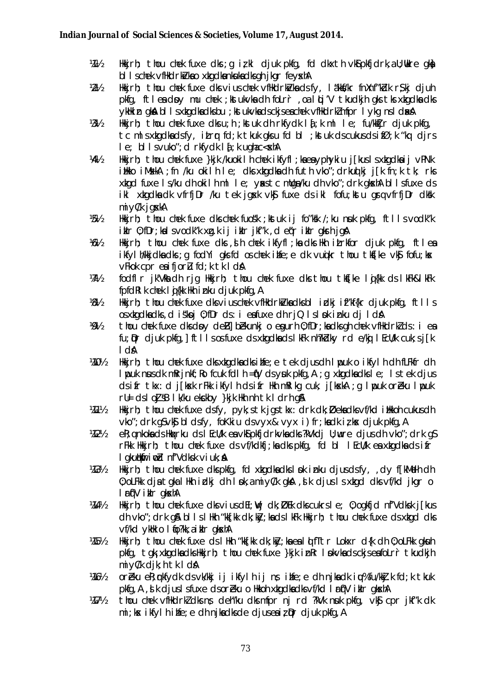- $1/11/2$ Hkirh; thou chek fuxe dks; q izkl djuk pkfq, fd dkxth vk $\delta$ pkfjdrk, a U; ukre qk $\delta$ bl I schek vfHkdrkkkao xkgdkankukadksgh jkgr feyskhA
- Hkkjrh; thou chek fuxe dks vius chek vfHkdrkivka ds fy, I äkkf/kr fnXnf"kidk r\$kj djuh  $W_2$ pkfg, ftleadby mu chek; ktukvkadh folrr, oalti'V tkudkjh gks tks xkgdkadks ykłkin gkal bl I sxkgdka dksbu; kt ukvka dsckjsea chek vflikdrk/mfpr I ykg ns I daka
- $1/31/2$ Hkirh; thou chek fuxe dks u; h; kst uk dh rkfydk l $f$ ; k ml le; fu/kk $f$ jr djuk pkfg, tc mlsxkgdkadsfy, itro fd; k tkuk gks u fd bl; kstuk ds cukus ds if $\emptyset$ ; k "kq dirs  $e$ ; bl i svuko"; d rkfydk i  $f$ ; k ughac  $\ll$ skhA
- Hkirh; thou chek fuxe }kjk /kuokilh chek ikfyfl;kaeayphykiu j[kuslsxkqdkaij vPNk 1/41/2 itikko iMskkA ; fn /ku okilh Ie; dks xkgdkadh futh vko"; drkuq kj j[k fn;k tk; rks xtgd fuxe Is/ku dh okilh ml Ie; yastc muga/ku dh vko"; drk gkshA bl Isfuxe ds ikl xkgdkadk vfrfjDr /ku tek jgsk vk\$ fuxe ds ikl fofu;kstu grq vfrfjDr dksk  $mi$  y $C/k$  j gxkA
- Ѩ҃½ Hkirh; thou chek fuxe dks chek fuosk; kstuk ij fo"ksk /; ku nsuk pkfg, ftlls vodk"k ikir 0; fDr; kalsvodk"k xg.k ij ikir jkf"k, de (rikir gkrhjg A
- $1/6!/2$ Hkirh; thou chek fuxe dks ,dlh chek ikfyfl;kadks Hkh itrkfor djuk pkfq, ftlea ikfyl h/kkjdkadks; q fodYi gksfd oschek ihfe; e dk vujkr thou tks[ke vk\$ fofu; kx vFkok cpr eaifjorl fd; k tk I dA
- $W_2$ fodflr jk'Vlladhrjg Hkkjrh; thou chek fuxe dks thou tks[ke lig{kk ds lkFk&lkFk fpfdRIk chek lij{kk Hkh inku djuk pkfq, A
- Hkirh; thou chek fuxe dk vius chek vfHkdrki/kadksbl idkj if"kf{kr djuk pkfg, ftlls  $1/8\frac{1}{2}$ osxtgdkadks, diskoj 0; fDr ds: i eafuxe dhrjQ Islok inku dj IdA
- 1/01/2 thou chek fuxe dls doy deB] bekunkj o egurh 0; fDr; ka dls gh chek vfHkdrkl ds : i ea fu; Dr djuk pkfg, | ftlls os fuxe ds xkgdkads | kFk nh?kblky rd e/kj | EcU/k cuk; s j [k  $\mathbf{A}$
- 14101/2 Hkirh; thou chek fuxe dk xkgdkadk ihfe; e tek djusdh Ippuk o ikfylh dh fLFkfr dh I put nus dt m $R$ rinkf;  $R$ o fcuk fdl $h = 0$  ds yuk pkfg,  $A : q$  xtgdka dks le; Is tek dius dsifr tkx: d j[kxk rFkk ikfylh dsifr Hkh mRIkg cuk, j[kxkA ; g I puk oreku I puk ru = ds l o UsB l k/ku e k ckby } k j k Hkh n h t k l d r h g \$
- $1/11/2$ Hkirh; thou chek fuxe dsfy, pyk; stk jgstkx: drk dk; Øeka dksvf/kd i Hkkoh cukusdh vko"; drk q\$vk\$ bldsfy, foKkiu dsvyx& vyx i)fr; kadk iz kx djuk pkfq, A
- **VA2½** eR; g nkoka ds Hkaxrku ds I EcU/k ea vksipkfjdrkvka dks ?kVkdj U; wre djus dh vko"; drk qs rFkk Hkkjrh; thou chek fuxe ds vf/kdkfj;ka dks pkfg, fd bl I EcU/k ea xkgdka ds ifr I gkutkfirindd nf'Vdksk viuk; A
- **VA31/2** Hkkjrh; thou chek fuxe dkspkfq, fd xkgdkadkslok inku djusdsfy, ,dy f[kMelh dh] 0; oLFkk djatgkal Hkh idkj dh I nok, a miyC/k gka, , sik djus I sxkgd dksvf/kd jkgr o I rij'V ikir gkskA
- $1/44/2$ Hkirh; thou chek fuxe dks vius dEI;  $W$ j dk;  $D$ Ek dks cukrs I e; 0; ogkfjd nf'Vdksk j[kus dh vko"; drk q& bl I s I Hkh "kk[kk dk; kky; ka ds I kFk Hkkjrh; thou chek fuxe ds xkgd dks vf/kd vkHk o I to?kk, a i kIr akshA
- 1451/2 Hkkjrh; thou chek fuxe ds I Hkh "kk[kk dk;kk]; ka ea I d fTtr Lokxr d{k dh 0; oLFkk gkuh pkfg, tgk; xkgdkadks Hkkjrh; thou chek fuxe }kjk in Rr I pkvkads ckjs eafoLrr tkudkjh  $mi\vee c/k$  dik; h tk I dA
- oreku el: rkfvdk dsvk/kki ji ikfvlh ji ns ilife: e dh nika dk ju% fu/kki k fd: k tkuk **W6½** pkfg, A, J k djus I sfuxe dsoreku o Hkkoh xkgdkadksvf/kd I rf('V iklr gkshA
- thou chek vihkdrk dks ns deh"ku dks mipr nj rd ?kVk nuk pkig, vkj cpr jki"k dk  $1/17/2$  $mi$ ; kx ikfylh ihfe; e dh njkadks de djuseaiz  $\mathbf{D}$ r djuk pkfg, A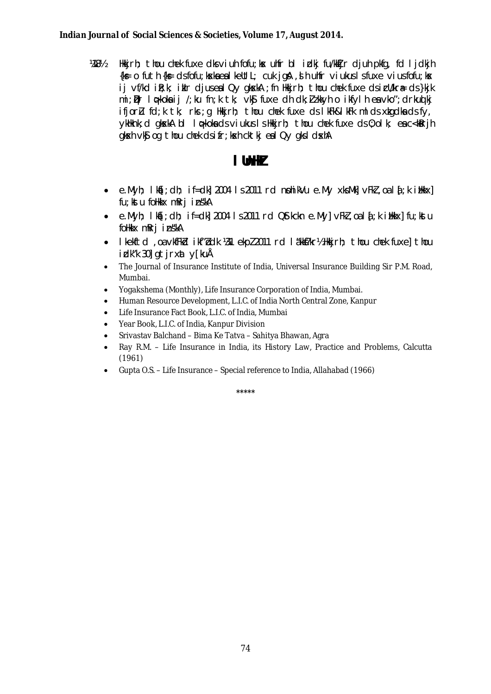**阿8½** Hkirh; thou chek fuxe dk viuh fofu; kx uhfr bl idkj fu/kdjr djuh pkfg, fd ljdkjh  $\{k \in I \mid \text{if } k \in I \}$  of futh  $\{k \in I \mid \text{if } k \leq k \}$  and  $k \in I \cup I$  is the unit of the set of the set of the set of the set of the set of the set of the set of the set of the set of the set of the set of the set of the set ij vf/kd ik; k; iklr djuseal Qy gkxkA ; fn Hkkjrh; thou chek fuxe dsicU/kr& ds}kjk  $\mathfrak{m}$ i; Dr I oskoka ij /; ku fn; k tk; vk $\mathfrak s$  fuxe dh dk; jizkkyh o ikfylh ea vko"; drkuoj kj ifjor $u$  fd; k tk; rks; q Hkkjrh; thou chek fuxe ds I kFk&I kFk mI ds xkgdka ds fy, ykhknk; d gkskA bl lo-koka ds viukus Ishkkirh; thou chek fuxe ds 0; olk; eac<kRrih gksch vkg og thou chek dsifr; ksch cktkj eal Qv gksl dschA

## I UnHZ

- $e.Myh$ ;  $I kf$ ;  $dh$ ;  $i f = dh$  2004 1 s 2011 rd nohikVu  $e.My$  xks $Mk$  vFkz  $a$  a  $l f$ ;  $k$  iblikx] fu; kstu folkkx mRrj inskA
- e.Myh; Ika[; dh; if=dk] 2004 Is 2011 rd Q\$tkckn e.My] vFkl, oa Id; k illkkx] fu; kstu foHkkx mRrj inskA
- I kelftd, oa vkfFkd i kf"bdk 181 ekpl 2011 rd I äkkf?kr½ Hkirh; thou chek fuxel thou idk"k 30] gtjrxat y[kuĂ
- The Journal of Insurance Institute of India, Universal Insurance Building Sir P.M. Road, Mumbai.
- Yogakshema (Monthly), Life Insurance Corporation of India, Mumbai.
- Human Resource Development, L.I.C. of India North Central Zone, Kanpur
- Life Insurance Fact Book, L.I.C. of India, Mumbai
- Year Book, L.I.C. of India, Kanpur Division
- Srivastav Balchand Bima Ke Tatva Sahitya Bhawan, Agra
- Ray R.M. Life Insurance in India, its History Law, Practice and Problems, Calcutta  $\bullet$  $(1961)$
- Gupta O.S. Life Insurance Special reference to India, Allahabad (1966)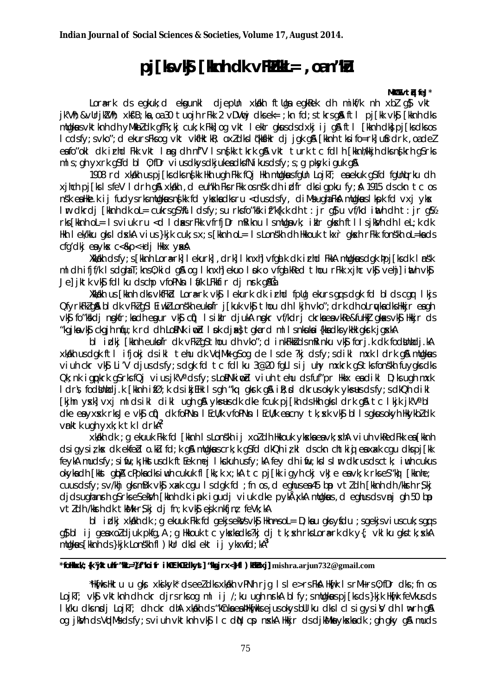# $pi$ [kvk  $\frac{1}{2}$  [knh dk vFk $\frac{1}{2}$ kl = , oan''ku

#### MMW vth feJ\*

Lorark ds eqkuk; d ekqunki djeplin xkikh ftliga eqkRek dh mikf/k nh xbl q\$ vkt jk'Vh; &vUrjkVh; xkt'B; ka, oa 30 tuojh rFkk 2 vDVvcj dksek= ; kn fd; s tkrs g& ftl pj[kk vkt; [kknh dks mugkus vktknh dh yMkbldk gfFk; kj cuk; k Fkk] og vkt leklr gkus ds dxkj i j gå ftl [kknh dk} pj [ks dks os I cdsfy; svko"; d ekursFksog vkt vkflktkR; oxldksI (kkflkr dj jgk g& [kknh tksifo=rk] ufrdrk, oadel eafo"oki dk irhd Fkk vkt img dh nf'V isnfkk tkrk gå vkt turk tc fdih [kknh/kkjh dksnfkrh g\$rks mls; gh yxrk g $s$ fd bl $\theta$ ; fDr vius dkys dkjukea dksfNikus dsfy; s; g pkyk i guk g $\Re$ 

1908 rd xkalkh us pj [ks dks ns[kk Hkh ugh Fkk fQj Hkh mUgkaus fgUn LojkT; en ekuk g\$fd fgUnturku dh xinch pilks I sfeV I drh g& xkakh, d euh'kh Fks rFkk osn's k dh i dfr dks i gpku fy; & 1915 ds ckn tc os nsk eallke.k ij fudys rksmllgkus n $\frac{f}{f}$ kk fd ykska dks ru <dusdsfy, diMsugha FkA mllgkus I kpk fd vxj yks I'm dkrdj [kknh dk ol= cukrs q\$\{tldsfy; su rksfo"kk if"k{k.k dh t: jr q\$ u vf/kd inth dh t: jr q\$ rks [kknh ol = Isviuk ru < cl I dass r Fkk vfrfj Dr m Riknu Ismllga vk; ikl r gksch ft IIsjkkVh dh I e L; k dk Hkh I ek/kku gks I dskka vius }kjk cuk; s x; s [kknh oL= I s Lonskh dh Hkkouk tkxr gkskh rFkk fonskh oL=kads cfq'dkj ea ykx c<&p<+dj Hkx yxA

Xkkikh dsfy; s [kknh Lora=rk] I ekurk], drk] I knxh] vfgal k dk i rhd FkkA mllgkus dgk þpj [ks dk I nsk ml dh ifif/k IsdghaT; kns0; kid g\$ og I knxh] ekuo I pk o vfga kRed thou rFkk xihc vk\$ vehil inth vk\$ Je jitt vkj fdl ku dschp vfoPNn livk LFkkfir dj nrk g&ßa

Xkkikh us [kknh dks vkfFkid Lora=rk vk\$ I ekurk dk irhd fpllg ekurs gots dak fd bl ds car I kjs OfyrkFkZq&bldk vFkZqSlEiwkZLonskheukofr j[kuk vk\$thoudhlkjh vko"; drkdhoLrwkadksHkkjreagh vký forkkdi ngkfr;kadh egur vký cíj) I siklr djukA ngkr vf/kdrj ckrka ea vkRe&fuHkj gkas vký Hkkjr ds "kaika vk\$ ckaih nfu; k rd dh LopNk indd I pk disk}takard ml I snkuka i{kkadks vkHk akrk jaskA

bl idki [kknh eukofr dk vFkl q\$thou dh vko"; d inkFkkidsmRinku vkj forj.k dk fodbinhdj.kA xkakh usdgk ftl ifjokj dsikl tehu dk VqdMk gSog de Isde ?kj dsfy; sdikl mxk I drk g& mugkuus viuh ckr vk Li'V dius ds fv: s dak fd tc fdl ku 3@20 falls ii uhv mxkrk as tks fonskh fu vaks dks Qk; nk igpkrk q\$rksfQj viusjk'Vadsfy; sLoPNkimpd viuh tehu dsfuf"pr Hkkx eadikl D; ks ugh mxk I drs. fodbinhdj.k [kknh ifØ;k ds ikjEHk Isqh "kq qkrk q& ik;d dkrusokyk ykseusdsfy;sdkQh dikl Thin vski vxi midsiki diki ugh q& vks-us dk dke fouk pilkh ds Hkh qks i drk q& tc I kik ik'Va bl dke en yxxk rks Je vks circle dk fopNsn I Ecll/k vfopNsn I Ecll/k en cny tk; xk vks bl I s gkus okyh HkykbZ dk vnktk ugh yxk; k tk I drkA<sup>2</sup>

xkikh dk : a ekuuk Fkk fd [kknh | s Lonskh i i xol dh Hkkouk vkxka ea vk: xhA viuh vkRedFkk ea [kknh dsigysizkx dk ekfeblo.ku fd; k g& mllgkuscrk; k g\$fd dkQh izkl dsckn chtkig eaxak cgu dkspj[kk feykA mudsfy; sifiu; k; Hkstusdk ftEek mej Ikckuh usfy; kA fey dh ifiu; ksIsI ir dkrusdsctk; iwh cukus okykadh [kkst qipA cPpkadksiwh cukuk fl [kk;k x;kA tc pj[kk igyh ckj vkJe eavk;k rkseS"kg] [kknhe; cuus ds fy: s v/khj gks mBk vk\$ xakk cgu Is dgk fd ; fn os, d eghus ea 45 bp vtl dh [kknh dh /kksnh r \$ kj dids ughanrh g\$rks e\$ekWh [kknh dk ipk igudj viuk dke pykÅxkA mUgkwus, d eghus ds vnj gh 50 bp vtldh /kkrh dk tkk/k r\$kj dj fn;k vk\$ ejk nkfjn; feVk;kA

bl idki xkakh dk; g ekuuk Fkk fd gekjsekk/svk\$ HknnsoL= D; ka u gksyfdu ; sgekjsviuscuk; sgq s g} bl ij geaxoldjuk pkfg, A ; g Hkkouk tc ykskadks?kj dj tk; sk rksLora=rk dk y{; vklku gks tk; skA mugkus [kknh ds }kjk Lonskh fl ) kur dks l ekt ij ykxwfd; kA<sup>3</sup>

## \*folkky/: {k \kitulfr"\le=\; f"loifr\_il{tt\t{t dkyt] "\sirx<}{| ) \kituxil\_mishra.ariun732@gmail.com

"Hlafks Hktu u aks xkjskyk" dseeldks xkjkh vPNh rig Isle>rs Fka Hlafk IsrMirs 0: fDr dks : fn os LojkT; vk\$ vktknh dh ckr djrsrks og ml ij /; ku ugh nrkA blfy; smllgkus pj[ksds}kjk Hkifk feVkusds I k/ku dks ngdj LojkT; dh ckr dhA xkakh ds "kCnka ea PHknFkks ejus okys bull ku dks I clsigys iV dh I w⊳rh q& og jkVh ds VidMs ds fy; s viuh vktknh vk\$ I c diN cp nxkA Hkkjr ds djkMks ykxka dk ; gh gky g& muds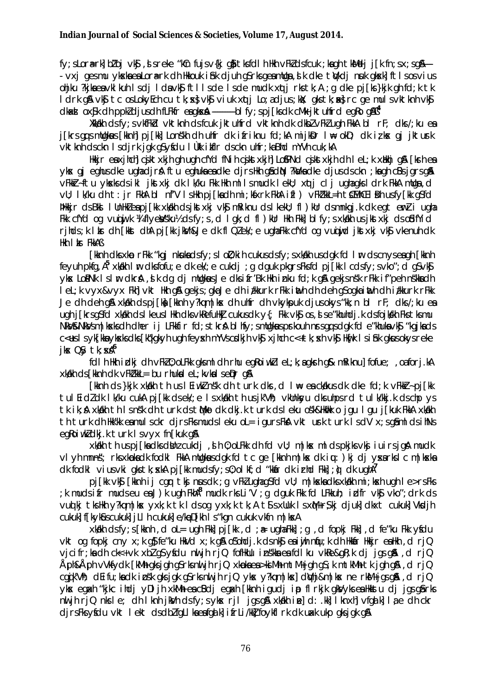fy; slorark| bl'oj vk\$, sreke "kûn fujsv{kj q\$tksfdlh Hkh vFkldsfcuk; ka qhtkMelj j[k fn; sx; sqA---- vxj gesmu ykska ea Lora-rk dh Hkkouk i hik djuh gSrks geamllga, sik dke twkdj nuk gksklj ftls osvius ohjku ?kjkaeavklkuh Isdj I davk\$ ftllsde Isde mudk xqtj rkstk;A ; q dke pj[ks}kjk qh fd;k tk I drk g& vk\$ tc os LokyEch cu tk; x} vk\$ viuk xqtj Lo; a djus; kk; qks tk; x} rc qe muls vktknh vk\$ clkad ox\$k dh ppkl djusdh fLFkfr eagkx $\AA$  ..............blfy; spj[ksdk cMk jktuhfrd egRo g $\AA$ B $^4$ 

Xkkakh dsfy; svkfFkbl vktknh dsfcuk jktuhfrd vktknh dk dkbl vFkl ugh FkkA bl rF; dks/; ku ea j[krs qqsmllqkaus [kknh] pj[kk] Lonskh dh uhfr dk ifriknu fd;kA mijkDr I ⊯ okD; dk izks qj jkturk vktknh dsckn Isdjrk jgk gSyfdu I Ukk itflr dsckn uhfr; ka Bhd mYVh cuk; kA

Hkir eaxihch ciktxkih qh uqh cfYd fNih ciktxkih LofPNd ciktxkih dh I eL;k xHkhi q& [krh ea ykx gj eghus dke ughadjrå ftu eghuka ea dke djrshkh gåd $N$ ?ka/ka dke djus ds ckn; ka gh cBs jgrs gå vFkkF~ftu yksksdsikliktski dk Ik/ku Fkk Hkhmllsmudk lekl; xqtjcljughaqksldrk FkkAmllga,d VU; I k/ku dh t: jr FkhA bl nf'V I sHkh pj[kadh mi ; kfxrk FkhA ifl ) vFk/kkL=h t£MhE I Bh usfy[kk q\$fd Mikir ds Bkill Unlikleapj [kk xkikh ds jktxkj vk\$ mikiknu ds I kekU; fl) kUr dsmnkgj.k dk egt erl i ugha Fik cfYd og vuiji.k ¼ flyeWsku½ dsfy;s, d I gk; d fl ) kUr Hikh Fiki bl fy;s xkilikh usjkst xkj dsofdfYi d rinds; k I br dh [kbst dhA pj[kk jkb/h&Je dk fl Qlek/; e ugha Fkk cfYd og vunjujd jkst xkj vkg vken und k Hkh I ks<sup>-</sup> FkkAB

[kknh dks xkp rFkk "kgj nkukadsfy; sloll; kih cukusdsfy; sxkklkh usdgk fd lur dscnyseagh [kknh feyuh pkfg,  $A^5$  xkilkh I in dksfofu; e dk ek; e cukdj; g dguk pkgrsfksfd pj[kk I cdsfy; svko"; d g\$vk\$ yks LopNk Islm dkrå, dk da dj mugkus Je dksifr'Bk Hkh inku fd; k a aekjsnsk rFkk if"pehnskka dh I el; k vyx&vyx Fkh] vkt Hkh q& gekjs; gkaJe dh i/kkurk rFkk inth dh deh q\$oqka inth dh i/kkurk rFkk Je dh deh qui xkukh ds pilku lkknh v?kqm|kx dh uhfr dh vkykpuk djusokys "kk; n bl rF; dks/; ku ea ugh j[krsgSfd xkklkh ds I keus I Hkh dksvkRefuHkj cukusdk y{; Fkk vk\$ os, s se"khuhdj.k dsfojkklh Fkstksmu NKV&NKVsm|kxksdhdherijLFkkfirfd;stkrAblhfy;smllgkusprkouhnrsgqsdgkfde"khukavk\$ "kgjkads c<+us | s yk [kka yksks dks [k¢kgkyh ugh feyskh mYVs csdkjh vk\$ xjhch c<+tk; skh vk\$ Hkrfk | s i fak gkus okys reke ikx  $QSv$  tk:  $xA^{6}$ 

fdlh Hkh idkj dh vFkl0; oLFkk qksml dh rhu eqRoiwklet; k; a qkrh q& mRiknu] fofue; , oaforj.kA xkikh ds [kknh dk vFkikk\_= bu rhuka | el; kvka | sepr q&

Fikinh ds }kik xkilkh th us I Eiwkinsk dh turk dks d I \ ea ckilkus dk dke fd;k vFkki-pi Fkk tul Eidldk I k/ku cukA pj[kk dsek/; e I sxkakh th usjk/Vh; vkUnksyu dksuhpsrd tul k/kkj.k dschp ys tk ik; A xkakh th Isnsk dh turk ds tillko dk dkj.k turk ds leku osk&Hkakk o jgu Igu j[kuk FkkA xkakh th turk dh Hkk'kk eamulsckr dirsFksmudsleku oL= jaursFka vkt urk turk IsdV x:saamldsihNs egkoiwkldkj.k turk Isvyx fn [kuk q&

xkakh thus pilka dks danz cukdi, sh 0; oLFkk dh fd vU; m|kx ml ds pkjks vkjiuirsjg A mudk vi yh mnns; rks xkpka dk fodki FkkA mllgkus dgk fd tc ge [kknh m|kx dk iu: ) kj dj yxarks i c m|kxka  $dk$  fodkl vius vki gks tk; skA pj [kk mudsfy; s0; olkf; d "kkar dk irhd Fkk];  $\phi$  dk ughA<sup>7</sup>

pj[kk vk\$j [kknh ij cgrr tksj nusdk ; g vFklughag\$fd vll; m | kskadks xkalkh mi; kskh ugh le>rsFks k mudsifr mudseu en J)k ugh FkhA<sup>8</sup> mudk rksLi'V ; g dguk Fkk fd LFkkuh; idfr vk\$ vko"; drk ds; vuotki tks Hkh y?kom | kx yxk; k tk | ds og yxk; k tk; A ts s x Uuk | s x M+r \$ kj djuk| dkxt cukuk| Vksdjh cukuk] f[kykûs cukuk] jLI h cukuk] e/keD[kh I s "kgn cukuk vkfn m | ksA

xkilkh dsfy; s[kknh, d ol = ugh Fkk] pj[kk, d ; = ugha Fkk]; g, d fopkj Fkk], d fe "ku Fkk yfdu vkt og fopkj cny x; k g\$ fe"ku HkVd x; k g\$ o\$ohdj. k ds nk\$ ea i uh nfu; k dh Hkar Hkkjr ea Hkh, d rjQ vjcifr; ka dh ck<+ vk xbl g\$ yfdu nuljh rjQ fofHkUu in skka ea fdl ku vkRe&gR; k dj jgs g&, d rjQ Åph&Åph vVkfydk [kMh qksjgh qSrksnuljh rjQ xkøkaea>kiMh mtM+jgh qS;k mtkMh tkjgh q&,d rjQ caik'Vh: dEifu:kadk ips'k aksiak as rks nulih riQ vkx v?kamlkxl dWhi&mlkx ne rkM+iasa& d riQ ykx egach "kikc ihdi yDI ih xkWh ea cBdi egach [kknh igudi ip fl rkik gkVyks ea Hkkstu di jgs gårks nuljh rjQ nksle; dh Iknh jkWh dsfy; sykx rjI jgsg& xkakh ine]d: .kk] Iknxh]vfgalk] Iae dh ckr djrsFksyfdu vkt lekt dsdblfgLlkaeafgalk| ifrLi/kk] foykflrk dk uak ukp gksjgk g&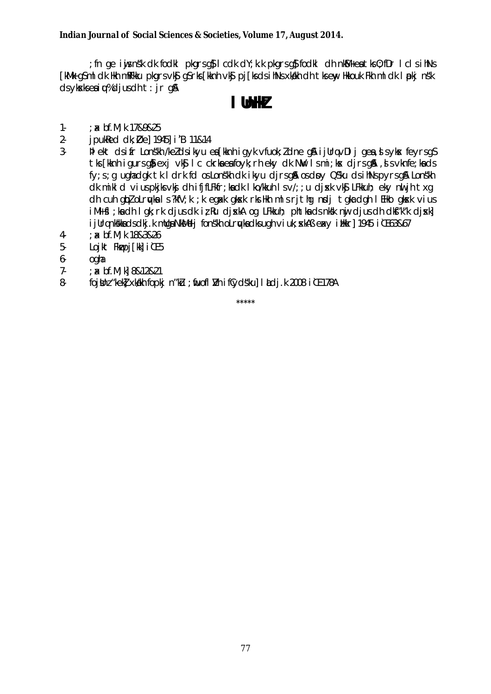; fn ge i y is n sk dk fodkl pkgrs g\$ I cdk dY; k.k pkgrs g\$ fodkl dh nk\$4+e at ks 0; fDr I cls i hNs [kMk gSml dk Hkh mRFkku pkgrsvk\$ gSrks[kknh vk\$ pj[ksdsihNsxkalkh dh tkseny Hkkouk Fkh ml dk I pkj ns'k  $ds$  yksks ea i  $\psi$ % d j us dh t : j r g &

# I UnHZ

- $1 ; x \text{ bf.M}; k \text{ } 1789825$
- $2$ jpukked dk; Øel 1945] i B 11&14
- $3$ blekt dsifr Lonskh /ke/dsikyu en [kknhigyk vfuok; / dne q& ijllrgvDlj qen, dsykx feyrsq\$ tks [kknh jaurs a] exivks Ic ckrka ea fovk; rh ekv dk NW Ismi; kx dirs a \$, ds vknfe; ka ds fy; s; q ughadgk tk I drk fd os Lons'kh dk ikyu djrsg & os day Qs'ku ds ihNs pyrsg & Lons'kh dk mikld vius pkjks vkj dhifjfLFkfr; kadk I ko/kkuh I s v/; ; u dj xk vkj LFkkuh; eky nu jh t x q dh cuh qiploLruykals?kfV;k;k eqaxk qkosk rksHkh mlsrjthq nodj tqkadqh IEHko qkosk vius iM+ fl; ka dh I qk; rk djus dk iz Ru djxkA og LFkkuh; phtka ds nksk nu djus dh dkf"k"k djxk] i jUrgnkskka ds dkj. k mulga NkMedj fonskh olravka dks ugh vi uk; skAB exy i likkr] 1945 i 0 63&67
- $4-$ : x bf.M; k 18&3&26
- $5-$ Loikt Flwpi [kk] i [[ 5
- ogha 6
- $: x$  bf.M; k] 8&12&21  $7 -$
- $8$ fojthz "kek] xkakh fopkj n"ku ; fruofl I/h ifCydsku] I tdj.k 2008 i IE 178A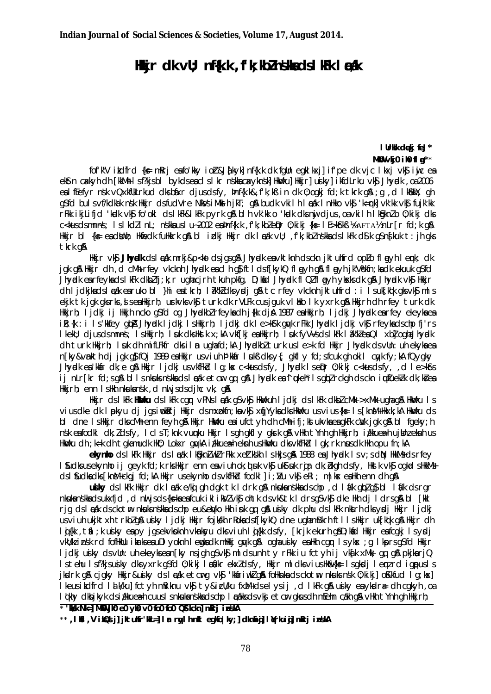## Hikir dk vU; nf{k.k, f'k; kbZn\$khadsIkFk l & tkk

I Urkk dekj feJ\* MKO  $v$ kio ilo fl $a^{**}$ 

fof'k"V indird {k = mkri enfo'kky ior&J{kyk] nf{k.k dk fqlh eqkl kxj] if'pe dk vjc l kxj vk\$ iwjc en ektn caklyh dh [kkMh Isf?kjsbl bykdseaclslkr nskkacakyknsk] HkWku] Hkkjr] usiky] ikfdLrku vk\$ Jhyadk ,oa2006 ealffefyr nsk vQxkflkLrkud dksbáxr djusdsfy, þnf{k.k&, f'k;kß in dk 0; ogkj fd;k tkrk g&; q, d lkBkkY; gh g\$fd bulsvf/kdkak nsk Hkkjr dsfudVre NkVsiMen jkT; g\$ budk vkilh locak InHkko vk\$ 'k=rk] vk'kk vk\$ fujk'kk rFkk ikjLifjd 'kadk vk\$ fo'okl dslkFk&lkFk pyrk g&blh vk'kk o 'kadk dksmijdjus, oa vkilh Ik\$pknZo 0; kikj dks C<kusdsmnns; IslkdZInL; nskkauslu-2002 eapnf{k.k, fk;kbZeQr0;kikj{k=IE>k\$kB \&AFTA\znLr[rfd;kq\$A Hkkjr bl {ks= eadbhb; Hkfiedk fuHkkrk g& bl idkj Hkkjr dk Inak vU; ,f'k;kbZnskkadslkFk d\$k gSn§kuk t:jh gks tkrk g&

Hikir vk**î Jhval**k ds I azik mrki &p<ko ds jasalî Jhvalk e avktivnh dsckn jiktuhird oplo flanyh I emk; dk jak gå Hikjr dh, d cMh rfey ykcknh Jhypdk eacl h gå fti dsf[kykQ fl myh gå fl myh jk"Vokfn; ka dk ekuuk gåfd Jhvælk en rfevlads I kFk dikblíjk; rugin cirh tikuh pkfg, D; kid Jhvælk fi Qlfl avh viskis dk gå Jhvælk vig Hikir dh I jdkjkads læk earuko bl }hi eatkrh; læk"kedks y dj q& tc rfey vkcknh jktuhfrd : i I suk kak gks vk\$ ml s ekjk tk jak aksrks, si sea Hkkjrh; ushvksvks turk dk rVLFk cusjauk vI Hko I k yxrk an Hkkjrh dh rfey turk dk Hikirh; lidki ij Hikih ncko g§fd og Jhydkblrfeykadh j{k dja 1987 ea Hikirh; lidki Jhydk ea rfey ekeyka ea ik: {k : i Is'kkfev aba Jhvak Lidki LsHkirh: Lidki dk Le>kfk avk rFkk Jhvak Lidki vk\$ rfevkadscho fi'rs I kekU; djusdsmnns; I sHkkjrh; I uk dksHkstk x;kA vkf[kj eaHkkjrh; I uk fyVVsdsI kFk I ak"kleaQI xb] oghaJhyudk dh turk Hkirh; luk dh mifLFkfr dksilm ughafd;kA Jhyndkblturk usle>k fd Hkir Jhyndk dsvUn:uh ekykaea n [kv&vnkth di jqk q\$ fQj 1989 eaHkkjr usviuh b'kkar lukß dksy{; gkfl y fd; sfcuk gh okil cyyk fy; kA fQygky Jhvidken "Khardke an Hikir Lidki usvkfFkd La: kx c<kusdsfv, Jhvidk LseiDr 0: kiki c<kusdsfv, d Le>kfs ij nLr[kr fd;sg&bllsnkuksnskkadslækketor og g& Jhyndkean ukeht Isgblrokgh dsckn iuutueklk dk;kiea Hikirh: enn Ishkh nkukansk d nu isdsdihe vk. g&

Hkir cls IkFk HHovku cls IkFk car vPNs Irak as vk\$ Hkwkuh Iicki cls IkFk clkbZcMk >xMk uahaa\$ Hkwku Is vius dke dk I pkyu di jasimokari Hikir dsmxpkfn; ka vks xijYyka dks Hkwku usvius {k= 1 s [kn M+Hkxk; kA Hkwku ds bl dne Ishkir dkscMhenn feyh g& Hkir Hwhu eaiufctyh dh cMhifi; ktukyka ea gkFk ca/k jgk g& bl fgeky; h nsk eafodki dk; Zdsfy, IcisT; knk vunnku Hkkjr Isgh gkfly gkrk g& vHkh tYnh gh Hkkjrh; izkkuea-hujtknzeknhus HkWku dh ; k=k dh tqkamudk HkO; Lokxr gwkA i/kkuea=h eknh usHkWku dksvkfFkd I gk; rk nusdk Hkh opu fn; kA

ekynho ds I kFk Hkkjr ds I cak I kôgkniwk rFkk xeitkskh I s Hkjs gå 1988 ea Jhycolk I sv; s din HkkMs ds rfey I fudks usekynho ij geyk fd; k rks Hkkjr enn eaviuh ok; d suk vkf ukf suk rajr dk; bkgh dsfy, Hkstk vkf ogkal s HkkMs ds I fudkadks [knM+ckai fd; kA Hkir usekvnhods vkfFkd fodk] I j; Nu vkf eRI; m lkx eaHkh enn dh aA

usiky ds I kFk Hkkir dk I cak e/kaj ah dak tk I drk a & nkuka nskka ds cho, d I á/k ab/a s bl I á/k ds rar nkukanskkadsukxfjd, dnu jsds{k=kaeafcuk iklikVZvk\$ ohtk dsvk&tk Idrsg\$vk\$ dke Hkh dj Idrsg\$ bl [kkl rig dsladk dsckotm nkuksnskka dschpeu&eWko Hkh ink gq g& usiky dk phu dslkFk nktrh dksydj Hkkjr ljdkj us viuh ukikt xh trkbl q& us ky lidki Hkir fojkkh r Roks ds f kykQ dne ugham Bkrh ftlls Hkir uk [kak q& Hkir dh lig(kk, tál; k ujky eapy jgsekvkoknh vknkyu dksviuh lig(kk dsfy, [krik ekurh gâD; kád Hkkjr eafcgkj lsydji vkU/kzinsk rd fofHkUu ikarkseauDI yoknh Iemgkadk mHkkj guyk gå oghausky eaHkh cgr Isyks; g IkprsgSfd Hkkjr ljdkj ujky dsvUn: uh ekeyksen [ky nsjgh g\$vk\$ mldsunh ty rFkk iu fctyh ij vka[k xMk, gq g& pkjkarjQ Is tehu Isf?kjsusiky dksyxrk q\$fd 0; kikj I ca/kr ekxZdsfy, Hkkjr mldksviusHkok{k= Isakdi I emzrd ianousIs jkdrk gå cjgky Hkir&ujky dslæk etcrg vkj 'kkiriwk gå follknka dsckotm nkuksnsk 0;kikj] okkfud lg;kx] I keus itdfrd I a k/ku] fctyh mRiknu vk\$ty&icll/ku fxM+dselysij, d I kFk q\$ usiky eaykdra= dh cqkyh, oa I oldry dlub ikyk ds i /kkuea-h cuus I snkukanskka ds chp I adkks ds vkj et cm gkus dh meelm cakh q& vHkh t Ynh gh Hkkjrh;

\* 'Wesk NI | MWW ji0 e0 yi0 v0 fo0 fo0 QStickn] mRrj inskA \*\*, I Ki, V i KQJ il iktulfr'ML=1 I ar rwlh nkl eakolky; 1 clknhial I Nrkuial mRri inskA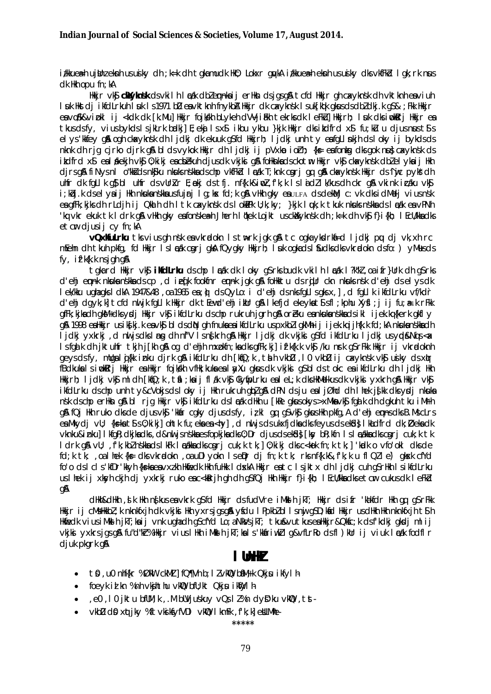i*t*kkuea⊨h ujbhzeknh usujky dh;k=k dh tqkamudk Hk0; Lokxr qukA i*t*kkuea=h eknh usujky dks∨kfFkd Iqk;rk nus  $dk$  Hkh opu fn; kA

Hkkjr vk**j chlyknsk** dsvkilh lækk dblemnka ij erHkn dsjgsgå tcfd Hkkjr gh caxyknsk dh vktknh eaviuh I suk Hist dj i kfdLrkuh I suk I s 1971 bD en vktknh fn vkba Hikir dk cavyknsk I suk Fight gisus ds dbz dkj. k gs&; Fik Hikir ea vošk&vipkl ij <kdk dk [k.Mu] Hkkjr fojkkh bLykeh dVVjihkh tekrks dk leFku] Hkkjrh; luk dks imklarj Hkkjr ea tkus dsfy, vius bykds I sjkLrk badkj] E; eki I sx\$ ikbu ykbu }kjk Hkkjr dksildfrd x\$ fu; ku u djus naust\$ s elys Wifey gå ogh ckacyknsk dh Ijdkj dk ekuuk gsfd Hkkjrh; Ijdkj unh ty eafgLl nkjh ds loky ij bykds ds nknk dh rig cirko dirk q\$ bl dsvykok Hkkir dh lidki ii pVxkp ioth; {k = e afonkq dks qok nu} cakyknsk ds itdfrd x\$ealdkekjh vk\$0;kikjeacbekuh djusdk vkjki g&foHknkadsckotm Hkkjr vk\$ckavknsk dblel ykaij Hkh djrsgå fi Nysnl o"kkidsnkjku nkuksnskkadschp vkfFkbl ladk T; knk carj qq qå ckaxyknsk Hkkjr ds^injc pyks dh ultfr dk fallk as blutfr ds vulrakr E; nekj ds tfj. nf{k.k&imaz, fk; k Islaidz Ik/kus dh ckr as avkink inzaku vks i; kbj.k dselyaij Hkh nkukanskka usfujrj Iq; kx fd; k q& vHkh qky eauLFA dsdekMj c: vk dksidMdj viusnsk ea gfFk; kjks dh rLdjh ij Qkuh dh I tk cakyknsk ds I okePk U; k; ky; }kjk I uk; k tkuk nkuks nskka ds I adk ea vPNh 'kg vkr ekuk tk I drk gå vilkh gky enfonskeæh Jherh I ökek Lojkt usckäkyknsk dh; k=k dh vks f}i {kh; I Ecu/kkneks  $etcur$  djusij  $cy$  fn; kA

vQxKruLrku tksviusghnskeavkr¤dokn Istn⊳rk jgkg&tcogkayksdrka=d ljdkjpu djvk,xhrc meelin dli tkuli pkfa, fd Hkir Islaak cari aka fQvaky Hkirh; I uk oakads budks dks vkradokn dsfo; ) y Musds fy, if k{k, k ns jgh g&

takard Hikir vk**î ikfdLrku** ds chp I mak dk I oky qî rks budk vkilh I mak I ?k"ki , oa ifr}Urk dh qî rks d'ehj empak nkukanskkadscp, diefk fookfnr empak jok om follkktu dsrillr ckn nkuksnsk d'ehj dsel ys dk I ek/kku ughagks I dkA 1947&48, oa 1965 ea; o ds QyLo: i d'ehj ds nks fgLIsgks x, ], d fgLIk ikfdLrku vf/kdr d'ehj dqyk;k] tcfd nu jk fqLlk Hkkjr dk tEewd'ehj ikUr q\$lkefjd ekeykat\$sfl;kphu Xy\$l;j ij fu;a=.k rFkk affk: kikadh akM+dks vsdi Hkkir vk\$i kfdLrku dschp rukruh jarh a\$ orèku eankukanskkadsikli jiek.ka{kerk akfl v gå 1998 esiliki ir usikfkj. kesvkj bidsdiN ghfnuksesi kfdLrku uspxkbligkMhij i jek. kgi jh{k. k fd; kA nkuksnskksdh ljdkj yxkrkj, d nu jsdksling dh nf"V Isn{krh g& Hkjr ljdkj dk vkjki g\$fd ikfdLrku ljdkj usypl&Nqis< x Isfqalk dhijktuhfr tkjh j[kh q\$ oq d'ehjh mxpkfn;kadksqfFk;kj] ifk{k.kvk\$ /ku nsrk q\$rFkk Hkkjr ij vkradoknh gevsdsfv, milaaliifkk inku dirk aå ikfdLrku dh [kijQ;k, tih vkbD, 10 vkbD ii cavvknsk vk\$ uijkv dsxim fBdkukalsimbkerj Hkkjr ea Hkkjr fojkkh vfHk; kuka ea I ay ku gkus dk vkjki gSbldstokcea ikfdLrku dh I jdkj Hkh Hkkjrh; ljdkj vk\$ mldh [kq̃Q;k ,tál;kaij flák vk\$ Ckyq̃pLrku ealeL;k dksHkMdkusdk vkjksi yxkrh q& Hkkjr vk\$ ikfdLrku dscho unh tv&cVokisdsloky ii Hkh rukruh ablaß dPN dsiu ealiØhd dh lhek is kk dksvrdi nkuka nsk dschp er Hkn gå bl rig Hkir vkn ikfdLrku dsl cak d Hkn u [kRe gkusokys > xMkn vkn fgalk dh dgkuh tku iMrh g& fQj Hkh ruko dksde djusvk\$ 'kkafr cgky djusdsfy, izkl gq g\$vk\$ gkusHkh pkfg, A d'ehj eqn-nsdksB.MscLrs ea Mkydi vU; {k=ka t\$ s 0; kiki] ohtk fu; eka ea <hy], d nu js ds ukxfjdka dks feyus ds ek£d} I kadfrd dk; Øeka dk vknku&inku] I kfqR; dkjka dks, d&nu jsnškka esfopkjka dks0; Dr djusdsekkd} [ksy bR; kfn Isladkka dkscgrj cuk; k tk I drk q& vU; , f'k; kbl nskka ds I kFk I cakka dks carj cuk; k tk; ] 0; kikj dks c<kok fn; k tk; ] 'kadk o vfo'okl dks de fd; k tk; .oalhek {k = dk vkradokn .oa uDI vokn I selDr di fn; k tk; rks nf{k.k&, f'k; k u fl Ql l e`) aksk cfYd fo'o dslcls'kfDr'kkyh {k=kaeayxzkh Hkmedk Hkh fuHkk | dxkA Hkkir eatc | siktx dh | idki cuh q\$rHkh | sikfdLrku us I hek ij xkyh ckjh dj yxkrkj ruko eac<kkrjh gh dh q\$fQj Hkh Hkkjr f}i{kh; I EcU/kka dks etcir cukus dk I eFkbl qA

dHkh&dHkh , i k Hkh nfkus ea vkrk q\$fd Hkkjr dsfudVre iMkih jkT; Hkkjr dsifr 'kilifdr Hkh qq q\$rFkk Hikir ij cMsHkkbz;k nknkfxjh dk vkjki Hkh yxrsjgsg& yfdu IPpkbzbl Isnij gSD;kfd Hkkjr usdHkh Hkh nknkfxjh t\$h Hkfiedk viusiMkshjkT;kaij vnk ughadh qScfYd Lo;aNkVsjkT; tku&vutkuseaHkkjr&Qkfc;k dsf'kdkj qksdj mlij vkjki yxkrsjgsgå fu"d"kr%Hkjr viuslHkh iMklh jkT;kals'kkåriwkllg&vfLrRodsfl)kUr ij viuk lædk fodflr diuk pkark a&

## $\blacksquare$

- t0,u0 nhf{kr%ØkW ckMJ]fQ¶Vhb;llvk\@baM+k Qkjsu ikfylh
- foeyk id kn % nh vkjhthu vkm bfU; kt Qkju ikmylh-
- , e0, 10 jktu bflM; k, . M blVjuskuy vQs I l%n dyD'ku vklQ, tst- $\bullet$
- vkbD dQ xatikv %ftvkjkfvfVDI vkQ IkmFk fk;kl eNLMhe-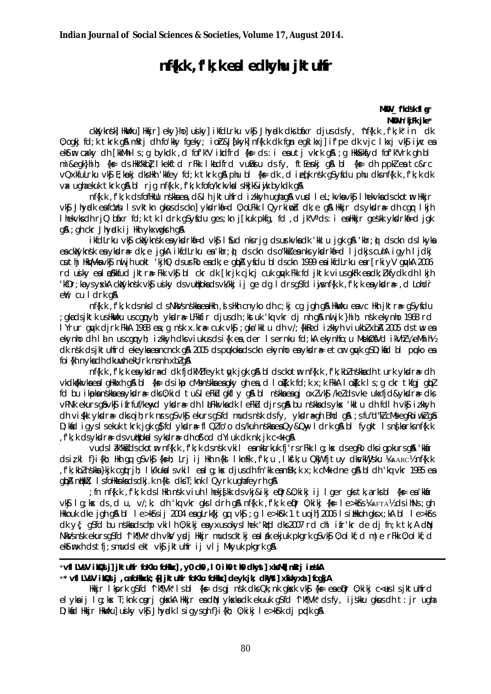# nf{k.k, f'k; k eal edkylu jktulfr

MKU \_fkdsk fl g\* MKU n'kiFk jke\*

clavinski Havkuj Hikirj eky}hoj usikyj ikfdLrku vk\$ Jhyrdk dksbáxr djusdsfy, 'nf{k.k, f'k;k' in dk 0; ogki fd; k tkrk gå mRri dh fo'kky fgeky; ior&J{kyk] nf{k.k dk fgn egkl kxj] if'pe dk vjc l kxj vk\$ iwjc ea ekstin cakky dh [kkMh | s ; q bykdk , d fof'k"V ikdfrd {k= ds : i ea utj vkrk q& ; q HkkSkkfyd fof'k"Vrk qh bl mi&eak}hih; {k = ds Hkk"kkbl I kekftd rFkk I kuldfrd vumBju ds fy, ftEenkj q\$ bl {k = dh ppkl en tc&rc vQxkfuLrku vk\$ E; kækj dksHkh 'kkfey fd; k tkrk g\$ phu bl {k= dk , d i eq[k nsk g\$yfdu phu dks nf{k.k , f'k; k dk vax ughaekuk tkrk gå bl rig nf{k.k, fk;k fofo/krkvkalsHkjk&iwik bykdk gå

nf{k.k.f'k:k dsfofHkUu nškkaea,d&lh iktuhfrd izkkvh ughag&vusd let:kvkavk\$lhekvkadsckotm Hkkir vký Jhvadk en fcivul i svittin gikus dscin] vkdrkned 0; oLFkk I Qyrkinoid dk; e g& Hikir dsvikdrae dh car I kih I hekvis dh rjQ bibar fd; k tk I drk g\$yfdu ges; kn j[kuk pkfg, fd ,d jk"Vads: i ealikkjr geskk yksdrkia=d jgk g& ; gh ckr Jhvedk i j Hkh vkxwgkrh g&

ikfdLrku vki cklvknsk en vkdrki-d vki I sud nk rig dsurkvkndk 'kklu igk gå 'khr: i dsckn ds lkvkn es chayknsk es ykdra dk; e joka ikfdLrku es khr; o ds ckn ds o kks es nks ykdrkf=d ljdkjs cuha i qyh ljdkj cuthj HkyVkavk\$ nu jh uokt 'kjhQ dsurko eadk; e glpA yfdu bldsckn 1999 eaikfdLrku ear[rkiyV glykA 2006 rd usky eslowkfud jktra Fkk vk\$ bl ckr dk [krjk cjkcj cuk gyk Fkk fd jktk viusgkFk esdk; Ikfydk dh I kjh 'kfDr; ka ys yxkA ckalyknsk yks usiky ds yullkokads yk/kki i j ge dg I drsgsfd i usnffk.k, f'k; k ea ykdra=, d Lohdr ell; cu I drk q&

nf{k.k , f'k; k ds nks l cl s NkVs nškka ea Hkh , d s Hkh cnyko dh c; kj cg jgh g& HkWku eavc Hkh jktræg\$yfdu ; gkadsjktk usHkWku uscgmyh; yksdræ LFkkfir djusdh ;kstuk 'kq vkr dj nh g& nwijk }hih; nsk ekynho 1968 rd I Yrur guyk djrk FkkA 1968 ea; g nsk x.kra cuk vk\$; gka kkI u dh v/; {kkRed izkkyh viukbZ xbA 2005 ds tw ea ekynho dh I i n uscqnyh; izkkyh dksviukusdsi{k en, der I sernku fd; kA ekynhfo; u MekØfVd ikVhZ ¼ eMhih½ dk nsk dsjktulifrd ekeykaeancnck gå 2005 dspukokadsckn ekynho ealykidra- etcir guyk gSD; kad bl puko eal foi {kh nykadh dkuwh ekl} rk ns nh xbl q&

nf{k.k, f'k; keaykdræddk fjdkMZ feyk tayk jgk g& bldsckotm nf{k.k, f'k; kbZ nskkadh turk ykdrædh vkdk@kkvkaealgHkkxhg&bl{ks=dsikpcMsnskkaeagkyghea,dlo@k.kfd;kx;kFkkAlo@k.kls;gckrtkfgjgbl fd bu ikpkanskkaeaykdrædks0;kid tu&leFkU gkfly g&bl nskkaeagj oxlvk\$/keldsvke ukxfjd&ykdrædks vPNk ekurs q& vk\$ ifrfuf/kewd ykdrædh latkkvkadk lefku djrs q& bu nskkads yks 'kklu dh fdlh vk\$ izkkyh dh vi{kk ykdra dksojh; rk nrsg\$vk\$ ekursg\$fd mudsnsk dsfy, ykdragh Bhd g& ; sfu"d"kl cMsegRoiwkl g\$ D; kind i gyslsekuk tkrk jogk of fd ykkdræ fl QI fo'o ds/kuh n skka en Qy&Qny I drk of hil fyogkt Isn ska rksnf{k.k , f'k; k ds ykdr# ds vutkokal s ykdr# dh of od dYi uk dk nk; jk c< + q\$

vuds låk"kkidsckotminf{k.k.,f'k;kidsnskivkil eninklirkuk fi'rsrFkkild;kx dseqRodksigpkursqiA 'kkin' dsizkl f}i{kh; Hkh qq qSvk\$ {ks=h; Lrj ij Hkh n{kd lkmFk ,fk;u ,lk\$'k;u QkW fjtuy dksvkWjsku ½saarc½ nf{k.k , f'k; kbZ nskka }kjk cqurjh; Ik/kukalsvkil ealq; kx djusdh fn'kk eamBk; k x; k cMk dne q\$ bldh 'kq vkr 1985 ea gipA nijikiX; Isfolikinkadsdkj.k n{kj dksT;knk IQyrk ughafeyrh g&

: fn nf{k.k .f'k:k ds | Hkh nsk viuh | heki∮kk ds vki&iki eDr&0:kiki ii | aer aks tk.arksbl {ks= ea 'kkafr vkg lq;kx ds,d u, v/;k; dh 'kq vkr qksldrh q& nf{k.k, f'k;k eDur 0;kiki {k= le>kGrs }& AFTA}{b dsihNs;qh Hkkouk dke igh g& bl le>k\$rsij 2004 eagLrk{kj gq vk\$; g le>k\$rk 1 tuojh] 2006 lsiHkkoh gksx;kA bl le>k\$rs dk y{; q\$fd bu n\$kkadschp vkilh 0; kikj eayxusokyslhek 'kidd dks2007 rd chl ifr'kr de dj fn; k tk; A diN NkVsnsk ekursgsfd 1 k¶Vk\* dhvkV yøj Hkir mudscktkj ealdk ekjuk pkgrk gsvk\$0;olkf;d m|e rFkk0;olkf;d ekstmxh ds tfi; smudslekt vkg jktuhfr ij vlj Mkyuk pkark a&

### \*vfl LVsV ik2d j] jktuhr foKku foHkx], y0 ch0, I0 ih0 th0 ckyst] xkMNj mRrj inskA \*\* vfl LVsV i bQs j ,oafoHkxW; {N jkt uhfr foKlu foHkx] deyk jk; dkWst] xkikyxat] fcqkjA

Hikijr Ikiprk q\$fd ^Ik¶Vk\* Isbl {k∈ dsqj nsk dksQk;nk qkosk vk\$j {k∈ eaeQnr 0;kikj c<euslsjktuhfrd el ykaij Ig;kx T;knk corri gkxkA Hkkjr eadN ykxkadk ekuuk g\$fd 'lk¶Vk' dsfy, ijškku gkusdh t: jr ugha D; kind Hikijr Hikivku] usiky vkj Jhyndk Isiqysgh f}i{kh; 0; kikj Ie>kfrk dj pndk g&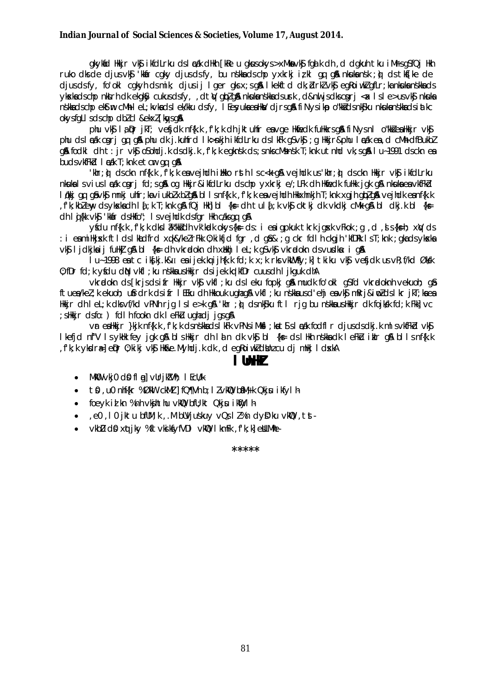### Indian Journal of Social Sciences & Societies, Volume 17, August 2014.

gkykád Hkkjr vký ikfdLrku dslæk dHkh [kRe u gkusokys>xMkavký fgalk dh , d dgkuh tku iMrsgSfQj Hkh ruko dks de djusvk\$ 'kkår cgky djusdsfy, bu nskka ds chp yxkrkj iz kl gq g& nkuka nsk ; o) ds tks[ke de djusdsfy, fo'okl cqkyh dsmik; djusij I qer qksx;sq& I kekftd dk; drklvk\$ eqkoiwklqfLr; kankukanskkads ykskadschp niktri dk ekoky cukusdsfy, dt V oblog nikukanskadsurk, d&nil is dkscori < x 1 s l e>us vk s nikuka nskkadschpekstmcMhlel; kvkadslek/kkudsfy, legyukaeaHka/djrsg&fiNysikpo"kkidsnk\$kunkukanskkadsiatkc okysfall sdschp dblcl & ekxl [kaysa&

phu vk\$ la Dr ikT: ve\$idk nf{k.k ,f'k:k dh iktuhfr eavge Hkfiedk fuHkkrsg& fiNvsnl o"kk&eaHkkir vk\$ phu ds leak cari qu qua phu dk j.kuhfrd lk>nkjh ikfdLrku ds lkFk q\$vk\$; q Hkkjr&phu leak ea, d cMh dfBukbl g& fodkl dht: jr vk\$ oSohdj.k dsdkj.k ,f'k;k egknsk ds;snkscMsnsk T;knk utnhd vk;sg& I u~1991 dsckn ea buds vkfFkd | cak T; knk et cm qu q&

'khr;@ dsckn nf{k.k ,f'k;k eavejhdh illkko rsth Isc<k q& vejhdk us'khr;@ dsckn Hkkjr vK\$ ikfdLrku nkukalsviusladk cgrj fd;sgå og Hkkjr&ikfdLrku dschp yxkrkj e/;LFk dh Hkfedk fuHkk jgk gå nkuka ea vkfFkd løkki av afykt mnki uhfr; kavjukblxblan bllsnf{k.k, fk; k enveindh Hkkxhnkih T; knk xaih ablan veindk ennf{k.k fk; kbleny ds ykskadh la[; k T; knk g& fQj Hkh]bl {k s= dh tula[; k vk\$ cktkj dk vkdkj cMk g& bl dkj. k bl {k s= dh I gi {kk vk\$ 'kkår ds Hkfo"; I s ve j hdk ds fgr Hkh caks qg q&

yfdu nf{k.k, f'k; k dks l ak"kkidh vk'kadk okys{k= ds: i eaigpkuk tkrk jgxxk vFkok; g, d, s{k=h; x\V ds : i eamillkjsk ftldslkadfrd xqk&/kelrFkk 0;kikfjd fgr ,dgâ& ;g ckr fdlh ckgjh 'kfDRk lsT;knk ;gkadsykska vk§ ljdkjka ij fułki g& bl {k ≡ dh vkradokn dh xiłkhj lel;k g vk§ vkradokn ds vurdka: i g &

lu~1998 ea tc ikfki.k& $\pi$  ea iiek.ku iihfk.k fcl:k x:k rks vkWVfv:kl tkiku vk\$ vefictk us vR:f/kcl Økgk 0: fDr fd: k vfdu dN vkfl : ku n skka u s Hkkir ds i jek. ka kfDr cuus dh I i ka uk dhA

vkrødokn ds [krjsdsifr Hkkjr vkg vkfl; ku ds leku fopkj qå mudk fo'okl q\$fd vkrødoknh vekuoh; qå ftuea/kel; k ekuoh; ufindrk dsifn I EEku dh Hkkouk ughag&vkfl; ku nškkausd'ehj eavk\$mRrj&imZdsI kn jkT; kaea Hkkjr dh IeL;k dksvf/kd vPNh rjg Isle>k q& 'khr;@`dsnk\$ku ftl rjg bu nskkausHkkjr dk fojkkk fd;k Fkk]vc : slikkir dsfo: ) fdl h fookn dk l eFku ughadi jgsg&

vr ealikkir }kik nf{k.k, f'k; k ds nškka ds l kFk vPNs i Mksl; ka t\$ s l ædk fodfl r dius ds dki, k m l s vkfFkd vk\$ I kefjd nf"V IsykHk fey jak gå blsHkkjr dh Iain dk vk\$ bl {k= dsIHkh nskka dk leFkū ikilr gå bllsnf{k.k fkk vkdreler 0 kiki vkj Hk&e Myhdik dk, dearoiwk dina cu di milki I dxkA

## l Ihll

- $\bullet$  MkO  $\vee$ kjo d $\circ$  fl al  $\vee$ Urikz $\vee$ h; I EcU/k
- $\bullet$  to , u0 nhf{kr %ØkW ckMJ | fQ¶Vh b; I  $l$  vkW baM+k Qkj u i kfyl h
- foeyk id kn % nh vkjhthu vkm bfU; kt Qkju ikmylh-
- ,e0, 10 jktu bflM;k, M blVjuskuy vQsll%n dyD'ku vkm2, tst-
- vkbD dQ xqtiky %ftvkjkfyfVDI vkQ IkmFk, fk;k]eNLMhe- $\bullet$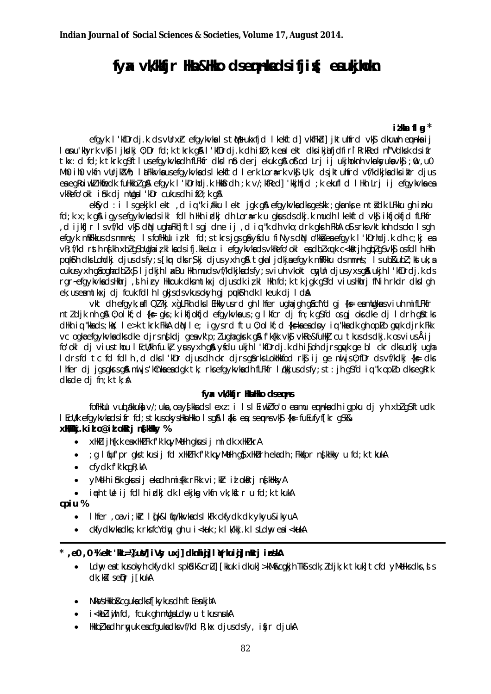# fyx vWWir Ha&Hko dsennladsifiif; eaukilph

### itkar fla $*$

efgyk l'kfDrdj.k ds vUrxr efgykvkals tMs ukxfjd lkekftd] vkfFkd] jktuhfrd vk\$ dkuwh emnkaij løpu'khyrk yks likedki 0:Dr fel:k tkrk g&l'kfDrelik ethifØ:k ealekt elksikiafielfiriRrkReel nf"Velksk elsifri tkx: d fd; k tkrk q\$ftl usefqykykadh fLFkfr dks I nb derjekuk q& ofod Lrj ij ukjhoknh vknkyukavk\$; 0, u0 Mh0 ih0 vkfn vUrikIVh; I LEkkvkausefqykvkadsI kekftd I erk Lora-rk vk\$ U;k; dsiktuhfrd vf/kdkikadksiklr djus ea egkoiwk Hwiedk fullkbl gå efgyk l'kDrhdj.k Hkbfrdh ;k v/;kfRed] 'kkjhfjd ;k ekufl d lHkh Lrj ij efgykyka ea  $\vee$ KRefo'oklinha di mllana l'kDr cukus dhif $\emptyset$ : k and

elfyd : i Isgelik lekt, dig "kizliku lekt jak all efgylyk dls geskk ; glankse ntidk LFkku ali inku fd; k x; k g& igysefgykykadsikl fdlh Hkhirdkj dh Lora-rk u gkusdsdkj. k mudh lkekftd yk§ ikfjokfjd fLFkfr , dijkfJr Isvf/kd vk\$ dNN ughaFkh]ftIsgj dne ij , diq "k dh vko; drk gkrh FkhA o\$ srksvktknh dsckn Isgh efgyk mRFkkus ds mnns; IsfofHkUu izkl fd; stkrsjgs gå yfdu fi NysdN o"kka ea efgyk I 'kDrhdj.k dh c; kj ea vR; f/kd rsth nskh xblqSbllqhaizkl kadsifi.kkeLo: i efgykvkadsvkRefo'okl eadblxuk c<kRrihqblqSvks osfdlh Hkh pukth dk Lohdki djus dsfy; s [kn dk r \$ki djus yxh q\$t takaljdkja efgyk mRFkku dsmnns; Is ub Rubl; kstuk; a cukus yxh qâoqhadblxâ ljdkjh laxBu Hkh mudsvf/kdkjkadsfy; sviuh vkokt cwllndjus yxsqâ ukjh l'kfDrdj.kds rgr-efgykykadsHkhri, shirv Hkkouk dksmtkxj djusdkizkl Hkhfd;k tkjok g\$fd viusHkhrifNihrkdr dksloh ek; useamtkxj dj fcuk fdl h I gkjsdsvkusokyh gj pukfsh dk I keuk dj I da

vkt dhefqyk; afl Ql?kj xgLFkh dks I EHkkyusrd gh I hfer ughajgh gâcfYd gj {k= eamllgkausviuh mifLFkfr ntldik nh q& 0; olkf; d {k = qks; k ikfjokfjd efgykvkaus; g lkfcr dj fn; k g\$fd osgj oks dke dj ldrh g\$tks dHkhiq "kkads;kkk; le>k tkrk FkkAdNle; igysrd ftu 0;olkf;d {kşkaeadoy iq "kkadk qhoplo quyk dirk Fkk vc ogka efgykvka dks dke djrsn fkdj geavk'p; lugha gkrk gå fk{kk vkfj vkRe&fullkj cu tkus ds dkj.k os vius Åij fo'okl dj vius thou I EcU/kh fu kł yus yxh gå yfdu ukjh I kfDrdj k dh ifoh dirs quyk ge bl ckr dksudki ugha I drs fd tc fd fdl h, d dks I kDr djus dh ckr djrs gårks Lokhkhfod rkg i j ge nuljs 0; fDr ds vf/kdkj {k} dks I hfer di jasakrsaå nu js 'kînka eadak tk, rksefaykyka dh fLFkfr I dkkjusdsfy; st: jh asfd jq "k opLo dksegRrk dksde dj fn; k tk; A

## fyx vkWir HalWo dseans

fofiküu vud akkuko v/; uko, oa vs kko ds l exz: i l s l Eiwki fo'o ea mu emnko dh igpku dj yh xbi q S ftudk I EcU/k efgykykadsifr fd; stkusokysHknHkko Isg& I (ki ea; sennsyk) {k= fuEufyffkr g\$%&

## **XHZkj.k id o@id okeri n\$kHky %**

- xHkZ i jh{k.k eaxHkLFk f'k'kqyMeJh qkusij ml dk xHkJ krA  $\bullet$
- ; g I fjuf'pr gks tkus i j fd xHkLFk f'k'kq yMelh g\$ xHkbrh ekadh ; Fkkfpr n{kHky u fd; k tkukA
- $\bullet$  cfvdk f'k'kaa $R$ : kA
- yMeth ifink gkusij ekadh mi{kk rFkk vi;kIr id oktrj n{kHkkyA
- i∉h tUe ij fdlh idkj dk lekjkg vkfn vk;kftr u fd;k tkukA

#### cpiu %

- · I hfer , oavi ; kir I (k&I (jo/kkvkads I kFk ckfydk dk ykyu&i kyuA
- ckfydkykadks; k rksfcYdgy gh u i < kuk; k l k/kkj. k l s Ldny ea i < kukA

## \* ,e0 ,0 M ekt 'ML=1/2 uV] iVsy uxj] clknhig] l (rkuig] mRrj inskA

- Ldw enthus okyh ckfydk I spkidk&criul [kkuk i dkuk] >kMacqukih Tkg sdk; dik; k tkuk] tcfd yMelksdks, g s dk; kil sepr j[kukA
- NkVs Hkkb&cquka dks f[kykus dh ft EenkjhA
- i<kblightd, fcuk gh mulgalday u tkus nukA
- Hkkbž kadh rwuk eacfqukadks vf/kd R; kx diusdsfv, ifir diukA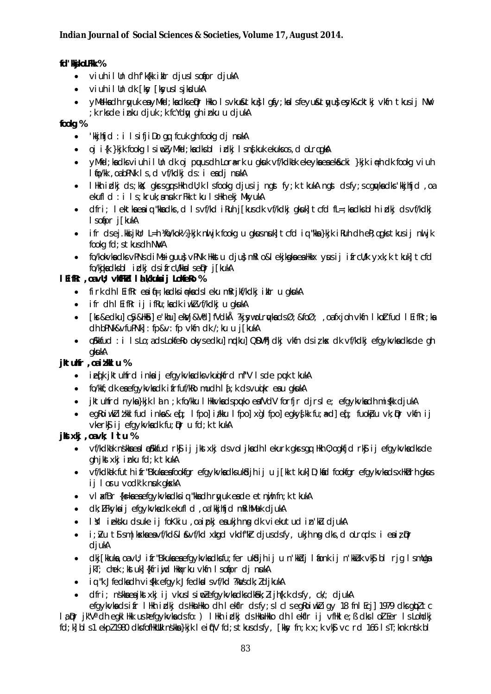## fd' kjkoLFkk %

- viuh il Un dh f'k{kk iklr djuslsofipr djukA
- viuh il Un dk [ksv [ksvus] siksdukA
- yMelkach ryuk eayMfd; kacksepr Hkko Isvku&tku}Iqfy; kalsfeyu&tyu}eyk&cktkj vkfn tkusij NW ; k rksde inku djuk ; k fcYdw gh inku u djukA

## fooka %

- 'kkjhfjd : i IsifjiDo gq fcuk qh fookq dj nukA  $\bullet$
- oj i{k }kjk fookg IsinoZyMicd; kadksbl idkj Isnskuk ekuksos, do LrggkA
- VMfd; kadksviuh illn dk oi puusdh Lora-rk u gkuk vf/kdkak ekevka ea ekacki }kik ja-h dk fookg viuh  $\bullet$ I fo/kk, oabPNk Is, d vf/kdkj ds: i eadj nukA
- I Hkh i plkj ds; kkk; gkrsggs Hkh dll; k I sfookg djusij ngst fy; k tkukA ngst dsfy; scggvka dks 'kkjhfjd, oa ekufld: i Is; kruk; anuk rFkk tku IsHkh ekj MkyukA
- dfri; lektkaeaiq "kkadks, d Isvf/kd iRuh j[kusdk vf/kdkj gkuk] tcfd fL=; kadksblh idkj dsvf/kdkj  $\bullet$ I sofipr j[kukA
- ifr dsej.kkijkUr L=h ¼fo/kok½}kjk nu jk fookq u gkusnuk] tcfd ig "kka}kjk iRuh dh eR;gqks tkusij nu jk fookg fd; s tkus dh NWA
- fo/kokvka dks vPNs diMsiquus vPNk Hkkstu djus mRI o&I ekjkska ea Hkkx vusij ifrcU/k yxk; k tkuk] tcfd fo/kikadksbl idki dsifrcU/kkalseDrj[kukA

## I Eifkr, oavU; vKFKd I & Wkulaij LoKeRo %

- firk dh I EifRr eaif=; kadksi #kadsl eku mRrjkf/kdkj iklr u gkukA
- ifr dh I EifRr ij ifRu; kadk iwkZvf/kdkj u gkukA
- [kr&edku] c\$y&Hk\$] e'khu] ekVj&V\*d] fVdkÅ ?kj\$ywoLrykadsØ; &foØ; ,oafxjoh vkfn I koZtfud I EifRr; ka  $\bullet$ dh bPNk&vfuPNk]: fp&v: fp vkfn dk /; ku u j [kukA
- o Silland : i Is Lo ; a ds Lolafello okysed kul ng kul QDV hi dkj vlafn ds i z kx dk vf/kdkj efgykyka dks de gh akukA

## jktuhfr , oaitkl u %

- iefk iktulfrd inkaij efgykykadksykuakfrd nf"V Isde puk tkukA
- fo/kkf; dk enefgykvkndk i frfuf/kko mudh l  $\delta$ ; k ds vunikr enu gkuka
- jktuhfrd nyka}kjk lan;k fo/kku lHkkvkadspuko eafVdV forfjr djrsle; efgykvkadh migkk djukA
- eakoiwklitkklfud inka&ed; Ifpolitkku Ifpolxqlfpoleaky{kk fu;a=dleq; fuokipu vk;ipr vkfnij vkerký i jefavkvkadk fu; Dr u fd; k tkukA

## jktxkj, oavk; l'tu %

- vf/kdkik nskkaeal pSkkfud rk\$ ij jkstxkj dsvoljkadh lekurk gkrsgq Hkh 0; ogkfjd rk\$ ij efgykvkadksde  $\bullet$ gh ikstxki inku fd; k tkukA
- vf/kdkak futh ifr"Bkukaeafookfgr efgykvkadksukkdjh ij u j[kk tkuk] D;kad fookfgr efgykvkadsxHkbrh gkus ij loru vodk'k nuk gkskA
- vi xfBr {k=kaeaefgykvkadksig "kkadh ryukeade etnigh fn; k tkukA
- dk; LFkyka i jefgykyka dk ekufl d, oa 'kkjhfjd mRihMuk djukA  $\bullet$
- I'll jekku dsuke ji foKkiu , oajpki eaukih na dk vjekutud in'ku djuka  $\bullet$
- i; bu t\$ sm|kxkaeavf/kd&l &vf/kd xkgd vkdf'kir djusdsfy, ukjh ng dks, d oLrgds: i eaiz pr  $\bullet$ djukA
- clkj[kkuka,oavU; ifr"Bkukaeaefgykvkacksfu;fer ukŝdjhiju n'kkidj lionk ij n'kkidk vkj bl rjg lsmUga jkT; chek ; kstuk] {kfriwid Hkaxrku vkfn I solipr dj nukA
- iq "k Jfedkadh viskk efgyk Jfedkal svf/kd ?ka/sdk; ZdjkukA
- dfri: nskka e a ikstraki i i vkus I sim Zefo vkvka dks dkêk: Zijh fk. k dsfv. ck/: diuk A

efavkvkadsifr IHkh indig dsHknHkko dh Lekflr dsfv; slclseakojwkliav 18 fnl Ecil 1979 dksabltc la Dr jk"V" ch egkl Hkk us þefgykvka cls fo: ) I Hkh irdkj cls HknHkko ch lekflr ij vfHkle; ß clks loll Eer Is Lohclkj fd; k| b| s1 ekp/ 1980 dksfofHkUUk nskka}kjk | eiff'V fd; stkusdsfy, [kksy fn; k x; k vk\$ vc rd 166 | sT; knk nsk b|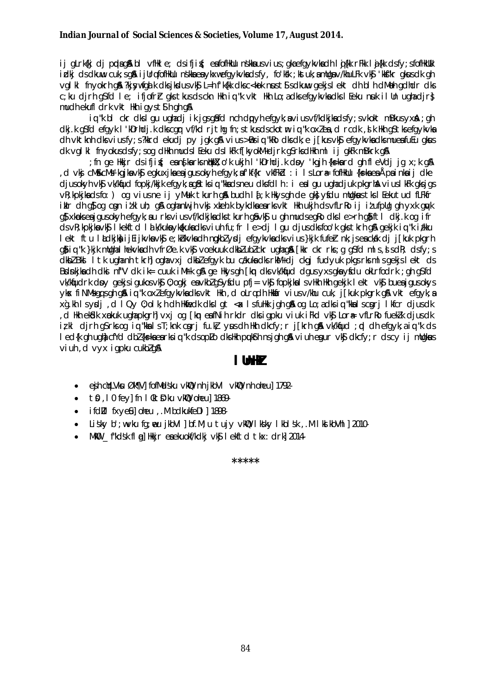ij gLrk{kj dj ppdag&bl vfHkle; dsifjig; eafofHkUu nskkausvius; gkaefgykvkadh lig{kk rFkk lig{kk dsfy; sfofHkUUk idkj ds dkuw cuk; sg& ijUrqfofHkUu nškka ea ykxwefgykvka dsfy, fo'kk ; kstuk; a mUga v/khuLFk vk\$ 'kk\$"kr gkus dk gh vgl kl fnyokrh gå ?kjsywfgå k dksjkdusvk\$ L=hfk{kk dksc<kok nust\$sdkuw gekjslekt dh blh dMoh gdhdr dks c; ku dirh q\$fd le; ifjofrh qks tkus ds ckn Hkh iq "k vkt Hkh Lo; a dks efqykvka dks I Eeku nuk il Un uqha dir} mudh ekufl drk vkt Hkh igyst Sh gh g &

iq "k bl ckr dks I gu ughadj ik jgs gåfd nch dpyh efgyk; avius vf/kdkjkadsfy; svkokt mBkus yxA; gh dki.k asfd efavk I 'kDrhdi.k dkscar vf/kd ritha fn:stkusdsckotm ia "k oxZea, d rcdk, sk Hkh astksefavkvka dh vktknh dk viusfy; s?kkrd ekudi py jgk g& vius >Bsiq "kRo dks dk; e j[kus vk\$ efgykvka dks mueafuEu gkus dk valkl fnyokusdsfy; sog dilkh mudsleeku dslkFk f[kyokM+djrk q\$rksdilkh ml ij gkFk mBkrk q\$

fn ge Hkkjr dsifji{; ean{karksn#kkX;o'k ukjh l'kDrhdj.k doy 'kgjh {ks=kard qh fleVdj jq x;k q&; d vkj cMs&cMs kqjka vkj egkuxjka ea jgusokyh efgyk; af kf{kr vkfFkd : i Is Lora fofHklu {ks=ka ea Åpa inka ij dke, djusokyh vk\$ vk/kqud fopkj/kkjk efgyk;ag&tksiq "kkadsneu dksfdlh:i ealgu ughadjuk pkgrhA viuslkFk qksjgs vR; kpkjkadsfo: ) og viusne ij yMuk tkurh gå budh I {; k Hkysgh de gk} yfdu mllgkustks I Eekutud fLFkfr ikir dh qi og com itki uh; qi oghanti ih vkj xkehk bykdkaearksvkt Hkh ukih dsvfLriko ij itufplig qh yxk quyk g} xkpkseajqusokyh efgyk; au rksviusvf/kdkjkadkstkurh gâvk\$u gh mudsegko dksle>rh gâftl dkj.k og ifr ds vR; kpkjka vk\$ I kekftd I a k/kuka ykakuka dks viuh fu; fr I e>dj I gu djus dks foo'k gks tkrh g& gekjk ig "k i/kku lekt ftu ladkja i je javka vka e; khkvka dh ngkbl y djefqykvka dksvius}kjk fufer nk; jsea ckak dj j[kuk pkgrh ation "ketkik mllahal hekvladhev frøek vig voekuuk di bizubig krunan af fikrakrassa as folmis i salt disfyts dkbl Bkl I tk ughanh tkrhl oghavxj dkbl efgyk bu cakuka dks rkM+dj ckgj fudyuk pkgs rksml s gekjs lekt ds Brankjka dh dki nf''V dk ik= cuuk iMrk g& ge Hkys gh [km dks vk/kfjud dgus yxs gka yfdu okLrfodrk; gh g\$fd vk/kfjudrk dpy gekjsigukosvk\$ 0; ogkj envkblg\$yfdu pfj= vk\$ fopkjknlsvHkh Hkh gekjk lekt vk\$ buenjgusokys yk fi NMs qus gh gâ iu "k oxiefqykvkadks vkt Hkh, d olrudh Hkkár vius v/khu cuk, j [kuk pkgrk gâ vkt efqyk; a xg.kh Isydi, d IQy 0; olk; h dh Hkinedk dks I gt < x I sfullkk jgh g& og Lo; a dks ig "kka I scari I kfcr djusdk d Hin ekîdik xopkuk ugha pkgrh]vxj og [km eafNih rkdr diksigpku viuk iFkd vk\$ Lor⊕ vfLrRo fuek]k djusdk, izkl djrh q\$rksoq iq "kkalsT;knk cgrj fu.kž yusdh Hkh dkcfy;r j[krh q& vk/kfjud; pd dh efqyk;aiq "k ds I ed{k gh ugh cfYd dbl{ks=kaearksig "k dsopLo dksHkh pulfsh nsjgh g& viuh egur vkf dkcfy; r dscy ij mllgkus viuh d vyx japku cukblan

## I lhH

- ejh cil Vku Øk¶V] fofMadsku vkil 0 nh jkbVI vkil 0 nh oheu] 1792- $\bullet$
- to , 10 fey] fn I Oktol'ku vklou oheu] 1869- $\bullet$
- if d'il fxve il oleu . M b d ku kfe D | 1898-
- Lisky b'; wvku fg; weu jkbVI] bf.M; u tujy vkQ Iksky IkbIsk, .M Iks kbVhI] 2010- $\bullet$
- MKO \_ fkdsk fl q Hkkjr eaekuokf/kdkj vk\$ lekftd tkx: drk 2014- $\bullet$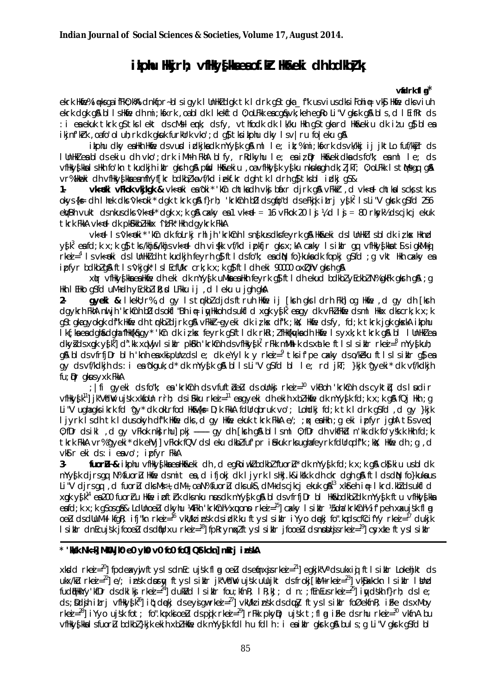## ikphu Hkjrh; vfHky{kaeaof.kr Ho&eki dh bdkbł k

## vidrk fl $a^*$

ekrk HMie% i neksga i fFk0; k%A clnkfpr~blsigyk I UnHkZ clgk tk I clrk g\$tgka\_f"k usviusclksiFohi ne vk\$ HMie clksviuh ekrk dak al bilishkie dhimi; kiskrki, oa bi dki kekit di); ol Fkki e a ca & vk; kehi e a kolli"Vakrkia & bis, di li fi fkrids : i eaekuk tkrk q\$tkslekt dscMslemk; dsfy, vthfodk dk lk/ku Hkh q\$tqkard Hk&ekiu dk itu q\$blea ikjnfkrk, oafo'ol uh; rk dk gkuk furklrk vko'; d g} tks ikphu dky l sv | ru fo | eku g&

ikphu dky ealkh Hkie dsvurd indkjkadk mYy{k g& ml le; it;%mi;kfxrk dsvk/kkj ij iktLo fuf/kkir ds I UnHNZ ea bl ds ekiu dh vko'; drk iMrh FkhA blfy, rRdkyhu le; ea iz pr Hkn&ekidka ds fo"k; ea ml le; ds vfHky{kkalsHkh fo'kn tkudkjh iklr gkrh g& pfid Hk&ekiu ,oavfHky{k y{ku nkukagh dk; ljkT; 0; oLFkk lstMsgq g& vr%Hkeki dh vfHky{kkaeamfYyf[kr bdkb]kavf/kd iekf.kr dgh tk l drh q}tksbl idkj q\$&

vkeki vFkok vkjkgk & vkeki ea'oki\* 'kûn chtkadh vkj báxr djrk g& vFkkir d vked chtkalscks stkus  $1$ okys{k= dh I hek dks^vk<oki\* dgk tkrk g&f}rh; 'krkCnh bD dsg(io"d dseFkijk itrj ys[k<sup>2</sup> I sLi"V gkrk g\$fd 256  $e$ WBh vukt ds nkus dks 'vk<el' dak x; k a\$ cakv es 1 vk<el = 16 vFkok 20 l s ¼ d l s = 80 rksvk½ ds cikci ekuk tkrk FkkA vk<el dk pkGkkbZ Hkkx ^i LFk\* Hkh davkrk FkkA

vk<d Is'vk<eki\*'kûn dk foLrkj rhl jh 'krkûnh Isn§kusdksfeyrk g& Hk&eki dsI UnHkZI sbl dk iz kx Hknd vs[k<sup>3</sup> eafd;k x;k q}tks/khjs/khjsvk<eldh vis[kk vf/kd ipkfjr qksx;kA cakky Isiklr qq vfHkvs[kkats]siqkMiq  $r$ ke $i =$ <sup>4</sup> Is vk< $\theta$ ki ds I UnHkidh tkudkih feyrh q $\beta$  ftlds fo"k; ead N fo}kuka dk fopki qSfd; q vkt Hkh cakky ea ipfyr bdkblg& ftls'vkigk' IslEcfl/kr crk; k x; k g\$ ftldheki 90000 oxDhV gkrhg&

xir vfilivgika ea likie dh eki dk mYygik uMka ea likh feyrk qi fti dh ekud bdkbi yEckbi N% qkFk qkrh qiA; q Hkh I EHko q\$fd uM+dh yEckblik; d LFkku ij, d leku u jgh gkA

gyeki & I kekU; r%, d gy I s trkbl djds ftruh Hkie ij [krh gks I drh Fkh] og Hkie , d gy dh [krh  $2 \frac{1}{2}$  dgykrh FkhA nul jh 'krkCnh bD dsokfl "Bh i i julkkoh dsukfl d xgk ys k<sup>5</sup> ea gy dk vFkZ Hkme dsml Hkkx dkscrk; k x; k g\$tgkagyokgk df"k Hkfie dh trkbldjrk g&vFkkr~gyeki dk ilk s df"k ; kk; Hkfie dsfy, fd; k tkrk jgk gkxkA ikphu Ik{; kaea dgh&dgha 'fHk{k&gy\* 'kCn dk iz kx feyrk gSftldk rkRi; ZfHk{kq/kadh Hkfie Isyxk; k tkrk g&bl IUnHkZea  $d$ kyids xonk yik $^{6}$ ] d". Kk xqVij Isikil pkilikh 'krkchh dsvfilkyisk' rFkk mMhl k ds xatke ftisisikil rkej=  $^{8}$  mYyiskuh; g& blds vfrfjDr blh 'knh eaxkipUnzdsle; dk eYylk: y rkei= $^9$  tks if'pe cakly ds o/keku ftlslsiklr g\$ea av ds vf/kdkih ds : i en okauk d\* dk mYvsik an bils Li"V as fd bl le rd ikt }kik aveki\* dk vf/kdkih  $fu:$  Dr akus  $v \times k$  FkkA

; Ifi gyeki ds fo"k; ea 'krkCnh ds vfuftbelu ds oUnkj rkei= $^{10}$  vkBoh 'krkCnh ds cyktiu ds I udir  $\nu$ filky $\int$ k<sup>11</sup>] jk"V'diV ujsk xkfolln r`rh; dsifikku rke $i =$ <sup>11</sup> eagyeki dhekih xbl Hkfie dk mYy $\int$ k fd;k x;k q& fQj Hkh;q Li "V ughagksikrk fd ^gy\* dk okLrfod Hk&{k = D;k FkkA fdUrqbruk vo'; Lohdkj fd;k tk I drk g\$fd ,d gy }kjk livrk I sdh tk I dusokyh dfk Hkme dks, d gy Hkme ekuk tkrk FkkA e/; ; k esHkh ; g eki i pfyr jghA ts svend 0; fDr ds ikl, d qy vFkok nk) rhu] pkj ------ qy dh [ksrh q& bl l sml 0; fDr dh vkfFkd n'kk dk fo'ysk.k Hkh fd; k tkrk FkkA vr%^qyeki\* dk ehVj] vFkok fQV ds I eku dkbZfuf'pr i £kuk rksuqhafeyrk fdUrqdf"k; kk; Hkfe dh; q, d vkir eki ds: i eavo'; ipfyr FkkA

fuoru-& ikphu vfHkyskkaeaHk&eki dh d eqRoiwklbdkbl'fuoru\* dk mYysk fd;k x;k q& ck)kiu usbldk  $3$ mYvfk dirsam N% fuorum Hotel dsmit en difioki dk Livrk LsHki.k&ikk.k dh ckr dah an ftl ds din fo}kuknus Li"V djrsqq , d fuoru dks Ms+, dM+, oa N% fuoru dks uks, dM+ ds cjkcj ekuk q&<sup>13</sup> xkfreh i∉ Ikrd.khlds ukfld xqk y{k<sup>14</sup> ea200 fuorru Hide i of trk dks nku nusdk mYy{k q& bl ds vfrfjDr bl Hidebdkbldk mYy{k ftu vfHky{ka eafd; k x; k g\$osgâ& LdUnoelu dkyhu ¼Fkh 'krkûnh½ xwono rkei=<sup>15</sup>] cxky l siklr ½5oha 'krkûnh½ if'peh xxujšk fl g oelu dsdlluM+lkfgR; ifj"kn rkei=<sup>16</sup> vkll/kz insk dsidk'ku ftysl siklr iYyo dękj fo".kqdscfCcifYy rkei=<sup>17</sup> dukjk  $\frac{1}{2}$  is intermediate in the set of the set of the set of the set of the set of the set of the set of the set of the set of the set of the set of the set of the set of the set of the set of the set of the set of the s

### \* 'Wesk Nk=k] MkW jk0 e0 yk0 v0 fo0 fo0] QStkckn] mRrj inskA

xkdd rkei= $^{20}$  fpdexyi ftyslsdnEc ujsk fl n oeu dsefnxjsrkei= $^{21}$  eqkjk"V° dsukxij ftlsiklr Lokehikt ds  $ukx/du$  rkej =  $^{27}$  e/; insk dpry ft yslsiklr jk"VdW ujsk ullujkt dsfroki [kM+rkej =  $^{23}$ ] vkjakkckn lsiklr llind fudiiii wy'kfDr ds dkl kj rkei =  $^{24}$  duk $M$ d I s i klr fou; kfn k; I k; kJ; d n: fin Eus rkei =  $^{25}$  i wydskh f}rh; ds I e; ds; Dolin itri vfilky $\bar{\psi}^{26}$  it; deki dseyigwrkei= $^{27}$  vkWk inst dsdwy ftyslsikir foØekfnR; ifke dsxMoy rkei =  $^{28}$ ] iYyo ujsk fot; fo" kq xkj oeu ds pik rkei =  $^{29}$ ] rFkk pkyp; ujsk t; fl q iFke ds rhu rkei =  $^{30}$  vkfnA bu vfHky{kkalsfuoru bdkbl}kjk ekih xblHkfe dk mYy{k fdlhu fdlh : i eaiklr gkrk g& buls; g Li"V gkrk g\$fd bl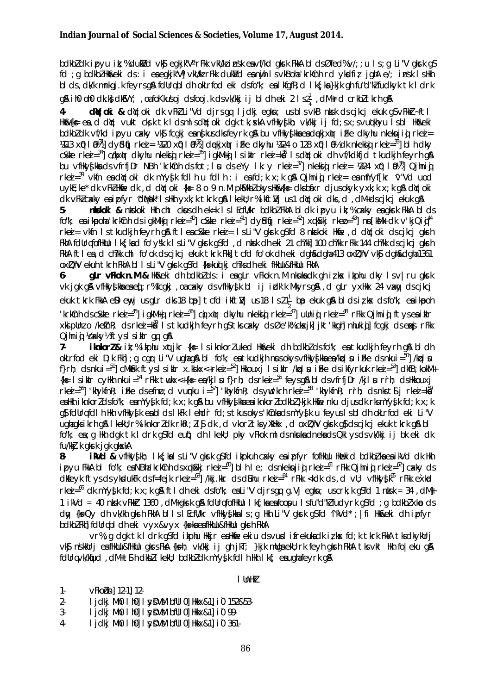bdkbldk ipyu ik; %dukVd vk\$ eqkjk"V° rFkk vkVkl insk envf/kd qkrk FkkA bldsØfed%v/; ; u ls; q Li"V qkrk q\$ fd; g bdkbl Hk&eki ds: i eaegkjk"Vj vkU/k rFkk dukVd eanijh IsvkBoha krkCnh rd ykdfiz jghA e/; insk IsHkh bl ds, dk/k mnkgj.k feyrsg& fdUrqbl dh okLrfod eki dsfo"k; ealkfgfR; d lk{; ka}kjk gh fu"d"kI fudkyk tk ldrk g& ih0 oh0 dk.k dkosvy; , oafo Kkusoj dsfooj.k dsvk/kkj ij bl dh eki 2 l s2 $\frac{1}{4}$ , dM+rd crkbl tkrh g&

**dijoki &** dijoki di vFkiLi"Vd djrsqq ljdkj eqkn; usblsvkB nitsk dscjkcj ekuk qSvFkkr-ftl  $\mathbf{4}$ HKRKG en d dir: vukt cksk tkldsmlsdir. Oki dak tk: ska vfHkvskh: vk/kki i i fd: sx: svudkhvu I sbl Hkrkeki bdkbldk vf/kd ipvu cakv vkj fcaki ennikusdksfevrk an bu vfilkvikne endekixtr i fke dkvhu nkekniji rkej =  $413 \times 0$   $10\frac{3}{1}$  dy bij rkej =  $4120 \times 0$   $10\frac{3}{2}$  dekixtr ifke dkytu  $4124$  o  $128 \times 0$   $10\frac{3}{2}$  dk nkekij rkej =  $33$  bih dky c\$de rkej=34 cdkxilur dkyhu nkekiji rkej=35 igkMiji Isilulur rkej=ka IsdY;oki dh vf/kdkfjd tkudkjh feyrh q\$ bu vfilky{kladsvfrfjDr NBh 'krkCnh dsfot; ludseYy lk: y rkei=37] nkekigi rkei= 1224 xQ l 01389 Qjhnigi  $r$ ke $i = 39$  vkfn exector oki dk myvsk follnu folln: i exector x; k qn Qilmini rke $i = e$  mfyvfkr v Vd u od uyke; ke\* dk vFkZ Hkife dk, d d(Y; oki {k = 8 o 9 n.M pk\$/lkbZ okys Hk&{k = dks bixr djusokyk yxk; k x; k q\$ d(Y; oki dk vFkZcakly enipfyr 'dMok' IsHkh yxk;k tkrk q\$l Ikekl;r%ikft] us1 dY;oki dks,d,dM+dscikci ekuk q\$l

niskoki & niskoki Hikh cht chas dh ek=k Isl Ecfli/kr bolkbi Fikh bl dk i pyu ik;% cakly ea gikrk Fikh bl ds 5. fo"k; ea ikpoha 'krkînh ds igkMid rked=<sup>40</sup> c\$kte rked=<sup>41</sup>] dv\$d(j rked=<sup>42</sup>] xqk\$ki rkep=<sup>43</sup>] np[k\$/k dk v'kjQid<sup>44</sup> rkei = vkfn Istkudkih fevrh gå ftleac&te rkei = IsLi"V gkrk g\$fd 8 ntskoki Hkfe , d dy; oki dscjkcj gkrh FKNA follrafofHkUu I kf: kad fo'všk.k I s Li"V akrk asfol, d nisk dheki 21 ch?kk] 100 ch?kk rFkk 144 ch?kk dscikci akrh FkhA ftlea, d ch?kk chl fo'ok ds cjkcj ekuk tkrk Fkk] tcfd fo'ok dh eki dgha&dgha 413 ox DhV vk\$ dgha&dgha 1361 oxDhV ekuh tkrh FkhA b1 I s Li "V gkrk gSfd {ks=kuq kj ch?ks dh eki flikllu&flikllu FkhA

gLr vFkok n.M & Hk&eki dh bdkblds: i eagLr vFkok n.M nkukadk gh izkx ikphu dky Isv | ru gkrk  $6$ vk jok gå vfilky ska en ef : r% fcqkj, oa cakky ds vfilky sk bl ij idk'k Mkyrs gå, d gLr yxlikx 24 vany ds cjkcj ekuk tkrk FkkA eDJenyjusgLr cks18 bp]tcfclikftVjus18 Is21 $\frac{1}{2}$ bpekuk gA bIclsizkx clsfo"k; eaikpoh 'krkûnh dsc\$kte rkei=<sup>45</sup>] igkMig rkei=<sup>46</sup>] cŷx(pr dkyhu nkekig rkei= $^{47}$ ] ullnig rkei=<sup>48</sup> rFkk Qjhnig ftysealiklr xkipUnzo /ketnR; ds rkei=kå Is tkudkih feyrh q\$ tks cxky ds Øe'k% ckxik] ikt'kkgh] nhukiqj fcqki ds erkj rFkk Qjhniq Kakyhftyslsiklr qq q&

 $7.$ iknkorl& it; % itphu xqtikr {k= 1 s iknkorluked Hk&eki dh bdkblds fo"k; ea tkudkjh feyrh q& bldh okLrfod eki D;k Fkh]; g car Li"V ughag&bl fo"k; est kudkjh nusokysvfHky{ksees/koplu iFke dsnkui=<sup>50</sup>]/koplu f}rh; ds nkui= $51$  cMkmak ftys I siklr x.kskx<+rkei= $52$  Hkkouxj I siklr /kpl u i Fke ds ikfyrkuk rkei= $53$  dkfB; kokM+ {k = 1 sikir cyHkh nkui = <sup>54</sup> rFkk twkx<+{k = ea/kjl u f}rh; dsrkei = <sup>55</sup> feysg\$ bldsvfrfjDr /kjl u rrh; dsHkkouxj rkei =  $56$ ] 'khykfnR; iFke dsefnu; d vunku i =  $57$ ] 'khykfnR; dsyw'krh rkei =  $58$  'khykfnR; rrh; dsnkstsj rkei = k $\bar{8}$ ° ealth inhord of form earny of k for k x; k and bu of though the eail nord both that the number of k r the my of k for k x; k as folling foll h Hkh vfHkysk eabl os I kFk I ehdir fol; s tkus okys 'kCnka os mYysk u feyus I s bl oh okLrfod eki Li"V ughagksikrh gå I keku; r%iknkorldk rkRi; li\$ dk, d vkorltks yXkHkx, d oxDhV gkrk g\$ dscjkcj ekuk tkrk gå bl fo"k; ea ; q Hkh dak tk I drk q\$fd eut; dh I kekU; pky vFkok ml ds nkukadnekads QkI ys ds vk/kkj ij bk eki dk fu/kkj.k gkrk jgk gkskA

**ik/d &** vfHky{kh; Ik{;kalsLi"V qkrk q\$fd ikpkuh cakky eaipfyr fofHkllu Hknekid bdkbłkaeaikVd dk Hkh 8ipyu FkkA bl fo"k; eaNBha'krkCnh dsxqkSki rkea =  $^{60}$ ] bl h l e; dsnkeknjig rkea =  $^{61}$  rFkk Qjhnig rkea =  $^{62}$ ] caky ds dkfeyk ftys ds ykdukFk ds f=fejk rkei=63] /kkj.kkr ds diahu rkei=64 rFkk <kdk ds , d vU; vfHky $\Phi$ k<sup>65</sup> rFkk exkrd rkei=<sup>66</sup> dk mYy{k fd;k x;k g& ftldh eki dsfo"k; eaLi"V djrsgq g.Vj egkn; uscrk;k g\$fd 1 nksk = 34, dM} 1 i Nd = 40 ntsk vFkkt 1360, dM+gkrk g\$ fdUrgfofHkUu | k{; kaeafoopu | sfu"d"ku fudyrk g\$fd; g bdkbl xkp ds day {k=Qy dh vk/kh qkrh FkhA bllslEcfll/kr vfHky{kkals; q Hkh Li"V qkrk q\$fd 'ikVd'; |fi Hka&eki dh ipfyr bdkbl Fkhl fdUrg bl dh eki vyx&vyx {ks=ka ea flkUu&flkUu gkrh FkhA

vr%; g dgk tk I drk g\$fd ikphu Hkkjr eaHkfie ekiu dsvurd ifrekukadk iz kx fd; k tkrk FkkA tksdkykUrj vký nsklurj en filkulu&filkulu gkrsFka {k=h; vk/kkj ij gh jkT; }kjk mulga eku; rk feyh gkrh Fkha tksvkt Hkh foleku gå fdllrgvk/kfud, dM+t\$h dkbllkekl; bdkbldk mYy{k fdlh Hkh lk{; eaughafeyrk g&

 $I$  UnH $V$ 

 $1$ vFkobn] 12-1] 12-

- I idki Mh0 I h01 I svDVM bfUI 01 Hkkx&11 i0 152&53- $2 -$
- $3-$ I jdkj Mh0 I h0] I syDVM bfUI 0] Hkkx&1] i 0 99.
- $4-$ I jdkj Mh0 I h0] I syDVM bfUI 0] Hkkx&1] i 0 361-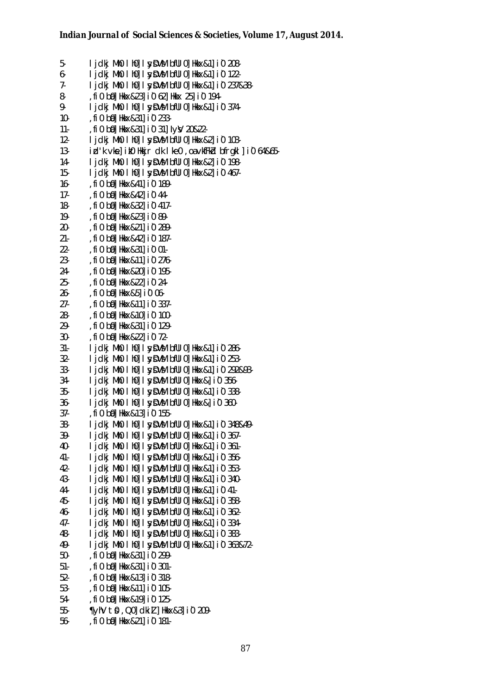5- **igdkj Mh0 lh0] I sy DVM bfUl0] Hkkx&1] i 0 208-** $6-$  ljdkj Mh0 lh0] lsy $\text{DVM}$  bfUl0] Hkkx&1] i0 122-7- **I jdkj Mh0 I h0] I sy SVM bfUI 0] Hkkx&1] i 0 237&38-**8- ,fi0 b0 Hkkx & 23] i0 62] Hkkx 25] i0 194-9-  $\vert$  idki Mh0 I h0] I sy  $DWM$  bful 0] Hkkx&1] i 0 374-10- , fi 0 bii | Hkkx&31] i 0 233-11- .fi0 bill Hkkx & 31] i0 31] Iv y 20&22-12-  $\blacksquare$  ljdkj Mh0 lh0] lsy  $\blacksquare$  bfUl0] Hkkx&2] i 0 103-13- izd'k vkel ik0 Hkkir dk lke0 ,o a vkfFkzd bfrakl li0 64&65-14- **Lidki Mh0 Lh01 | svDVM bfUl01 Hkkx&21 i 0 198-**15-  $\vert$  jdkj Mh0  $\vert$  h0] I sy  $\vert$  sy  $\vert$  bfUl0] Hkkx&2] i 0 467-16- , fi 0 b<sup>o</sup> Hkkx & 41 | i 0 189-17- , fi 0 bol Hkkx & 421 i 0 44-18- , fi 0 b0 Hkkx & 32 i 0 417-19- , fi 0 b0 Hkkx & 23 i 0 89-20- , fi 0 b<sup>o</sup> Hkkx & 21 i 0 289-21- , fi 0 b<sup>o</sup> Hkkx & 42 i 0 187-22- fi0 bal Hkkx & 311 i0 01-23- , fi 0 b<sup>ol</sup> Hkkx & 11 i 0 276-24- , fi 0 b<sup>ol</sup> Hkkx & 201 i 0 195-25- , fi 0 b0 Hkkx & 22 i 0 24-26- , fi 0 b<sup>o</sup> Hkkx & 5 | i 0 06-27- , fi 0 b<sup>o</sup> Hkkx & 11 i 0 337-28- , fi 0 b<sup>o</sup> Hkkx & 10 100-29- ,fi0 ba0] Hkkx&31] i`0 129- 30- , fi 0 b0 Hkkx & 22 i 0 72-31- lidki Mh0 lh0] lsy DVM bfUl0] Hkkx&1] i0 286- $32-$  lidki Mh0 lh0 $\overline{1}$  lsv $\overline{D}$ VM bfUl0 Hkkx&1 $\overline{1}$  i 0 253-33- **Lidki Mh0 Lh01 | SVDVM bfUl01 Hkkx&11 i 0 292&93-** $34-$  ljdkj Mh0 lh0] lsy $\text{DVM}$  bfUl0] Hkkx&] i0 356- $35-$  lidki Mh0 lh0]  $\sqrt{V}$  bful0] Hkkx&1] i0 338- $36-$  lidki Mh0 lh0]  $l$  svDVM bfUl0] Hkkx& $l$  i0 360-37- , fi 0 b<sup>o</sup> Hkkx & 13 i 0 155-38- **I jdki Mh0 I h0] I sy DVM bfUI 0] Hkkx&1] i 0 348&49-**39- **I jdki Mh0 I h0] I syDVM bfUl0] Hkkx&1] i 0 367-**40- lidki Mh0 lh01 | svDVM bfUl01 Hkkx&11 i0 361-41- lidki Mh0 lh0 $\vert$  l vDVM bfUl0] Hkkx&1 $\vert$  i 0 356-42- **I jolki Mh0 I h0] I sy DVM bfUI 0] Hkkx&1**] i 0 353-43- **lidki Mh0 lh01 | svDVM bfUl01 Hkkx&11 i 0 340-** $44-$  lidki Mh0 lh0] lsy  $DWM$  bful0] Hkkx&1] i0 41-45- **Lidki Mh0 Lh01 LsvDVM bfUL01 Hkkx&11 i 0 358-**46- **I jdkj Mh0 I h0] I sy DVM bfUI 0] Hkkx&1] i 0 362-**47- **I jdkj Mh0 I h0] I sy DVM bfUI 0] Hkkx&1] i 0 334-**48- **I jdkj Mh0 I h0] I sy DVM bfUI 0] Hkkx&1**] i 0 383-49- **i** jdkj Mh0 I h0] I sy BVM bfUl0] Hkkx&1] i 0 363&72-50- , fi 0 b<sup>a</sup> Hkkx & 31 i 0 299-51- ,fi0 bill Hkkx&311 i0 301-52- , fi 0 b<sup>o</sup> Hkkx & 13 i 0 318-53- , fi 0 b<sup>o</sup> Hkkx & 11 i 0 105-54- , fi 0 b0 | Hkkx & 19 | i0 125-55- **TVHV tO** , QO | dki 1 | Hkkx&3 | 10 209-56- , fi 0 b<sup>o</sup> Hkkx & 21 i 0 181-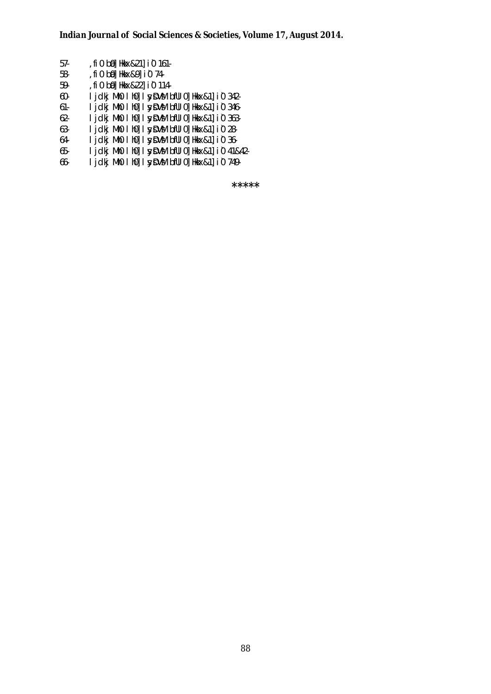| 57- | , fi 0 b0 Hkkx&21 i 0 161.                       |  |
|-----|--------------------------------------------------|--|
| 58- | , fi 0 b0 Hkkx&9 i 0 74-                         |  |
| 59- | , fi 0 b0 Hkkx&22 i 0 114-                       |  |
| 60- | I jdkj Mh0 I h0] I syDVM bfUI 0] Hkkx&1] i0 342- |  |
| 61- | I jdkj MhO I hO] I sydVM bfUI O] Hkkx&1] iO 346- |  |
| 62- | I jdkj MhO I hO] I sydVM bfUI O] Hkkx&1] iO 363- |  |
| 63- | I jdkj MhO I hO] I syn bill o] Hkkx&1] i O 28-   |  |
| 64- | I jdkj Mh0 I h0 I synDVM bfUI 0 Hkkx&1 i 0 36-   |  |

65- ljdkj Mh0 lh0] lsyDVM bfUl0]Hkkx&1]i0 41&42-

66- **i jckj Mh0 I h0] I sy DVM bfUI 0] Hkkx & 1] i 0 749-**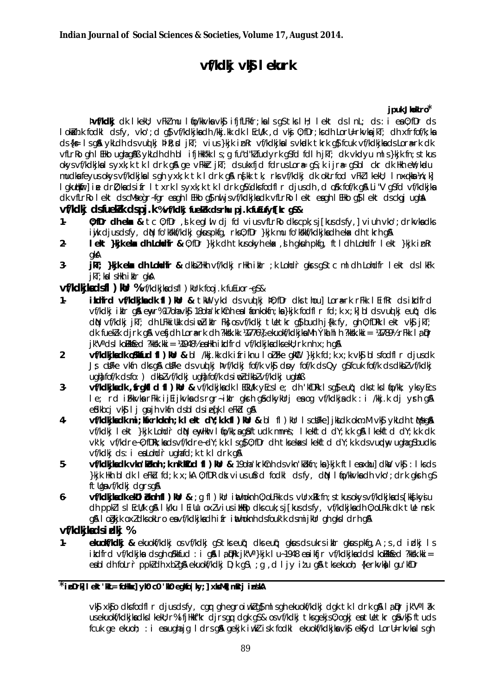# ví/kdkj vkj lekurk

### jpuk Jhokro\*

pvf/kdkj dk lkekU; vFkZ mu ltjo/kkvka vk\$ ifjfLFkfr;ka lsg\$tkslH; lekt dslnL; ds: i ea0;fDr ds I okikh.k fodki dsfy, vko'; d q\$ vf/kdkjkadh /kkj.kk dk | EcU/k, d vkj 0; fDr; ks dh LorU=rkvkajkT; dh xfrfof/k; ka ds {k = 1 s a \$ vkLdh ds vull kj pi k; x] jkT; vius }kjk in kr vf/kdkjka I s vkudk tkrk a \$ fcuk vf/kdkjka ds Lora rk dk vfLrRo gh I EHko ughag SA ykLdh dh bl ifjHk"kk Is; g fu"d"kI fudyrk g\$fd fdlh jkT; dk vkdyu mls}kjk fn; stkus okysvf/kdkjkalsyxk;k tk ldrk gå ge vFkkr jkT; dsukxfjd fdrusLor# g\$;k ijr# g\$bl ckr dk Hkh enV;kndu mudka feyus okys yf/kdkika I s gh yxk; k tk I drk g& nskk tk, rks yf/kdki dk okLrfod yFkZ I kekU; I nxqkka ¼n; k] I akutikirl i.e. dri): kads ifr I txrk I s vxk: k tk I drk alk dks fodfl r diusdh, d olk fof/k als Li "V asfd vf/kdkika" dk vfLrRo I ekt dscMsogr-fgr eagh I EHko g\$ nu jsvf/kdkjkadk vfLrRo I ekt eagh I EHko g\$ I ekt dsckgj ughA

## vf/kdkj dsfuekk dspj.k %vf/kdkj fuekk dsrhu pj.k futufyf[kr q\$&

- 0; fDr dhekx & tc 0; fDr, *s* k eqlui dj fd vius vfLrRo dks cpk; s j[kus ds fy,] viuh vko'; drkvka dks  $1$ ijk djusdsfy, dN fo'kkkf/kdkj gkuspkfg, rks0; fDr }kjk mu fo'kkkf/kdkjkadh eka dh tkrh gA
- Lekt }kik eka dh Lohdir & 0: fDr }kik dh tkusokvh eka dh qkuh pkfa, ftl dh Lohdir Lekt }kik in Rr  $2.$ akA
- jki; }kjk ekx dh Lohdir & dkbl Hkh vf/kdkj rHkh iklr ; k Lohdr gkrs q\$ tc ml dh Lohdir I ekt ds I kFk  $3$ ikT: kalsHkh ikIr akA

**vf/kdkjkadsfl ) kur** %vf/kdkjkadsfl ) kurk fooj.k fuEuor~gS&

- $1.$ ikdfrd vf/kdkjkadk fl ) kur & tku ykd ds vuolki p0; fDr dks thoul Lorark rFkk l Eifkr ds ikdfrd vf/kdkj ikir gå enyr% 170m vkg 180m krkcht es i fonkokfn; ka }kjk fodfir fd; k x; k] bi ds vud kj eut; dks dN vf/kdki ikT; dh LFkkiUkk dsimpliklr Fkk osvf/kdki tUetkr als budh i{kk fv, ah 0:fDRk I ekt vkl ikT; dk fuekk dirk q& vefidh Lora-rk dh?kkkkkkk 1477614 ekuokf/kdkjka Mh Ýka hl h?kkkkki = 1478912 rFkk la Dr  $i$ k"V" ds I kolikkfed ?kksk.kk $i =$  4948% ea Hkh i kdfrd vf/kdkika dks ekli; rk nh x; h q&
- $\overline{2}$ vf/kdkjkadk oSkkfud fl)kur & bl /kkj.kk dk ifriknu loiFke qkul }kjk fd;k x;k vk\$ bl sfodfl r djusdk Js clifke vkfn dks all clifke ds vud ki þvf/kdki fof/k vkj dav fof/k ds Ov as fcuk fof/k ds dkb/ vf/kdki ught fof/k dsfo: ) dkbl vf/kdki ught fof/k dsingl dkbl vf/kdki ught and
- $3$ vf/kdkjkadk, frgkfld fl) kur & vf/kdkjkadk lECkU/k yEcsle; dh 'kfDRk lsg\$eut; dkstkslfo/kk; yksyEcs le; rd i Fkkvka r Fkk i j Ei j kvka ds r gr- i klr gkrh gå dkykUrj ea og vf/kdkja dk : i /kkj.k dj yrh g & engikbcj vkg lj gujh vkfn dsbl dsiegik lefkbl ga
- vf/kdkikadk mi: Kaxrkoknh: k lekt dY: k k fl ) Kur & bl fl ) Kur I schFkel ikk dk okm. M vk 6vkLdh t Mso &  $\mathbf{4}$ vf/kdki lekt }kik Lohdr diN ewHur lio/kk:a asftudk mnns: lkekftd dY:k.k as lkekftd dY:k.k ak vkk; vf/kdre-0; fDRk; kads vf/kdre-dY; k.k Is a\$ 0; fDr dh tksekas I kekftd dY; k.k ds vurday ugha gSbudks vf/kdki ds: i eaLohdrughafd: k tk l drk g&
- 5. He build by the the total of the state of the class of the state of the state of the state of the clients of the clients of the clients of the clients of the clients of the clients of the clients of the clients of the clie ftlasyf/kdki darsa&
- 6vf/kdkjkadkek01 bknh f1)kur & ; q f1)kur inthoknh 0; oLFkk ds vurxkk fn; s tkusokysvf/kdkjkads [kks]kysiu ch ppkl Isl EcU/k q& Ik/ku I Eillu oxl vius illkito clks cuk; sj [kus dsfy, vf/kdkjkadh 0; oLFkk dk tlle nrk g& I odkik oxidksokLro eavf/kdkikadh ifr inthoknh dsfouk'k dsmijkUr gh gksl drh g&

## vf/kdkikadsidki %

eluolif/kdkj & ekuolif/kdkj os vf/kdkj q\$ tks eut; dks eut; qkus ds ukrs iklr qkus pkfq, A ; s, d iclkj I s  $1$ itdfrd vf/kdkjka dsgh oskkfud : i gå la DRk jk"V" }kjk lu~1948 ea ikfjr vf/kdkjkadds I komkkfed ?kksk.kki = eabl dh folrr ppk dh xblg& ekuokf/kdkj D;k g\$\;g,d ljy itu g& tksekuoh; {kerkvk}lgu'kfDr

### $\overline{\star}$ ipDrk I ekt 'KL= foHkx] vk0 c0 'K0 eqKo|kv;] xkMk mRri inskA

vký xkýo dksfodfir djusdsfy, car ah earoiwkia} misah ekuokf/kdkj dak tkidrk a& lą pr jk"Val ak usekuokf/kdkjkadkslkeklj; r%ifjHkkf'kr djrsgg dgk g\$& osvf/kdkj tksgekjs0; ogkj eatlletkr g\$vk\$ftuds fcuk ge ekuoh; : i en ugha jg I drs gå gekjk i ukk i sk fodkl ekuokf/kdkjkn vkg eksyd Loru=rkvkn I s gh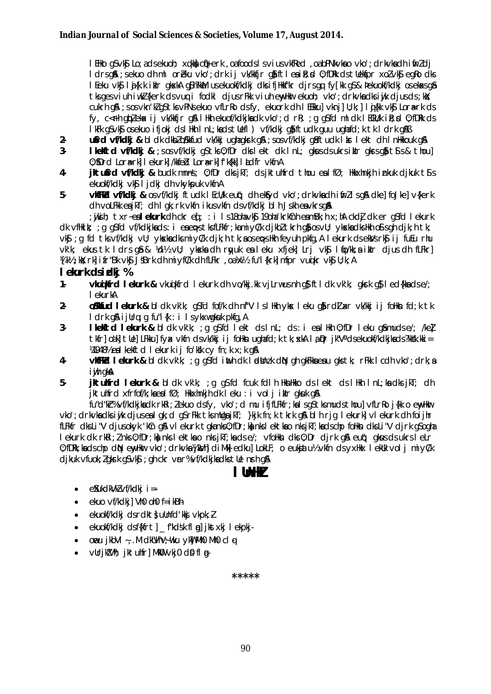I Elko g\$vk\$ Lo; adsekuoh; xqkk| cfi}erk , oafoods I s vius vkfRed , oabPNkvka o vko'; drkvka dh i firz dj I drsgå; sekuo dh ml oreku vko'; drk ij vk/kkfjr gå ftleailt; d 0; fDRk ds tUekfpr xolvkf, egRo dks I Eeku vk\$ li {k.k iklr gkskka g\$h?kkan usekuokf/kdkj dksifjHkkf"kr djrsgq fy[kk g\$& þekuokf/kdkj oseka<sg\$ tks ges viuh iwk? (kerk ds vug i fodkl djus rFkk viuh envHmar ekuoh; vko'; drkvka dks iwk djus ds; kk); cukrh g& ; s os vkn ki g \$t ks vPNs ekuo vfLrRo ds fy, ekuork dh I EEkku] vkn j] U; k; ] I q {kk vk\$ Lora=rk ds fy, c<fh giplekax ij vk/kkfjr gia llkh ekuof/kckjkack vko'; cl rR; ; g gisfd ml clk l ECkU/k iR; sd 0; fDRk cls lkFk aSvk\$ osekuo ifioki dslHkh InL:kadstUefl) vf/kdki a¥iftudk auu uahafd:k tk Idrk a%B

- ufrd vf/kdki & bldk dkblo%kfud vk/kkj ughagkrk g& ; sos vf/kdkj g&ftudk lkr lekt dh InHkkouk g&  $2 -$
- $\overline{\mathbf{3}}$ I kelitd vi/kdkj & ; s os vi/kdkj q\$ tks 0; fDr dks I ekt dk I nL; qkus ds ukrs i klr qkrs qi} til s & thou] 0: SDrd Lora-rkl I ekurkl /kkfed Lora-rkl f kfkkl I adfr vkfnA
- jktufrd vf/kdkj & budk mnns; 0; fDr dks jkT; ds jktuhfrd thou ealfØ; Hkkxhnkjh inkuk djkuk ts s 4 ekuokf/kdkj vksi ljdkj dh vkykpuk vkfnA
- $5$ vkFkd vf/kdkj & osvf/kdkj ftudk I Ecll/k eut; dh ekfyd vko'; drkvkadh i firl I sg& dke] foJke] v{kerk dh volfkk eajkT; dh I gk; rk vkfn i kus vkfn ds vf/kdkj bl h Jskh eavkrs g&

; jiki h; txr~ealekurk dh ckr eq; : i Is18ohavk\$ 19oha'krkCnh eamBk; h x; hA ckd] dk er q\$fd I ekurk dk vfilkik; ; q q\$fd vf/kdkjkads: i eaepstksfLFkfr; kamiyC/k djkbltkrh q\$osvU; ykxkadkslkh o\$sqh djk; h tk; vkg ; q fd tks vf/kdkj vll; ykskadks miyl/k djk; h tk; a os eps Hkh feyuh pkfq, A I ekurk ds eklys rkg ij fuEu rhu Vk'k: ekus tk Idrs of & Vd½ vll: vkska dh rwuk ea Leku xfiek] Lri vks Ifio/kk:a ikir dius dh fLFkr] MKb; Ws; rk] ifr"Bk vkg JSBrk dh mi yfCk dh fLFkr, oa) wh fu"i{krk] mfpr vuokr vkg U; k; A

### lekurk dsidki %

- $1$ vlail frd Ielark & vkuikfrd Iekurk dh vo/kkj.kk vjLrwusnh qs ftl dk vk'k; qkrk qs Ied{kkadse/; I ekurkA
- $2$ **o SMfud I ekurk &** bldk vk'k: q\$fd fof/k dh nf"V I sllkh vkx I eku qo**i** rdlaxr vk/kki i i folkun fd:k tk I drk a& i i Ura : a fu"i {k : i I s v k x w a k uk o k fa . A
- $3$ lletted leturk & bldk vkk; ; q q\$fd lekt ds l nL; ds : i ealHkh 0; fDr leku q&muds e/; /kel tkfr] oák] tUe] LFkku] fyx vkfn dsvk/kkj ij follkn ughafd; k tk; xkA I a Dr jk"Vadsekuokf/kdkjkads?kkSk.kki = W19481/2 eal kekftd lekurk ij fo'kk cy fn; k x; k q&
- **vkfFkd lekurk &** bldk vk'k; ; g g\$fd inth dk lidthak diN gh gkFkka ea u gks tk; rFkk l cdh vko'; drk; a  $4$ i wh gka
- 5jktuhfrd lekurk & bldk vk'k; ;g g\$fd fcuk fdlh HknHkko ds lekt ds lHkh InL;kadks jkT; dh jktuhfrd xfrfof/k; kaealfØ; Hkkxhnkjh dk leku : i volj iklr gkuk g&

fu"d"kt%vf/kdkjkadkrkRi; lekuodsfy, vko'; d mu ifjfLFkfr; kalsqStksmudsthoulvfLrRoifkkoenvHkr vko'; drkvka dksi jk djuseal qk; d q\$rFkk tksmllqajkT; }kjk fn; k tkrk q&bl h rjg lekurk] vlekurk dh foijhr fLFkfr dksLi"V djusokyk 'kûn gå vlekurk tgkanksû; fDr;kankslektkao nksjkT;kadschp follkn dksLi"V djrk g\$ogha I ekurk dk rkRi; I nks 0; fDr; kn nks I ektka o nks jkT; kads e/; vfoHkn dks 0; Dr djrk g& eut); gkus ds ukrs I eLr 0: fDRk: ka ds cho dN ewhkir vko': drkvka ¼kVhl di Mkl edkul LokLF: o eukjatu½ vkfn ds vxHkx lekuk voli mivCk djkuk vfuok; I gkrk gSvk\$ ; gh ckr vrr% vf/kdkjkadks tUe nrh g&

## l IhHJ

- $\bullet$  exukdkVkl vf/kdkj i =-
- ekuo  $\sqrt{f/k}$ ckil Vh0 oh0 f=ikBh  $\bullet$
- ekuokf/kdkj dsrdkt; ullnfd'kkj vkpk; l  $\bullet$
- ekuokf/kdki dsf{kfrt] \_f"kdsk fl a] jkstxkj l ekpkj-
- oveu jkbVI ~, M cHkUVhV; which ykw Mho Mho cl q  $\bullet$
- $\bullet$ vUrikZVh; iktuhfr] MkO vkj0 dQ fl a-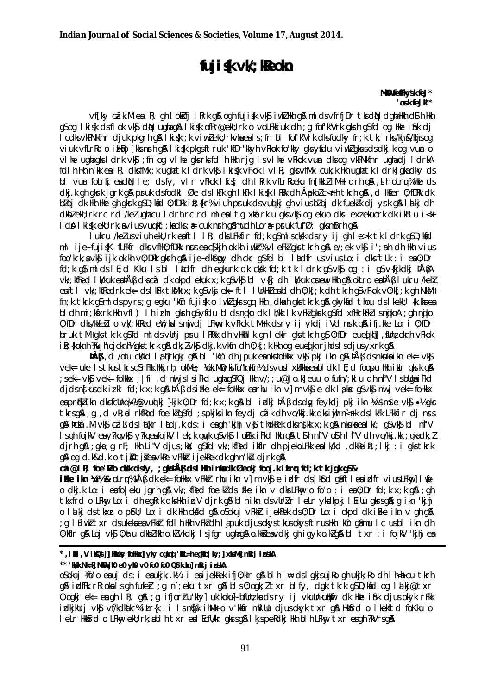# fuji**ś**k vW; Reoln

MKU fefFkvsk feJ\* 'ork feJk\*\*

vf[ky cãk.MealR; gh lokifj lRrk g& ogh fuji (k vk j i wkZ Hkh g& ml ds vfrfjDr tks diN dghaHkh dS h Hkh gsog I kisk dsflok vksj din ughaga I kisk of Rr@ekU; rk o voLFkkiuk dh ; g fof k"V rk glern gsfd og Hke i shk dj I cdls vkPNkfnr djuk pkgrh g& I kifk; k viwklekU; rkvkaeals; fn bl fof'k"Vrk dksfudky fn; k tk; rks/khj&/khjsog viuk vílrko o ilikko fikisnrh al likisk pkasftruk 'kfDr'kkyh víkok fo'kky aksysolu vivklakusolsolki, k og vur o vihe ughagks i drk vk\$; fn og vihe gks rks fdih Hkh rjg i svihe vFkok vur dks og vkPNkfnr ughadj i drkA foll h Hkh n'kk eal R: dks fMx: k ugha tk I drk vk\$ I ki šk v Fkok I v I R: gks v fMx cuk: k Hkh ugha tk I drkl gka dkv ds bl vur folrkj eadN le; dsfy, vlr vFkok lki $\zeta$ ; dh l Rrk vfLrRoeku fn [kkbl i M+ I drh q&, d h oLrq% Hke ds dkj.k gh gkrk jgrk gå pruk dsfodkl Øe dslkFk gh lkFk lki{k lRRk dh ÅpkbZc<Fh tkrh gå ,d Hkfer 0;fDRk dk bloj dk Hkh Hke gh gkrk gSD; kind 0; fDRk i R; {kr% viuh pruk ds vuql kj gh vius bloj dk fueklk dj yrk g\$l lalkj dh dkbleku; rk rc rd /kelughacu I drh rc rd mleal tg xkārk u gks vk\$ og ekuo dks lexiekuork dk ikB u i <k I dA I ki fk ekU; rk; a vi us vug kf; ; ka dks; a= cuk n sh q amudh Lora= ps uk fuf'Ø; q ks m B rh q A

lukru /kelusviuhekU; rkeaftl IR; dksLFkkfir fd;k g\$mlsckkk dsry ij ghle>k tk ldrk g\$D;kad ml iie~fuiisK fLFkfr dksvfHk0;fDRk nauseacSfkjh ok.kh iwklr%vleFklgkstkrhg&e/;ek vk\$ i';arh dh Hkh vius foo'krk: a vk s iik ok.kh v0: DRk gksh g& iie~ dkfsmav dh ckr g\$fd bl ladfr us vius Lo: i dksftLk : i ea0: Dr fd; k q\$ ml ds l E; d Kku Is bl l adfr dh egkurk dk ckyk fd; k tk I drk q\$ vk\$ og : i q\$ v{kjkdkj þÅßA vk/; kfRed | k/kuk ealþÅß dkscã dk okod ekuk x; k aSvk\$ bl v{ki dh | k/kuk cµew Hkh a& okLro ealþÅß | ukru /kehZ eaftl vk/; kfRedrk ek= ds l kFk tkMk x; k qS vkj ek= ftl l UnHkleabl dh 0; k[; k dh tkrh qS vFkok v0; k[; k qh NkM+ fn; k tkrk asmldspyrs; g egku 'kin fujisk o iwklakrsga Hkh, dkakh aks tkrk an akykad thou dslkekli; {k.kkaea bi dh mi; kisxrk Hkh vfl) i hirhr gkrh g\$yisdu bi ds niko dk i h/kk i k vFkZgkrk g\$fd xfHkrkFkZ i s nikoA; gh niko 0; fDr dks/kkfebl o vk/; kfRed eW; kalsny dj LFkwyrk vFkok tMrk dsry ij ykdj iVd nrk g& ifj.kke Lo: i 0; fDr bruk tM+ aks tkrk as fd ml ds vUni pru IRRkk dh vHkhllk ah lekir aks tkrh as 0; fDr eued khll, sUnz oknh vFkok ik; {koknh ){ujh'ojoknh} qkstkrk q& dk; /vk\$ dkj.k vkfn dh 0; k[; k Hkh oq euedikh rihds | sdjusyxrk q&

**PÅB**, d /ofu ck/kd la prkgkj g a bl 'km dh j puk eanks follkkx vkg pkj ikn g a PÅB ds nkuka ikn ek = vkg Vek = uke IstkustkrsgSrFkk Hkkirh: okMe: ½ek.MiD:kifu"knkfn½dsvurd xHFkkaeabldk IE:d foorou Hkh iklr okrk qiA ; sek= vk\$ vek= follkkx ; | fi , d nul js | siFkd ughaq\$fQj Hkh v/; ; u@Jo.k] euu o fufn/; k| u dh nf"V | sbllga iFkd djdsnfkusdkirkl fd;kx;kq&bÅßdsiFke ek= follkkx earhu ikn v]m vk\$ e dk lakx q\$vk\$ nulj vek= follkkx eapriklikn dksfdlng)/ $\gg$ vudki }kik 0; Dr fd; k x; k g\$ bl idki þÅß ds dw feykdi pki ikn ¼\$m\$e vk\$ •½ gks tkrsg& ; g , d vR; d rkfRod foe'klgSfd ; spkjksikn feydj cãk dh vo/kkj.kk dksiwih n<Fk dslkFk LFkkfir dj nrs g& þetá. Mykl cá B ds láfkir ladjk ds: i eagh 'kihi vkl thokkek dks ns kk x; k g& nkuka ea lk/; gS vkl bl nf"V Is gh fojkV ea y?kq vk\$ y?kq ea fojkV I ek; k gwk g\$ vk\$ I oFkk i Fkd Hkh g& t\$ h nf"V o\$ h I f"V dh vo/kki.kk : aka dk: Z dirh q& ; qka; q rF; Hkh Li"V djus; kX; q\$fd vk/; kfRed ikflr dh pjekoLFkk ealk/kd , dkReiR; ; lkj : i qks tkrk gå og d.k&d.k o tji&tjienvkRe vFkkrijekRek dk ghn'ku djrk gå

cã@l R; foe ko ckk dsfy, ; glabÅß ds I Hh inladk Øeokj fooj.k itry fd;k tk jak qS&

ikke ikn 14/2& olru%þÅß dk ek= follkkx vFkkr rhu ikn vi m vks e i.dfr ds lksd asftl eni.dfr vius LFknvl live o dkj.k Lo: i eafoleku jgrh g\$ vk/;kfRed foe'kdsifke ikn v dksLFkw, o fo'o : i ea0;Dr fd;k x;k g\$ ;gh tkxfrd o LFkw, Lo: i dh egRrk dksHkh idV djrk g& blh ikn dsvUrkr leLr ykdkpkj l EiUu gkrsg&; g ikn 'kihj o latkj dstkxr o p\$U; Lo: i dk Hkh ckkkd q& oSokuj vFkkrijekkek ds0; Dr Lo: i okpd dk i Fke ikn v qh q& ; g I EiwkZ txr ds ukeka ea vFkkF fdlh Hkh vFkZ dh I ajpuk djusokys tkusokys ftrus Hkh 'KCn qâmu I c usbl ikn dh 0; kflr q\$4 Loj vk\$ 0; atu dkbZHkh o.kZvkdkj Isjfqr ughaq\$4 o.kkšea vdkj ghiqyk o.kZq\$4 bl txr: i fojkV 'kjhjea

#### \*, I K6I , V i KQsi j] Hoaky fo Hkx] yky cgknj "KA\_=h egkfo | ky;] x ks Mk] m Rrj in SkA

#### \*\* 'kkk Nk=k MkW ik0 e0 vk0 v0 fo0 fo0 QStkcknl mRri inskA

osokuj Mo'o eauj ds: i eaukik; .k½: i eaijekRek ifj0; klr q& bl h l \ ds l qkjsujRo qh ukik; Ro dh l h<h cu tkrh g& idfRk rRrokalsgh fufer ; g n'; eku txr g& bls0; ogk; ltxr blfy, dgk tkrk g\$D; kad og lalkj@txr 0; ogkj ek= ea gh IR; g&; g ifjorru'khy] uk'koku} bfUnzka ds ry ij vkuUnkubMur dk Hke ibik djus okyk rFkk irdkjkUrj vk\$ vf/kdkakr%itr{k :i Isn&fk ihMk o v'kkar mRiUu djusokyk txr q\$ Hkk\$rd o Ikekftd foKku o I elm Hkkfind o LFkw ekU; nk; ablih txm eal EcfU/km gkrsg& I kjspeRdkj Hkh blih LFkw txm eagh ?kVnsg&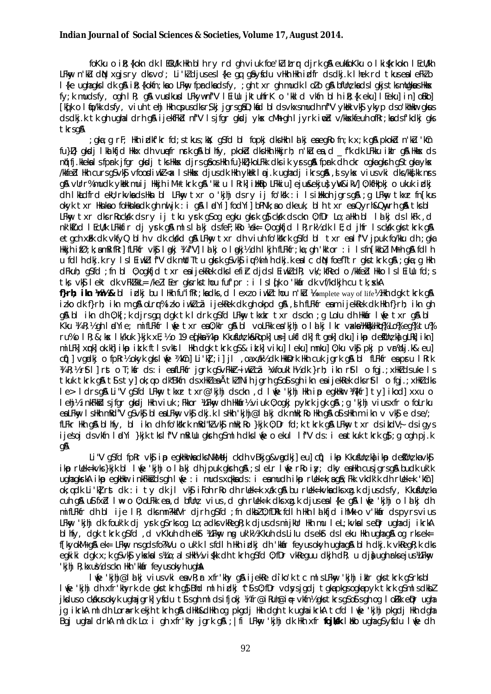foKku o ilt; {kokn dk I ECkU/k Hkh bl h ry rd gh viuk foe'kl itrr djrk g& eukfoKku o I ki{krkokn I EcU/kh LFkw, n'ku dN xgjsry dksvo'; Li'ku'djusesl{ke gq g&yfdu vHkh Hkh i¤lfr dsdkj.k I hek rd tkusealeFkuo I {ke ughagks I dk g& i R; {kokfn; kao LFkny fprdkadsfy, ; gh txr gh mudk I olo g& bflln; kads I gkjs tksmllgkus Hkks fy; k mudsfy, ogh IR; g& vudkud LFkywnf"V I Eillu jktuhfrK o 'kkld vkfn bl h iR; {k eku] I Eeku] in] oBko] [kq[k o l tjo/kk dsfy, viuh tehj Hkh cpusdksr\$kj jgrsg\$D;ktid bl dsvkxsmudh nf"V yktik vk\$ ykyp dso'khHkur qkus ds dkj.k tk gh ughaldrh gå ijekfFkd nf"V Isjfgr gkodj ykx cMh gh Ijyrk indd v/kkskfeuh ofRr;kadsfkdkj gks tkrsa&

gka; q rF; Hkh iøkfkr fd; stkus; kkj; q\$fd bl fopkj dksHkh Idkj eaeqRofn; k x; k q& pkokid n'kiu 'kin; full) akcli lkilkfici Hkkx ch vuefr nsk aå blhfv, pkokid cks Hkh Hkkirh; n'ku ea, difk ck LFkku ikir aå Hkkx ds ntifi.kkeka Isfoark ifar aksii tks Hkkx clirs aâos Hkh fu }kt}koLFkk clks ik vars aå foark clh ckr oaka akanh a\$taka vksk White Lilkh curs of vkf vfoodiwk < x Ishkisk djusdk Hkh ykok I oj.k ughadj ikrs gå, s yks vius vki dks/kkfkk nrs q& ∨Urr%mudk yMsk muij Hkkjh iM+tkrk q& 'kklu IRrk]iHk&lo LFkkiu]eju&ekju;} y\&ikV]0;kfHkpkj o ukuk izlkj dh Ikadfrd ekl; rkvkads Hkn bl LFkw, txr o 'kjhj dsry ij fo'kk : i Isiakkoh jgrsg&; g LFkw, tkxr fn[kus okyk txr Hknka o folkknka dk gh nuljk : i g& I adYi] fodYi] bPNk;a o dkeuk, blh txr ea Qvrh&Qmvrh q& tks bl LFkny txr dks rRocksk ds ry ij tku ysrk qS og egku gksrk qS cksk ds ckn 0; fDr Lo; a Hkh bl I alkj ds I kFk , d nk'Miud I Ecu/k LFkkfir dj yrk g&mlslalkj dsfeF;kRo Yek= 0; ogkfjd I R;rk½ dk I E; d jhfr I sckkk gkstkrk g& etgch xik dk vkfyQ blh v dk ckkd g& LFkw txr dh viuh fo'kkrk asfd bl txr ealf"V ipuk fo/kku dh : aka Hkkih ifØ:k:amRifRrl fLFkfr vKS I maki ¼ f"Vl I alki o I maki½ dh I kih fLFkfr:ka:gh 'kk'or : i Isfn FkkbZ i Mrh g& fd I h u follh dkj.k ry IslEiwklf"V dk mUtTtu gkrk qSvk\$ iw%mlh dkj.k ealc dN foefTtr gkstkrk g& ; gka; g Hkh dfkuh; asfd :fn bl 0:oakfid txr eaiiekRek dkslefir didslEiwkZdR; vk/:kfRed o/kkfed HkkolslEillu fd:s tks vk\$ lekt dk vFkZkkL= /keZlEer gksrksthou fuf'pr : i lsld[k o 'kkafr dk vf/kdkjh cu tk; xkA f}rh; ikn 1/n1/2& bl ickj bu lHh fu"ifkr; kadks, d lexzo iwkl thou n'ku leomplete way of lifel hkh dqk tkrk q& izko dk f}rh; ikn m q& oLrr% izko iwkZcã ijekRek dk gh okpd g&, ih fLFkfr eam ijekRek dk Hkh f}rh; ikn gh g& bl ikn dh 0;k[;k djrsgq dgk tk ldrk g\$fd LFkny tkxkr txr dsckn ;q Lolu dh Hknir lie txr q& bl Kku ¼ R;½ gh ladYie; mifLFkfr lựe txr ea0;kir g& bl voLFkk ea kjhj o la kj lkr vacka¼HkQ Hko % Lo % eg % tu % ru%o IR; &; kx Ik/kuk }kjk xE; %o 19 edika %ikp KkusUn; k&Ropk]us=]ukfl clk] ftgek]clku]ikp clesUn; ka qLRk]ikn] milfk]xmk]ok.kh]ikko ik.k ftlsvkstl Hkh dak tkrk a\$& ik.k]viku]leku]mnku]0:ku vk\$ pki p vr%di.k& eul c(i)] vgrdkj o fpRr½ okyk gks li(e ¼ kCn] Li'k]; i] jl, oa xdk½ dk HkkDrk Hkh cuk jark g& bl fLFkfr ea pru lRrk WR: 1/2 r\$t1 1 rst o T: 1/3 r ds: i eafLFkfr jark as vFMd-iwk ca 1/4 fould by dk } rh: ikn r\$t1 o fai.: xHk ds uke 1 s tkuk tkrk q& t\$sty]ok;qo dk"Bkfn dsxHkZeaÅtkZfNihjqrhqSo\$sqhikneaijekRek dksr\$tl ofqj.;xHkZdks le> I drs q& Li"V q\$fd LFkwy tkxr txr@'kjhj ds ckn , d l we 'kjhj Hkh ip eqkHkwr ¼{kfr] ty] ikod] xxu o I ehj½ inkFkk&lsjfgr gkodj Hkh viuk ; Fkkor ¼LFkny dh Hkk&r½ viuk 0; ogkj pykrk jgk g&; g 'kjhj viusxfr o foLrku ealFkny Ishkh mRd"V q\$vk\$blealFkny vk\$dki.klshkh 'kihi@la'ki dk mhk;Rohkh q\$o\$shkh m ikn v vk\$e dse/; fLFkr Hkh g& blhfy, bl ikn dh fo'kškrk mRd"k/vk\$ mHk;Ro }kjk 0;Dr fd;k tkrk g& LFkw, txr dsikdV; dsigys ijesoj dsvkfn ladYi }kik tkslf"V mRiUu gkrh g\$mlh dksl√e o ekul lf"V ds: i eatkuk tkrk g\$;g ogh pj.k

## **an**

Li "V asfd for vis in eakliming dis Ninileti cidh vBkja&vadki] eul cii) i kip Kkununz ha i kip dejunz ha vis l ikp ruek=kvks}kik bl lufe 'kihi o lalki dhipuk gkrh g&;sleLr lufe rko iy; dky ealkh cusjgrsg& budk uk'k ughagkstA ikp egkilkr inkFkkidsgh life : i mudsxakkads: i eamudh ikp rllek=k:agâ; Fkk vkdk'k dh rllek=k 'kûnl ok; g dk Likirst dk: i ty dk jl vksj i Fohr Ro dhruek=k xák qsa bu ruek=kvks dks xg.k djus ds fy, Kkusülnz ka cuh gß u\$ fxd l\ o 0; oLFkk ea, d bflln; vius, d gh rllek=k dks xg.k djus eal {ke g\$ l\ ue 'kihi o lalkj dh mifLFkfr dh bl ije IR; dks mn?kkfVr djrh q\$fd ; fn dkbZ 0; fDRk fdIh Hkh Id kfjd ihMk o v'kkår ds pyrs vius LFkw, 'kjhj dk fouk'k dj yrk q\$rksog Lo;adksvkReqR;k djusdsmijkUr Hkh mu leL;kvkalse in ughadj ikrkA blifty, dak tikrik asifd, dvKkuh dhekt XLFkny ng uk'ki Kkuh dsLilu dsekt dsleku Hikh uahaan oa riksek= f[kyokM+g& ek= LFkw, ns gds fo?kVu o uk'k Is fdlh Hkh idkj dh 'kkin feyus okyh ughag& blh dkj.k vkRegR;k dks egkiki dak x;k q\$vk\$ ykxkals)40;alsHkh% vi\$kk dh tkrh q\$fd 0;fDr vkRequu dkjh dR; u djauqh rksejus)4. Fkny 'kihi R: kxu½ ds ckn Hkh 'kkan fevus okvh ugha

I We 'kihi@lalki vius vki eavR;r xfr'khy q& ijekRe diko'k tc mlsLFkw, 'kihi iklr qkstkrk q\$rksbl I We 'kihi dh xfr'khyrk de qks tkrh q\$ Bhd ml h idkj ^t\$ s0; fDr vdsysjgdj tgka pkgsogka pyk tkrk g\$ml sdkbl jkduso ckklusokyk ughajgrk]yfdu t¶sgh mldsifjokj ¼ifr@iRuh@i∉ vkfn½gkstkrsgSo¶sgh og loEkk eiDr ugha jq ikrkA mldh Lor⊕rk ekjh tkrh g& dHkh&dHkh og pkgdj Hkh dgh tk ughaikrkA tcfd l√e 'kjhj pkgdj Hkh dgha Bgj ughaldrkA mldk Lo: i gh xfr'khy jgrk g&; | fi LFkw, 'kjhj dk Hkh xfr fojksk likko ughag\$yfdu likje dh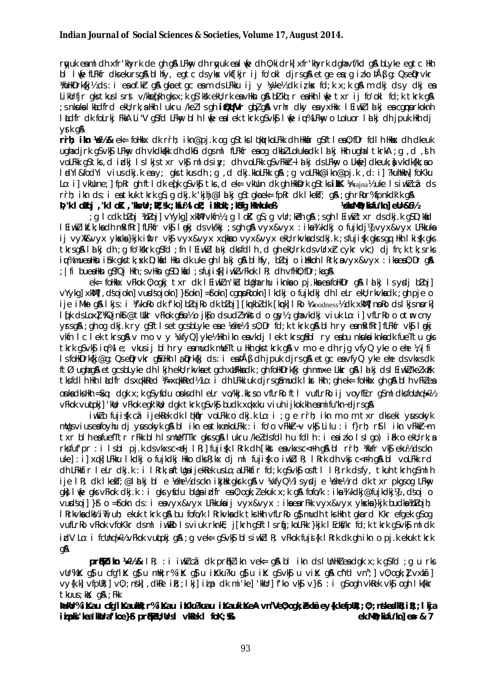rwuk eaml dh xfr'khyrk de gh gâ LFkw dh rwuk eal we dh 0; kidrk] xfr'khyrk dghavf/kd gâ bLyke egtc Hkh bl li(e fLFkfr dksekursgå blify, egtc dsykx vkf[kjr ij fo'okl djrsgå etge e $\pi$ ;g izko þÅß g: Qseiprvkr MollkDrk{kj½ ds : i ea of.kir g& gka etgc eam ds LFkku ij y ¼yke½ dk izkx fd;k x;k g& m dkj ds y dkj ea Likurfir aks tkus I s rst v/kked[kh aks x; k a\$ 'kkk eku; rk en vHkn a& b] kb; r en Hkh I we txr ij fo 'okl fd; k tkrk a& ; s nkuka I kludfrd ekli; rk; a Hkh I ukru /kel I s gh iQufVr glpl gå vrhr dky ea yxHkx I Eiwkl I a kj ea cgmprkoknh ladfr dk folrkj FkkA Li"V q\$fd LFkwy blh lwe ealek tkrk q\$vk\$ lwe iu%LFkwy o Loluor lakj dh jpuk Hkh dj  $v$ rk an

rrh; ikn 161/8 ek= follkkx dk rrh; ikn@pj.k og g\$tksl (klarkoLFkk dh llkkår g\$ftl ea0; fDr fdl h llkkx dh dkeuk ughadjrk g\$vk\$ LFkwy dh vkdka{kk dh dk\$u dgsml fLFkfr eaog dkbZ Lolukadk Ialkj Hkh ughal tkrkA ; g , d , sh h voLFkk q\$tks, didkj Islkjstxr vk\$ mldsiy; dh voLFkk q\$vFkkr-lalkj dsLFkw, o Lkufe] dkeuk; a vkdk{kk; a o I dYi&fodYi vius dkj.k eny; gks tkus dh; g, d dkj.kkoLFkk g\$ ; g voLFkk@ikn@pj.k , d: i] ?kuhHkr] foKku Lo: i] vkUune;] fpRr qh ftldk eq[k q\$ vk\$tks,d ek= vkUun dk qh HkkDrk q\$ tks iMK ){Prajna}{uke Isiwk] cā ds rrh; ikn ds: i eatkuk tkrk q\$; q dkj.k 'kjhj@lalkj q\$tqkaek= fpRr dk lkekT; q&; qh rRor%fpnkdk'k q& P, "k I ošoj , "k I oK , "kkyUr; kt; \k; kku%I oL; i Hkoki; kstq Harkukeß VelsMD; kifu"kn] eU=&6½

q Icdk bloj Kbloj] vYykq] xkWl vkfn½ ; q IoK q\$ ; q vUr; keh q& ; s qh I Eiwkl txr ds dkj.k q\$D; kafd I EiwkZikf.k; kadh mRifRr] fLFkfr vk\$ I mkj ds vk/kkj ; s gh g& vyx&vyx : ika¼ kdkj o fujkdj¼ vyx&vyx LFkkuka ij vyXk&vyx ykxka}kjk ifitr vk\$ vyx&vyx xqkkao vyx&vyx ekU; rkvkadsdkj.k ; sfuji\$k qkrsqq Hkh I ki\$k qks tkrsq& la ki dh : a fo'kkhrk q\$fd : fn lEiwk/la ki dksfdlh. d ah ekl: rk dsvllrxh cykr ykc) di fn: k tk: srks iu%mueaHkn i\$hk gkstk; sk D;kad Hkn dk uke gh lakj g& blhfy, bloj o iHkkoh l Rrk; avyx&vyx : ikaea0; Dr g& : Ifi bueallkn asfQillkh : svllkn asd; kid : sfuiiskl iwkZvFkok IR; dh vfllk0; fDr; kaan

ek= follkkx vFkok 0; ogkj txr dk l Eiwk2 n'kū bUgha rhu iknka o pj.kka ea follkDr g& l a kj l s ysdj b2oj] vYykg]xkW], dsojokn]vurdsojokn]}fokn]=fokn]cgnpRookn]lkdkjo fujkdkj dh leLr ekl; rkvkadk; gh pje o ije iMko q\$ lkjs: i ¼'koRo dk f'ko] blojRo dk bloj] [kmkbldk [kmk] lRo ½Goodness½ dk xkM] nnoRo ds lkjs nnork] l (k ds Lox) #Qink @tWkr vFkok q\$u½ o jkjo ds ud /hktd o qy½ ; qha vkdkj viuk Lo: i] vfLrRo o otm cny yrsg& ; gh og dkj.k ry g\$ftlsetgcsbLyke eae Vehe½ Is0; Dr fd;k tkrk g& blh ry eamRifRr] fLFkfr vK\$ I akj vkfn Iclek tkrsg&vmovy¼rfyQlyke½lkh ikn eavkdj lek tkrsg&bl ryeabunkukaiknkadk fueTtugks the contract of the state of the camera of the state of the contract the contract of the contract of the contract of the contract of the contract of the contract of the contract of the contract of the contract of the contr Is follkDrkRieg: Qs eDrvkr q& Hkh Ia DrkRi ds: i ea DÅB dh jpuk dirs q& etgc ea vfyQ yke ehe ds vkxs dk ftø ughagå etacsblyke dhikin eku: rkykaetach xufkkadk; an folkDrkfki an mnxe Luar an Idiki dsi Eiwki/kelxfk tksfdlh Hkh lådfr ds xqkkRed ¼=xqkkRed½Lo: i dh LFkkiuk djrsgåmudk lår Hkh ; gh ek= foHkkx gh g& blh vFkZea onladksllkh = \$q; dqk x; k q\$ yfdu onlsdh leLr vo/kkj.kk; so vfLrRoftl vufLrRoij voyfEcr q\$ml dksfollnq1/ $\gg$ 1/2 VEkok Vuluokil 'kli: VEkok egk'kli: dak tkrk g\$vk\$ budk xakxku viuh iikok.kh eamifu"kn~dirsg\$

iwklo fujisk cã ijekkek dk lokkur volfkko dkj.k Lo: i ; q e rrh; ikn m o m txr dkseki yusokyk mulgsviuseafoyhu dj yusokyk gå bl ikn eatkxnkoLFkk : i fo'o vFkkr-v vk\$ Lilu : i f}rh; r\$tl ikn vFkkr-m txr blh eafuefTtr rFkk blh IsmulefTTkr gkrsg& I ukru /keldsfdlh u fdlh : i eaizko Islgo) ikk o eku; rk; a rksfufbr : i Isbl pik ds∨kxsc<eli IR:Ifuiisk IRrk dh [kkst ea∨kxsc< rh q\$ bl rrh: 好efr ∨Ks eku½ dsckn uke]: i] xqk] LFkku I kdkj o fujkdkj Hkko dks R; kx dj ml fujisk o iwkll R; I Rrk dh vkj c<Fh q\$ bl voLFkk rd ch LFkfir leLr ckj.k : i l Rrk; aftUgaijekRek usLo; aLFkfir fcl; k g\$vk\$ osftl l R; rk clsfy, tkuh tkrh g\$ml h ije IR; dk IkekT;@lalkj bl e Xehe½ dsckn ikjak gkrk g&v XvfyQ½ Isydje Xehe½ rd dk txr pkgsog LFkny aki lwfe aks vFkok ciki.k : i aks v£ciu blana indfrena 0:oak: i ekuk x:k a\$a fofo/k : ikna ¼a kciki@fuikciki½i cisoi o VUDSOIL For some of the environment of the environment of the environment of the environment of the environment of the vertex of the vertex of the vertex of the vertex of the vertex of the vertex of the vertex of the verte I Rrkvladka i ii; uh; ekuk tkrk gå bu fofo/k I Rrkvladk tks Hkh vfLrRo gå mudh tks Hkh tgkard Kkr efgek gå og vufLrRo vFkok vfoKkr dsml iwkRo Isviuk rknkE; j[krh qSftIsr(j;koLFkk }kjk IEckf/kr fd;k tkrk qSvk\$ ml dk idV Lo: i fcUnq½>½ vFkok vultoki q& ; q vek= q\$ vk\$ blsiwkZIR; vFkok fujj{k IRrk dk qhikn o pj.k ekuk tkrk **an** 

 $\mathbf{p}$ räkzikin 1401/28. IR; : i iwklczá dk präkzikn vek= q18. bl ikn ds Illn Hkzeadok x; k q Sfd ; q u rks vur%iK q} u cfq"iK q} u mHk;r%iK q} u iKku?ku q} u iK q\$vkj u viK q& cfYd vn";] v0;oqk;l vxtā] vy{k.k] vfpUR;] v0;;nsk],dkRe iR;;lkj] iip dk mi'ke] 'kWr] f'ko vk\$ v}\$ : i qSoqh vkRek vk\$ oqh lk{kkr tkuus: KX: aA : Fkk

bukbr%iKau cfg"iKaukk:r%iKau iKku?kuau iKaukiKeA yn"Ve0:ogk:exkãev{k.kefpuR::0::n\$kegJkR:iR::Ikia iipki 'kea 'Kuraf'koe}\$ prikeli; Urs I vkek I foK; \$  $ek.MD: ksin'Mn]$  ea & 7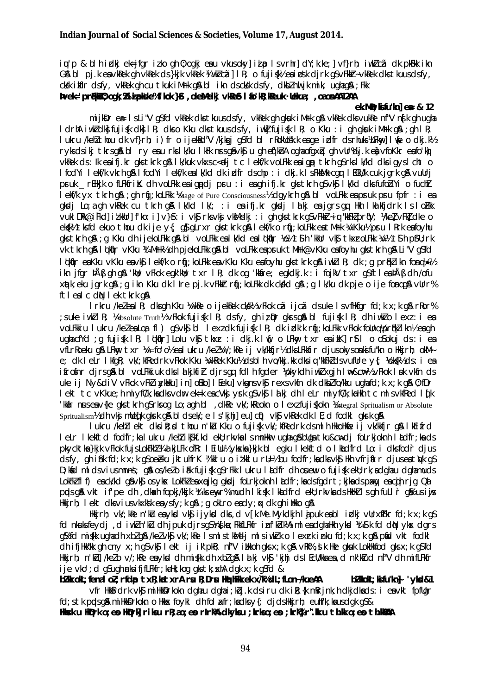ių'p & blh indkj ek=jfgr izko gh 0; ogkj estu vkusoky] izip lsvrhr]dY;k.ke;]vf}rh; iwkZcã dk pk.kikh G& bl pj.k envklek gh vklek ds}kjk vklek ¼ wkl c $\bar{a}$ ] IR; o fuji $\frac{1}{2}$ kk eninsk djrk gsvFkkr-vklek dkstkuusdsfy, cksk ikflr dsfy, vkRek gh cu tkuk iMrk g& bl ikn dscksk dsfy, dkblnu jk mik; ughag&; Fkk

bvek='prikition", oak; %ii pkke%f'kok }\$, okeM-dkj vkes I to'k?; keuk · Uekua; oaosnAA12AA

#### ek. MD; kifu"kn] ea & 12

mijkDr er IsLi"V gSfd vkRek dks tkuusdsfy, vkRek gh gkuk iMrk g& vkRek dks vukRe nf"V ng k gh ugha I drhA iwk dk fuijsk dk IR: dk o Kku dk tkuus ds fv, iwk fuijsk IR: o Kku : i ah akuk iM Fk a & : ah IR: I ukru /kehl/thou dk vf}rh; i) fr o ijekkd"V /kjkgj q\$fd bl rkoklošk.k enge idfr ds rhuks klFkwy] I we o dkj.k½ ryksdsikj tkrsgå bl ry eau rksik/ku lkFk nrsgåvkåju gheqtkh a oghaofgxaj ghvUr%dj.k en vfo Kkr eafotko vkRek ds: Ik eaifj.kr gks tkrk g& Ik/kuk vkxs c<elj tc Iekf/k voLFkk eaigp tkrh g\$rks Ik/kd dks igys I cht o I fodYi lekf/k vkrh g& I fodYi lekf/k ealk/kd dk idfr dschp : i dkj.k I sFkkMk cgr I ECkU/k cuk jgrk g& vuUrj pruk \_rEHkjk o fLFkfriK dh voLFkk eaigpdj pru : i eagh ifj.kr gks tkrh gS vk\$ I k/kd dks fufodYi o fuch/t I elf/k yx tkrh q& ; qh rij; koLFkk *Vistage* of Pure Consciousness<sup>y</sup> dqykrh q& bl voLFkk ea pruk pru fpfr : i ea gkodi Lojagh vkRek cu tkrh g&lk/kd lk/; : i ea ifi.kr gkodi lalki ea jgrs ga Hkh lkakfidrk IsloFkk vuklDRk@iFkd]iłkWr]f'ko: i]v}\$: i vk\$ rksvkj vkM-dkj : i gh gkstkrk g\$vFkkr~iq "kkFkZprtV; \keZvFkZdke o ekkill times that the set of the set of the set of the set of the set of the set of the set of the set of the set of the set of the set of the set of the set of the set of the set of the set of the set of the set of the se gks tkrh g& ; g Kku dh ijekoLFkk g& bl voLFkk ealk/kd ealdkfir ½e½ t\$h 'kkUr vk\$ tkxroLFkk ¼v½ t\$h p\$U; rk Vk tkrh gå likalr v Kku kt Mrk kdh pjekol Fkk gå bl vol Fkk en pruk t Mrk@v Kku en fo vhu gks tkrh gå Li"V g\$fd lokolir enkku vkku envko lekf/k o roli:koLFkk envkku kku enfovhu akstkrk an iwkll R: dk :a profklikn fomol‰y ikn jfgr þÅβ gh gß 'kwi; νFkok egk'kwi; txr lR; dk og 'kkáre; egkdkj.k : i fojkV txr g\$ftl eaþÅβ dh /ofu xatk; eku jark g&; g ikn Kku dk Ilre pj.k vFkkir raj; kolFkk dk ckkld g&; g Ik/ku dk pje o ije fomgg& vUrr% ftlealcdN lek tkrk gA

I rkru /keleal R; dks gh Kku ¼k/ke o ijekRek ck/k/k vFkok cã ijcã ds uke I s vfHkfgr fd; k x; k g& rRor% :suke iwklR: ½Absolute Truth½ vFkok fuijsk IR: dsfv. ah iz Dr akrs a& bl fuijsk IR: dh iwklo lexi: i ea volfkkiu lukru /kelealoa fl) q\$vk\$ bl lexz dk fuijsk lR; dk idk'k rti:kolfkk vFkok follna½ortiklikn½ ea qh ugha cfYd ; g fujisk I R; Idkalr Lolu vks tkxr : i dkj.k Iwf; o LFkwy txr ea ikk rst I o osokuj ds : i ea vfLrRoeku g& LFkw, txr ¼=fo'o½ ealukru /kel¼/;kRe ij vk/kkfjr½ dksLFkkfir djusokysonkjfu"kn o Hkkjrh; okMe; dk letr lkfgR; vk/;kfRedrk vFkok Kku ¼kkRek Kku½ dsblh vo/kkj.kk dksig "kkFkZdsvufUre y{; ½ek\$k½ ds: i ea ifrofnr dirsg&bl volfkkiuk dkslakjkfir dirsgg fdlh fgder )bkykdh iwk xgjh lub&cub & vFkok lok vkfn ds uke ij Ny&diV vFkok vFkZ inykklku] in] okko] I Eeku] vkgns vkg rexs vkfn dk dkbZ fo/kku ughafd; k x; k g& 0; fDr lekt tc vKkue; h miyfûk; kadksvdur ek=k eacVkj yrk g\$vk\$ lakj dh leLr miyfûk; kaHkh tc mlsvkfRed lik 'Wair nus ea v{ke qks tkrh q\$ rks oq Lo; a qh bl, dkRe vk/; kReokn o lexi fuji \$kokn ¼ntegral Spritualism or Absolute Spritualism<sup>1</sup>/2 dh vkj mlledk gkrk gå bl dsek/; e I s'kjhj] eu] cii) vkj vkRek dk I E; d fodkl gkrk gå

I ukru /keh/lekt dksilt; d thou n'ku Kku o fujisk vk/; kfRedrk dsmlh HkkoHkfie ij vk/kkfjr g& I kEifrd leLr lkekftd fodfr;ka lukru /keh/ ik\$kf.kd ekU;rk∨ka lsmnHkur ugha q\$ bUga tku&c⊯dj foLrkjoknh ladfr;ka ds pkycktka}kik yFkok fuisLokFkhZW44 kiLFk ofRr I Eillu½ ykska}kik bl egku I kekftd o I khdfrd Lo: i dksfodr dius dsfv, ah i fik fd; k x; k a Soebku i ktuhfr K ¼ kkl u o i t kkl u r U=½ bu fodfr; ka dksvks Hkh vfriatr diuseat Wk a S D; kid ml dsviusmnns; gå os/kelo i ki fujisk g\$rFkk lukru lidfr dh oruew o fujisk ekU; rk; adghau dghamuds LokFk'flf) eack/kd qâvkâ osykx LokFk'eaxeikq qkdi foLrkjoknh ladfr;kadsfqdrt;kikadspxw, eacih rig Qa prds an vkt if pe dh , dkah fopki/kkik kitks envr% mudh I kisk I kludfrd ekl; rkvka ds HkHkZ I s ah fuLI r an us i vis Hkirh; lekt dksviusvkxksk enysfy; k g&; g okLro endy; ax dk gh i Hkko g&

Hkirh; vk/; kRe n'ku enykd vkj i jykd dks, d v[k. Me. Mykdkjh lipuk enbl i dkj vUrxifkr fd; k x; k q\$ fd nkuksfeydi, d iwlin'ku dh jpuk dirsg\$ khstka; FkkfLFkfr inf'kblkkA ml eadghalkh ykol kt\$k fd dM ykx dgrs g% fd mi{kk ughadh xblg& /kelvk\$ vk/; kRe IsmlstkMelj mlsiwkrk o lexrk inku fd; k x; k g& pfid vkt fodkl dhifilikk"k gh cny x;h g\$vk\$ lekt ij ik'pkR; nf"V ilikkoh gksx;k g\$ vRk%,!lk Hke gkuk LokHkfod gksx;k g\$fd Hkkjrh; n'kū]/kelo v/;kRe eaykd dh mi{kk dh xblg& Idkj vk\$ 'kjhj dslEcU/kkaea,d nk'kIud nf"V dh mifLFkfr ije vko'; d q\$uqh rks ifjfLFkfr; kaHk; kog gks tk; xhA dgk x; k g\$fd &

blk okt; fenal ol; rfdp txR; katxrA rs R; Drs HethFk ek x/k%dL; fLon-/kueAA  $bZ$  kkok $L$ ; ksifu "kn $k$  'yksi $81$ vfr Hklfrdrk vkf milkkDrkokn dahau dahai; kbj.k dsiru dk il; {k mRrjnk; h dkjdkads: i eavkt fpfllar fd; stk ppds gå millkkDrkokn o likks foykl dh fol atfr; kadks y{; djdslikkjrh; euhf"k; kausdgk q\$& Hisk u Higrk o; es Higrk riku rR; ao; es rirka dkyku ; krko; es ; krkor". ku th. ko; es th. kaaA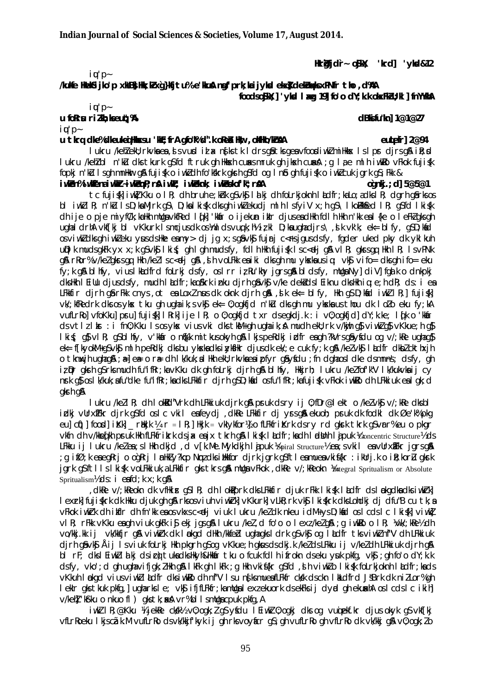Heräfjdr- o\$kk; 'krd] 'ykd&12

 $i\mathbf{u}'$   $p$  -

/kukfe HwelSijko'p xkBB; Hk; kZxg}kfjtu%'e'kku&ngf'prk; kaijyksd ekx} dekuwqksxPNfr tho, d%A foodso\$K;] 'ykd I xg 19] fo'o dY; k.k okxFkZU; kl ] fnYYkA

#### $iu'$   $p$  u forru rilh; keut; %  $i \mathbf{u}'$   $p$  -

#### dBkifu"knl 1@1@27

eutefr $\log 2$ 

## u tkra dke%dkeuke@Hkxsu 'kE; frA gfo"k%d".k oReb Hw , okHko/kr&A

I ukru /kehlekli; rkvkaea, js vurd i jax nijks tk I drs gåtks geavfoordi ukl milkkas I s I pr dirs gå i k; d I ukru /kehibi n'ku dks tkurk asfd ftruk ah Hkkskh cusksmruk ah ikskh cusksh ja lae mih iwkko vFkok fujiskh fopkj n'ku Isqh mnHkur q& fujisk o iwkidh fo'kkhrk qkrh q\$fd oq Inb qh fujisk o iwkicuk jqrk q\$; Fkk & i włen%i włena i włła~i włenp; râ i wł $t$ ; i włeknk; i włeskof 'k'; râA  $oqnki$ .; d $\vert$  5@5@1

tc fujisk] iwk] Kku o IR; dh bruh e; khk qSvk\$ Id kj dh foLrkjoknh I kdfr; kaLo; adks IR; dgrh q&rks os bl iwklR; n'kulsD;kaMjrkgS\D;kalki\$k dksghiwklekudj mlhlsfyiV x;hgS\lkomk&dd IR; gSfd Iki\$k ch ije o pje miyfûk;kalkh mugavkfRed l¢k]'kkár o ijekun ikir djuseadHkh fdlh Hkh n'kk eal{ke o leFk2 gksgh ughal drhA vhf[kj bl vKkurk Ismcjusdk os) ml dsvugk;h½ izkl D;kaughadjrs\,sk vkk; ek= bl fy, q\$D;kad os vi which chi di which which was differed my > dj jq x; s q & vk\$ fujrj c<rs jqus ds fy, fqder uked pky dk ykl kuh unDIK mudsakFk vx x:k asvks Ikis: ah I ah mudsfv. fdIh Hkh fuijsk Isc<di an vIR: akrsaa Hkh IR: IsvPNk g& rRor% v/kelgkrsgg Hkh/kellsc<eljg&, dhvoLFkk eaiki dksghmu ykskausig; vk\$ vifo= dksghifo= eku fy; k q& bl hfy, vius l khdfrd folrkj dsfy, os I rr iz Ru'khy jgrs q& bl dsfy, mulga Ny] diV] fqalk o dnkpkj dkshkh I Eillu djusdsfy, mudh I Ldfr; kaokkrk inku djrh qavka v/ke dekadsl Eiknu dkshkh iq; e; h dR; ds: i ea LFkkfir djrh gårFkk cnys, ot ealoxinus dk oknk djrh gå, sik ek= blfy, Hkh g\$D;kad iwkilR; | fujisk vk/; kmedrk dks os yks tku gh ugha ik; s yks ek= 0; ogkfjd n'ku dks gh mu ykska us thou dk l olo eku fy; kA vufLrRol vfoKkul prul fujiskl I Rrkl ije I R; o 0; ogkfjd txr dsegkdj.k : i v0; ogkfjdl dY; k.ke; I dk o 'kolr ds vtlz lksr: i fn0; Kku Isos yksk vius vki dks tkM+ gh ughaik; A mudh ekU; rk v/kwih g\$ viwkZ g\$ vKkue; h g\$ lkif; q\$ vlR; q\$blhfy, v'kkar o n&k mitkusokyh q&lkjspeRdkj idfr eagh?kVrsq&yfdu og v/; kRe ughaq\$ ek = f[kvokM+a\$ vk\$ ml h peRdki dks bu vkskadks i vk\$Hkr dius dk ek/: e cuk fv: k a\$ /ke/ vk\$ l adfr dkb/ ckthxih o tknwih ughag& ; a=] ea= o ra= dh | k/kuk; a | Hkh ekU; rkvkaeaipfyr gâyfdu ; fn dghaos | dke dsmnns; dsfy, gh iz Dr akrh as rk mudh fu"ifkr:ka v Kku dk ah folrki dirh an bl hfv. Hkkirh: I ukru /kelfof'k"V I k/kukvka ii cv nrk q\$ os I k/kuk; a fu"dke fu"ifRr; ka dks LFkkfir djrh q\$ D; kad os fu"ifRr; ka fujisk vFkok iwkRo dh LFkkiuk ea I qk; d gkrh g&

I ukru /kell R; dh I okkld"Vrk dh LFkkiuk djrk g& pruk dsry ij 0; fDr@lekt o /kelvk\$ v/; kRe dksbl idki vürxirkr dirk g\$fd oslc vkil eafeydi, dkke LFkkfir di yrsg& ekuoh; pruk dk fodkl dk Øe'k% pkg eu] c(j) | food| iKk| r ||kik ||kik ||kik = vk|vkfor| 6 fLFkfriKrk dsrv rd q|krk tkrk q\$vrr%eu o pkqr vkfn dh v/kkedkh pruk Hkh fLFkfritrk dsjx enjx tkrh q\$lkisk ladfr;kadh ladkhh lajpuk Koncentric Structure% ds LFkku ij I ukru /kelea; slHkh dkjd, dv[k.Me.Mykdkjh lipuk /spiral Structure/2 ea; svkil eavUrxIFkr jgrsg & a ifør esegeri o ogeri Indukvano Novels i ukfor dirk jark aftlesmues vkifar : iklrik o ikrkorlu akrk : jark as ftl 1 s | ki fk volfkki uk, a LFkkfi r aks tkrs an mulga vFkok, dke v/; keokn Kantegral Spritualism or Absolute Spritualism<sup>y</sup> ds: i eafd: k x: k q &

, dkRe v/; kReokn dk vfHkir g\$lR; dh lokPprk dks LFkkfir djuk rFkk lkisk ladfr ds løkgdka dks iwkrk] I exrk] fujiskrk dk Hkku djuk gh g\$ rksosviuh viwkrk] vKkurk] vLkR; rk vk\$ I kiskrk dksLohdkj dj dfu"B cu tk; a vFkok iwkht dhilifir dhfn'kk enos vkxsc<dj viuk lukru /ke/dk nkeu idM+ysD;kid oslcdslc lki{k] viwk] vik; rFkk vKku enigh viuk gkFk i\$ ekj jgsg\$ lukru /kel, d fo'o o lexi/kelg\$; g iwk&o o lk; ¼w/;kRe½ dh vo/kkj.kk ij vk/kkfir q\$\viwkirk dk I bakqd dHkh /kkfebluqhaqks I drk q\$vk\$ oq I Ludfr tksviwk7nf"V dh LFkkiuk dirh q§vk\$ Åij Isviuk foLrki Hkh pkarh q\$oq vKkue;h qkusdsdkj.k /ke/dsLFkku ij v/ke/dh LFkkiuk dirh q\$ bl rF; dksl Eiwkllalki dsico tukadkshkyh&hkkar tku o fcuk fdlh ifrokn dseku yuk pkfg, yks ; gh fo'o dY; k.k dsfy, vko'; d gh ughavifigk; ZHkh g& I kFk gh I kFk ; g Hkh vkif{kr g\$fd , d h viwkZo I kifk foLrkjoknh I adfr; kads vkkuh I pkgd viusviwkladfr dksiwkko dh nf'V I su nfksmuerfLFkfr ckk dsckn I hLdfrd JSBrk dk nilLor%gh lekir gistkuk pikig, ugiarisle; visi ifjillekir; kamligalexzekuorik dsekeksij dynd ginekunkin oslodslo i ki hi v/kehl 'kstku o nkuo fl ) gks tk; ak vr%bl I smllga cpuk pkfg, A

iwk IR; @Kku ¼jekke ckkk½ v0; ogk; *l* g\$ yfdu I Eiwk 0; ogkj dks og vuojekf.kr djus okyk g\$ vkf[kj vfLrRoeku I kjscák. M vufLrRo dsvk/kkjf'kyk i j gh rksvoyficr g\$; gh vufLrRo gh vfLrRo dk vk/kkj g\$ v0; ogk; lo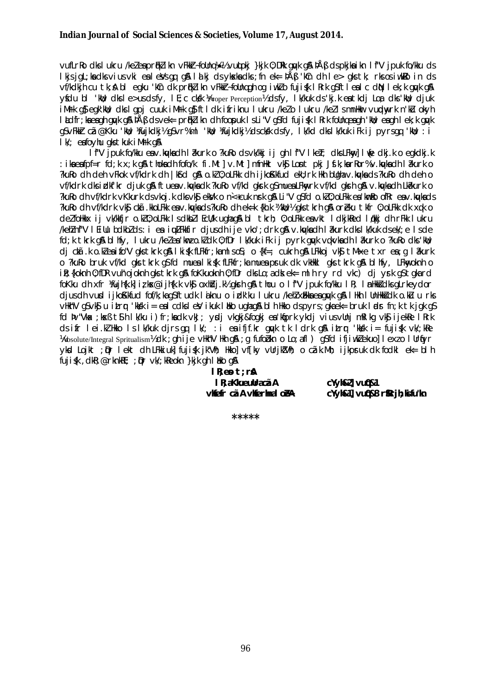vufLrRodkslukru /ke/eaprik/ikn vFkkr-follnq/e½ vuluokj }kjk 0;DRk quyk q& þÅß dspkjkaikn lf"V jpuk fo/kku ds I kis jol; ka dks vius vki ealeVs on on& I alkj ds ykska dks; fn ek=  $\frac{\partial A}{\partial}$  'kCn dh I e> oks tk; rks os iwkRo in ds vf/kdkih cu tk; & bl eqku 'kin dk priklikn vFkkir-follnqgh og iwklo fuji (k I Rrk gistleal c din I ek; k guyk gi A yfdu bl 'kill; dksle>usdsfy, lE;c cksk Yeroper Perception) & dsfy, lk/kuk ds'kj.k eatkdj Loa dks'kill; djuk iMirk q\$ eqk'koll; dks Iqpj cuuk iMirk q\$ ft Idk ifriknu Iukru /keło Iukru /kełlsmnHkor vundaw,rk n'kłu okyh Itelfr: kaeach quyk qua på B ds vek= pruklikn dh foopuk IsLi"V qSfd fujisk I Rrk follngeagh 'Mu'; eagh I ek; k quyk gsvFkkt cã@Kku 'kwi; kfujkdkj½gsvr%ml 'kwi; kfujkdkj½dsckkk dsfy, Ik/kd dkslk/kuk iFk ij pyrsgq 'kwi; : i I k/: eafo vhu aks tkuk i MFK a&

If'V jpuk fo/kku env.ku/kadh lakurk o ?kuRo dsvk/kkj ij gh lf'V lked; dksLFkny] luje dkj.k o egkdkj.k : ikaeafpf=r fd;k x;k q& thokadh fofo/k fi.Mt]v.Mt]mfn\ktvk\$ Lontpkj Jf.k;karRor%v.kq/kadh l?kurk o ?kuko dh deh vFkok vf/kdrk dh | kfd g& o.kl 0; oLFkk dh ijkoKkfud ekU; rk Hkh bUghav.ku/kads?kuRo dh deh o vf/kdrk dks i dkf'kr djuk gå ftuesv.kyks dk?kuRo vf/kd gkrk g\$muesLFkwrk vf/kd gkrh gå v.kyks dh Lk?kurk o ?kuRo dh vf/kdrk vKkurk ds vkoj.k dks vk§ekVk o n<+cuk nsk q& Li"V qSfd o.k/0; oLFkk ea 'kmRo ofRr ea v.ku/kads ?kuRo dh vf/kdrk vkg ckã.kkoLFkk eav.kwkads?kuRo dh ek=k {kh.k ¼kw};½ qks tkrh q& orèku tkfr 0; oLFkk dk xqk o delfolikkx ij vk/kkfjr o.kl0; oLFkk IsdkblIEcU/k ughag&bl tkrh; 0; oLFkk eavkt IdkjkRed I¢kkj dhrFkk Iukru /kehinf"V l Eillu bolkbids: i ea iuuLFkkfir djusdhije vko'; drk q& v.ku/kadh l akurk dkslk/kuk dsek/; e l sde fd; k tkrk an blhfv, lukru /ke/en/kmzo.k/dk 0:fDr lk/kuk ifk ii pyrk anvk vakvknadh lakurk o ?kuRo dks/kil; di ctã.k o.kleaifo"V gks tkrk g& I kiśk fLFkfr;kamlsos; o {kf=; cukrh g& LFkkoj vk\$ tM-xe txr ea; q I akurk o ?kuRo bruk vf/kd qks tkrk q\$fd muealki\$k fLFkfr;ka muea psruk dk vkHkkl qks tkrk q\$bl hfv, LFkw,oknh o ile; {koknh 0; fDR vuh'ojoknh gks tkrk g\$ foKkuoknh 0; fDr dks Lo; a dk ek= ml h ry rd vkc) dj yrk g\$ tgka rd foKku dh xfr ¼ujh{k.k]izks@ijh{k.k vk\$ oxhidj.k½ qkrh q& thou o lf"V jpuk fo/kku lR; lmHkkidksqLrkeydor djus dh vurd ijkoKkfud fof/k; kaqSftudk laknu o irdk'ku lukru /kehlxEkkaeagu/k q& llkh lunkkadk o.ku u rks viliar v q\$vk\$ u itrr 'kksk i = eal cdksleV ikuk l biko ughaq& bl h likko dspyrs; gkaek= bruk l ads fn; k tk jgk q\$ fd þv"Vka: ksß t\$h lk/ku i)fr:kadk vkJ: vrdi vkaki&foaki ea'kfiork vkdi vius vUni mRlka vk\$ ijekRe lRrk ds ifr lei.M. Hkko Islk/kuk djrs qq lk/; : i ea ifjf.kr quyk tk Idrk q& itrur 'kksk i= fujisk vk/; kRe Wabsolute/Integral Spritualism) dk ; gh i je vHkh"V Hkh g \$ ; g fufobkn o Lo; afl ) g \$fd i fjiwklekuol I exio I Urtyr ykol Lojkt ; Dr lekt dh LFkkiuk] fujisk jk"Vh; Hkko] vf[ky vUrjk"Vh; o cãk.Mh; ijkpruk dk fodkl ek= blh fujisk, dkR; @rknkRE; ; Dr vk/; kReokn }kjk gh I Hko g&

> $lR$ ; es  $t$ ; rå I R; aKkueuUracãA vkiefr cãA vkiermal o eA

cYyh&2] vu0&1 cYyh&1] vu0&8 r\$Rrjh; kifu"kn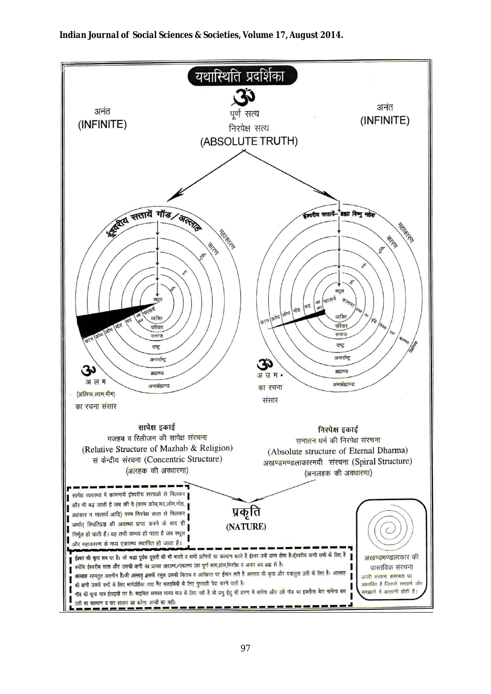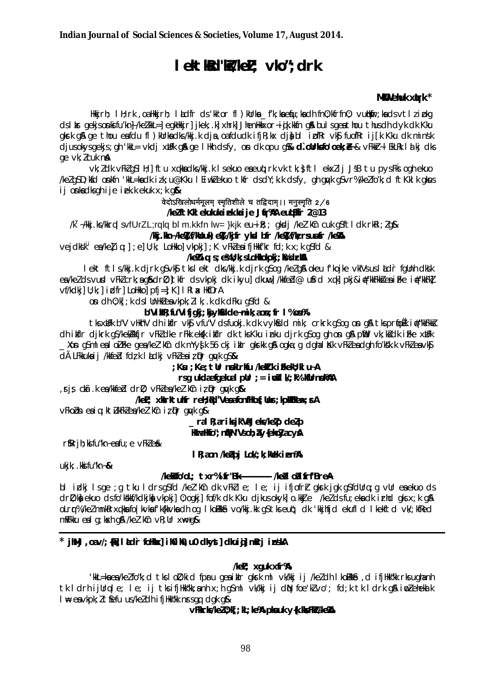# lektkRd"k5/keL; vko"; drk

### MKU ehuk xurk \*

Hkkjrh; I H; rk ,oa Hkkjrh; I kdfr ds'kk'or fl ) kUrka \_f'k; ka equ; ka dh fn0; kfrfn0; vut|kir; ka ds vtl zi pkg ds I kr gekjsonkifu'kn}/kelkkL=] egkHkir] jkek; k| xhrk| JhenHkkxor-i jk.kkfn qå bulsgea thou thusdh dvk dk Kku gkrk gå ge thou eafdu fl)kUrkadks/kkj.k dja,oafdudk ifjR;kx djabl ipfRr vkj fuofRr ij[k Kku dk minsk djusokysgekjs; gh 'kkL= vkdj xUFk gå ge I Hkh dsfy, on dk opu g‰ **d`oUrksfo'oek; e-**& vFkkr-I EkLRk I alkj dks ge vk; l cuk na

vk: I dk vFkI aSI H: I ftu xukka dks/kki.k I sekuo eaeua; rk vk tk; sttl ekxIij JsB tu pysFks ogh ekuo /kelg\$D;kfd onkfn 'kkL=kadk izk;u@Kku I Eiwklekuo tkfr dsdY;k.k dsfy, gh gwk g\$vr%/kelfo'k;d ft Kklk gkus ij onka dks ghije i ek ke kuk  $x$ ; k g $x$ 

### वेदोऽखिलोधर्ममूलम् स्मृतिशीले च तद्विदाम् ।। मनुस्मृति 2/6 /kelftKklekukukaiek.kaije Jfr%A eutEkTr 2@13

 $\sqrt{k}$  -/kkj.ks/kkrqlsvfUrZL;rqlqblm.kkfnlw=}kjkeu-ik;; qkdj/kel'k $\ln$  cukqsftldkrkki;lq&

/kg.kn-/ke%t/klbuk) e%t/kjtr ykd bfr /ke%t/k rsususr /ke%t

 $\vee$ ejdksk $^{\dagger}$  ea/kelig;]; e]U;k; LoHkko] $\vee$ kpkj]; K $\vee$ FkleaifjHkkf'kr fd;k x;k q\$fd &

## /ke%ig;s;e%U;k;sLoHkokokj;k%drka

I ekt ftls/kkj.k djrk gSvk\$tkslekt dks/kkj.k djrk gSog /kelg&okeu f'kojke vklVsuslådr fallnh dksk ea/ke/dsvurd vFk/crk:aq&drD:ltkfr dsvkoki dk ikvul dkuwl /kkfebl@u\$rd xakl pki&i#'kkFkk&eaiFke i#'kkFkl  $\nu f/kdkj$ ] U; k; | idfr] LoHkko| pfj=]; K] | RI a HkfDrA

on dh 0; k[; k ds I UnHklea vkpk; l I k; .k dk dFku gSfd &

### b"ViMR; fu"Vifjgkj; kjykGdde~mik; aon; fr I%on%

tks xulfk b"V vilkn"V dh i kifir vkg vfu"V dsfuoki k dk vvkgdd mik; crkrk asog on a a tks prook i st"kkfkkg dh ilfir djkrk q\$/kekkkfjr vFkk dke rFkk ekgk ilfir dk tks Kku inku djrk q\$oq qh on q& plid vk;k&dk iFke xllFk Kon g\$ml eal oiFke gea/kei'kîn dk mYy∮k 56 ckj iklr gkrkk g& ogka;g dghal Kk vFkieadgh fo'kšk.k vFkieavk\$ dà LFKkukaij /kkfebl fdzk ladkj vFkZeaiz pr guyk gS&

: Ksı ; Ke; tür nokurku /kekl.k i Fkeku; kl u~A

#### rsg ukdaefgekual pür  $:=$  ivil  $W$ ;  $R$ % Kürnek RAA

rjs ckā.k ea/kkfebl drD; vFkZea/keZ'kCn iz pr guyk g&

/keL; xkkrktuhfr reH; Bd"VeoafonfHof; Uur; kpkHkea: FA

vFkobn eaig; kt/ukFklea/kel'kCn iz Dr guyk g&

\_ral R; ar iks jk'VaJeks/keZp deZp

**HaraHfo": nfPN"Vsoh: Av{eh:Zyacv&** 

 $r$ \$R $r$ j $h$ ; ki fu"kn~e $a$ fu; e  $v$ Fk $l$ e $a$ k

I R; aon /keapj Lok/; k; Kulek i en%

 $ukik:$ . kki fu"kn~&

### /keksfo/oL; txr%ifr"Bk------------ /keslodifrf"BreA

bl idkj Isge ;g tku Idrsg\$fd /kel'kûn dk vFklle; le; ij ifjofrh gkrk jgk g\$fdUrq;g vUr eaekuo ds dri); koj ekuo ds fo'kkkf/kdkjkoj vkpkj] 0; ogkj] fof/k dk Kku djkus okyk] o.kkUe /kelds fu; eko dk irhd gks x; k g\$ olrr%/kelmnkRrxqkkafo|kvkafk{kkvkadhoq |kolkke vo/kkj.kk q\$tkseut; dk 'kkjhfjd ekufld |kekftd vk/;kfRed mRFkku eal q; kxh q& /kel kCn vR; Ur xk+q&

\* iMi ,oav/;{Willadir follox} il0il0,u0 dkyst] dkuid] mRrj inskA

 $\sqrt{kel}$ ; xguk xfr%

'kkL=kaea/kelfo"k; cl tksloll; kicl fpru qeaiklr qkrk ml vk/kkj ij /kelch lkollkk&, cl ifjHk"kk rksuqhanh tk IdrhijUrqle; le; ij tksifjHkk"kk;anh x;h q\$ml vk/kkj ij dN foe'klvo'; fd;k tk Idrk q& imlehekak I He ea vkpk; I t fefu us/keI dh i fj Hkk"kk nrs qg dgk g &

VFKrks/kez0; kF; kL; ke% pknuk v{k. kksFk%/ke%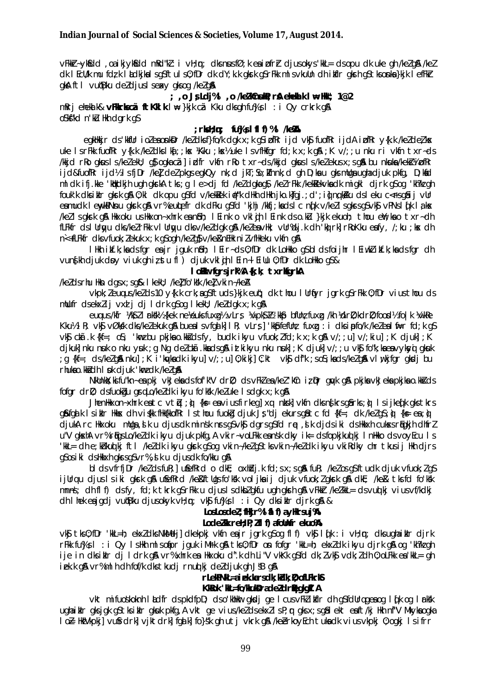vFkkr-ykfidd, oa i kjykfdd mRd"kl: i vH; n; dks nus fØ; k ea i pfrr djus okys 'kkl= ds opu dk uke gh /kelg\$ /kel ck I EcU/k mu fclzk I ackjkalsgSftuls0;fDrck clY;kkgkrkgSrFkkmlsvkuUnch ikflrgkrhgStksonka}kjk I efFkr gkA ftl vutBku deldjuslsexy gksog /kelg&

; , o Js Ldj%I , o /ke/k0nskR; r& ehekk k I w Hk"; 1@2 mkri eheklik& **vFkkrkscã ftKklkl** = }kjk cã Kku dks qh fu%Js l : i Qy crkrk q& oskftkd n'ku Hkh dark as

#### $:$  rksH $:$  m $:$  fu%Js IfIf)%I /ke%A

egkHkjr ds'kkfUr i ozeonkDr /kezdksf}fo/k dgk x; k g\$ipfRr i jd vk\$ fuofRr i jdA i pfRr y{k.k /kezdezkx uke IsrFkk fuofRr y{k.k /keldkslkd;;kx /Kku;kx½ uke IsvfHkfgr fd;k x;k g&;K v/;;u nku ri vkfn txr-ds /kkiclrko gkusls/ke/ekl/; g}ogkacãlipdfr vkfn rko txr-cls/kkiclgkusls/ke/ekusx:sg&bu nkuka/kekŝ/¥ipfkr ijd&fuofRr ijd½ IsfjDr /kel del pkgs egkQy nk; d jkT; So; Ifnnk; d gh D; ka u gks mllga ugha djuk pkfg, D; kad mldkifj.kke 'kbkdkjh ugh gkrkA tks;g le>dj fd /keldgkag\$ /kelrFkk /kek&ekvkadk migkl djrk g\$og 'kh?kegh fouk'k dksiklr gkrk g& 0;kl dk opu g\$fd v/kekkek i∉"k dHkh dHkh jko.k|fgj.;d';iljngkKku dsleku c<fsg&ij vUr eamudk I enylpNnu glark gå vr%eutefr dk dFku gsfd 'kihi /kkfj; kadslc nofk v/kellsglarsgsvkg vPNslofk laks /kellsgkrkg& Hkxoku usHkxon~xhrkean&h; lEinko vklih lEinkdso.ku }kjkekuoh; thou en';kao txr~dh fLFkfr ds I Urgyu dks/ke/rFkk vI Urgyu dksv/ke/dgk g& /ke/eavHk; vUr%dj.kdh 'kòrk|rRoKku eafy, /;ku ;kx dh n<+fLFkfr dks vfuok; lekuk x; k gSogh /kelgS v/ke&nEHk nilvfHkeku vkfn g&

The literature of the caster of the literature of the caster of the looked of the literature of the literature of the literature of the literature of the literature of the literature of the literature of the literature of vun {kh djuk doy viuk ghiz stu fl ) djuk vkl (ih l Ein~l Eillu 0; fDr dk LoHkko g\$&

#### **I oller** farsirk%A {k; k; txrkfarkA

/kelds rhu Hkn dasx; sq& I kekU; /kelfo'kk /kelvkin-/keA

vkpk; leunus /kelds 10 y{k.k crk; a qSftuds }kjk eut; dk thou I Urflyr jgrk gSrFkk 0; fDr vius thou ds mlufr dsekxlij vxd j dj l drk gsog I kell; /keldgk x;k g\$

eugus/kfr WkSZI rkkWs {kek neVeuks fuxa}b vLrs VaypkS Kb 'kkp bfllnz fuxa /kh Vdril); kdril); foodlib fo |k Vaykke Kku½ IR; vk§ vØksk dks/kelekuk g\$ buealsvfgalk| IR; vLrs] kk\$pfefUnz fuxg: i dksipfo/k/kelealfi=r fd;k g\$ vký chã.k {kf=; os; 'kmz bu pkjka o.kkš ds fy, budk ikyu vfuok; z fd; k x; k q& v/; ; u] v/; kiu]; K djuk]; K dikuklnku nuk onku vuk ja Na delckā. Knadsan iztkikvu nku nukl ; K diukl v/; ; u vkn fo"k; knenovkavni akuk : q {kf=; cls/kelg&nku]; K i'kw/kacklikyu]v/;; u]0; kikj]C; kt vk\$ clf"k; so\$; kacks/kelg&Nvlwkjfgrgkscljbu rhukao.kkidh I pk diuk 'kmz dk /ke/q&

NkUnkt; kifu"kn~ ea pkj vkJeka ds fof k"V drD; ds vFkZ ea /keZ 'kCn iz Dr gwk g& pkjka vkJeka pkjka o.kkZ ds fofgr drD; dsfuokgu grqLo/keldk ikyu fo'kkk /keluke Isdgk x; k g &

JhenHkxon-xhrk eatc vtiu ; ù {k = eaviusfirkeg] xq nksk] vkfn dks n{krs q & rks ; ù I sijkedk aks tkrs q&fqalk Isikir Hkksx ch viskk fHk{kkofRr Isthou fuokg cljuk Js"djekursq&tc fd {kf=; dk /kelqS;ò {k= ea;ò djukA rc Hkxoku mllqa, sik u djusdk minsk nrsgsvks dgrsgsfd re, sik djdsiki dsHkkxh cukssr tigkjh dhfrl u"V gloxhA vr%rligsLo/keldkikyu djuk pkfg,A vkir~voLFkkeansk dky ik= dsfopkjkuolki InHkko dsvovEcu Is 'kkL= dhe;khkuq kj ftl /keldk ikyu gkrk q\$oq vkin~/kelg\$tksvkin~/keldk ikyu vkiRdky chr tkusij Hkh djrs asosiki dsHkkxh akrsasvr%, ik u diusdk fo/kku a&

blds vfrfillr /kelds fuk; usefkrd o dkt; oxhdi.k fd; s x; s q& fuk; /kelos q\$ftudk djuk vfuok; l q\$ ijUrqu cijus Isiki gknrk g\$A u\$efRrcl /ke&ftUgsfo'k&k voljka ij cijuk vfuok; Igknrk g\$A cikE; /ke&tksfclfo'k&k mnns; dh fl f) ds fy, fd; k tkrk q Sr Fkk u djus I s dkbl gkfu ugh gkrh g & v Fkkr /kelkkl= ds vuol kj vius v f/kdkj  $dh$  lhek e $i$ igdi vu $ibk$ u diusokyk v $h$ ; n; vk $i$  fu $\mathcal{B}s$  l: i Qy dksi $h$ r dirk g $\mathcal{R}$  &

#### LosLosdel; fikir%l al f) ay Hrsui% LodeZW. rell; P; Zfl f) afolhfr eluo%

vk\$ tks0;fDr 'kkL=h; ekxZcksNkMeli]cklekpkj vkfn eajr jgrk g\$og flf) vk\$ ldk : i vH;m; cksughaiklr cljrk rFkk fu%Js I: i Qy IsHkh mlsofipr jquk iMrk q& tks0; fDr on fofgr 'kkL=h; ekxldk ikyu djrk q& og 'kh?ka qh ije in dksiklr dj I drk gå vr%xhrk en Hkxoku d".k dh Li"V vkKk g\$fd dk; Z vk\$ vdk; Z dh 0; oLFkk en 'kkL= gh iekk gå vr%mlhdh fof/k dks tkudjrnuolkj deldjuk gh JSB gå

#### rLekPNK = a i ek.karsdk; kdk; D; ofLFkrKS KKRok 'KL=fo/KkukBradeZdritegkgIIA

vkt mifuoskoknh lådfr dspkdfpD; dso'khHkar gkodj ge I cusvFkZ ikflr dh g\$fdUrq gea og I qTk og I arksk ughaikir gksjgk gStksikir gkuk pkfg, A vkt ge vius/keldsekxlisP; r gksx;sg&lekt eaft/kj Hkh nf"V Mkyka ogka lo} H&Vkpkj] vufrdrk] vjktdrk] fqd k] fo}sk qh utj vkrk q& /keerkoyEch tukadk vius vkpkj 0; oqkj lsifrr